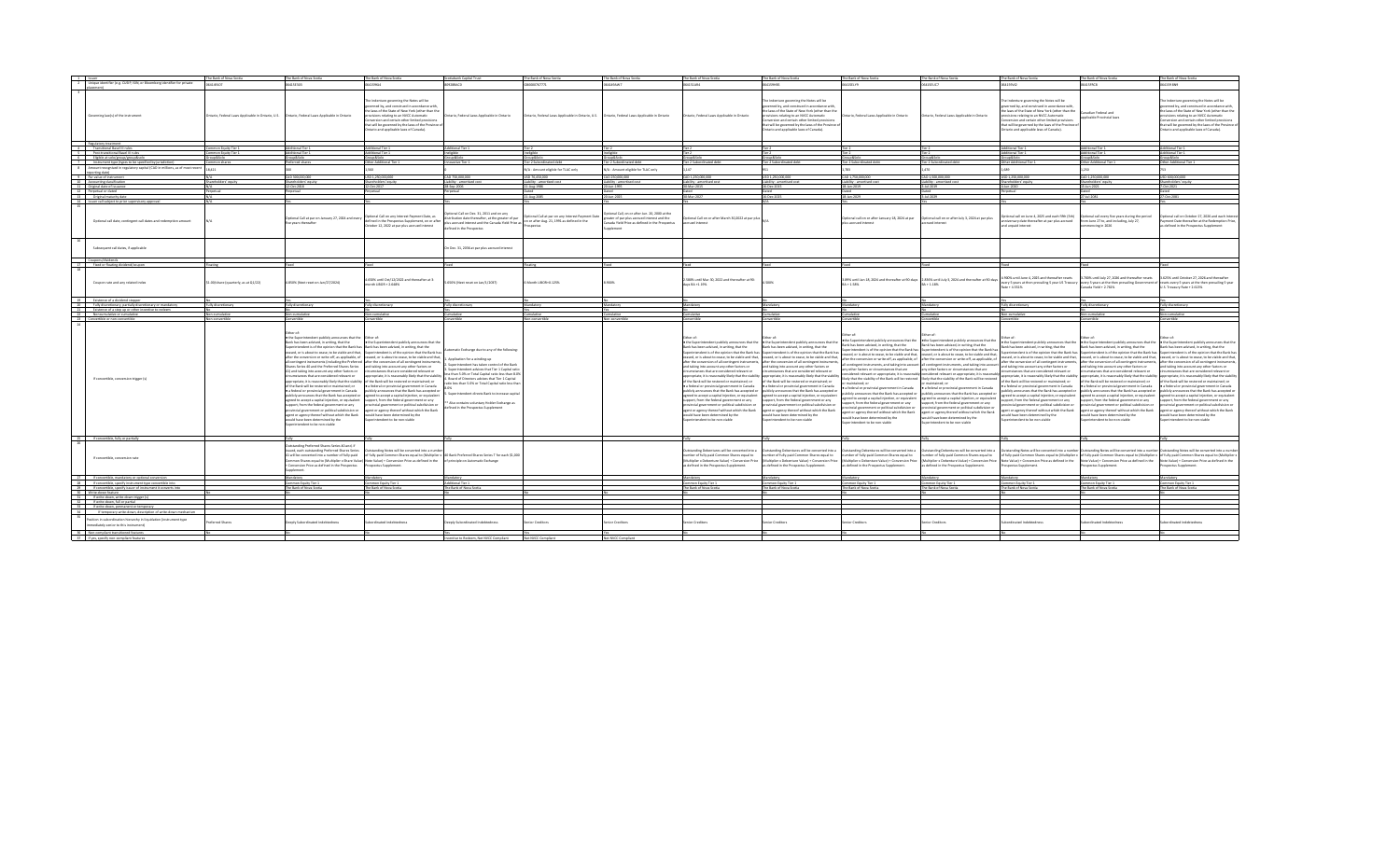| 1 <b>Houer</b>                                                                                                                                                                                                                                                  | The Bank of Nova Scotia                           | The Bank of Nova Scotia                                                                                                                                                                                                                                                                                                                                                                                                                                                                                                                                                                                                                                                                                                                                                                                                                 | The Bank of Nova Scotia                                                                                                                                                                                                                                                                                                                                                                                                                                                                                                                                                                                                                                                                                                                                                                                                                                                                                                                                                      | totiabank Capital Trust                                                                                                                                                                                                                                                                                                                                                                                                                                                                     | The Bank of Nova Scotia                                                                        | The Bank of Nova Scotia                                                                                                                        | The Bank of Nova Scotia                                                                                                                                                                                                                                                                                                                                                                                                                                                                                                                                                                                                                         | The Bank of Nova Scotia                                                                                                                                                                                                                                                                                                                                                                                                                                                                                                                                                                                                                                                                                                                                                                                                                                                                                                                                                                                                                                                                                             | The Bank of Nova Scotia                                                                                                                                                                                                                                                                                                                                                     | The Bank of Nova Scotia                                                                                                                                                                                                                                                                                                                                                                                                                                                                                                                                                                                                                                                                                                                                                                                                                                                                                                                                                                                                                                                                                                                                                                                                                                                                                                  | The Bank of Nova Scotia                                                                                                                                                                                                                                                                                                                                                                                                                                                                                                                                           | The Bank of Nova Scotia                                                                                                                                                                                                                                                                                                                                                                                                                                                                                                                                                            | The Bank of Nova Scotia                                                                                                                                                                                                                                                                                                                                                                                                                                                                                                                                                                                                                                                                                                                                                                                                                                                                                                                                                                                                                                                                                                                                                                                                                                                                                                                                                                           |
|-----------------------------------------------------------------------------------------------------------------------------------------------------------------------------------------------------------------------------------------------------------------|---------------------------------------------------|-----------------------------------------------------------------------------------------------------------------------------------------------------------------------------------------------------------------------------------------------------------------------------------------------------------------------------------------------------------------------------------------------------------------------------------------------------------------------------------------------------------------------------------------------------------------------------------------------------------------------------------------------------------------------------------------------------------------------------------------------------------------------------------------------------------------------------------------|------------------------------------------------------------------------------------------------------------------------------------------------------------------------------------------------------------------------------------------------------------------------------------------------------------------------------------------------------------------------------------------------------------------------------------------------------------------------------------------------------------------------------------------------------------------------------------------------------------------------------------------------------------------------------------------------------------------------------------------------------------------------------------------------------------------------------------------------------------------------------------------------------------------------------------------------------------------------------|---------------------------------------------------------------------------------------------------------------------------------------------------------------------------------------------------------------------------------------------------------------------------------------------------------------------------------------------------------------------------------------------------------------------------------------------------------------------------------------------|------------------------------------------------------------------------------------------------|------------------------------------------------------------------------------------------------------------------------------------------------|-------------------------------------------------------------------------------------------------------------------------------------------------------------------------------------------------------------------------------------------------------------------------------------------------------------------------------------------------------------------------------------------------------------------------------------------------------------------------------------------------------------------------------------------------------------------------------------------------------------------------------------------------|---------------------------------------------------------------------------------------------------------------------------------------------------------------------------------------------------------------------------------------------------------------------------------------------------------------------------------------------------------------------------------------------------------------------------------------------------------------------------------------------------------------------------------------------------------------------------------------------------------------------------------------------------------------------------------------------------------------------------------------------------------------------------------------------------------------------------------------------------------------------------------------------------------------------------------------------------------------------------------------------------------------------------------------------------------------------------------------------------------------------|-----------------------------------------------------------------------------------------------------------------------------------------------------------------------------------------------------------------------------------------------------------------------------------------------------------------------------------------------------------------------------|--------------------------------------------------------------------------------------------------------------------------------------------------------------------------------------------------------------------------------------------------------------------------------------------------------------------------------------------------------------------------------------------------------------------------------------------------------------------------------------------------------------------------------------------------------------------------------------------------------------------------------------------------------------------------------------------------------------------------------------------------------------------------------------------------------------------------------------------------------------------------------------------------------------------------------------------------------------------------------------------------------------------------------------------------------------------------------------------------------------------------------------------------------------------------------------------------------------------------------------------------------------------------------------------------------------------------|-------------------------------------------------------------------------------------------------------------------------------------------------------------------------------------------------------------------------------------------------------------------------------------------------------------------------------------------------------------------------------------------------------------------------------------------------------------------------------------------------------------------------------------------------------------------|------------------------------------------------------------------------------------------------------------------------------------------------------------------------------------------------------------------------------------------------------------------------------------------------------------------------------------------------------------------------------------------------------------------------------------------------------------------------------------------------------------------------------------------------------------------------------------|---------------------------------------------------------------------------------------------------------------------------------------------------------------------------------------------------------------------------------------------------------------------------------------------------------------------------------------------------------------------------------------------------------------------------------------------------------------------------------------------------------------------------------------------------------------------------------------------------------------------------------------------------------------------------------------------------------------------------------------------------------------------------------------------------------------------------------------------------------------------------------------------------------------------------------------------------------------------------------------------------------------------------------------------------------------------------------------------------------------------------------------------------------------------------------------------------------------------------------------------------------------------------------------------------------------------------------------------------------------------------------------------------|
| Unique identifier (e.g. CUSIP, ISIN, or Bloomberg identifier for private                                                                                                                                                                                        | 64149107                                          | 20231540                                                                                                                                                                                                                                                                                                                                                                                                                                                                                                                                                                                                                                                                                                                                                                                                                                | 064159614                                                                                                                                                                                                                                                                                                                                                                                                                                                                                                                                                                                                                                                                                                                                                                                                                                                                                                                                                                    | 80938RAOD                                                                                                                                                                                                                                                                                                                                                                                                                                                                                   | G80000767771                                                                                   | CW4941400                                                                                                                                      | 054151484                                                                                                                                                                                                                                                                                                                                                                                                                                                                                                                                                                                                                                       | <b>DRHRSTBAN</b>                                                                                                                                                                                                                                                                                                                                                                                                                                                                                                                                                                                                                                                                                                                                                                                                                                                                                                                                                                                                                                                                                                    | 06415FLV9                                                                                                                                                                                                                                                                                                                                                                   | 05415FLIC7                                                                                                                                                                                                                                                                                                                                                                                                                                                                                                                                                                                                                                                                                                                                                                                                                                                                                                                                                                                                                                                                                                                                                                                                                                                                                                               | 064159V12                                                                                                                                                                                                                                                                                                                                                                                                                                                                                                                                                         | 06415FRC8                                                                                                                                                                                                                                                                                                                                                                                                                                                                                                                                                                          | 054159 RM9                                                                                                                                                                                                                                                                                                                                                                                                                                                                                                                                                                                                                                                                                                                                                                                                                                                                                                                                                                                                                                                                                                                                                                                                                                                                                                                                                                                        |
| Governing law(s) of the instrument                                                                                                                                                                                                                              | Intario, Federal Laws Applicable in Ontario, U.S. | Ontario, Federal Laws Applicable in Ontario                                                                                                                                                                                                                                                                                                                                                                                                                                                                                                                                                                                                                                                                                                                                                                                             | he Indenture governing the Notes will be<br>werned by, and construed in accordance with<br>he laws of the State of New York (other than the<br>isions relating to an NVCC Automatic<br>nversion and certain other limited provision<br>that will be governed by the laws of the Province o<br>tario and applicable laws of Canada)                                                                                                                                                                                                                                                                                                                                                                                                                                                                                                                                                                                                                                           | Ontario, Federal Laws Applicable in Ontario                                                                                                                                                                                                                                                                                                                                                                                                                                                 | Ontario, Federal Laws Applicable in Ontario, U.S. Ontario, Federal Laws Applicable in Ontario  |                                                                                                                                                | Ontario, Federal Laws Applicable in Ontario                                                                                                                                                                                                                                                                                                                                                                                                                                                                                                                                                                                                     | The Indenture governing the Notes will be<br>verned by, and construed in accordance with<br>he laws of the State of New York (other than the<br>visions relating to an NVCC Automatic<br>nyersion and certain other limited provision<br>that will be governed by the laws of the Province<br>tario and applicable laws of Canada).                                                                                                                                                                                                                                                                                                                                                                                                                                                                                                                                                                                                                                                                                                                                                                                 | Ontario, Federal Laws Applicable in Ontario                                                                                                                                                                                                                                                                                                                                 | Ontario. Federal Laws Applicable in Ontario                                                                                                                                                                                                                                                                                                                                                                                                                                                                                                                                                                                                                                                                                                                                                                                                                                                                                                                                                                                                                                                                                                                                                                                                                                                                              | The Indenture governing the Notes will be<br>verned by, and construed in accordance with,<br>he laws of the State of New York (other than the<br>isions relating to an NVCC Automatic<br>nversion and certain other limited provisions<br>that will be governed by the laws of the Province o<br>stario and applicable laws of Canada).                                                                                                                                                                                                                           | anadian Federal and<br>policable Provincial law:                                                                                                                                                                                                                                                                                                                                                                                                                                                                                                                                   | le Indenture governing the Notes will be<br>verned by, and construed in accordance with,<br>he laws of the State of New York (other than the<br>wisions relating to an NVCC Automatic<br>priversion and certain other limited provisions<br>hat will be soverned by the laws of the Province of<br>tario and applicable laws of Canada).                                                                                                                                                                                                                                                                                                                                                                                                                                                                                                                                                                                                                                                                                                                                                                                                                                                                                                                                                                                                                                                          |
| Regulatory treatment<br>4 Transitional Basel III rules                                                                                                                                                                                                          |                                                   |                                                                                                                                                                                                                                                                                                                                                                                                                                                                                                                                                                                                                                                                                                                                                                                                                                         |                                                                                                                                                                                                                                                                                                                                                                                                                                                                                                                                                                                                                                                                                                                                                                                                                                                                                                                                                                              |                                                                                                                                                                                                                                                                                                                                                                                                                                                                                             |                                                                                                |                                                                                                                                                |                                                                                                                                                                                                                                                                                                                                                                                                                                                                                                                                                                                                                                                 |                                                                                                                                                                                                                                                                                                                                                                                                                                                                                                                                                                                                                                                                                                                                                                                                                                                                                                                                                                                                                                                                                                                     |                                                                                                                                                                                                                                                                                                                                                                             |                                                                                                                                                                                                                                                                                                                                                                                                                                                                                                                                                                                                                                                                                                                                                                                                                                                                                                                                                                                                                                                                                                                                                                                                                                                                                                                          |                                                                                                                                                                                                                                                                                                                                                                                                                                                                                                                                                                   |                                                                                                                                                                                                                                                                                                                                                                                                                                                                                                                                                                                    |                                                                                                                                                                                                                                                                                                                                                                                                                                                                                                                                                                                                                                                                                                                                                                                                                                                                                                                                                                                                                                                                                                                                                                                                                                                                                                                                                                                                   |
|                                                                                                                                                                                                                                                                 | ommon Equity Tier 1                               | dditional Tier 1                                                                                                                                                                                                                                                                                                                                                                                                                                                                                                                                                                                                                                                                                                                                                                                                                        | Additional Tier 1                                                                                                                                                                                                                                                                                                                                                                                                                                                                                                                                                                                                                                                                                                                                                                                                                                                                                                                                                            | Additional Tier 1                                                                                                                                                                                                                                                                                                                                                                                                                                                                           |                                                                                                |                                                                                                                                                |                                                                                                                                                                                                                                                                                                                                                                                                                                                                                                                                                                                                                                                 | Tier <sub>2</sub>                                                                                                                                                                                                                                                                                                                                                                                                                                                                                                                                                                                                                                                                                                                                                                                                                                                                                                                                                                                                                                                                                                   | Tier 2                                                                                                                                                                                                                                                                                                                                                                      | Tier 2                                                                                                                                                                                                                                                                                                                                                                                                                                                                                                                                                                                                                                                                                                                                                                                                                                                                                                                                                                                                                                                                                                                                                                                                                                                                                                                   | Additional Tier 1                                                                                                                                                                                                                                                                                                                                                                                                                                                                                                                                                 | Additional Tier 1                                                                                                                                                                                                                                                                                                                                                                                                                                                                                                                                                                  | Additional Tier 1                                                                                                                                                                                                                                                                                                                                                                                                                                                                                                                                                                                                                                                                                                                                                                                                                                                                                                                                                                                                                                                                                                                                                                                                                                                                                                                                                                                 |
| 5 Post-transitional Basel III rule                                                                                                                                                                                                                              | wnon Equity Tier 1                                | ditional Tier 1                                                                                                                                                                                                                                                                                                                                                                                                                                                                                                                                                                                                                                                                                                                                                                                                                         | dditional Tier 1                                                                                                                                                                                                                                                                                                                                                                                                                                                                                                                                                                                                                                                                                                                                                                                                                                                                                                                                                             |                                                                                                                                                                                                                                                                                                                                                                                                                                                                                             |                                                                                                |                                                                                                                                                |                                                                                                                                                                                                                                                                                                                                                                                                                                                                                                                                                                                                                                                 |                                                                                                                                                                                                                                                                                                                                                                                                                                                                                                                                                                                                                                                                                                                                                                                                                                                                                                                                                                                                                                                                                                                     |                                                                                                                                                                                                                                                                                                                                                                             |                                                                                                                                                                                                                                                                                                                                                                                                                                                                                                                                                                                                                                                                                                                                                                                                                                                                                                                                                                                                                                                                                                                                                                                                                                                                                                                          | ditional Tier 1                                                                                                                                                                                                                                                                                                                                                                                                                                                                                                                                                   | <b>Idditional Tier 1</b>                                                                                                                                                                                                                                                                                                                                                                                                                                                                                                                                                           | dditional Tier 1                                                                                                                                                                                                                                                                                                                                                                                                                                                                                                                                                                                                                                                                                                                                                                                                                                                                                                                                                                                                                                                                                                                                                                                                                                                                                                                                                                                  |
| 6 Eliable at solo/aroun/aroun&solo                                                                                                                                                                                                                              | p&Solo                                            | olo2&sug                                                                                                                                                                                                                                                                                                                                                                                                                                                                                                                                                                                                                                                                                                                                                                                                                                | iroup&Solo                                                                                                                                                                                                                                                                                                                                                                                                                                                                                                                                                                                                                                                                                                                                                                                                                                                                                                                                                                   | olo2&ouosi                                                                                                                                                                                                                                                                                                                                                                                                                                                                                  | olo2&suon                                                                                      | do2&suor                                                                                                                                       | iroup&Solo                                                                                                                                                                                                                                                                                                                                                                                                                                                                                                                                                                                                                                      | iroup&Solc                                                                                                                                                                                                                                                                                                                                                                                                                                                                                                                                                                                                                                                                                                                                                                                                                                                                                                                                                                                                                                                                                                          | Group&Solo                                                                                                                                                                                                                                                                                                                                                                  | Group&Sold                                                                                                                                                                                                                                                                                                                                                                                                                                                                                                                                                                                                                                                                                                                                                                                                                                                                                                                                                                                                                                                                                                                                                                                                                                                                                                               | olo2&suon                                                                                                                                                                                                                                                                                                                                                                                                                                                                                                                                                         | Group&Solo                                                                                                                                                                                                                                                                                                                                                                                                                                                                                                                                                                         | olo2&quoni                                                                                                                                                                                                                                                                                                                                                                                                                                                                                                                                                                                                                                                                                                                                                                                                                                                                                                                                                                                                                                                                                                                                                                                                                                                                                                                                                                                        |
| 7 Instrument type (types to be specified by jurisdiction)                                                                                                                                                                                                       | mmon shares                                       | eferred shares                                                                                                                                                                                                                                                                                                                                                                                                                                                                                                                                                                                                                                                                                                                                                                                                                          | Other Additional Tier                                                                                                                                                                                                                                                                                                                                                                                                                                                                                                                                                                                                                                                                                                                                                                                                                                                                                                                                                        | Innovative Tier 1                                                                                                                                                                                                                                                                                                                                                                                                                                                                           | Tier 2 Subordinated debt                                                                       | Tier 2 Subordinated deb                                                                                                                        | Tier 2 Subordinated debt                                                                                                                                                                                                                                                                                                                                                                                                                                                                                                                                                                                                                        | Tier 2 Subordinated debt                                                                                                                                                                                                                                                                                                                                                                                                                                                                                                                                                                                                                                                                                                                                                                                                                                                                                                                                                                                                                                                                                            | Tier 2 Subordinated deb                                                                                                                                                                                                                                                                                                                                                     | Tier 2 Subordinated deb                                                                                                                                                                                                                                                                                                                                                                                                                                                                                                                                                                                                                                                                                                                                                                                                                                                                                                                                                                                                                                                                                                                                                                                                                                                                                                  | Other Additional Tier 1                                                                                                                                                                                                                                                                                                                                                                                                                                                                                                                                           | Other Additional Tier:                                                                                                                                                                                                                                                                                                                                                                                                                                                                                                                                                             | Other Additional Tier                                                                                                                                                                                                                                                                                                                                                                                                                                                                                                                                                                                                                                                                                                                                                                                                                                                                                                                                                                                                                                                                                                                                                                                                                                                                                                                                                                             |
| 8 Amount recognised in regulatory capital (CAD in millions, as of most recent                                                                                                                                                                                   | 8.421                                             |                                                                                                                                                                                                                                                                                                                                                                                                                                                                                                                                                                                                                                                                                                                                                                                                                                         |                                                                                                                                                                                                                                                                                                                                                                                                                                                                                                                                                                                                                                                                                                                                                                                                                                                                                                                                                                              |                                                                                                                                                                                                                                                                                                                                                                                                                                                                                             | N/A - Amount eliaible for TLAC only                                                            | N/A - Amount eliable for TLAC only                                                                                                             |                                                                                                                                                                                                                                                                                                                                                                                                                                                                                                                                                                                                                                                 |                                                                                                                                                                                                                                                                                                                                                                                                                                                                                                                                                                                                                                                                                                                                                                                                                                                                                                                                                                                                                                                                                                                     | 1783                                                                                                                                                                                                                                                                                                                                                                        | 1.470                                                                                                                                                                                                                                                                                                                                                                                                                                                                                                                                                                                                                                                                                                                                                                                                                                                                                                                                                                                                                                                                                                                                                                                                                                                                                                                    | 689                                                                                                                                                                                                                                                                                                                                                                                                                                                                                                                                                               | 1.250                                                                                                                                                                                                                                                                                                                                                                                                                                                                                                                                                                              |                                                                                                                                                                                                                                                                                                                                                                                                                                                                                                                                                                                                                                                                                                                                                                                                                                                                                                                                                                                                                                                                                                                                                                                                                                                                                                                                                                                                   |
| reporting date)                                                                                                                                                                                                                                                 |                                                   |                                                                                                                                                                                                                                                                                                                                                                                                                                                                                                                                                                                                                                                                                                                                                                                                                                         |                                                                                                                                                                                                                                                                                                                                                                                                                                                                                                                                                                                                                                                                                                                                                                                                                                                                                                                                                                              |                                                                                                                                                                                                                                                                                                                                                                                                                                                                                             |                                                                                                |                                                                                                                                                |                                                                                                                                                                                                                                                                                                                                                                                                                                                                                                                                                                                                                                                 |                                                                                                                                                                                                                                                                                                                                                                                                                                                                                                                                                                                                                                                                                                                                                                                                                                                                                                                                                                                                                                                                                                                     |                                                                                                                                                                                                                                                                                                                                                                             |                                                                                                                                                                                                                                                                                                                                                                                                                                                                                                                                                                                                                                                                                                                                                                                                                                                                                                                                                                                                                                                                                                                                                                                                                                                                                                                          |                                                                                                                                                                                                                                                                                                                                                                                                                                                                                                                                                                   |                                                                                                                                                                                                                                                                                                                                                                                                                                                                                                                                                                                    |                                                                                                                                                                                                                                                                                                                                                                                                                                                                                                                                                                                                                                                                                                                                                                                                                                                                                                                                                                                                                                                                                                                                                                                                                                                                                                                                                                                                   |
| 9 Par value of instrument                                                                                                                                                                                                                                       |                                                   | 000,000,000 GA                                                                                                                                                                                                                                                                                                                                                                                                                                                                                                                                                                                                                                                                                                                                                                                                                          | USD 1,250,000,000                                                                                                                                                                                                                                                                                                                                                                                                                                                                                                                                                                                                                                                                                                                                                                                                                                                                                                                                                            | CAD 750,000,000                                                                                                                                                                                                                                                                                                                                                                                                                                                                             | USD 76,450,000                                                                                 | CAD 250,000,000                                                                                                                                | CAD 1,250,000,000                                                                                                                                                                                                                                                                                                                                                                                                                                                                                                                                                                                                                               | USD 1,250,000,000                                                                                                                                                                                                                                                                                                                                                                                                                                                                                                                                                                                                                                                                                                                                                                                                                                                                                                                                                                                                                                                                                                   | CAD 1,750,000,000                                                                                                                                                                                                                                                                                                                                                           | CAD 1,500,000,000                                                                                                                                                                                                                                                                                                                                                                                                                                                                                                                                                                                                                                                                                                                                                                                                                                                                                                                                                                                                                                                                                                                                                                                                                                                                                                        | USD 1,250,000,000                                                                                                                                                                                                                                                                                                                                                                                                                                                                                                                                                 | CAD 1,250,000,000                                                                                                                                                                                                                                                                                                                                                                                                                                                                                                                                                                  | USD 600,000,000                                                                                                                                                                                                                                                                                                                                                                                                                                                                                                                                                                                                                                                                                                                                                                                                                                                                                                                                                                                                                                                                                                                                                                                                                                                                                                                                                                                   |
| 10 Accounting classification                                                                                                                                                                                                                                    | Shareholders' equity                              | hareholders' equity                                                                                                                                                                                                                                                                                                                                                                                                                                                                                                                                                                                                                                                                                                                                                                                                                     | Shareholders' equity                                                                                                                                                                                                                                                                                                                                                                                                                                                                                                                                                                                                                                                                                                                                                                                                                                                                                                                                                         | Liability - amortised cos                                                                                                                                                                                                                                                                                                                                                                                                                                                                   | Liability - amortised cos                                                                      | Liability - amortised co                                                                                                                       | Liability - amortised cor                                                                                                                                                                                                                                                                                                                                                                                                                                                                                                                                                                                                                       | Liability - amortised cor                                                                                                                                                                                                                                                                                                                                                                                                                                                                                                                                                                                                                                                                                                                                                                                                                                                                                                                                                                                                                                                                                           | Liability - amortised cos                                                                                                                                                                                                                                                                                                                                                   | Liability - amortised cor                                                                                                                                                                                                                                                                                                                                                                                                                                                                                                                                                                                                                                                                                                                                                                                                                                                                                                                                                                                                                                                                                                                                                                                                                                                                                                | Shareholders' equity                                                                                                                                                                                                                                                                                                                                                                                                                                                                                                                                              | Shareholders' equity                                                                                                                                                                                                                                                                                                                                                                                                                                                                                                                                                               | Shareholders' equit                                                                                                                                                                                                                                                                                                                                                                                                                                                                                                                                                                                                                                                                                                                                                                                                                                                                                                                                                                                                                                                                                                                                                                                                                                                                                                                                                                               |
| 11 Original date of issuano                                                                                                                                                                                                                                     |                                                   | $-0ct - 2018$                                                                                                                                                                                                                                                                                                                                                                                                                                                                                                                                                                                                                                                                                                                                                                                                                           | 12-Oct-2017                                                                                                                                                                                                                                                                                                                                                                                                                                                                                                                                                                                                                                                                                                                                                                                                                                                                                                                                                                  | 28-Sep-2006                                                                                                                                                                                                                                                                                                                                                                                                                                                                                 | 21-Aug-1986<br>Dated                                                                           | 0-Jun-1995                                                                                                                                     | 30-Mar-2015                                                                                                                                                                                                                                                                                                                                                                                                                                                                                                                                                                                                                                     | 16.0ac.2015                                                                                                                                                                                                                                                                                                                                                                                                                                                                                                                                                                                                                                                                                                                                                                                                                                                                                                                                                                                                                                                                                                         | 18-Jan-2019<br>bated                                                                                                                                                                                                                                                                                                                                                        | 3-Jul-2019<br><b>Dated</b>                                                                                                                                                                                                                                                                                                                                                                                                                                                                                                                                                                                                                                                                                                                                                                                                                                                                                                                                                                                                                                                                                                                                                                                                                                                                                               | Jun-2020                                                                                                                                                                                                                                                                                                                                                                                                                                                                                                                                                          | 15-Jun-2021<br>Dated                                                                                                                                                                                                                                                                                                                                                                                                                                                                                                                                                               | -Oct-2021<br>Dated                                                                                                                                                                                                                                                                                                                                                                                                                                                                                                                                                                                                                                                                                                                                                                                                                                                                                                                                                                                                                                                                                                                                                                                                                                                                                                                                                                                |
| 12 Perpetual or dated<br>13 Original maturity date                                                                                                                                                                                                              | Perpetual                                         | roetual                                                                                                                                                                                                                                                                                                                                                                                                                                                                                                                                                                                                                                                                                                                                                                                                                                 | Perpetual                                                                                                                                                                                                                                                                                                                                                                                                                                                                                                                                                                                                                                                                                                                                                                                                                                                                                                                                                                    | Perpetual                                                                                                                                                                                                                                                                                                                                                                                                                                                                                   | 21-Aug-2085                                                                                    | 20-Jun-2025                                                                                                                                    | 30-Mar-2027                                                                                                                                                                                                                                                                                                                                                                                                                                                                                                                                                                                                                                     | Jated<br>16-Dec-2025                                                                                                                                                                                                                                                                                                                                                                                                                                                                                                                                                                                                                                                                                                                                                                                                                                                                                                                                                                                                                                                                                                | 18-Jan-2029                                                                                                                                                                                                                                                                                                                                                                 | 3-Jul-2029                                                                                                                                                                                                                                                                                                                                                                                                                                                                                                                                                                                                                                                                                                                                                                                                                                                                                                                                                                                                                                                                                                                                                                                                                                                                                                               | Perpetual                                                                                                                                                                                                                                                                                                                                                                                                                                                                                                                                                         | 27-Jul-2081                                                                                                                                                                                                                                                                                                                                                                                                                                                                                                                                                                        | 27-Oct-2081                                                                                                                                                                                                                                                                                                                                                                                                                                                                                                                                                                                                                                                                                                                                                                                                                                                                                                                                                                                                                                                                                                                                                                                                                                                                                                                                                                                       |
| 14 Issuer call subject to prior supervisory approval                                                                                                                                                                                                            |                                                   |                                                                                                                                                                                                                                                                                                                                                                                                                                                                                                                                                                                                                                                                                                                                                                                                                                         |                                                                                                                                                                                                                                                                                                                                                                                                                                                                                                                                                                                                                                                                                                                                                                                                                                                                                                                                                                              |                                                                                                                                                                                                                                                                                                                                                                                                                                                                                             |                                                                                                |                                                                                                                                                |                                                                                                                                                                                                                                                                                                                                                                                                                                                                                                                                                                                                                                                 |                                                                                                                                                                                                                                                                                                                                                                                                                                                                                                                                                                                                                                                                                                                                                                                                                                                                                                                                                                                                                                                                                                                     |                                                                                                                                                                                                                                                                                                                                                                             |                                                                                                                                                                                                                                                                                                                                                                                                                                                                                                                                                                                                                                                                                                                                                                                                                                                                                                                                                                                                                                                                                                                                                                                                                                                                                                                          |                                                                                                                                                                                                                                                                                                                                                                                                                                                                                                                                                                   |                                                                                                                                                                                                                                                                                                                                                                                                                                                                                                                                                                                    |                                                                                                                                                                                                                                                                                                                                                                                                                                                                                                                                                                                                                                                                                                                                                                                                                                                                                                                                                                                                                                                                                                                                                                                                                                                                                                                                                                                                   |
| Optional call date, contingent call dates and redemption amount                                                                                                                                                                                                 |                                                   | otional Call at par on January 27, 2024 and every<br>e years thereafter                                                                                                                                                                                                                                                                                                                                                                                                                                                                                                                                                                                                                                                                                                                                                                 | ptional Call on any Interest Payment Date, as<br>fined in the Prospectus Supplement, on or after<br>ctober 12, 2022 at par plus accrued interest                                                                                                                                                                                                                                                                                                                                                                                                                                                                                                                                                                                                                                                                                                                                                                                                                             | innal Call on Dec. 31, 2011 and on any<br>ribution date thereafter, at the greater of par<br>accrued interest and the Canada Yield Price as<br>defined in the Prospectus                                                                                                                                                                                                                                                                                                                    | tional Call at par on any Interest Payment Date<br>on or after Aug. 21, 1991 as defined in the | offenal Call, on or after tun. 20, 2000 at the<br>reater of par plus accrued interest and the<br>nada Yield Price as defined in the Prospectus | otional Call on or after March 30,2022 at par plus<br>ued interest                                                                                                                                                                                                                                                                                                                                                                                                                                                                                                                                                                              |                                                                                                                                                                                                                                                                                                                                                                                                                                                                                                                                                                                                                                                                                                                                                                                                                                                                                                                                                                                                                                                                                                                     | otional call on or after January 18, 2024 at par<br>s accrued interest                                                                                                                                                                                                                                                                                                      | Optional call on or after July 3, 2024 at par plus<br>rued interest                                                                                                                                                                                                                                                                                                                                                                                                                                                                                                                                                                                                                                                                                                                                                                                                                                                                                                                                                                                                                                                                                                                                                                                                                                                      | Optional call on June 4, 2025 and each fifth (5th)<br>iversary date thereafter at par plus accrued<br>d ungaid interest                                                                                                                                                                                                                                                                                                                                                                                                                                           | Optional call every five years during the period<br>from June 27 to, and including, July 27.<br>nmencing in 2026                                                                                                                                                                                                                                                                                                                                                                                                                                                                   | ptional call on October 27, 2026 and each Interest<br>yment Date thereafter at the Redemption Price,<br>is defined in the Prospectus Supplement                                                                                                                                                                                                                                                                                                                                                                                                                                                                                                                                                                                                                                                                                                                                                                                                                                                                                                                                                                                                                                                                                                                                                                                                                                                   |
| subsequent call dates, if applicable                                                                                                                                                                                                                            |                                                   |                                                                                                                                                                                                                                                                                                                                                                                                                                                                                                                                                                                                                                                                                                                                                                                                                                         |                                                                                                                                                                                                                                                                                                                                                                                                                                                                                                                                                                                                                                                                                                                                                                                                                                                                                                                                                                              | Dec. 31, 2036 at par plus accrued interest                                                                                                                                                                                                                                                                                                                                                                                                                                                  |                                                                                                |                                                                                                                                                |                                                                                                                                                                                                                                                                                                                                                                                                                                                                                                                                                                                                                                                 |                                                                                                                                                                                                                                                                                                                                                                                                                                                                                                                                                                                                                                                                                                                                                                                                                                                                                                                                                                                                                                                                                                                     |                                                                                                                                                                                                                                                                                                                                                                             |                                                                                                                                                                                                                                                                                                                                                                                                                                                                                                                                                                                                                                                                                                                                                                                                                                                                                                                                                                                                                                                                                                                                                                                                                                                                                                                          |                                                                                                                                                                                                                                                                                                                                                                                                                                                                                                                                                                   |                                                                                                                                                                                                                                                                                                                                                                                                                                                                                                                                                                                    |                                                                                                                                                                                                                                                                                                                                                                                                                                                                                                                                                                                                                                                                                                                                                                                                                                                                                                                                                                                                                                                                                                                                                                                                                                                                                                                                                                                                   |
| Coupons/dividends                                                                                                                                                                                                                                               |                                                   |                                                                                                                                                                                                                                                                                                                                                                                                                                                                                                                                                                                                                                                                                                                                                                                                                                         |                                                                                                                                                                                                                                                                                                                                                                                                                                                                                                                                                                                                                                                                                                                                                                                                                                                                                                                                                                              |                                                                                                                                                                                                                                                                                                                                                                                                                                                                                             |                                                                                                |                                                                                                                                                |                                                                                                                                                                                                                                                                                                                                                                                                                                                                                                                                                                                                                                                 |                                                                                                                                                                                                                                                                                                                                                                                                                                                                                                                                                                                                                                                                                                                                                                                                                                                                                                                                                                                                                                                                                                                     |                                                                                                                                                                                                                                                                                                                                                                             |                                                                                                                                                                                                                                                                                                                                                                                                                                                                                                                                                                                                                                                                                                                                                                                                                                                                                                                                                                                                                                                                                                                                                                                                                                                                                                                          |                                                                                                                                                                                                                                                                                                                                                                                                                                                                                                                                                                   |                                                                                                                                                                                                                                                                                                                                                                                                                                                                                                                                                                                    |                                                                                                                                                                                                                                                                                                                                                                                                                                                                                                                                                                                                                                                                                                                                                                                                                                                                                                                                                                                                                                                                                                                                                                                                                                                                                                                                                                                                   |
| 17 Fixed or floating dividend/coupon                                                                                                                                                                                                                            |                                                   |                                                                                                                                                                                                                                                                                                                                                                                                                                                                                                                                                                                                                                                                                                                                                                                                                                         |                                                                                                                                                                                                                                                                                                                                                                                                                                                                                                                                                                                                                                                                                                                                                                                                                                                                                                                                                                              |                                                                                                                                                                                                                                                                                                                                                                                                                                                                                             |                                                                                                |                                                                                                                                                |                                                                                                                                                                                                                                                                                                                                                                                                                                                                                                                                                                                                                                                 |                                                                                                                                                                                                                                                                                                                                                                                                                                                                                                                                                                                                                                                                                                                                                                                                                                                                                                                                                                                                                                                                                                                     |                                                                                                                                                                                                                                                                                                                                                                             |                                                                                                                                                                                                                                                                                                                                                                                                                                                                                                                                                                                                                                                                                                                                                                                                                                                                                                                                                                                                                                                                                                                                                                                                                                                                                                                          |                                                                                                                                                                                                                                                                                                                                                                                                                                                                                                                                                                   |                                                                                                                                                                                                                                                                                                                                                                                                                                                                                                                                                                                    |                                                                                                                                                                                                                                                                                                                                                                                                                                                                                                                                                                                                                                                                                                                                                                                                                                                                                                                                                                                                                                                                                                                                                                                                                                                                                                                                                                                                   |
| Coupon rate and any related index                                                                                                                                                                                                                               | 1.00/share (quarterly, as at Q1/22)               | 4.850% (Next reset on Jan/27/2024)                                                                                                                                                                                                                                                                                                                                                                                                                                                                                                                                                                                                                                                                                                                                                                                                      | 4.650% until Oct/12/2022 and thereafter at 3-<br>tonth LIBOR + 2.648%                                                                                                                                                                                                                                                                                                                                                                                                                                                                                                                                                                                                                                                                                                                                                                                                                                                                                                        | 5.650% (Next reset on Jan/1/2037)                                                                                                                                                                                                                                                                                                                                                                                                                                                           | 6 Month LIBOR+0.125%                                                                           | 1,900%                                                                                                                                         | 580% until Mar.30, 2022 and thereafter at 90-<br>days BA +1.19%                                                                                                                                                                                                                                                                                                                                                                                                                                                                                                                                                                                 | sons                                                                                                                                                                                                                                                                                                                                                                                                                                                                                                                                                                                                                                                                                                                                                                                                                                                                                                                                                                                                                                                                                                                | BA + 1.58%                                                                                                                                                                                                                                                                                                                                                                  | 3.89% until Jan 18, 2024 and thereafter at 90-days 2.836% until July 3, 2024 and thereafter at 90-days<br>BA + 1.18%                                                                                                                                                                                                                                                                                                                                                                                                                                                                                                                                                                                                                                                                                                                                                                                                                                                                                                                                                                                                                                                                                                                                                                                                     | 4.900% until June 4, 2025 and thereafter resets<br>every 5 years at then prevailing 5 year US Treasury every 5 years at the then prevailing Government of resets every 5 years at the then prevailing 5 year<br>Rate + 4.551%                                                                                                                                                                                                                                                                                                                                     | 3.700% until July 27, 2026 and thereafter resets<br>Canada Yield + 2.761%                                                                                                                                                                                                                                                                                                                                                                                                                                                                                                          | 3.625% until October 27, 2026 and thereafter<br>U.S. Treasury Rate + 2.613%                                                                                                                                                                                                                                                                                                                                                                                                                                                                                                                                                                                                                                                                                                                                                                                                                                                                                                                                                                                                                                                                                                                                                                                                                                                                                                                       |
| $\begin{tabular}{ll} \bf 19 & Existence of a dividend stoppar\\ \bf 20 & Fuly discrete to any partially discretizationary or anability\\ \bf 21 & Fivityence of a step up or other incentive to redorem\\ \bf 22 & Noncomulative or cumulative\\ \end{tabular}$ | Fully discretionary                               | ully discretionary                                                                                                                                                                                                                                                                                                                                                                                                                                                                                                                                                                                                                                                                                                                                                                                                                      | Fully discretionary                                                                                                                                                                                                                                                                                                                                                                                                                                                                                                                                                                                                                                                                                                                                                                                                                                                                                                                                                          | Fully discretionary                                                                                                                                                                                                                                                                                                                                                                                                                                                                         | Aandaton                                                                                       | Mandatory                                                                                                                                      | Aandaton                                                                                                                                                                                                                                                                                                                                                                                                                                                                                                                                                                                                                                        | Mandatory                                                                                                                                                                                                                                                                                                                                                                                                                                                                                                                                                                                                                                                                                                                                                                                                                                                                                                                                                                                                                                                                                                           | Mandatory                                                                                                                                                                                                                                                                                                                                                                   | Mandator                                                                                                                                                                                                                                                                                                                                                                                                                                                                                                                                                                                                                                                                                                                                                                                                                                                                                                                                                                                                                                                                                                                                                                                                                                                                                                                 | Fully discretionary                                                                                                                                                                                                                                                                                                                                                                                                                                                                                                                                               | Fully discretionary                                                                                                                                                                                                                                                                                                                                                                                                                                                                                                                                                                | Fully discretionary                                                                                                                                                                                                                                                                                                                                                                                                                                                                                                                                                                                                                                                                                                                                                                                                                                                                                                                                                                                                                                                                                                                                                                                                                                                                                                                                                                               |
|                                                                                                                                                                                                                                                                 |                                                   |                                                                                                                                                                                                                                                                                                                                                                                                                                                                                                                                                                                                                                                                                                                                                                                                                                         |                                                                                                                                                                                                                                                                                                                                                                                                                                                                                                                                                                                                                                                                                                                                                                                                                                                                                                                                                                              |                                                                                                                                                                                                                                                                                                                                                                                                                                                                                             |                                                                                                |                                                                                                                                                |                                                                                                                                                                                                                                                                                                                                                                                                                                                                                                                                                                                                                                                 |                                                                                                                                                                                                                                                                                                                                                                                                                                                                                                                                                                                                                                                                                                                                                                                                                                                                                                                                                                                                                                                                                                                     |                                                                                                                                                                                                                                                                                                                                                                             |                                                                                                                                                                                                                                                                                                                                                                                                                                                                                                                                                                                                                                                                                                                                                                                                                                                                                                                                                                                                                                                                                                                                                                                                                                                                                                                          |                                                                                                                                                                                                                                                                                                                                                                                                                                                                                                                                                                   |                                                                                                                                                                                                                                                                                                                                                                                                                                                                                                                                                                                    |                                                                                                                                                                                                                                                                                                                                                                                                                                                                                                                                                                                                                                                                                                                                                                                                                                                                                                                                                                                                                                                                                                                                                                                                                                                                                                                                                                                                   |
|                                                                                                                                                                                                                                                                 | lon-cumulative                                    | on-cumulative                                                                                                                                                                                                                                                                                                                                                                                                                                                                                                                                                                                                                                                                                                                                                                                                                           | Non-cumulative                                                                                                                                                                                                                                                                                                                                                                                                                                                                                                                                                                                                                                                                                                                                                                                                                                                                                                                                                               | umulative                                                                                                                                                                                                                                                                                                                                                                                                                                                                                   | Cumulative                                                                                     | amulative                                                                                                                                      | mulative                                                                                                                                                                                                                                                                                                                                                                                                                                                                                                                                                                                                                                        | cmulative                                                                                                                                                                                                                                                                                                                                                                                                                                                                                                                                                                                                                                                                                                                                                                                                                                                                                                                                                                                                                                                                                                           | <b>Lumulative</b>                                                                                                                                                                                                                                                                                                                                                           | umulative                                                                                                                                                                                                                                                                                                                                                                                                                                                                                                                                                                                                                                                                                                                                                                                                                                                                                                                                                                                                                                                                                                                                                                                                                                                                                                                | on-cumulative                                                                                                                                                                                                                                                                                                                                                                                                                                                                                                                                                     | Non-cumulative                                                                                                                                                                                                                                                                                                                                                                                                                                                                                                                                                                     | Non-cumulative                                                                                                                                                                                                                                                                                                                                                                                                                                                                                                                                                                                                                                                                                                                                                                                                                                                                                                                                                                                                                                                                                                                                                                                                                                                                                                                                                                                    |
| 23 Convertible or non-convertible                                                                                                                                                                                                                               | Von-convertible                                   | siditnevn                                                                                                                                                                                                                                                                                                                                                                                                                                                                                                                                                                                                                                                                                                                                                                                                                               |                                                                                                                                                                                                                                                                                                                                                                                                                                                                                                                                                                                                                                                                                                                                                                                                                                                                                                                                                                              |                                                                                                                                                                                                                                                                                                                                                                                                                                                                                             | Non-convertible                                                                                | ion-convertible                                                                                                                                |                                                                                                                                                                                                                                                                                                                                                                                                                                                                                                                                                                                                                                                 |                                                                                                                                                                                                                                                                                                                                                                                                                                                                                                                                                                                                                                                                                                                                                                                                                                                                                                                                                                                                                                                                                                                     |                                                                                                                                                                                                                                                                                                                                                                             |                                                                                                                                                                                                                                                                                                                                                                                                                                                                                                                                                                                                                                                                                                                                                                                                                                                                                                                                                                                                                                                                                                                                                                                                                                                                                                                          |                                                                                                                                                                                                                                                                                                                                                                                                                                                                                                                                                                   | Convertible                                                                                                                                                                                                                                                                                                                                                                                                                                                                                                                                                                        | onvertible                                                                                                                                                                                                                                                                                                                                                                                                                                                                                                                                                                                                                                                                                                                                                                                                                                                                                                                                                                                                                                                                                                                                                                                                                                                                                                                                                                                        |
| If convertible, conversion trigger (s)                                                                                                                                                                                                                          |                                                   | . the Superintendent publicly announces that the Either of<br>Bank has been advised, in writing, that the<br>erintendent is of the opinion that the Bank has Bank has been advised, in writing, that the<br>fter the conversion or write-off, as applicable, of<br>ares Series 40 and the Preferred Shares Series and taking into account any other factors or<br>1) and taking into account any other factors or<br>which housles from one ted to description<br>f the Bank will be restored or maintained; or<br>a federal or provincial government in Canada<br>greed to accept a capital injection, or equivalent<br>pport, from the federal government or any<br>incial sovernment or political subdivision or<br>ant or agency thereof without which the Bank<br>ould have been determined by the<br>erintendent to be non-viable | . the Superintendent publicly announces that the<br>ased, or is about to cease, to be viable and that, Superintendent is of the opinion that the Bank has<br>ceased, or is about to cease, to be viable and that,<br>contingent instruments (including the Preferred after the conversion of all contingent instruments<br>cumstances that are considered relevant or<br>propriate, it is reasonably likely that the viability<br>rooriate, it is reasonably likely that the viability of the Bank will be restored or maintained; or<br>· a federal or provincial government in Canada<br>ublicly announces that the Bank has accepted or<br>blicly announces that the Bank has accepted or agreed to accept a capital injection, or equivalent<br>support, from the federal eovernment or any<br>provincial eovernment or political subdivision o<br>agent or agency thereof without which the Bank<br>would have been determined by the<br>uperintendent to be non-viable | Automatic Exchange due to any of the following:<br>Application for a winding-up<br>Superintendent has taken control of the Bank<br>rintendent advices that Tier 1 Capital ratio<br>less than 5.0% or Total Capital ratio less than 8.0%<br>Board of Directors advices that Tier 1 Capital<br>ratio less than 5.0% or Total Capital ratio less than<br>. Superintendent directs Bank to increase capital<br>iso contains voluntary Holder Exchange as<br>efined in the Prospectus Supplement |                                                                                                |                                                                                                                                                | Bank has been advised, in writing, that the<br>and taking into account any other factors or<br>rcumstances that are considered relevant or<br>poropriate, it is reasonably likely that the viability<br>of the Bank will be restored or maintained: or<br>· a federal or provincial government in Canada<br>sublicly announces that the Bank has accepted or<br>agreed to accept a capital injection, or equivalent<br>upport, from the federal government or any<br>rovincial government or political subdivision or<br>agent or agency thereof without which the Bank<br>would have been determined by the<br>Superintendent to be non-viable | the Superintendent publicly announces that the ethe Superintendent publicly announces that the Bank has been advised, in writing, that the<br>Bank has been advised, in writing, that the<br>perintendent is of the opinion that the Bank has Superintendent is of the opinion that the Bank has<br>ased, or is about to cease, to be viable and that, ceased, or is about to cease, to be viable and that,<br>after the conversion of all contingent instruments, after the conversion of all contingent instruments,<br>and taking into account any other factors or<br>rcumstances that are considered relevant or<br>tomoriate it is reasonably likely that the viability<br>of the Bank will be restored or maintained: or<br>· a federal or provincial government in Canada<br>sublicly announces that the Bank has accepted or<br>agreed to accept a capital injection, or equivalent<br>upport, from the federal government or any<br>vincial government or political subdivision or<br>agent or agency thereof without which the Bank<br>ould have been determined by the<br>perintendent to be non-viable | ny other factors or circumstances that are<br>aintained: or<br>a federal or provincial eqvernment in Canada e a federal or provincial eqvernment in Canada<br>port, from the federal eqvernment or any<br>incial government or political subdivision or<br>gent or agency thereof without which the Bank<br>vould have been determined by the<br>intendent to be non-viable | othe Superintendent publicly announces that the ethe Superintendent publicly announces that the<br>Bank has been advised, in writing, that the<br>Superintendent is of the opinion that the Bank has Superintendent is of the opinion that the Bank has<br>ceased, or is about to cease, to be viable and that, ceased, or is about to cease, to be viable and that,<br>after the conversion or write-off, as applicable, of after the conversion or write-off, as applicable, of<br>Il contingent instruments, and taking into account all contingent instruments, and taking into account<br>any other factors or circumstances that are<br>sidered relevant or appropriate, it is reasonably considered relevant or appropriate, it is reason<br>ely that the viability of the Bank will be restored likely that the viability of the Bank will be restored<br>maintained: or<br>sublicly announces that the Bank has accepted or publicly announces that the Bank has accepted or<br>agreed to accept a capital injection, or equivalent agreed to accept a capital injection, or equivalent<br>upport, from the federal government or any<br>provincial government or political subdivision or<br>agent or agency thereof without which the Bank<br>would have been determined by the<br>intendent to be non-viable | Bank has been advised, in writing, that the<br>and taking into account any other factors or<br>mstances that are considered relevant or<br>an -honicteicm to honorand of Iliw sncR off b<br>a federal or provincial government in Canada<br>licly announces that the Bank has accepted or<br>ereed to accept a capital injection, or equivalent<br>port, from the federal government or any<br>ncial apvernment or political subdivision or<br>eent or agency thereof without which the Bank<br>puld have been determined by the<br>perintendent to be non-viable | Bank has been advised, in writing, that the<br>and taking into account any other factors or<br>cumstances that are considered relevant or<br>of the Rank will he restored or maintained- or<br>· a federal or provincial government in Canada<br>sublicly announces that the Bank has accepted or<br>agreed to accept a capital injection, or equivalent<br>upport, from the federal government or any<br>ovincial government or political subdivision or<br>agent or agency thereof without which the Bank<br>would have been determined by the<br>uperintendent to be non-viable | . the Superintendent publicly announces that the superintendent publicly announces that the . In the Superintendent publicly announces that the<br>Bank has been advised, in writing, that the<br>erintendent is of the opinion that the Bank has Superintendent is of the opinion that the Bank has Superintendent is of the opinion that the Bank has<br>sed, or is about to cease, to be viable and that, ceased, or is about to cease, to be viable and that, ceased, or is about to cease, to be viable and that,<br>after the conversion of all contingent instruments, after the conversion of all contingent instruments, after the conversion of all contingent instruments,<br>and taking into account any other factors or<br>tumstances that are considered relevant or<br>orgariate, it is reasonably likely that the viability appropriate, it is reasonably likely that the viability appropriate, it is reasonably likely that the viability<br>of the Bank will be restored or maintained: or<br>· a federal or provincial government in Canada<br>ublicly announces that the Bank has accepted or<br>agreed to accept a capital injection, or equivalent<br>poort, from the federal government or any<br>incial eovernment or political subdivision or<br>agent or agency thereof without which the Bank<br>would have been determined by the<br>uperintendent to be non-viable |
| 25 If convertible, fully or partially                                                                                                                                                                                                                           |                                                   |                                                                                                                                                                                                                                                                                                                                                                                                                                                                                                                                                                                                                                                                                                                                                                                                                                         |                                                                                                                                                                                                                                                                                                                                                                                                                                                                                                                                                                                                                                                                                                                                                                                                                                                                                                                                                                              |                                                                                                                                                                                                                                                                                                                                                                                                                                                                                             |                                                                                                |                                                                                                                                                |                                                                                                                                                                                                                                                                                                                                                                                                                                                                                                                                                                                                                                                 |                                                                                                                                                                                                                                                                                                                                                                                                                                                                                                                                                                                                                                                                                                                                                                                                                                                                                                                                                                                                                                                                                                                     |                                                                                                                                                                                                                                                                                                                                                                             |                                                                                                                                                                                                                                                                                                                                                                                                                                                                                                                                                                                                                                                                                                                                                                                                                                                                                                                                                                                                                                                                                                                                                                                                                                                                                                                          |                                                                                                                                                                                                                                                                                                                                                                                                                                                                                                                                                                   |                                                                                                                                                                                                                                                                                                                                                                                                                                                                                                                                                                                    |                                                                                                                                                                                                                                                                                                                                                                                                                                                                                                                                                                                                                                                                                                                                                                                                                                                                                                                                                                                                                                                                                                                                                                                                                                                                                                                                                                                                   |
| If convertible, conversion rate                                                                                                                                                                                                                                 |                                                   | Itanding Preferred Shares Series 40 and, if<br>and pach nunstanding Proformed Shares Sprins<br>will be converted into a number of fully-paid<br>onversion Price as defined in the Prospectus<br>plement.                                                                                                                                                                                                                                                                                                                                                                                                                                                                                                                                                                                                                                | Outstanding Notes will be converted into a numi<br>mmon Shares equal to (Multiplier x Share Value) Note Value) o Conversion Price as defined in the of principle on Automatic Exchange<br>rospectus Supplement                                                                                                                                                                                                                                                                                                                                                                                                                                                                                                                                                                                                                                                                                                                                                               | of fully-paid Common Shares equal to (Multiplier x 40 Bank Preferred Shares Series T for each \$1,000                                                                                                                                                                                                                                                                                                                                                                                       |                                                                                                |                                                                                                                                                | itstanding Dehentures will he converted into a<br>umber of fully-paid Common Shares equal to<br>defined in the Prospectus Supplement                                                                                                                                                                                                                                                                                                                                                                                                                                                                                                            | Outstanding Dehentures will be converted into a<br>umber of fully-paid Common Shares equal to<br>is defined in the Prospectus Supplement.                                                                                                                                                                                                                                                                                                                                                                                                                                                                                                                                                                                                                                                                                                                                                                                                                                                                                                                                                                           | umber of fully-paid Common Shares equal to<br>is defined in the Prospectus Supplement.                                                                                                                                                                                                                                                                                      | number of fully-paid Common Shares equal to<br>Multiplier x Debenture Value) + Conversion Price (Multiplier x Debenture Value) + Conversion Price (Multiplier x Debenture Value) + Conversion Price (Multiplier x Debenture Value) + Conversion Price Note Note Value) + Conv<br>is defined in the Prospectus Supplement.                                                                                                                                                                                                                                                                                                                                                                                                                                                                                                                                                                                                                                                                                                                                                                                                                                                                                                                                                                                                | spectus Supplement                                                                                                                                                                                                                                                                                                                                                                                                                                                                                                                                                | ospectus Supplemen                                                                                                                                                                                                                                                                                                                                                                                                                                                                                                                                                                 | Outstanding Debentures will be converted into a Dutstanding Debentures will be converted into a Dutstanding Notes will be converted into a number Outstanding Notes will be converted into a number Dutstanding Notes will be<br>of fully-paid Common Shares equal to (Multiplier x of fully-paid Common Shares equal to (Multiplier x of fully-paid Common Shares equal to (Multiplier x<br>spectus Supplemen                                                                                                                                                                                                                                                                                                                                                                                                                                                                                                                                                                                                                                                                                                                                                                                                                                                                                                                                                                                    |
| 27 If convertible, mandatory or optional conversion                                                                                                                                                                                                             |                                                   | ndatorv                                                                                                                                                                                                                                                                                                                                                                                                                                                                                                                                                                                                                                                                                                                                                                                                                                 | Mandatory                                                                                                                                                                                                                                                                                                                                                                                                                                                                                                                                                                                                                                                                                                                                                                                                                                                                                                                                                                    | Mandatory                                                                                                                                                                                                                                                                                                                                                                                                                                                                                   |                                                                                                |                                                                                                                                                | Mandatory                                                                                                                                                                                                                                                                                                                                                                                                                                                                                                                                                                                                                                       | Mandatory                                                                                                                                                                                                                                                                                                                                                                                                                                                                                                                                                                                                                                                                                                                                                                                                                                                                                                                                                                                                                                                                                                           | Mandatory                                                                                                                                                                                                                                                                                                                                                                   | Mandatory                                                                                                                                                                                                                                                                                                                                                                                                                                                                                                                                                                                                                                                                                                                                                                                                                                                                                                                                                                                                                                                                                                                                                                                                                                                                                                                | Mandatory                                                                                                                                                                                                                                                                                                                                                                                                                                                                                                                                                         | Mandatory                                                                                                                                                                                                                                                                                                                                                                                                                                                                                                                                                                          | Mandatory                                                                                                                                                                                                                                                                                                                                                                                                                                                                                                                                                                                                                                                                                                                                                                                                                                                                                                                                                                                                                                                                                                                                                                                                                                                                                                                                                                                         |
| 28 If convertible, specify instrument type convertible into<br>29 If convertible, specify issuer of instrument it converts into                                                                                                                                 |                                                   | ommon Equity Tier 1                                                                                                                                                                                                                                                                                                                                                                                                                                                                                                                                                                                                                                                                                                                                                                                                                     | Common Equity Tier 1                                                                                                                                                                                                                                                                                                                                                                                                                                                                                                                                                                                                                                                                                                                                                                                                                                                                                                                                                         | Additional Tier 1                                                                                                                                                                                                                                                                                                                                                                                                                                                                           |                                                                                                |                                                                                                                                                | Common Equity Tier 1                                                                                                                                                                                                                                                                                                                                                                                                                                                                                                                                                                                                                            | Common Equity Tier 1                                                                                                                                                                                                                                                                                                                                                                                                                                                                                                                                                                                                                                                                                                                                                                                                                                                                                                                                                                                                                                                                                                | Common Equity Tier 1                                                                                                                                                                                                                                                                                                                                                        | Common Equity Tier 1                                                                                                                                                                                                                                                                                                                                                                                                                                                                                                                                                                                                                                                                                                                                                                                                                                                                                                                                                                                                                                                                                                                                                                                                                                                                                                     | Common Equity Tier 1                                                                                                                                                                                                                                                                                                                                                                                                                                                                                                                                              | Common Equity Tier 1                                                                                                                                                                                                                                                                                                                                                                                                                                                                                                                                                               | Common Equity Tier 1                                                                                                                                                                                                                                                                                                                                                                                                                                                                                                                                                                                                                                                                                                                                                                                                                                                                                                                                                                                                                                                                                                                                                                                                                                                                                                                                                                              |
|                                                                                                                                                                                                                                                                 |                                                   | he Bank of Nova Scot                                                                                                                                                                                                                                                                                                                                                                                                                                                                                                                                                                                                                                                                                                                                                                                                                    | he Bank of Nova Scotia                                                                                                                                                                                                                                                                                                                                                                                                                                                                                                                                                                                                                                                                                                                                                                                                                                                                                                                                                       | The Bank of Nova Scot                                                                                                                                                                                                                                                                                                                                                                                                                                                                       |                                                                                                |                                                                                                                                                | The Bank of Nova Scoti                                                                                                                                                                                                                                                                                                                                                                                                                                                                                                                                                                                                                          | The Bank of Nova Scotia                                                                                                                                                                                                                                                                                                                                                                                                                                                                                                                                                                                                                                                                                                                                                                                                                                                                                                                                                                                                                                                                                             | The Bank of Nova Scotia                                                                                                                                                                                                                                                                                                                                                     | The Bank of Nova Scotia                                                                                                                                                                                                                                                                                                                                                                                                                                                                                                                                                                                                                                                                                                                                                                                                                                                                                                                                                                                                                                                                                                                                                                                                                                                                                                  | The Bank of Nova Scoti                                                                                                                                                                                                                                                                                                                                                                                                                                                                                                                                            | The Bank of Nova Scoti                                                                                                                                                                                                                                                                                                                                                                                                                                                                                                                                                             | The Bank of Nova Scotia                                                                                                                                                                                                                                                                                                                                                                                                                                                                                                                                                                                                                                                                                                                                                                                                                                                                                                                                                                                                                                                                                                                                                                                                                                                                                                                                                                           |
|                                                                                                                                                                                                                                                                 |                                                   |                                                                                                                                                                                                                                                                                                                                                                                                                                                                                                                                                                                                                                                                                                                                                                                                                                         |                                                                                                                                                                                                                                                                                                                                                                                                                                                                                                                                                                                                                                                                                                                                                                                                                                                                                                                                                                              |                                                                                                                                                                                                                                                                                                                                                                                                                                                                                             |                                                                                                |                                                                                                                                                |                                                                                                                                                                                                                                                                                                                                                                                                                                                                                                                                                                                                                                                 |                                                                                                                                                                                                                                                                                                                                                                                                                                                                                                                                                                                                                                                                                                                                                                                                                                                                                                                                                                                                                                                                                                                     |                                                                                                                                                                                                                                                                                                                                                                             |                                                                                                                                                                                                                                                                                                                                                                                                                                                                                                                                                                                                                                                                                                                                                                                                                                                                                                                                                                                                                                                                                                                                                                                                                                                                                                                          |                                                                                                                                                                                                                                                                                                                                                                                                                                                                                                                                                                   |                                                                                                                                                                                                                                                                                                                                                                                                                                                                                                                                                                                    |                                                                                                                                                                                                                                                                                                                                                                                                                                                                                                                                                                                                                                                                                                                                                                                                                                                                                                                                                                                                                                                                                                                                                                                                                                                                                                                                                                                                   |
|                                                                                                                                                                                                                                                                 |                                                   |                                                                                                                                                                                                                                                                                                                                                                                                                                                                                                                                                                                                                                                                                                                                                                                                                                         |                                                                                                                                                                                                                                                                                                                                                                                                                                                                                                                                                                                                                                                                                                                                                                                                                                                                                                                                                                              |                                                                                                                                                                                                                                                                                                                                                                                                                                                                                             |                                                                                                |                                                                                                                                                |                                                                                                                                                                                                                                                                                                                                                                                                                                                                                                                                                                                                                                                 |                                                                                                                                                                                                                                                                                                                                                                                                                                                                                                                                                                                                                                                                                                                                                                                                                                                                                                                                                                                                                                                                                                                     |                                                                                                                                                                                                                                                                                                                                                                             |                                                                                                                                                                                                                                                                                                                                                                                                                                                                                                                                                                                                                                                                                                                                                                                                                                                                                                                                                                                                                                                                                                                                                                                                                                                                                                                          |                                                                                                                                                                                                                                                                                                                                                                                                                                                                                                                                                                   |                                                                                                                                                                                                                                                                                                                                                                                                                                                                                                                                                                                    |                                                                                                                                                                                                                                                                                                                                                                                                                                                                                                                                                                                                                                                                                                                                                                                                                                                                                                                                                                                                                                                                                                                                                                                                                                                                                                                                                                                                   |
|                                                                                                                                                                                                                                                                 |                                                   |                                                                                                                                                                                                                                                                                                                                                                                                                                                                                                                                                                                                                                                                                                                                                                                                                                         |                                                                                                                                                                                                                                                                                                                                                                                                                                                                                                                                                                                                                                                                                                                                                                                                                                                                                                                                                                              |                                                                                                                                                                                                                                                                                                                                                                                                                                                                                             |                                                                                                |                                                                                                                                                |                                                                                                                                                                                                                                                                                                                                                                                                                                                                                                                                                                                                                                                 |                                                                                                                                                                                                                                                                                                                                                                                                                                                                                                                                                                                                                                                                                                                                                                                                                                                                                                                                                                                                                                                                                                                     |                                                                                                                                                                                                                                                                                                                                                                             |                                                                                                                                                                                                                                                                                                                                                                                                                                                                                                                                                                                                                                                                                                                                                                                                                                                                                                                                                                                                                                                                                                                                                                                                                                                                                                                          |                                                                                                                                                                                                                                                                                                                                                                                                                                                                                                                                                                   |                                                                                                                                                                                                                                                                                                                                                                                                                                                                                                                                                                                    |                                                                                                                                                                                                                                                                                                                                                                                                                                                                                                                                                                                                                                                                                                                                                                                                                                                                                                                                                                                                                                                                                                                                                                                                                                                                                                                                                                                                   |
|                                                                                                                                                                                                                                                                 |                                                   |                                                                                                                                                                                                                                                                                                                                                                                                                                                                                                                                                                                                                                                                                                                                                                                                                                         |                                                                                                                                                                                                                                                                                                                                                                                                                                                                                                                                                                                                                                                                                                                                                                                                                                                                                                                                                                              |                                                                                                                                                                                                                                                                                                                                                                                                                                                                                             |                                                                                                |                                                                                                                                                |                                                                                                                                                                                                                                                                                                                                                                                                                                                                                                                                                                                                                                                 |                                                                                                                                                                                                                                                                                                                                                                                                                                                                                                                                                                                                                                                                                                                                                                                                                                                                                                                                                                                                                                                                                                                     |                                                                                                                                                                                                                                                                                                                                                                             |                                                                                                                                                                                                                                                                                                                                                                                                                                                                                                                                                                                                                                                                                                                                                                                                                                                                                                                                                                                                                                                                                                                                                                                                                                                                                                                          |                                                                                                                                                                                                                                                                                                                                                                                                                                                                                                                                                                   |                                                                                                                                                                                                                                                                                                                                                                                                                                                                                                                                                                                    |                                                                                                                                                                                                                                                                                                                                                                                                                                                                                                                                                                                                                                                                                                                                                                                                                                                                                                                                                                                                                                                                                                                                                                                                                                                                                                                                                                                                   |
| 30 Write-down feature<br>31 If write-down write-down trieser (s)<br>32 If write-down, full or partial<br>33 If write-down, cermanent or tempor                                                                                                                  |                                                   |                                                                                                                                                                                                                                                                                                                                                                                                                                                                                                                                                                                                                                                                                                                                                                                                                                         |                                                                                                                                                                                                                                                                                                                                                                                                                                                                                                                                                                                                                                                                                                                                                                                                                                                                                                                                                                              |                                                                                                                                                                                                                                                                                                                                                                                                                                                                                             |                                                                                                |                                                                                                                                                |                                                                                                                                                                                                                                                                                                                                                                                                                                                                                                                                                                                                                                                 |                                                                                                                                                                                                                                                                                                                                                                                                                                                                                                                                                                                                                                                                                                                                                                                                                                                                                                                                                                                                                                                                                                                     |                                                                                                                                                                                                                                                                                                                                                                             |                                                                                                                                                                                                                                                                                                                                                                                                                                                                                                                                                                                                                                                                                                                                                                                                                                                                                                                                                                                                                                                                                                                                                                                                                                                                                                                          |                                                                                                                                                                                                                                                                                                                                                                                                                                                                                                                                                                   |                                                                                                                                                                                                                                                                                                                                                                                                                                                                                                                                                                                    |                                                                                                                                                                                                                                                                                                                                                                                                                                                                                                                                                                                                                                                                                                                                                                                                                                                                                                                                                                                                                                                                                                                                                                                                                                                                                                                                                                                                   |
| If temporary write-down, description of write-down mechanis<br>sition in subordination hierarchy in liquidation (instrument type<br>mediately senior to this instrument)                                                                                        | eferred Shares                                    | apply Subordinated Indebtedness                                                                                                                                                                                                                                                                                                                                                                                                                                                                                                                                                                                                                                                                                                                                                                                                         | <b>Innerlinated Indebtedness</b>                                                                                                                                                                                                                                                                                                                                                                                                                                                                                                                                                                                                                                                                                                                                                                                                                                                                                                                                             | controlled in the product of the state degree                                                                                                                                                                                                                                                                                                                                                                                                                                               | enior Creditors                                                                                | ienior Creditors                                                                                                                               | aning Craditors                                                                                                                                                                                                                                                                                                                                                                                                                                                                                                                                                                                                                                 | enior Creditors                                                                                                                                                                                                                                                                                                                                                                                                                                                                                                                                                                                                                                                                                                                                                                                                                                                                                                                                                                                                                                                                                                     | Sening Creditors                                                                                                                                                                                                                                                                                                                                                            | Senior Creditors                                                                                                                                                                                                                                                                                                                                                                                                                                                                                                                                                                                                                                                                                                                                                                                                                                                                                                                                                                                                                                                                                                                                                                                                                                                                                                         | ubordinated Indahtednes                                                                                                                                                                                                                                                                                                                                                                                                                                                                                                                                           | confinement indebtedness                                                                                                                                                                                                                                                                                                                                                                                                                                                                                                                                                           | uhnnfinated Indebtedues                                                                                                                                                                                                                                                                                                                                                                                                                                                                                                                                                                                                                                                                                                                                                                                                                                                                                                                                                                                                                                                                                                                                                                                                                                                                                                                                                                           |
| 36 Non-compliant transitioned features<br>37 If yes, specify non-compliant features                                                                                                                                                                             |                                                   |                                                                                                                                                                                                                                                                                                                                                                                                                                                                                                                                                                                                                                                                                                                                                                                                                                         |                                                                                                                                                                                                                                                                                                                                                                                                                                                                                                                                                                                                                                                                                                                                                                                                                                                                                                                                                                              | centive to Redeem, Not NVCC Compliant                                                                                                                                                                                                                                                                                                                                                                                                                                                       | Not NVCC Complian                                                                              | nt NWCC Comeli                                                                                                                                 |                                                                                                                                                                                                                                                                                                                                                                                                                                                                                                                                                                                                                                                 |                                                                                                                                                                                                                                                                                                                                                                                                                                                                                                                                                                                                                                                                                                                                                                                                                                                                                                                                                                                                                                                                                                                     |                                                                                                                                                                                                                                                                                                                                                                             |                                                                                                                                                                                                                                                                                                                                                                                                                                                                                                                                                                                                                                                                                                                                                                                                                                                                                                                                                                                                                                                                                                                                                                                                                                                                                                                          |                                                                                                                                                                                                                                                                                                                                                                                                                                                                                                                                                                   |                                                                                                                                                                                                                                                                                                                                                                                                                                                                                                                                                                                    |                                                                                                                                                                                                                                                                                                                                                                                                                                                                                                                                                                                                                                                                                                                                                                                                                                                                                                                                                                                                                                                                                                                                                                                                                                                                                                                                                                                                   |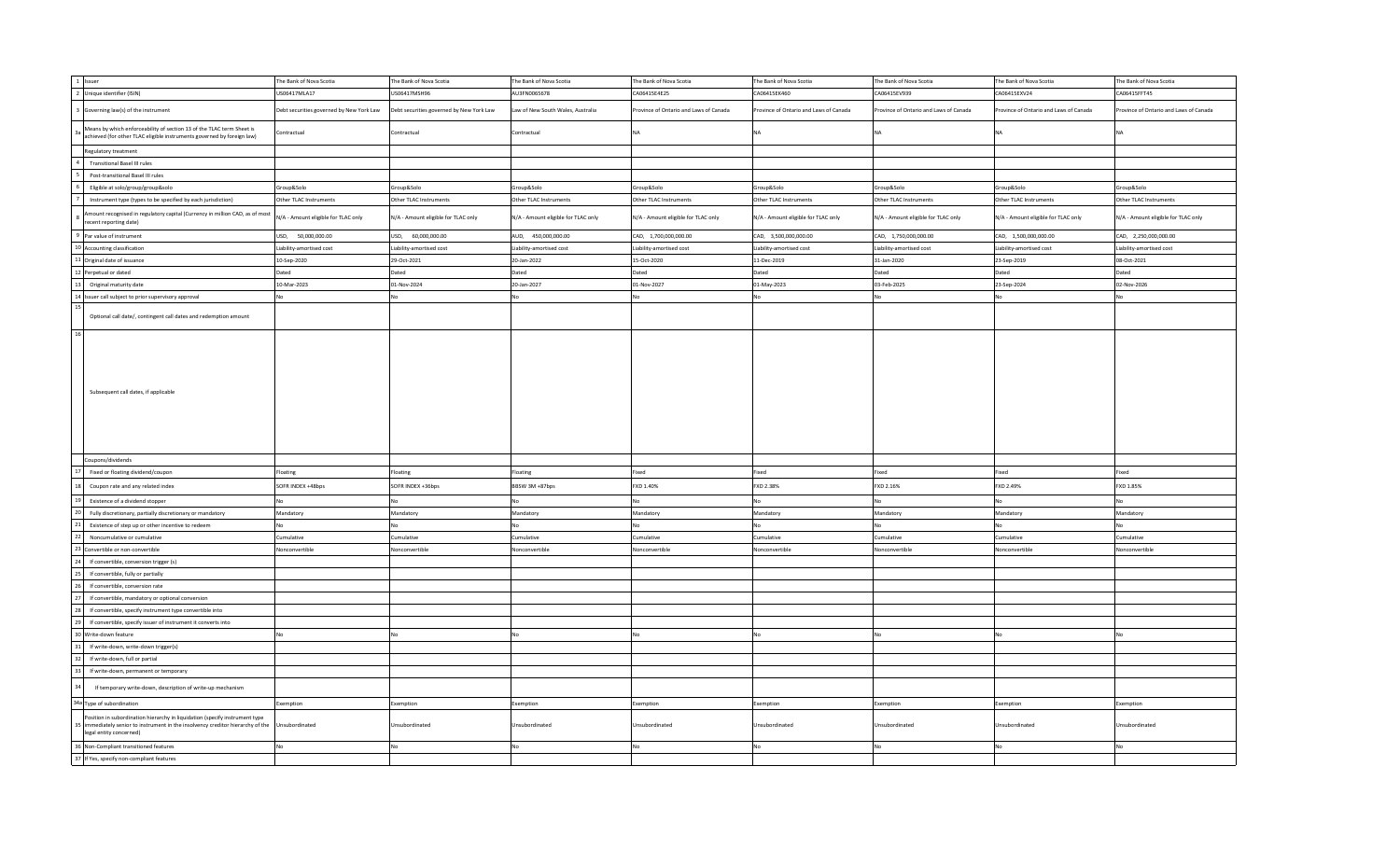|    | 1 Issuer                                                                                                                                                                               | The Bank of Nova Scotia                  | The Bank of Nova Scotia                  | The Bank of Nova Scotia             | The Bank of Nova Scotia                | The Bank of Nova Scotia               | The Bank of Nova Scotia               | The Bank of Nova Scotia               | The Bank of Nova Scotia                |
|----|----------------------------------------------------------------------------------------------------------------------------------------------------------------------------------------|------------------------------------------|------------------------------------------|-------------------------------------|----------------------------------------|---------------------------------------|---------------------------------------|---------------------------------------|----------------------------------------|
|    | 2 Unique identifier (ISIN)                                                                                                                                                             | US06417MLA17                             | US06417MSH96                             | AU3FN0065678                        | CA06415E4E25                           | CA06415EK460                          | CA06415EV939                          | CA06415EXV24                          | CA06415FFT45                           |
|    | 3 Governing law(s) of the instrument                                                                                                                                                   | Debt securities governed by New York Law | Debt securities governed by New York Law | Law of New South Wales, Australia   | Province of Ontario and Laws of Canada | rovince of Ontario and Laws of Canada | rovince of Ontario and Laws of Canada | rovince of Ontario and Laws of Canada | Province of Ontario and Laws of Canada |
|    | Means by which enforceability of section 13 of the TLAC term Sheet is<br>achieved (for other TLAC eligible instruments governed by foreign law)                                        | Contractual                              | Contractual                              | Contractual                         |                                        |                                       |                                       |                                       |                                        |
|    | Regulatory treatment                                                                                                                                                                   |                                          |                                          |                                     |                                        |                                       |                                       |                                       |                                        |
|    | <b>Transitional Basel III rules</b>                                                                                                                                                    |                                          |                                          |                                     |                                        |                                       |                                       |                                       |                                        |
|    | Post-transitional Basel III rules                                                                                                                                                      |                                          |                                          |                                     |                                        |                                       |                                       |                                       |                                        |
|    | Eligible at solo/group/group&solo                                                                                                                                                      | Group&Solo                               | Group&Solo                               | Group&Solo                          | Group&Solo                             | Group&Solo                            | Group&Solo                            | Group&Solo                            | Group&Solo                             |
|    | Instrument type (types to be specified by each jurisdiction)                                                                                                                           | Other TLAC Instruments                   | Other TLAC Instruments                   | Other TLAC Instruments              | Other TLAC Instruments                 | Other TLAC Instruments                | Other TLAC Instruments                | Other TLAC Instruments                | Other TLAC Instruments                 |
|    | Amount recognised in regulatory capital (Currency in million CAD, as of most<br>ecent reporting date)                                                                                  | N/A - Amount eligible for TLAC only      | N/A - Amount eligible for TLAC only      | N/A - Amount eligible for TLAC only | N/A - Amount eligible for TLAC only    | N/A - Amount eligible for TLAC only   | N/A - Amount eligible for TLAC only   | N/A - Amount eligible for TLAC only   | N/A - Amount eligible for TLAC only    |
|    | 9 Par value of instrument                                                                                                                                                              | USD, 50,000,000.00                       | USD, 60,000,000.00                       | AUD, 450,000,000.00                 | CAD, 1,700,000,000.00                  | CAD, 3,500,000,000.00                 | CAD, 1,750,000,000.00                 | CAD, 1,500,000,000.00                 | CAD, 2,250,000,000.00                  |
|    | 10 Accounting classification                                                                                                                                                           | Liability-amortised cost                 | Liability-amortised cost                 | Liability-amortised cost            | Liability-amortised cost               | Liability-amortised cost              | Liability-amortised cost              | Liability-amortised cost              | Liability-amortised cost               |
|    | 11 Original date of issuance                                                                                                                                                           | 10-Sep-2020                              | 29-Oct-2021                              | 20-Jan-2022                         | 15-Oct-2020                            | 11-Dec-2019                           | 31-Jan-2020                           | 23-Sep-2019                           | 08-Oct-2021                            |
|    | 12 Perpetual or dated                                                                                                                                                                  | Dated                                    | Dated                                    | Dated                               | Jated                                  | Dated                                 | ated                                  | Dated                                 | Dated                                  |
| 13 | Original maturity date                                                                                                                                                                 | 10-Mar-2023                              | 01-Nov-2024                              | 20-Jan-2027                         | 01-Nov-2027                            | 01-May-2023                           | 03-Feb-2025                           | 23-Sep-2024                           | 02-Nov-2026                            |
|    | 14 Issuer call subject to prior supervisory approval                                                                                                                                   | No                                       |                                          |                                     |                                        |                                       |                                       |                                       |                                        |
|    |                                                                                                                                                                                        |                                          |                                          |                                     |                                        |                                       |                                       |                                       |                                        |
| 16 | Optional call date/, contingent call dates and redemption amount                                                                                                                       |                                          |                                          |                                     |                                        |                                       |                                       |                                       |                                        |
|    | Subsequent call dates, if applicable                                                                                                                                                   |                                          |                                          |                                     |                                        |                                       |                                       |                                       |                                        |
|    | Coupons/dividends                                                                                                                                                                      |                                          |                                          |                                     |                                        |                                       |                                       |                                       |                                        |
|    | Fixed or floating dividend/coupon                                                                                                                                                      | Floating                                 | Floating                                 | Floating                            | ixed                                   | ixed                                  | ixed                                  | Fixed                                 | Fixed                                  |
|    | Coupon rate and any related index                                                                                                                                                      | SOFR INDEX +48bps                        | SOFR INDEX +36bps                        | BBSW 3M +87bps                      | FXD 1.40%                              | FXD 2.38%                             | XD 2.16%                              | FXD 2.49%                             | FXD 1.85%                              |
|    | Existence of a dividend stopper                                                                                                                                                        |                                          |                                          |                                     |                                        |                                       |                                       |                                       |                                        |
|    | Fully discretionary, partially discretionary or mandatory                                                                                                                              | Mandatory                                | Mandatory                                | Mandatory                           | Mandatory                              | Mandatory                             | Mandatory                             | Mandatory                             | Mandatory                              |
|    | Existence of step up or other incentive to redeem                                                                                                                                      |                                          |                                          |                                     |                                        |                                       |                                       |                                       |                                        |
|    | Noncumulative or cumulative                                                                                                                                                            | Cumulative                               | Cumulative                               | Cumulative                          | umulative                              | Cumulative                            | umulative                             | Cumulative                            | Cumulative                             |
|    | Convertible or non-convertible                                                                                                                                                         | Nonconvertible                           | Nonconvertible                           | Nonconvertible                      | Ionconvertible                         | Vonconvertible                        | onconvertible                         | Vonconvertible                        | Vonconvertible                         |
|    | If convertible, conversion trigger (s)                                                                                                                                                 |                                          |                                          |                                     |                                        |                                       |                                       |                                       |                                        |
|    | If convertible, fully or partially                                                                                                                                                     |                                          |                                          |                                     |                                        |                                       |                                       |                                       |                                        |
|    | If convertible, conversion rate                                                                                                                                                        |                                          |                                          |                                     |                                        |                                       |                                       |                                       |                                        |
|    | If convertible, mandatory or optional conversion                                                                                                                                       |                                          |                                          |                                     |                                        |                                       |                                       |                                       |                                        |
|    | If convertible, specify instrument type convertible into                                                                                                                               |                                          |                                          |                                     |                                        |                                       |                                       |                                       |                                        |
|    | If convertible, specify issuer of instrument it converts into                                                                                                                          |                                          |                                          |                                     |                                        |                                       |                                       |                                       |                                        |
|    |                                                                                                                                                                                        |                                          |                                          |                                     |                                        |                                       |                                       |                                       |                                        |
|    | Write-down feature<br>If write-down, write-down trigger(s)                                                                                                                             |                                          |                                          |                                     |                                        |                                       |                                       |                                       |                                        |
|    | If write-down, full or partial                                                                                                                                                         |                                          |                                          |                                     |                                        |                                       |                                       |                                       |                                        |
|    | If write-down, permanent or temporary                                                                                                                                                  |                                          |                                          |                                     |                                        |                                       |                                       |                                       |                                        |
|    | If temporary write-down, description of write-up mechanism                                                                                                                             |                                          |                                          |                                     |                                        |                                       |                                       |                                       |                                        |
|    | 34a Type of subordination                                                                                                                                                              | Exemption                                | Exemption                                | Exemption                           | Exemption                              | Exemption                             | Exemption                             | Exemption                             | Exemption                              |
|    | Position in subordination hierarchy in liquidation (specify instrument type<br>immediately senior to instrument in the insolvency creditor hierarchy of the<br>legal entity concerned) | Unsubordinated                           | Unsubordinated                           | Unsubordinated                      | Jnsubordinated                         | Jnsubordinated                        | nsubordinated                         | Jnsubordinated                        | Unsubordinated                         |
|    | 36 Non-Compliant transitioned features                                                                                                                                                 | No                                       | No                                       | No                                  |                                        |                                       |                                       |                                       |                                        |
|    | 37 If Yes, specify non-compliant features                                                                                                                                              |                                          |                                          |                                     |                                        |                                       |                                       |                                       |                                        |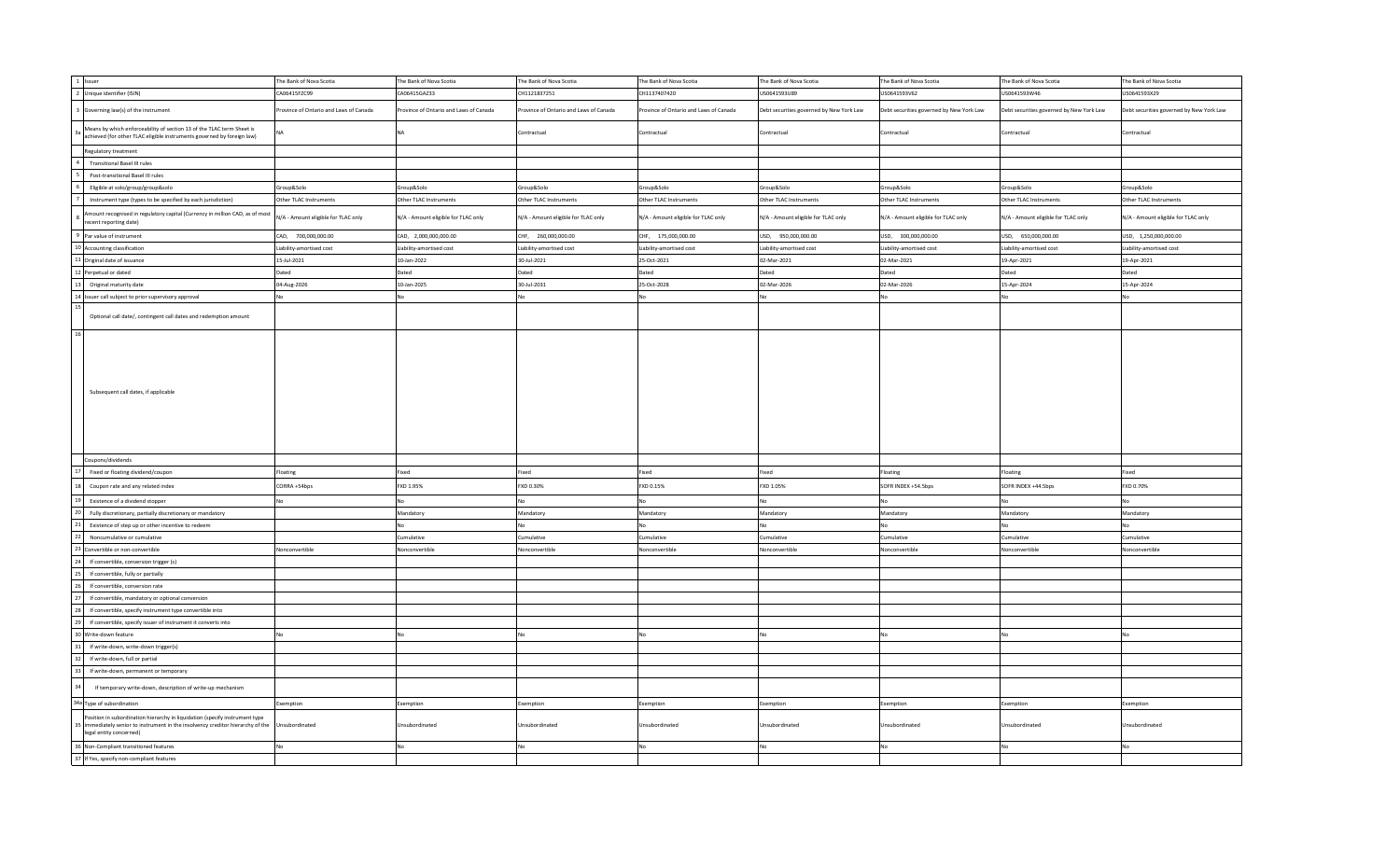| 1 Issuer                                                                                                                                                                               | he Bank of Nova Scotia                 | The Bank of Nova Scotia                | The Bank of Nova Scotia               | The Bank of Nova Scotia                | The Bank of Nova Scotia                  | The Bank of Nova Scotia                  | The Bank of Nova Scotia                  | The Bank of Nova Scotia                  |
|----------------------------------------------------------------------------------------------------------------------------------------------------------------------------------------|----------------------------------------|----------------------------------------|---------------------------------------|----------------------------------------|------------------------------------------|------------------------------------------|------------------------------------------|------------------------------------------|
| 2 Unique identifier (ISIN)                                                                                                                                                             | A06415FZC99                            | CA06415GAZ33                           | CH1121837251                          | CH1137407420                           | US0641593U89                             | US0641593V62                             | US0641593W46                             | US0641593X29                             |
| 3 Governing law(s) of the instrument                                                                                                                                                   | Province of Ontario and Laws of Canada | Province of Ontario and Laws of Canada | rovince of Ontario and Laws of Canada | Province of Ontario and Laws of Canada | Debt securities governed by New York Law | Debt securities governed by New York Law | Debt securities governed by New York Law | Debt securities governed by New York Law |
| Means by which enforceability of section 13 of the TLAC term Sheet is<br>achieved (for other TLAC eligible instruments governed by foreign law)                                        |                                        | <b>NA</b>                              | Contractual                           | Contractual                            | Contractual                              | Contractual                              | Contractual                              | Contractual                              |
| Regulatory treatment                                                                                                                                                                   |                                        |                                        |                                       |                                        |                                          |                                          |                                          |                                          |
| <b>Transitional Basel III rules</b>                                                                                                                                                    |                                        |                                        |                                       |                                        |                                          |                                          |                                          |                                          |
| Post-transitional Basel III rules                                                                                                                                                      |                                        |                                        |                                       |                                        |                                          |                                          |                                          |                                          |
| Eligible at solo/group/group&solo                                                                                                                                                      | Group&Solo                             | Group&Solo                             | Group&Solo                            | Group&Solo                             | Group&Solo                               | Group&Solo                               | Group&Solo                               | Group&Solo                               |
| Instrument type (types to be specified by each jurisdiction)                                                                                                                           | Other TLAC Instruments                 | Other TLAC Instruments                 | Other TLAC Instruments                | Other TLAC Instruments                 | Other TLAC Instruments                   | Other TLAC Instruments                   | Other TLAC Instruments                   | Other TLAC Instruments                   |
| mount recognised in regulatory capital (Currency in million CAD, as of most<br>ecent reporting date)                                                                                   | N/A - Amount eligible for TLAC only    | N/A - Amount eligible for TLAC only    | N/A - Amount eligible for TLAC only   | N/A - Amount eligible for TLAC only    | N/A - Amount eligible for TLAC only      | N/A - Amount eligible for TLAC only      | N/A - Amount eligible for TLAC only      | N/A - Amount eligible for TLAC only      |
| 9 Par value of instrument                                                                                                                                                              | CAD, 700,000,000.00                    | CAD, 2,000,000,000.00                  | CHF, 260,000,000.00                   | CHF, 175,000,000.00                    | USD, 950,000,000.00                      | USD, 300,000,000.00                      | USD, 650,000,000.00                      | USD, 1,250,000,000.00                    |
| 10 Accounting classification                                                                                                                                                           | Liability-amortised cost               | Liability-amortised cost               | Liability-amortised cost              | Liability-amortised cost               | Liability-amortised cost                 | Liability-amortised cost                 | Liability-amortised cost                 | Liability-amortised cost                 |
| 11 Original date of issuance                                                                                                                                                           | 15-Jul-2021                            | 10-Jan-2022                            | 30-Jul-2021                           | 25-Oct-2021                            | 02-Mar-2021                              | 02-Mar-2021                              | 19-Apr-2021                              | 19-Apr-2021                              |
| 12 Perpetual or dated                                                                                                                                                                  | Dated                                  | Dated                                  | Dated                                 | Dated                                  | Dated                                    | Dated                                    | Dated                                    | Dated                                    |
| Original maturity date<br>12                                                                                                                                                           | 04-Aug-2026                            | 10-Jan-2025                            | 30-Jul-2031                           | 25-Oct-2028                            | 02-Mar-2026                              | 02-Mar-2026                              | 15-Apr-2024                              | 15-Apr-2024                              |
| 14 Issuer call subject to prior supervisory approval                                                                                                                                   |                                        | No                                     | No                                    | No                                     | No                                       |                                          | N٥                                       |                                          |
|                                                                                                                                                                                        |                                        |                                        |                                       |                                        |                                          |                                          |                                          |                                          |
| Optional call date/, contingent call dates and redemption amount<br>16                                                                                                                 |                                        |                                        |                                       |                                        |                                          |                                          |                                          |                                          |
| Subsequent call dates, if applicable                                                                                                                                                   |                                        |                                        |                                       |                                        |                                          |                                          |                                          |                                          |
| Coupons/dividends                                                                                                                                                                      |                                        |                                        |                                       |                                        |                                          |                                          |                                          |                                          |
| Fixed or floating dividend/coupon                                                                                                                                                      | Floating                               | Fixed                                  | Fixed                                 | Fixed                                  | Fixed                                    | Floating                                 | Floating                                 | Fixed                                    |
| Coupon rate and any related index                                                                                                                                                      | CORRA +54bps                           | FXD 1.95%                              | FXD 0.30%                             | FXD 0.15%                              | FXD 1.05%                                | SOFR INDEX +54.5bps                      | SOFR INDEX +44.5bps                      | FXD 0.70%                                |
| Existence of a dividend stopper                                                                                                                                                        |                                        | No                                     | No                                    | No                                     |                                          |                                          |                                          |                                          |
| Fully discretionary, partially discretionary or mandatory                                                                                                                              |                                        | Mandatory                              | Mandatory                             | Mandatory                              | Mandatory                                | Mandatory                                | Mandatory                                | Mandatory                                |
| Existence of step up or other incentive to redeem                                                                                                                                      |                                        | No                                     | No                                    | No                                     |                                          |                                          |                                          |                                          |
| Noncumulative or cumulative                                                                                                                                                            |                                        | Cumulative                             | Cumulative                            | Cumulative                             | Cumulative                               | Cumulative                               | Cumulative                               | Cumulative                               |
|                                                                                                                                                                                        |                                        |                                        |                                       |                                        |                                          |                                          |                                          |                                          |
| Convertible or non-convertible                                                                                                                                                         | Nonconvertible                         | Nonconvertible                         | Nonconvertible                        | Nonconvertible                         | Nonconvertible                           | Vonconvertible                           | Nonconvertible                           | Vonconvertible                           |
| If convertible, conversion trigger (s)                                                                                                                                                 |                                        |                                        |                                       |                                        |                                          |                                          |                                          |                                          |
| If convertible, fully or partially                                                                                                                                                     |                                        |                                        |                                       |                                        |                                          |                                          |                                          |                                          |
| If convertible, conversion rate                                                                                                                                                        |                                        |                                        |                                       |                                        |                                          |                                          |                                          |                                          |
| If convertible, mandatory or optional conversion                                                                                                                                       |                                        |                                        |                                       |                                        |                                          |                                          |                                          |                                          |
| If convertible, specify instrument type convertible into                                                                                                                               |                                        |                                        |                                       |                                        |                                          |                                          |                                          |                                          |
| If convertible, specify issuer of instrument it converts into                                                                                                                          |                                        |                                        |                                       |                                        |                                          |                                          |                                          |                                          |
| Write-down feature                                                                                                                                                                     |                                        | <b>No</b>                              | No                                    | No                                     |                                          |                                          |                                          |                                          |
| If write-down, write-down trigger(s)                                                                                                                                                   |                                        |                                        |                                       |                                        |                                          |                                          |                                          |                                          |
| If write-down, full or partial                                                                                                                                                         |                                        |                                        |                                       |                                        |                                          |                                          |                                          |                                          |
| If write-down, permanent or temporary                                                                                                                                                  |                                        |                                        |                                       |                                        |                                          |                                          |                                          |                                          |
| If temporary write-down, description of write-up mechanism                                                                                                                             |                                        |                                        |                                       |                                        |                                          |                                          |                                          |                                          |
| 34a Type of subordination                                                                                                                                                              | Exemption                              | Exemption                              | Exemption                             | Exemption                              | Exemption                                | Exemption                                | Exemption                                | Exemption                                |
| Position in subordination hierarchy in liquidation (specify instrument type<br>immediately senior to instrument in the insolvency creditor hierarchy of the<br>legal entity concerned) | Unsubordinated                         | Unsubordinated                         | Unsubordinated                        | Unsubordinated                         | Unsubordinated                           | Jnsubordinated                           | Unsubordinated                           | Jnsubordinated                           |
| 36 Non-Compliant transitioned features                                                                                                                                                 | No                                     | No.                                    | No                                    | No                                     | No                                       |                                          | No                                       | N٥                                       |
| 37 If Yes, specify non-compliant features                                                                                                                                              |                                        |                                        |                                       |                                        |                                          |                                          |                                          |                                          |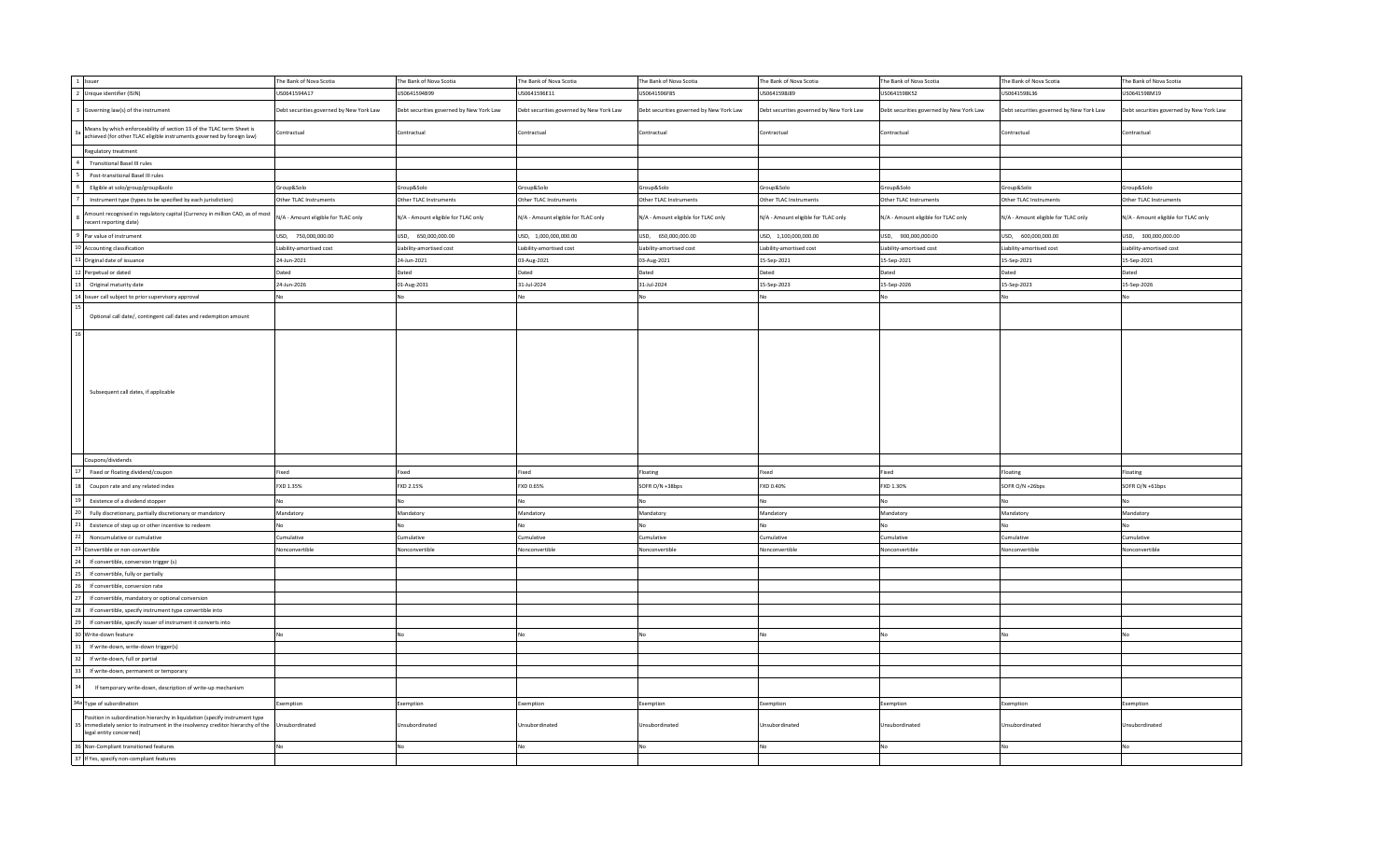|    | 1 Issuer                                                                                                                                                                               | The Bank of Nova Scotia                  | The Bank of Nova Scotia                  | The Bank of Nova Scotia                  | The Bank of Nova Scotia                  | The Bank of Nova Scotia                  | The Bank of Nova Scotia                  | The Bank of Nova Scotia                  | The Bank of Nova Scotia                  |
|----|----------------------------------------------------------------------------------------------------------------------------------------------------------------------------------------|------------------------------------------|------------------------------------------|------------------------------------------|------------------------------------------|------------------------------------------|------------------------------------------|------------------------------------------|------------------------------------------|
|    | 2 Unique identifier (ISIN)                                                                                                                                                             | US0641594A17                             | US0641594B99                             | US0641596E11                             | US0641596F85                             | JS0641598J89                             | US0641598K52                             | US0641598L36                             | US0641598M19                             |
|    | 3 Governing law(s) of the instrument                                                                                                                                                   | Debt securities governed by New York Law | Debt securities governed by New York Law | Debt securities governed by New York Law | Debt securities governed by New York Law | Debt securities governed by New York Law | Debt securities governed by New York Law | Debt securities governed by New York Law | Debt securities governed by New York Law |
|    | Means by which enforceability of section 13 of the TLAC term Sheet is<br>achieved (for other TLAC eligible instruments governed by foreign law)                                        | Contractual                              | Contractual                              | Contractual                              | Contractual                              | Contractual                              | Contractual                              | Contractual                              | Contractual                              |
|    | Regulatory treatment                                                                                                                                                                   |                                          |                                          |                                          |                                          |                                          |                                          |                                          |                                          |
|    | <b>Transitional Basel III rules</b>                                                                                                                                                    |                                          |                                          |                                          |                                          |                                          |                                          |                                          |                                          |
|    | Post-transitional Basel III rules                                                                                                                                                      |                                          |                                          |                                          |                                          |                                          |                                          |                                          |                                          |
|    | Eligible at solo/group/group&solo                                                                                                                                                      | Group&Solo                               | Group&Solo                               | Group&Solo                               | Group&Solo                               | Group&Solo                               | Group&Solo                               | Group&Solo                               | Group&Solo                               |
|    | Instrument type (types to be specified by each jurisdiction)                                                                                                                           | Other TLAC Instruments                   | Other TLAC Instruments                   | Other TLAC Instruments                   | Other TLAC Instruments                   | Other TLAC Instruments                   | Other TLAC Instruments                   | Other TLAC Instruments                   | Other TLAC Instruments                   |
|    | Amount recognised in regulatory capital (Currency in million CAD, as of most<br>ecent reporting date)                                                                                  | N/A - Amount eligible for TLAC only      | N/A - Amount eligible for TLAC only      | N/A - Amount eligible for TLAC only      | N/A - Amount eligible for TLAC only      | N/A - Amount eligible for TLAC only      | N/A - Amount eligible for TLAC only      | N/A - Amount eligible for TLAC only      | N/A - Amount eligible for TLAC only      |
|    | 9 Par value of instrument                                                                                                                                                              | USD, 750,000,000.00                      | USD, 650,000,000.00                      | USD, 1,000,000,000.00                    | USD, 650,000,000.00                      | USD, 1,100,000,000.00                    | USD, 900,000,000.00                      | USD, 600,000,000.00                      | USD, 300,000,000.00                      |
|    | 10 Accounting classification                                                                                                                                                           | Liability-amortised cost                 | Liability-amortised cost                 | Liability-amortised cost                 | Liability-amortised cost                 | Liability-amortised cost                 | Liability-amortised cost                 | Liability-amortised cost                 | Liability-amortised cost                 |
|    | 11 Original date of issuance                                                                                                                                                           | 24-Jun-2021                              | 24-Jun-2021                              | 03-Aug-2021                              | 03-Aug-2021                              | 15-Sep-2021                              | 15-Sep-2021                              | 15-Sep-2021                              | 15-Sep-2021                              |
|    | 12 Perpetual or dated                                                                                                                                                                  | Dated                                    | Dated                                    | Dated                                    | Dated                                    | Dated                                    | Dated                                    | Dated                                    | Dated                                    |
| 13 | Original maturity date                                                                                                                                                                 | 24-Jun-2026                              | 01-Aug-2031                              | 31-Jul-2024                              | 31-Jul-2024                              | 15-Sep-2023                              | 15-Sep-2026                              | 15-Sep-2023                              | 15-Sep-2026                              |
|    | 14 Issuer call subject to prior supervisory approval                                                                                                                                   | No.                                      | No                                       | No                                       |                                          |                                          | No                                       |                                          |                                          |
|    |                                                                                                                                                                                        |                                          |                                          |                                          |                                          |                                          |                                          |                                          |                                          |
| 16 | Optional call date/, contingent call dates and redemption amount                                                                                                                       |                                          |                                          |                                          |                                          |                                          |                                          |                                          |                                          |
|    | Subsequent call dates, if applicable                                                                                                                                                   |                                          |                                          |                                          |                                          |                                          |                                          |                                          |                                          |
|    | Coupons/dividends                                                                                                                                                                      |                                          |                                          |                                          |                                          |                                          |                                          |                                          |                                          |
|    | Fixed or floating dividend/coupon                                                                                                                                                      | Fixed                                    | Fixed                                    | Fixed                                    | Floating                                 | ixed                                     | Fixed                                    | Floating                                 | Floating                                 |
|    | Coupon rate and any related index                                                                                                                                                      | FXD 1.35%                                | FXD 2.15%                                | FXD 0.65%                                | SOFR O/N +38bps                          | FXD 0.40%                                | FXD 1.30%                                | SOFR O/N +26bps                          | SOFR O/N +61bps                          |
|    | Existence of a dividend stopper                                                                                                                                                        | No                                       | <b>No</b>                                | No                                       |                                          |                                          | No                                       |                                          |                                          |
|    | Fully discretionary, partially discretionary or mandatory                                                                                                                              | Mandatory                                | Mandatory                                | Mandatory                                | Mandatory                                | Mandatory                                | Mandatory                                | Mandatory                                | Mandatory                                |
|    | Existence of step up or other incentive to redeem                                                                                                                                      | <b>No</b>                                | No                                       | No                                       |                                          |                                          | No                                       |                                          |                                          |
|    | Noncumulative or cumulative                                                                                                                                                            | Cumulative                               | Cumulative                               | Cumulative                               | Cumulative                               | umulative                                | Cumulative                               | Cumulative                               | Cumulative                               |
|    | 3 Convertible or non-convertible                                                                                                                                                       | Nonconvertible                           | Nonconvertible                           | Nonconvertible                           | Nonconvertible                           | onconvertible                            | Nonconvertible                           | Vonconvertible                           | Nonconvertible                           |
|    | If convertible, conversion trigger (s)                                                                                                                                                 |                                          |                                          |                                          |                                          |                                          |                                          |                                          |                                          |
|    | If convertible, fully or partially                                                                                                                                                     |                                          |                                          |                                          |                                          |                                          |                                          |                                          |                                          |
|    | If convertible, conversion rate                                                                                                                                                        |                                          |                                          |                                          |                                          |                                          |                                          |                                          |                                          |
|    | If convertible, mandatory or optional conversion                                                                                                                                       |                                          |                                          |                                          |                                          |                                          |                                          |                                          |                                          |
|    | If convertible, specify instrument type convertible into                                                                                                                               |                                          |                                          |                                          |                                          |                                          |                                          |                                          |                                          |
|    | If convertible, specify issuer of instrument it converts into                                                                                                                          |                                          |                                          |                                          |                                          |                                          |                                          |                                          |                                          |
|    |                                                                                                                                                                                        |                                          |                                          |                                          |                                          |                                          |                                          |                                          |                                          |
|    | 0 Write-down feature                                                                                                                                                                   | No                                       | No                                       | <b>No</b>                                |                                          |                                          | No                                       |                                          |                                          |
|    | If write-down, write-down trigger(s)                                                                                                                                                   |                                          |                                          |                                          |                                          |                                          |                                          |                                          |                                          |
|    | If write-down, full or partial                                                                                                                                                         |                                          |                                          |                                          |                                          |                                          |                                          |                                          |                                          |
|    | If write-down, permanent or temporary                                                                                                                                                  |                                          |                                          |                                          |                                          |                                          |                                          |                                          |                                          |
|    | If temporary write-down, description of write-up mechanism                                                                                                                             |                                          |                                          |                                          |                                          |                                          |                                          |                                          |                                          |
|    | 34a Type of subordination                                                                                                                                                              | Exemption                                | Exemption                                | Exemption                                | Exemption                                | Exemption                                | Exemption                                | Exemption                                | Exemption                                |
|    | Position in subordination hierarchy in liquidation (specify instrument type<br>immediately senior to instrument in the insolvency creditor hierarchy of the<br>legal entity concerned) | Unsubordinated                           | Unsubordinated                           | Unsubordinated                           | Unsubordinated                           | Jnsubordinated                           | Unsubordinated                           | Jnsubordinated                           | Unsubordinated                           |
|    | 36 Non-Compliant transitioned features                                                                                                                                                 | No                                       | No                                       | No                                       | No.                                      |                                          | No                                       | N٥                                       |                                          |
|    | 37 If Yes, specify non-compliant features                                                                                                                                              |                                          |                                          |                                          |                                          |                                          |                                          |                                          |                                          |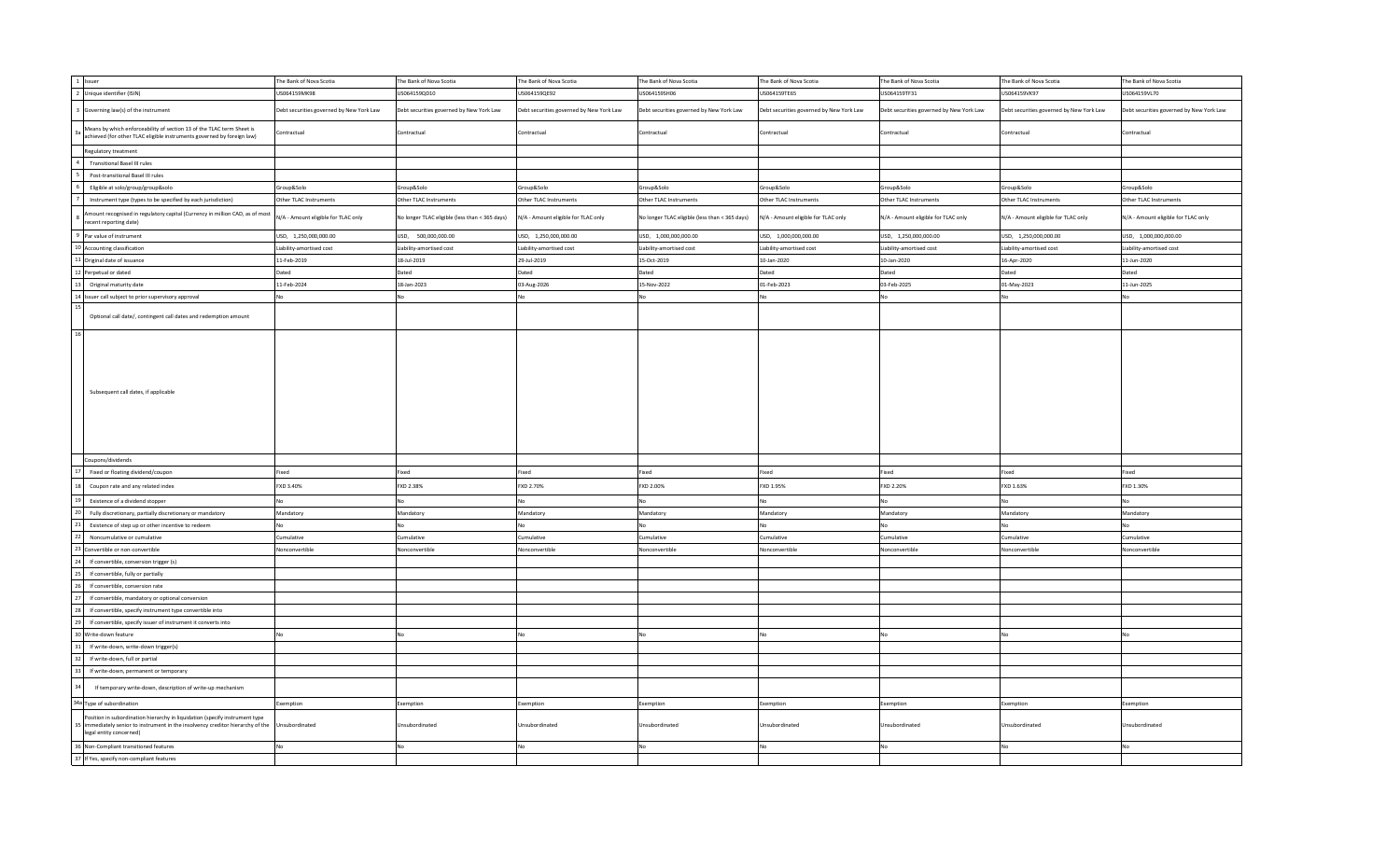|    | 1 Issuer                                                                                                                                                                               | The Bank of Nova Scotia                  | The Bank of Nova Scotia                        | The Bank of Nova Scotia                  | The Bank of Nova Scotia                        | The Bank of Nova Scotia                  | The Bank of Nova Scotia                  | The Bank of Nova Scotia                  | The Bank of Nova Scotia                  |
|----|----------------------------------------------------------------------------------------------------------------------------------------------------------------------------------------|------------------------------------------|------------------------------------------------|------------------------------------------|------------------------------------------------|------------------------------------------|------------------------------------------|------------------------------------------|------------------------------------------|
|    | 2 Unique identifier (ISIN)                                                                                                                                                             | US064159MK98                             | US064159QD10                                   | US064159QE92                             | US064159SH06                                   | US064159TE65                             | US064159TF31                             | US064159VK97                             | US064159VL70                             |
|    | 3 Governing law(s) of the instrument                                                                                                                                                   | Debt securities governed by New York Law | Debt securities governed by New York Law       | Debt securities governed by New York Law | Debt securities governed by New York Law       | Debt securities governed by New York Law | Debt securities governed by New York Law | Debt securities governed by New York Law | Debt securities governed by New York Law |
|    | Means by which enforceability of section 13 of the TLAC term Sheet is<br>achieved (for other TLAC eligible instruments governed by foreign law)                                        | Contractual                              | Contractual                                    | Contractual                              | Contractual                                    | Contractual                              | Contractual                              | Contractual                              | Contractual                              |
|    | Regulatory treatment                                                                                                                                                                   |                                          |                                                |                                          |                                                |                                          |                                          |                                          |                                          |
|    | <b>Transitional Basel III rules</b>                                                                                                                                                    |                                          |                                                |                                          |                                                |                                          |                                          |                                          |                                          |
|    | Post-transitional Basel III rules                                                                                                                                                      |                                          |                                                |                                          |                                                |                                          |                                          |                                          |                                          |
|    | Eligible at solo/group/group&solo                                                                                                                                                      | Group&Solo                               | Group&Solo                                     | Group&Solo                               | Group&Solo                                     | Group&Solo                               | Group&Solo                               | Group&Solo                               | Group&Solo                               |
|    | Instrument type (types to be specified by each jurisdiction)                                                                                                                           | Other TLAC Instruments                   | Other TLAC Instruments                         | Other TLAC Instruments                   | Other TLAC Instruments                         | Other TLAC Instruments                   | Other TLAC Instruments                   | Other TLAC Instruments                   | Other TLAC Instruments                   |
|    | Amount recognised in regulatory capital (Currency in million CAD, as of most<br>ecent reporting date)                                                                                  | N/A - Amount eligible for TLAC only      | No longer TLAC eligible (less than < 365 days) | N/A - Amount eligible for TLAC only      | No longer TLAC eligible (less than < 365 days) | N/A - Amount eligible for TLAC only      | N/A - Amount eligible for TLAC only      | N/A - Amount eligible for TLAC only      | N/A - Amount eligible for TLAC only      |
|    | 9 Par value of instrument                                                                                                                                                              | USD, 1,250,000,000.00                    | USD, 500,000,000.00                            | USD, 1,250,000,000.00                    | USD, 1,000,000,000.00                          | USD, 1,000,000,000.00                    | USD, 1,250,000,000.00                    | USD, 1,250,000,000.00                    | USD, 1,000,000,000.00                    |
|    | 10 Accounting classification                                                                                                                                                           | Liability-amortised cost                 | Liability-amortised cost                       | Liability-amortised cost                 | Liability-amortised cost                       | Liability-amortised cost                 | Liability-amortised cost                 | Liability-amortised cost                 | Liability-amortised cost                 |
|    | 11 Original date of issuance                                                                                                                                                           | 11-Feb-2019                              | 18-Jul-2019                                    | 29-Jul-2019                              | 15-Oct-2019                                    | 10-Jan-2020                              | 10-Jan-2020                              | 16-Apr-2020                              | 11-Jun-2020                              |
|    | 12 Perpetual or dated                                                                                                                                                                  | Dated                                    | Dated                                          | Dated                                    | Dated                                          | Dated                                    | Dated                                    | Dated                                    | Dated                                    |
| 13 | Original maturity date                                                                                                                                                                 | 11-Feb-2024                              | 18-Jan-2023                                    | 03-Aug-2026                              | 15-Nov-2022                                    | 01-Feb-2023                              | 03-Feb-2025                              | 01-May-2023                              | 11-Jun-2025                              |
|    |                                                                                                                                                                                        |                                          |                                                |                                          |                                                |                                          |                                          |                                          |                                          |
| 15 | 14 Issuer call subject to prior supervisory approval                                                                                                                                   | No.                                      | No                                             | No                                       |                                                |                                          | N٥                                       |                                          |                                          |
|    | Optional call date/, contingent call dates and redemption amount                                                                                                                       |                                          |                                                |                                          |                                                |                                          |                                          |                                          |                                          |
| 16 | Subsequent call dates, if applicable                                                                                                                                                   |                                          |                                                |                                          |                                                |                                          |                                          |                                          |                                          |
|    | Coupons/dividends                                                                                                                                                                      |                                          |                                                |                                          |                                                |                                          |                                          |                                          |                                          |
|    | Fixed or floating dividend/coupon                                                                                                                                                      | Fixed                                    | Fixed                                          | Fixed                                    | Fixed                                          | ixed                                     | Fixed                                    | Fixed                                    | Fixed                                    |
|    | Coupon rate and any related index                                                                                                                                                      | FXD 3.40%                                | FXD 2.38%                                      | FXD 2.70%                                | FXD 2.00%                                      | FXD 1.95%                                | FXD 2.20%                                | FXD 1.63%                                | FXD 1.30%                                |
|    | Existence of a dividend stopper                                                                                                                                                        | No                                       | No                                             | No                                       |                                                |                                          |                                          |                                          |                                          |
|    | Fully discretionary, partially discretionary or mandatory                                                                                                                              | Mandatory                                | Mandatory                                      | Mandatory                                | Mandatory                                      | Mandatory                                | Mandatory                                | Mandatory                                | Mandatory                                |
|    | Existence of step up or other incentive to redeem                                                                                                                                      | No                                       | No                                             | <b>No</b>                                |                                                |                                          | No                                       |                                          |                                          |
|    | Noncumulative or cumulative                                                                                                                                                            | Cumulative                               | Cumulative                                     | Cumulative                               | Cumulative                                     | <b>Lumulative</b>                        | Cumulative                               | Cumulative                               | Cumulative                               |
|    | Convertible or non-convertible                                                                                                                                                         | Nonconvertible                           | Nonconvertible                                 | Nonconvertible                           | Nonconvertible                                 | Vonconvertible                           | Nonconvertible                           | Nonconvertible                           | Vonconvertible                           |
|    | If convertible, conversion trigger (s)                                                                                                                                                 |                                          |                                                |                                          |                                                |                                          |                                          |                                          |                                          |
|    | If convertible, fully or partially                                                                                                                                                     |                                          |                                                |                                          |                                                |                                          |                                          |                                          |                                          |
|    | If convertible, conversion rate                                                                                                                                                        |                                          |                                                |                                          |                                                |                                          |                                          |                                          |                                          |
|    | If convertible, mandatory or optional conversion                                                                                                                                       |                                          |                                                |                                          |                                                |                                          |                                          |                                          |                                          |
|    | If convertible, specify instrument type convertible into                                                                                                                               |                                          |                                                |                                          |                                                |                                          |                                          |                                          |                                          |
|    | If convertible, specify issuer of instrument it converts into                                                                                                                          |                                          |                                                |                                          |                                                |                                          |                                          |                                          |                                          |
|    |                                                                                                                                                                                        |                                          |                                                |                                          |                                                |                                          |                                          |                                          |                                          |
|    | Write-down feature                                                                                                                                                                     | No                                       | <b>No</b>                                      | No                                       |                                                |                                          |                                          |                                          |                                          |
|    | If write-down, write-down trigger(s)                                                                                                                                                   |                                          |                                                |                                          |                                                |                                          |                                          |                                          |                                          |
|    | If write-down, full or partial                                                                                                                                                         |                                          |                                                |                                          |                                                |                                          |                                          |                                          |                                          |
|    | If write-down, permanent or temporary                                                                                                                                                  |                                          |                                                |                                          |                                                |                                          |                                          |                                          |                                          |
|    | If temporary write-down, description of write-up mechanism                                                                                                                             |                                          |                                                |                                          |                                                |                                          |                                          |                                          |                                          |
|    | 34a Type of subordination                                                                                                                                                              | Exemption                                | Exemption                                      | Exemption                                | Exemption                                      | Exemption                                | Exemption                                | Exemption                                | Exemption                                |
|    | Position in subordination hierarchy in liquidation (specify instrument type<br>immediately senior to instrument in the insolvency creditor hierarchy of the<br>legal entity concerned) | Unsubordinated                           | Unsubordinated                                 | Unsubordinated                           | Unsubordinated                                 | Unsubordinated                           | Unsubordinated                           | Jnsubordinated                           | Jnsubordinated                           |
|    | 36 Non-Compliant transitioned features                                                                                                                                                 | No                                       | No                                             | No                                       | No                                             |                                          | No                                       | No                                       | N٥                                       |
|    | 37 If Yes, specify non-compliant features                                                                                                                                              |                                          |                                                |                                          |                                                |                                          |                                          |                                          |                                          |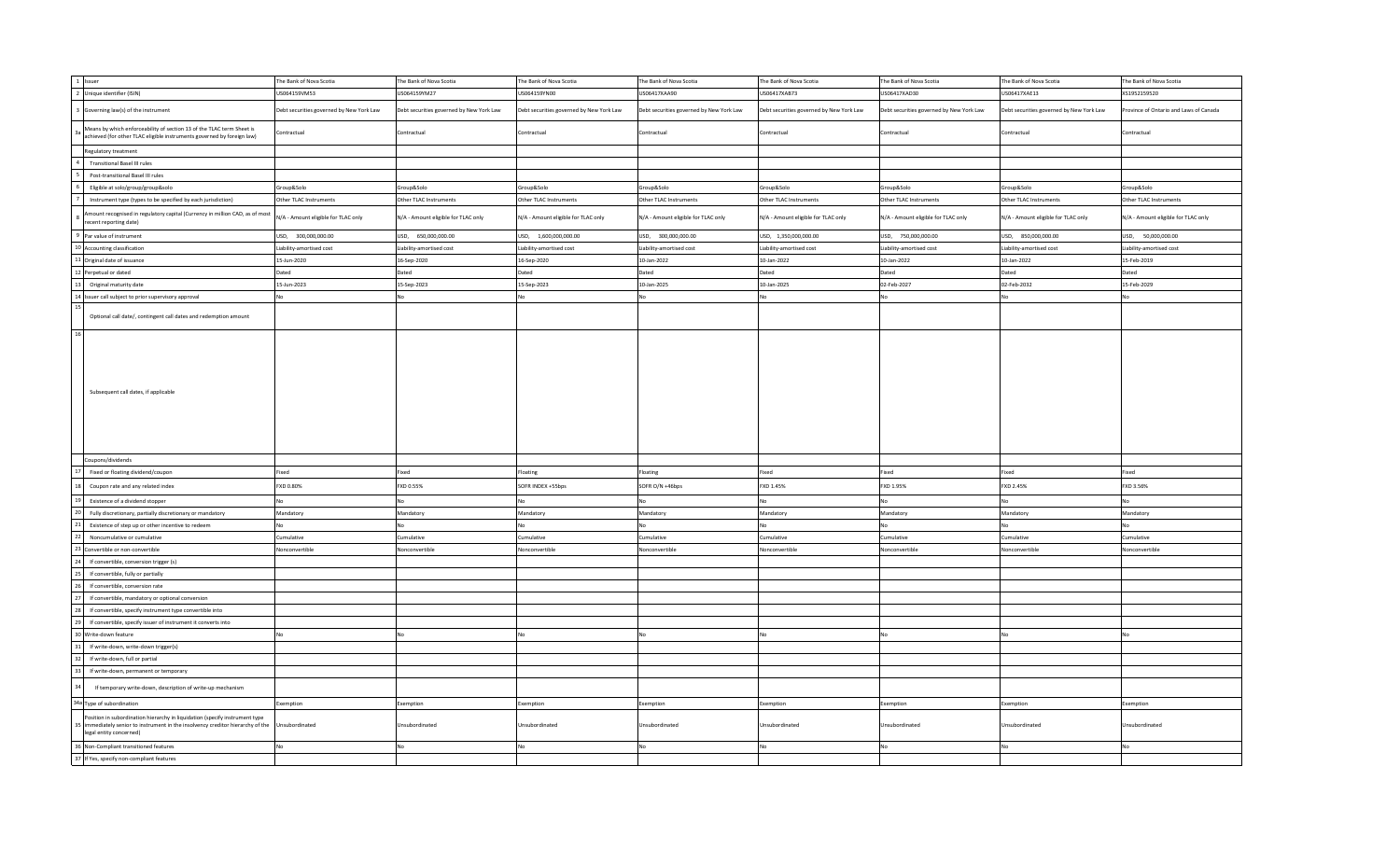|    | 1 Issuer                                                                                                                                                                               | The Bank of Nova Scotia                  | The Bank of Nova Scotia                  | The Bank of Nova Scotia                  | The Bank of Nova Scotia                  | The Bank of Nova Scotia                  | The Bank of Nova Scotia                  | The Bank of Nova Scotia                  | The Bank of Nova Scotia              |
|----|----------------------------------------------------------------------------------------------------------------------------------------------------------------------------------------|------------------------------------------|------------------------------------------|------------------------------------------|------------------------------------------|------------------------------------------|------------------------------------------|------------------------------------------|--------------------------------------|
|    | 2 Unique identifier (ISIN)                                                                                                                                                             | US064159VM53                             | US064159YM27                             | US064159YN00                             | US06417XAA90                             | JS06417XAB73                             | US06417XAD30                             | US06417XAE13                             | XS1952159520                         |
|    | 3 Governing law(s) of the instrument                                                                                                                                                   | Debt securities governed by New York Law | Debt securities governed by New York Law | Debt securities governed by New York Law | Debt securities governed by New York Law | Debt securities governed by New York Law | Debt securities governed by New York Law | Debt securities governed by New York Law | ovince of Ontario and Laws of Canada |
|    | Means by which enforceability of section 13 of the TLAC term Sheet is<br>achieved (for other TLAC eligible instruments governed by foreign law)                                        | Contractual                              | Contractual                              | Contractual                              | Contractual                              | Contractual                              | Contractual                              | Contractual                              | Contractual                          |
|    | Regulatory treatment                                                                                                                                                                   |                                          |                                          |                                          |                                          |                                          |                                          |                                          |                                      |
|    | <b>Transitional Basel III rules</b>                                                                                                                                                    |                                          |                                          |                                          |                                          |                                          |                                          |                                          |                                      |
|    | Post-transitional Basel III rules                                                                                                                                                      |                                          |                                          |                                          |                                          |                                          |                                          |                                          |                                      |
|    | Eligible at solo/group/group&solo                                                                                                                                                      | Group&Solo                               | Group&Solo                               | Group&Solo                               | Group&Solo                               | Group&Solo                               | Group&Solo                               | Group&Solo                               | Group&Solo                           |
|    | Instrument type (types to be specified by each jurisdiction)                                                                                                                           | Other TLAC Instruments                   | Other TLAC Instruments                   | Other TLAC Instruments                   | Other TLAC Instruments                   | Other TLAC Instruments                   | Other TLAC Instruments                   | Other TLAC Instruments                   | Other TLAC Instruments               |
|    | Amount recognised in regulatory capital (Currency in million CAD, as of most<br>ecent reporting date)                                                                                  | N/A - Amount eligible for TLAC only      | N/A - Amount eligible for TLAC only      | N/A - Amount eligible for TLAC only      | N/A - Amount eligible for TLAC only      | N/A - Amount eligible for TLAC only      | N/A - Amount eligible for TLAC only      | N/A - Amount eligible for TLAC only      | N/A - Amount eligible for TLAC only  |
|    | 9 Par value of instrument                                                                                                                                                              | USD, 300,000,000.00                      | USD, 650,000,000.00                      | USD, 1,600,000,000.00                    | USD, 300,000,000.00                      | USD, 1,350,000,000.00                    | USD, 750,000,000.00                      | USD, 850,000,000.00                      | USD, 50,000,000.00                   |
|    | 10 Accounting classification                                                                                                                                                           | Liability-amortised cost                 | Liability-amortised cost                 | Liability-amortised cost                 | Liability-amortised cost                 | Liability-amortised cost                 | Liability-amortised cost                 | Liability-amortised cost                 | Liability-amortised cost             |
|    | 11 Original date of issuance                                                                                                                                                           | 15-Jun-2020                              | 16-Sep-2020                              | 16-Sep-2020                              | 10-Jan-2022                              | 10-Jan-2022                              | 10-Jan-2022                              | 10-Jan-2022                              | 15-Feb-2019                          |
|    | 12 Perpetual or dated                                                                                                                                                                  | Dated                                    | Dated                                    | Dated                                    | Dated                                    | Dated                                    | Dated                                    | Dated                                    | Dated                                |
| 13 | Original maturity date                                                                                                                                                                 | 15-Jun-2023                              | 15-Sep-2023                              | 15-Sep-2023                              | 10-Jan-2025                              | 10-Jan-2025                              | 02-Feb-2027                              | 02-Feb-2032                              | 15-Feb-2029                          |
|    | 14 Issuer call subject to prior supervisory approval                                                                                                                                   | No.                                      | No                                       | No                                       |                                          |                                          | No                                       |                                          |                                      |
|    |                                                                                                                                                                                        |                                          |                                          |                                          |                                          |                                          |                                          |                                          |                                      |
| 16 | Optional call date/, contingent call dates and redemption amount                                                                                                                       |                                          |                                          |                                          |                                          |                                          |                                          |                                          |                                      |
|    | Subsequent call dates, if applicable                                                                                                                                                   |                                          |                                          |                                          |                                          |                                          |                                          |                                          |                                      |
|    | Coupons/dividends                                                                                                                                                                      |                                          |                                          |                                          |                                          |                                          |                                          |                                          |                                      |
|    | Fixed or floating dividend/coupon                                                                                                                                                      | Fixed                                    | Fixed                                    | Floating                                 | Floating                                 | ixed                                     | Fixed                                    | Fixed                                    | Fixed                                |
|    | Coupon rate and any related index                                                                                                                                                      | FXD 0.80%                                | FXD 0.55%                                | SOFR INDEX +55bps                        | SOFR O/N +46bps                          | FXD 1.45%                                | FXD 1.95%                                | FXD 2.45%                                | FXD 3.56%                            |
|    | Existence of a dividend stopper                                                                                                                                                        | No                                       | <b>No</b>                                | No                                       |                                          |                                          | No                                       |                                          |                                      |
|    | Fully discretionary, partially discretionary or mandatory                                                                                                                              | Mandatory                                | Mandatory                                | Mandatory                                | Mandatory                                | Mandatory                                | Mandatory                                | Mandatory                                | Mandatory                            |
|    | Existence of step up or other incentive to redeem                                                                                                                                      | <b>No</b>                                | No                                       | No                                       |                                          |                                          | No                                       |                                          |                                      |
|    | Noncumulative or cumulative                                                                                                                                                            | Cumulative                               | Cumulative                               | Cumulative                               | Cumulative                               | umulative                                | Cumulative                               | Cumulative                               | Cumulative                           |
|    | 3 Convertible or non-convertible                                                                                                                                                       | Nonconvertible                           | Nonconvertible                           | Nonconvertible                           | Nonconvertible                           | onconvertible                            | Nonconvertible                           | Vonconvertible                           | Nonconvertible                       |
|    | If convertible, conversion trigger (s)                                                                                                                                                 |                                          |                                          |                                          |                                          |                                          |                                          |                                          |                                      |
|    | If convertible, fully or partially                                                                                                                                                     |                                          |                                          |                                          |                                          |                                          |                                          |                                          |                                      |
|    | If convertible, conversion rate                                                                                                                                                        |                                          |                                          |                                          |                                          |                                          |                                          |                                          |                                      |
|    | If convertible, mandatory or optional conversion                                                                                                                                       |                                          |                                          |                                          |                                          |                                          |                                          |                                          |                                      |
|    | If convertible, specify instrument type convertible into                                                                                                                               |                                          |                                          |                                          |                                          |                                          |                                          |                                          |                                      |
|    | If convertible, specify issuer of instrument it converts into                                                                                                                          |                                          |                                          |                                          |                                          |                                          |                                          |                                          |                                      |
|    |                                                                                                                                                                                        | No                                       | No                                       | <b>No</b>                                |                                          |                                          | No                                       |                                          |                                      |
|    | 0 Write-down feature<br>If write-down, write-down trigger(s)                                                                                                                           |                                          |                                          |                                          |                                          |                                          |                                          |                                          |                                      |
|    |                                                                                                                                                                                        |                                          |                                          |                                          |                                          |                                          |                                          |                                          |                                      |
|    | If write-down, full or partial                                                                                                                                                         |                                          |                                          |                                          |                                          |                                          |                                          |                                          |                                      |
|    | If write-down, permanent or temporary                                                                                                                                                  |                                          |                                          |                                          |                                          |                                          |                                          |                                          |                                      |
|    | If temporary write-down, description of write-up mechanism                                                                                                                             |                                          |                                          |                                          |                                          |                                          |                                          |                                          |                                      |
|    | 34a Type of subordination                                                                                                                                                              | Exemption                                | Exemption                                | Exemption                                | Exemption                                | Exemption                                | Exemption                                | Exemption                                | Exemption                            |
|    | Position in subordination hierarchy in liquidation (specify instrument type<br>immediately senior to instrument in the insolvency creditor hierarchy of the<br>legal entity concerned) | Unsubordinated                           | Unsubordinated                           | Unsubordinated                           | Unsubordinated                           | Jnsubordinated                           | Unsubordinated                           | Jnsubordinated                           | Unsubordinated                       |
|    | 36 Non-Compliant transitioned features                                                                                                                                                 | No                                       | No                                       | No                                       | No.                                      |                                          | No                                       | N٥                                       |                                      |
|    | 37 If Yes, specify non-compliant features                                                                                                                                              |                                          |                                          |                                          |                                          |                                          |                                          |                                          |                                      |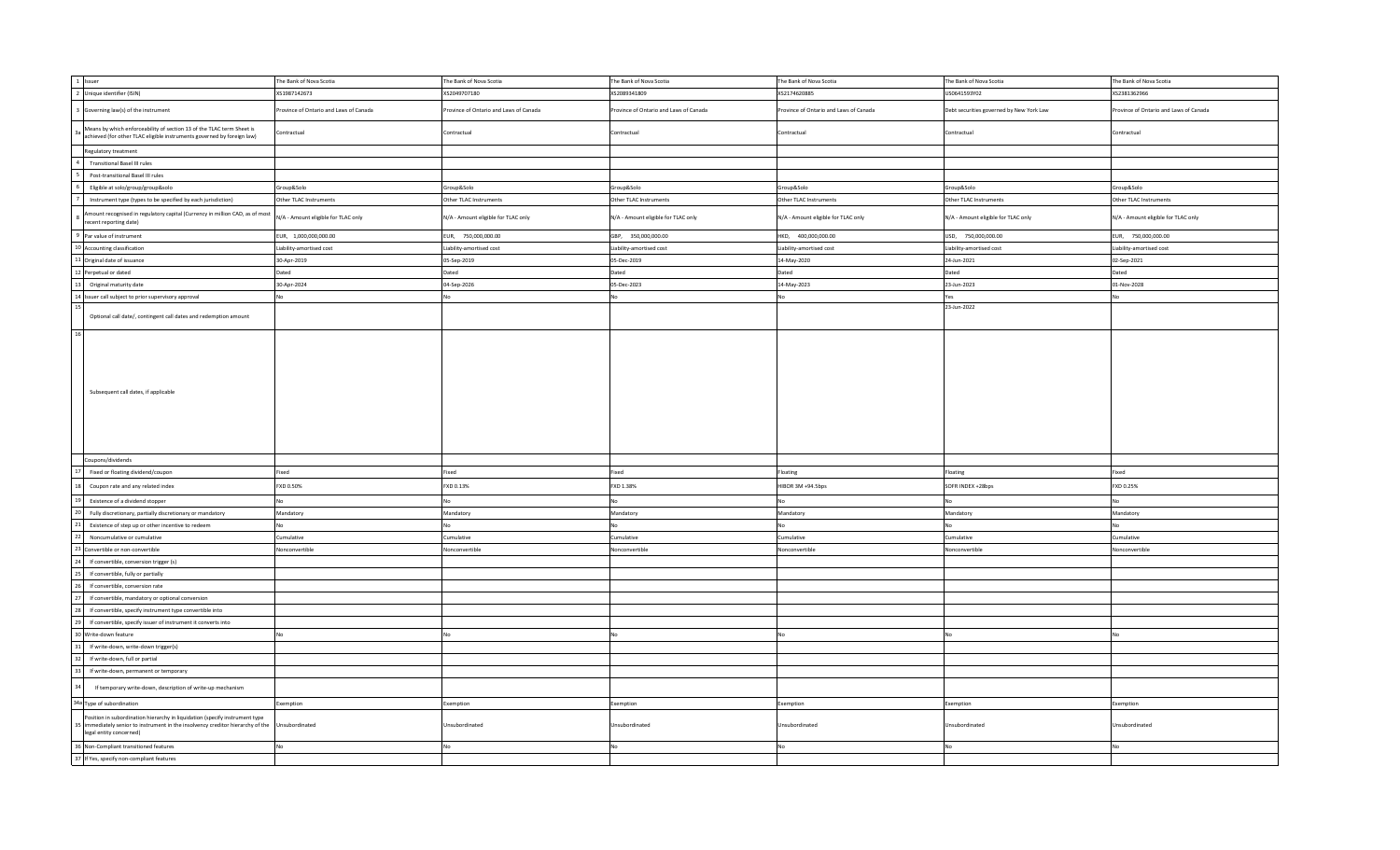| 1 Issuer                                                                                                                                                                               | The Bank of Nova Scotia               | The Bank of Nova Scotia                | The Bank of Nova Scotia               | The Bank of Nova Scotia                | The Bank of Nova Scotia                  | The Bank of Nova Scotia                |
|----------------------------------------------------------------------------------------------------------------------------------------------------------------------------------------|---------------------------------------|----------------------------------------|---------------------------------------|----------------------------------------|------------------------------------------|----------------------------------------|
| 2 Unique identifier (ISIN)                                                                                                                                                             | XS1987142673                          | XS2049707180                           | XS2089341809                          | XS2174620885                           | US0641593Y02                             | XS2381362966                           |
| 3 Governing law(s) of the instrument                                                                                                                                                   | rovince of Ontario and Laws of Canada | Province of Ontario and Laws of Canada | rovince of Ontario and Laws of Canada | Province of Ontario and Laws of Canada | Debt securities governed by New York Law | Province of Ontario and Laws of Canada |
| Means by which enforceability of section 13 of the TLAC term Sheet is<br>achieved (for other TLAC eligible instruments governed by foreign law)                                        | Contractual                           | Contractual                            | Contractual                           | Contractual                            | Contractual                              | Contractual                            |
| Regulatory treatment                                                                                                                                                                   |                                       |                                        |                                       |                                        |                                          |                                        |
| <b>Transitional Basel III rules</b>                                                                                                                                                    |                                       |                                        |                                       |                                        |                                          |                                        |
| Post-transitional Basel III rules                                                                                                                                                      |                                       |                                        |                                       |                                        |                                          |                                        |
| Eligible at solo/group/group&solo                                                                                                                                                      | Group&Solo                            | Group&Solo                             | Group&Solo                            | Group&Solo                             | Group&Solo                               | Group&Solo                             |
| Instrument type (types to be specified by each jurisdiction)                                                                                                                           | Other TLAC Instruments                | Other TLAC Instruments                 | Other TLAC Instruments                | Other TLAC Instruments                 | Other TLAC Instruments                   | Other TLAC Instruments                 |
| Amount recognised in regulatory capital (Currency in million CAD, as of most<br>ecent reporting date)                                                                                  | N/A - Amount eligible for TLAC only   | N/A - Amount eligible for TLAC only    | N/A - Amount eligible for TLAC only   | N/A - Amount eligible for TLAC only    | N/A - Amount eligible for TLAC only      | N/A - Amount eligible for TLAC only    |
| 9 Par value of instrument                                                                                                                                                              | EUR, 1,000,000,000.00                 | EUR, 750,000,000.00                    | GBP, 350,000,000.00                   | HKD, 400,000,000.00                    | USD, 750,000,000.00                      | EUR, 750,000,000.00                    |
| 10 Accounting classification                                                                                                                                                           | Liability-amortised cost              | Liability-amortised cost               | Liability-amortised cost              | Liability-amortised cost               | Liability-amortised cost                 | Liability-amortised cost               |
| 11 Original date of issuance                                                                                                                                                           | 30-Apr-2019                           | 05-Sep-2019                            | 05-Dec-2019                           | 14-May-2020                            | 24-Jun-2021                              | 02-Sep-2021                            |
| 12 Perpetual or dated                                                                                                                                                                  | Dated                                 | Dated                                  | Dated                                 | Dated                                  | Dated                                    | Dated                                  |
| Original maturity date                                                                                                                                                                 | 30-Apr-2024                           | 04-Sep-2026                            | 05-Dec-2023                           | 14-May-2023                            | 23-Jun-2023                              | 01-Nov-2028                            |
| 14 Issuer call subject to prior supervisory approval                                                                                                                                   | No                                    |                                        |                                       | No                                     | Yes                                      | No                                     |
|                                                                                                                                                                                        |                                       |                                        |                                       |                                        | 23-Jun-2022                              |                                        |
| Optional call date/, contingent call dates and redemption amount                                                                                                                       |                                       |                                        |                                       |                                        |                                          |                                        |
| Subsequent call dates, if applicable                                                                                                                                                   |                                       |                                        |                                       |                                        |                                          |                                        |
| Coupons/dividends                                                                                                                                                                      |                                       |                                        |                                       |                                        |                                          |                                        |
| Fixed or floating dividend/coupon                                                                                                                                                      | Fixed                                 | Fixed                                  | Fixed                                 | Floating                               | Floating                                 | Fixed                                  |
| Coupon rate and any related index                                                                                                                                                      | FXD 0.50%                             | FXD 0.13%                              | FXD 1.38%                             | HIBOR 3M +94.5bps                      | SOFR INDEX +28bps                        | FXD 0.25%                              |
| Existence of a dividend stopper                                                                                                                                                        |                                       |                                        |                                       | No                                     | No                                       | No                                     |
| Fully discretionary, partially discretionary or mandatory                                                                                                                              | Mandatory                             | Mandatory                              | Mandatory                             | Mandatory                              | Mandatory                                | Mandatory                              |
| Existence of step up or other incentive to redeem                                                                                                                                      |                                       |                                        |                                       | No                                     | No                                       | No                                     |
| Noncumulative or cumulative                                                                                                                                                            | Cumulative                            | Cumulative                             | Cumulative                            | Cumulative                             | Cumulative                               | Cumulative                             |
| Convertible or non-convertible                                                                                                                                                         | Nonconvertible                        | Nonconvertible                         | Nonconvertible                        | Nonconvertible                         | Nonconvertible                           | Nonconvertible                         |
| If convertible, conversion trigger (s)                                                                                                                                                 |                                       |                                        |                                       |                                        |                                          |                                        |
| If convertible, fully or partially                                                                                                                                                     |                                       |                                        |                                       |                                        |                                          |                                        |
| If convertible, conversion rate                                                                                                                                                        |                                       |                                        |                                       |                                        |                                          |                                        |
| If convertible, mandatory or optional conversion                                                                                                                                       |                                       |                                        |                                       |                                        |                                          |                                        |
| If convertible, specify instrument type convertible into                                                                                                                               |                                       |                                        |                                       |                                        |                                          |                                        |
| If convertible, specify issuer of instrument it converts into                                                                                                                          |                                       |                                        |                                       |                                        |                                          |                                        |
|                                                                                                                                                                                        |                                       |                                        |                                       |                                        |                                          |                                        |
| Write-down feature                                                                                                                                                                     |                                       |                                        |                                       | No                                     | No                                       | N <sub>0</sub>                         |
| If write-down, write-down trigger(s)                                                                                                                                                   |                                       |                                        |                                       |                                        |                                          |                                        |
| If write-down, full or partial                                                                                                                                                         |                                       |                                        |                                       |                                        |                                          |                                        |
| If write-down, permanent or temporary                                                                                                                                                  |                                       |                                        |                                       |                                        |                                          |                                        |
| If temporary write-down, description of write-up mechanism                                                                                                                             |                                       |                                        |                                       |                                        |                                          |                                        |
| 34a Type of subordination                                                                                                                                                              | Exemption                             | Exemption                              | Exemption                             | Exemption                              | Exemption                                | Exemption                              |
| Position in subordination hierarchy in liquidation (specify instrument type<br>immediately senior to instrument in the insolvency creditor hierarchy of the<br>legal entity concerned) | Unsubordinated                        | Unsubordinated                         | Unsubordinated                        | Unsubordinated                         | Unsubordinated                           | Unsubordinated                         |
| 36 Non-Compliant transitioned features                                                                                                                                                 |                                       |                                        |                                       | No                                     | Nc                                       |                                        |
| 37 If Yes, specify non-compliant features                                                                                                                                              |                                       |                                        |                                       |                                        |                                          |                                        |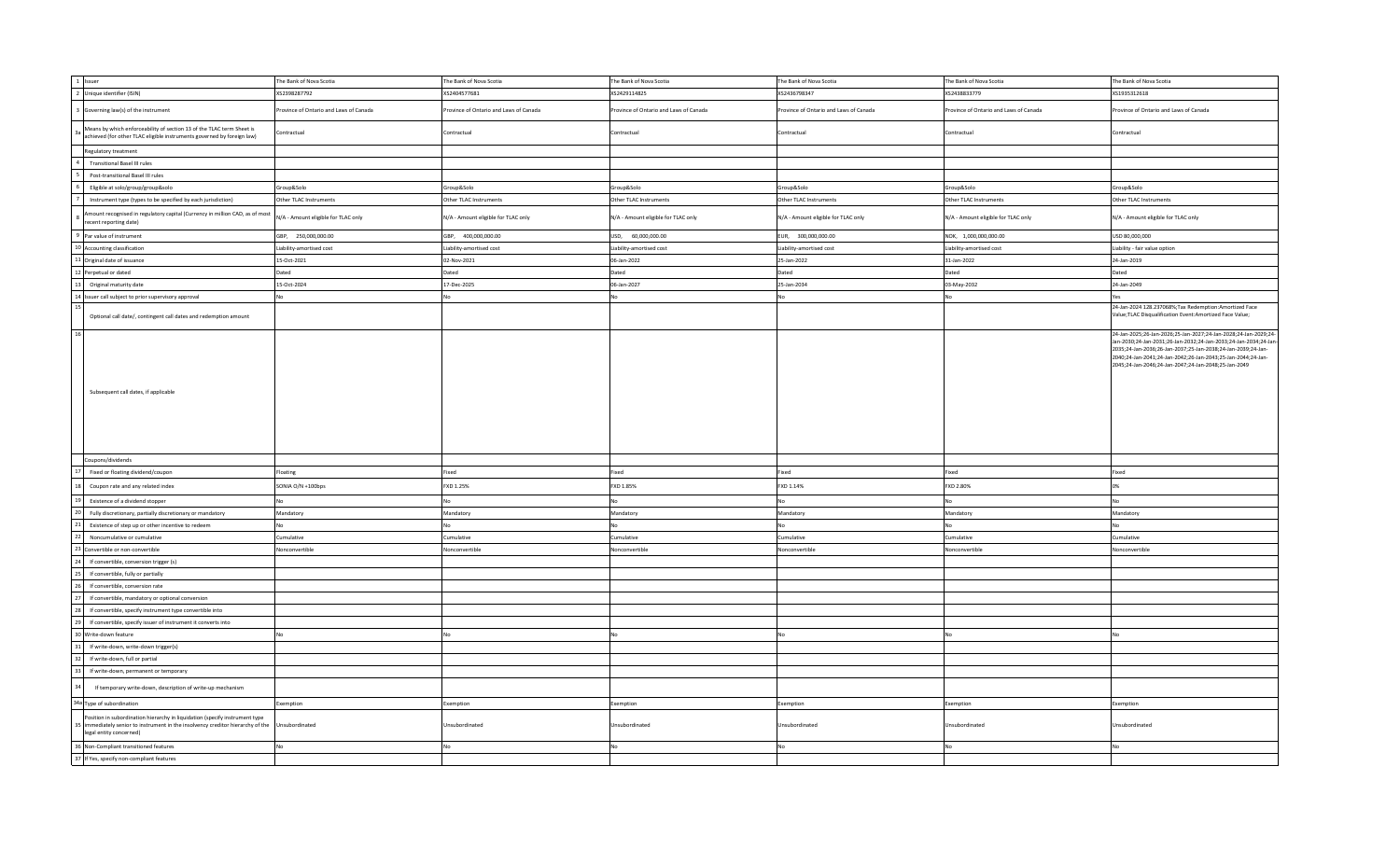| 1 Issuer                                                                                                                                                                               | The Bank of Nova Scotia                | The Bank of Nova Scotia                | The Bank of Nova Scotia               | The Bank of Nova Scotia               | The Bank of Nova Scotia                | The Bank of Nova Scotia                                                                                                                                                                                                                                                                                                     |
|----------------------------------------------------------------------------------------------------------------------------------------------------------------------------------------|----------------------------------------|----------------------------------------|---------------------------------------|---------------------------------------|----------------------------------------|-----------------------------------------------------------------------------------------------------------------------------------------------------------------------------------------------------------------------------------------------------------------------------------------------------------------------------|
| 2 Unique identifier (ISIN)                                                                                                                                                             | XS2398287792                           | XS2404577681                           | XS2429114825                          | XS2436798347                          | XS2438833779                           | XS1935312618                                                                                                                                                                                                                                                                                                                |
| Governing law(s) of the instrument                                                                                                                                                     | Province of Ontario and Laws of Canada | Province of Ontario and Laws of Canada | rovince of Ontario and Laws of Canada | rovince of Ontario and Laws of Canada | Province of Ontario and Laws of Canada | rovince of Ontario and Laws of Canada                                                                                                                                                                                                                                                                                       |
| Means by which enforceability of section 13 of the TLAC term Sheet is<br>achieved (for other TLAC eligible instruments governed by foreign law)                                        | Contractual                            | Contractual                            | Contractual                           | Contractual                           | Contractual                            | Contractual                                                                                                                                                                                                                                                                                                                 |
| Regulatory treatment                                                                                                                                                                   |                                        |                                        |                                       |                                       |                                        |                                                                                                                                                                                                                                                                                                                             |
| <b>Transitional Basel III rules</b>                                                                                                                                                    |                                        |                                        |                                       |                                       |                                        |                                                                                                                                                                                                                                                                                                                             |
| Post-transitional Basel III rules                                                                                                                                                      |                                        |                                        |                                       |                                       |                                        |                                                                                                                                                                                                                                                                                                                             |
| Eligible at solo/group/group&solo                                                                                                                                                      | Group&Solo                             | Group&Solo                             | Group&Solo                            | Group&Solo                            | Group&Solo                             | Group&Solo                                                                                                                                                                                                                                                                                                                  |
| Instrument type (types to be specified by each jurisdiction)                                                                                                                           | Other TLAC Instruments                 | Other TLAC Instruments                 | Other TLAC Instruments                | Other TLAC Instruments                | Other TLAC Instruments                 | Other TLAC Instruments                                                                                                                                                                                                                                                                                                      |
| mount recognised in regulatory capital (Currency in million CAD, as of most<br>ecent reporting date)                                                                                   | N/A - Amount eligible for TLAC only    | N/A - Amount eligible for TLAC only    | N/A - Amount eligible for TLAC only   | N/A - Amount eligible for TLAC only   | N/A - Amount eligible for TLAC only    | N/A - Amount eligible for TLAC only                                                                                                                                                                                                                                                                                         |
| Par value of instrument                                                                                                                                                                | GBP, 250,000,000.00                    | GBP, 400,000,000.00                    | USD, 60,000,000.00                    | EUR, 300,000,000.00                   | NOK, 1,000,000,000.00                  | USD 80,000,000                                                                                                                                                                                                                                                                                                              |
| 10 Accounting classification                                                                                                                                                           | Liability-amortised cost               | Liability-amortised cost               | Liability-amortised cost              | Liability-amortised cost              | Liability-amortised cost               | Liability - fair value option                                                                                                                                                                                                                                                                                               |
| 11 Original date of issuance                                                                                                                                                           | 15-Oct-2021                            | 02-Nov-2021                            | 06-Jan-2022                           | 25-Jan-2022                           | 31-Jan-2022                            | 24-Jan-2019                                                                                                                                                                                                                                                                                                                 |
| 12 Perpetual or dated                                                                                                                                                                  | Dated                                  | Dated                                  | Dated                                 | Dated                                 | Dated                                  | Dated                                                                                                                                                                                                                                                                                                                       |
| Original maturity date                                                                                                                                                                 | 15-Oct-2024                            | 17-Dec-2025                            | 06-Jan-2027                           | 25-Jan-2034                           | 03-May-2032                            | 24-Jan-2049                                                                                                                                                                                                                                                                                                                 |
| 14 Issuer call subject to prior supervisory approval                                                                                                                                   | <b>No</b>                              | No                                     | No                                    | No                                    |                                        | Yes                                                                                                                                                                                                                                                                                                                         |
| Optional call date/, contingent call dates and redemption amount                                                                                                                       |                                        |                                        |                                       |                                       |                                        | 24-Jan-2024 128.237068%; Tax Redemption: Amortized Face<br>Value; TLAC Disqualification Event: Amortized Face Value;                                                                                                                                                                                                        |
| Subsequent call dates, if applicable                                                                                                                                                   |                                        |                                        |                                       |                                       |                                        | 24-Jan-2025;26-Jan-2026;25-Jan-2027;24-Jan-2028;24-Jan-2029;24-<br>Jan-2030;24-Jan-2031;26-Jan-2032;24-Jan-2033;24-Jan-2034;24-Jan-<br>2035;24-Jan-2036;26-Jan-2037;25-Jan-2038;24-Jan-2039;24-Jan-<br>2040;24-Jan-2041;24-Jan-2042;26-Jan-2043;25-Jan-2044;24-Jan-<br>2045;24-Jan-2046;24-Jan-2047;24-Jan-2048;25-Jan-2049 |
| Coupons/dividends                                                                                                                                                                      |                                        |                                        |                                       |                                       |                                        |                                                                                                                                                                                                                                                                                                                             |
| Fixed or floating dividend/coupon                                                                                                                                                      | Floating                               | Fixed                                  | Fixed                                 | Fixed                                 | Fixed                                  | Fixed                                                                                                                                                                                                                                                                                                                       |
| Coupon rate and any related index                                                                                                                                                      | SONIA O/N +100bps                      | FXD 1.25%                              | FXD 1.85%                             | FXD 1.14%                             | FXD 2.80%                              |                                                                                                                                                                                                                                                                                                                             |
| Existence of a dividend stopper                                                                                                                                                        | No                                     | <b>No</b>                              | No                                    | No                                    |                                        | No                                                                                                                                                                                                                                                                                                                          |
| Fully discretionary, partially discretionary or mandatory                                                                                                                              | Mandatory                              | Mandatory                              | Mandatory                             | Mandatory                             | Mandatory                              | Mandatory                                                                                                                                                                                                                                                                                                                   |
| Existence of step up or other incentive to redeem                                                                                                                                      | No.                                    | <b>No</b>                              |                                       | No                                    | No                                     |                                                                                                                                                                                                                                                                                                                             |
| Noncumulative or cumulative                                                                                                                                                            | Cumulative                             | Cumulative                             | Cumulative                            | Cumulative                            | Cumulative                             | Cumulative                                                                                                                                                                                                                                                                                                                  |
| Convertible or non-convertible                                                                                                                                                         | Nonconvertible                         | Nonconvertible                         | Nonconvertible                        | Nonconvertible                        | Nonconvertible                         | Nonconvertible                                                                                                                                                                                                                                                                                                              |
| If convertible, conversion trigger (s)                                                                                                                                                 |                                        |                                        |                                       |                                       |                                        |                                                                                                                                                                                                                                                                                                                             |
| If convertible, fully or partially                                                                                                                                                     |                                        |                                        |                                       |                                       |                                        |                                                                                                                                                                                                                                                                                                                             |
| If convertible, conversion rate                                                                                                                                                        |                                        |                                        |                                       |                                       |                                        |                                                                                                                                                                                                                                                                                                                             |
| If convertible, mandatory or optional conversion                                                                                                                                       |                                        |                                        |                                       |                                       |                                        |                                                                                                                                                                                                                                                                                                                             |
| If convertible, specify instrument type convertible into                                                                                                                               |                                        |                                        |                                       |                                       |                                        |                                                                                                                                                                                                                                                                                                                             |
| If convertible, specify issuer of instrument it converts into                                                                                                                          |                                        |                                        |                                       |                                       |                                        |                                                                                                                                                                                                                                                                                                                             |
| Write-down feature                                                                                                                                                                     | No                                     | No                                     | No                                    | No                                    | No                                     |                                                                                                                                                                                                                                                                                                                             |
| If write-down, write-down trigger(s)                                                                                                                                                   |                                        |                                        |                                       |                                       |                                        |                                                                                                                                                                                                                                                                                                                             |
| If write-down, full or partial                                                                                                                                                         |                                        |                                        |                                       |                                       |                                        |                                                                                                                                                                                                                                                                                                                             |
| If write-down, permanent or temporary                                                                                                                                                  |                                        |                                        |                                       |                                       |                                        |                                                                                                                                                                                                                                                                                                                             |
| If temporary write-down, description of write-up mechanism                                                                                                                             |                                        |                                        |                                       |                                       |                                        |                                                                                                                                                                                                                                                                                                                             |
| 34a Type of subordination                                                                                                                                                              | Exemption                              | Exemption                              | Exemption                             | Exemption                             | Exemption                              | Exemption                                                                                                                                                                                                                                                                                                                   |
| Position in subordination hierarchy in liquidation (specify instrument type<br>immediately senior to instrument in the insolvency creditor hierarchy of the<br>legal entity concerned) | Unsubordinated                         | Unsubordinated                         | Unsubordinated                        | Unsubordinated                        | Unsubordinated                         | Unsubordinated                                                                                                                                                                                                                                                                                                              |
| 36 Non-Compliant transitioned features                                                                                                                                                 | No                                     | <b>No</b>                              |                                       | No                                    |                                        |                                                                                                                                                                                                                                                                                                                             |
| 37 If Yes, specify non-compliant features                                                                                                                                              |                                        |                                        |                                       |                                       |                                        |                                                                                                                                                                                                                                                                                                                             |
|                                                                                                                                                                                        |                                        |                                        |                                       |                                       |                                        |                                                                                                                                                                                                                                                                                                                             |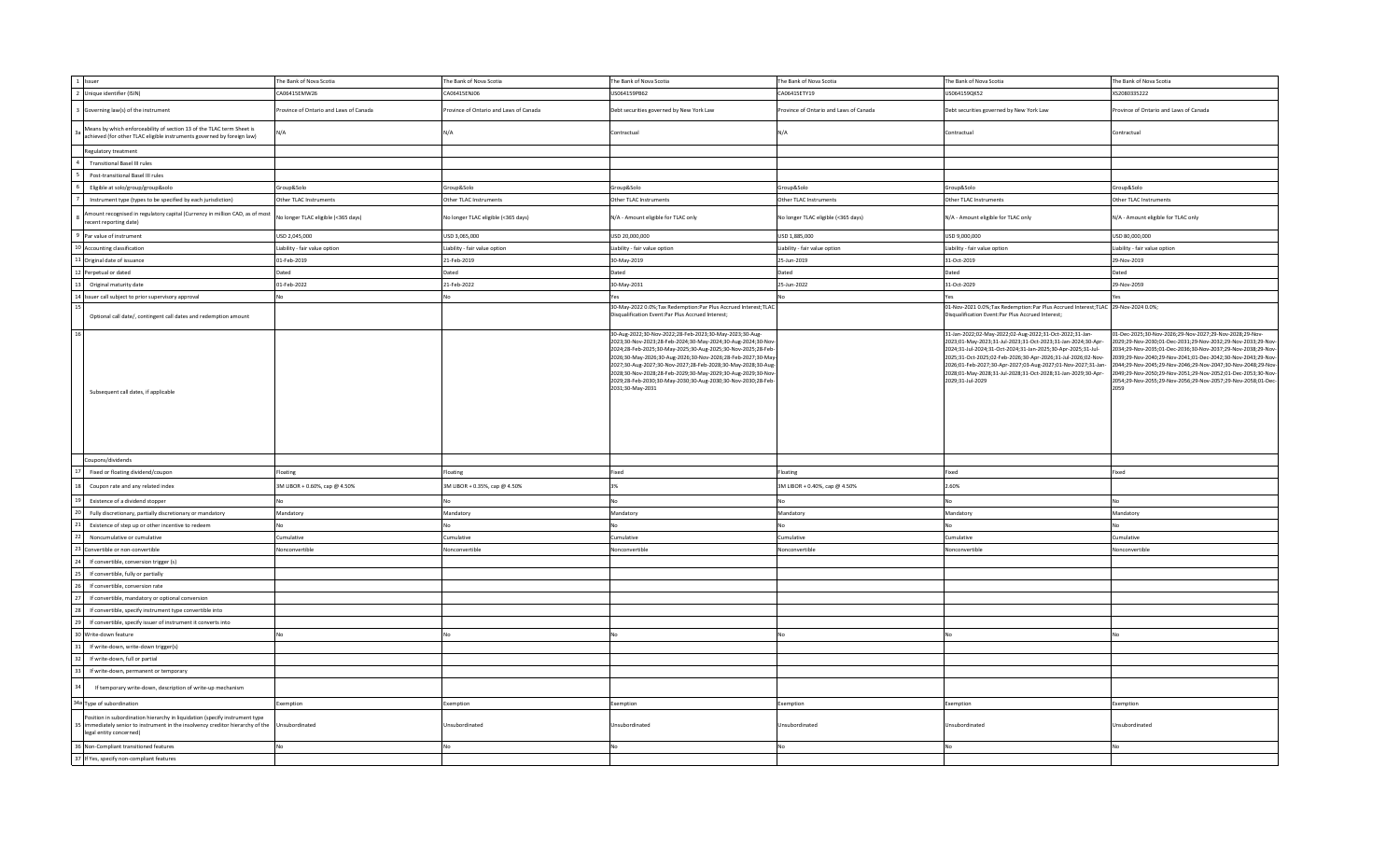| 1 Issuer                                                                                                                                                                               | The Bank of Nova Scotia               | The Bank of Nova Scotia                | The Bank of Nova Scotia                                                                                                                                                                                                                                                                                                                                                                                                                                                    | The Bank of Nova Scotia                | The Bank of Nova Scotia                                                                                                                                                                                                                                                                                                                                                                                     | The Bank of Nova Scotia                                                                                                                                                                                                                                                                                                                                                                                                                                        |
|----------------------------------------------------------------------------------------------------------------------------------------------------------------------------------------|---------------------------------------|----------------------------------------|----------------------------------------------------------------------------------------------------------------------------------------------------------------------------------------------------------------------------------------------------------------------------------------------------------------------------------------------------------------------------------------------------------------------------------------------------------------------------|----------------------------------------|-------------------------------------------------------------------------------------------------------------------------------------------------------------------------------------------------------------------------------------------------------------------------------------------------------------------------------------------------------------------------------------------------------------|----------------------------------------------------------------------------------------------------------------------------------------------------------------------------------------------------------------------------------------------------------------------------------------------------------------------------------------------------------------------------------------------------------------------------------------------------------------|
| 2 Unique identifier (ISIN)                                                                                                                                                             | CA06415EMW26                          | CA06415ENJ06                           | US064159PB62                                                                                                                                                                                                                                                                                                                                                                                                                                                               | CA06415ETY19                           | US064159QK52                                                                                                                                                                                                                                                                                                                                                                                                | XS2080335222                                                                                                                                                                                                                                                                                                                                                                                                                                                   |
| Governing law(s) of the instrument                                                                                                                                                     | rovince of Ontario and Laws of Canada | Province of Ontario and Laws of Canada | Debt securities governed by New York Law                                                                                                                                                                                                                                                                                                                                                                                                                                   | Province of Ontario and Laws of Canada | Debt securities governed by New York Law                                                                                                                                                                                                                                                                                                                                                                    | rovince of Ontario and Laws of Canada                                                                                                                                                                                                                                                                                                                                                                                                                          |
| Means by which enforceability of section 13 of the TLAC term Sheet is<br>achieved (for other TLAC eligible instruments governed by foreign law)                                        | N/A                                   | N/A                                    | Contractual                                                                                                                                                                                                                                                                                                                                                                                                                                                                | N/A                                    | Contractual                                                                                                                                                                                                                                                                                                                                                                                                 | contractual                                                                                                                                                                                                                                                                                                                                                                                                                                                    |
| Regulatory treatment                                                                                                                                                                   |                                       |                                        |                                                                                                                                                                                                                                                                                                                                                                                                                                                                            |                                        |                                                                                                                                                                                                                                                                                                                                                                                                             |                                                                                                                                                                                                                                                                                                                                                                                                                                                                |
| <b>Transitional Basel III rules</b>                                                                                                                                                    |                                       |                                        |                                                                                                                                                                                                                                                                                                                                                                                                                                                                            |                                        |                                                                                                                                                                                                                                                                                                                                                                                                             |                                                                                                                                                                                                                                                                                                                                                                                                                                                                |
| Post-transitional Basel III rules                                                                                                                                                      |                                       |                                        |                                                                                                                                                                                                                                                                                                                                                                                                                                                                            |                                        |                                                                                                                                                                                                                                                                                                                                                                                                             |                                                                                                                                                                                                                                                                                                                                                                                                                                                                |
| Eligible at solo/group/group&solo                                                                                                                                                      | Group&Solo                            | Group&Solo                             | Group&Solo                                                                                                                                                                                                                                                                                                                                                                                                                                                                 | Group&Solo                             | Group&Solo                                                                                                                                                                                                                                                                                                                                                                                                  | Group&Solo                                                                                                                                                                                                                                                                                                                                                                                                                                                     |
| Instrument type (types to be specified by each jurisdiction)                                                                                                                           | Other TLAC Instruments                | Other TLAC Instruments                 | Other TLAC Instruments                                                                                                                                                                                                                                                                                                                                                                                                                                                     | Other TLAC Instruments                 | Other TLAC Instruments                                                                                                                                                                                                                                                                                                                                                                                      | Other TLAC Instruments                                                                                                                                                                                                                                                                                                                                                                                                                                         |
| mount recognised in regulatory capital (Currency in million CAD, as of most<br>ecent reporting date)                                                                                   | No longer TLAC eligible (<365 days)   | No longer TLAC eligible (<365 days)    | N/A - Amount eligible for TLAC only                                                                                                                                                                                                                                                                                                                                                                                                                                        | No longer TLAC eligible (<365 days)    | N/A - Amount eligible for TLAC only                                                                                                                                                                                                                                                                                                                                                                         | N/A - Amount eligible for TLAC only                                                                                                                                                                                                                                                                                                                                                                                                                            |
| Par value of instrument                                                                                                                                                                | USD 2,045,000                         | USD 3,065,000                          | USD 20,000,000                                                                                                                                                                                                                                                                                                                                                                                                                                                             | USD 1,885,000                          | USD 9,000,000                                                                                                                                                                                                                                                                                                                                                                                               | USD 80,000,000                                                                                                                                                                                                                                                                                                                                                                                                                                                 |
| 10 Accounting classification                                                                                                                                                           | Liability - fair value option         | Liability - fair value option          | Liability - fair value option                                                                                                                                                                                                                                                                                                                                                                                                                                              | Liability - fair value option          | Liability - fair value option                                                                                                                                                                                                                                                                                                                                                                               | Liability - fair value option                                                                                                                                                                                                                                                                                                                                                                                                                                  |
| 1 Original date of issuance                                                                                                                                                            | 01-Feb-2019                           | 21-Feb-2019                            | 30-May-2019                                                                                                                                                                                                                                                                                                                                                                                                                                                                | 25-Jun-2019                            | 31-Oct-2019                                                                                                                                                                                                                                                                                                                                                                                                 | 29-Nov-2019                                                                                                                                                                                                                                                                                                                                                                                                                                                    |
| Perpetual or dated                                                                                                                                                                     | Dated                                 | Dated                                  | Dated                                                                                                                                                                                                                                                                                                                                                                                                                                                                      | Dated                                  | Dated                                                                                                                                                                                                                                                                                                                                                                                                       | Dated                                                                                                                                                                                                                                                                                                                                                                                                                                                          |
| Original maturity date                                                                                                                                                                 | 01-Feb-2022                           | 21-Feb-2022                            | 30-May-2031                                                                                                                                                                                                                                                                                                                                                                                                                                                                | 25-Jun-2022                            | 31-Oct-2029                                                                                                                                                                                                                                                                                                                                                                                                 | 29-Nov-2059                                                                                                                                                                                                                                                                                                                                                                                                                                                    |
| 14 Issuer call subject to prior supervisory approval                                                                                                                                   |                                       |                                        | Yes                                                                                                                                                                                                                                                                                                                                                                                                                                                                        |                                        | Yes                                                                                                                                                                                                                                                                                                                                                                                                         |                                                                                                                                                                                                                                                                                                                                                                                                                                                                |
| Optional call date/, contingent call dates and redemption amount                                                                                                                       |                                       |                                        | 30-May-2022 0.0%; Tax Redemption: Par Plus Accrued Interest; TLAC<br>Disqualification Event:Par Plus Accrued Interest;                                                                                                                                                                                                                                                                                                                                                     |                                        | 01-Nov-2021 0.0%;Tax Redemption:Par Plus Accrued Interest;TLAC 29-Nov-2024 0.0%;<br>Disqualification Event:Par Plus Accrued Interest;                                                                                                                                                                                                                                                                       |                                                                                                                                                                                                                                                                                                                                                                                                                                                                |
| Subsequent call dates, if applicable                                                                                                                                                   |                                       |                                        | 30-Aug-2022;30-Nov-2022;28-Feb-2023;30-May-2023;30-Aug-<br>2023;30-Nov-2023;28-Feb-2024;30-May-2024;30-Aug-2024;30-Nov<br>2024;28-Feb-2025;30-May-2025;30-Aug-2025;30-Nov-2025;28-Feb-<br>2026;30-May-2026;30-Aug-2026;30-Nov-2026;28-Feb-2027;30-May-<br>2027;30-Aug-2027;30-Nov-2027;28-Feb-2028;30-May-2028;30-Aug-<br>2028;30-Nov-2028;28-Feb-2029;30-May-2029;30-Aug-2029;30-Nov-<br>2029;28-Feb-2030;30-May-2030;30-Aug-2030;30-Nov-2030;28-Feb-<br>2031;30-May-2031 |                                        | 31-Jan-2022;02-May-2022;02-Aug-2022;31-Oct-2022;31-Jan-<br>2023;01-May-2023;31-Jul-2023;31-Oct-2023;31-Jan-2024;30-Apr-<br>2024;31-Jul-2024;31-Oct-2024;31-Jan-2025;30-Apr-2025;31-Jul-<br>2025;31-Oct-2025;02-Feb-2026;30-Apr-2026;31-Jul-2026;02-Nov-<br>2026;01-Feb-2027;30-Apr-2027;03-Aug-2027;01-Nov-2027;31-Jan-<br>2028;01-May-2028;31-Jul-2028;31-Oct-2028;31-Jan-2029;30-Apr-<br>2029;31-Jul-2029 | 01-Dec-2025;30-Nov-2026;29-Nov-2027;29-Nov-2028;29-Nov-<br>2029:29-Nov-2030:01-Dec-2031:29-Nov-2032:29-Nov-2033:29-Nov<br>2034;29-Nov-2035;01-Dec-2036;30-Nov-2037;29-Nov-2038;29-Nov-<br>2039;29-Nov-2040;29-Nov-2041;01-Dec-2042;30-Nov-2043;29-Nov-<br>2044;29-Nov-2045;29-Nov-2046;29-Nov-2047;30-Nov-2048;29-Nov-<br>2049;29-Nov-2050;29-Nov-2051;29-Nov-2052;01-Dec-2053;30-Nov-<br>2054;29-Nov-2055;29-Nov-2056;29-Nov-2057;29-Nov-2058;01-Dec-<br>2059 |
| Coupons/dividends                                                                                                                                                                      |                                       |                                        |                                                                                                                                                                                                                                                                                                                                                                                                                                                                            |                                        |                                                                                                                                                                                                                                                                                                                                                                                                             |                                                                                                                                                                                                                                                                                                                                                                                                                                                                |
| Fixed or floating dividend/coupon                                                                                                                                                      | Floating                              | Floating                               | Fixed                                                                                                                                                                                                                                                                                                                                                                                                                                                                      | Floating                               | Fixed                                                                                                                                                                                                                                                                                                                                                                                                       | Fixed                                                                                                                                                                                                                                                                                                                                                                                                                                                          |
| Coupon rate and any related index                                                                                                                                                      | 3M LIBOR + 0.60%, cap @ 4.50%         | 3M LIBOR + 0.35%, cap @ 4.50%          | 2%                                                                                                                                                                                                                                                                                                                                                                                                                                                                         | 3M LIBOR + 0.40%, cap @ 4.50%          | 2.60%                                                                                                                                                                                                                                                                                                                                                                                                       |                                                                                                                                                                                                                                                                                                                                                                                                                                                                |
| Existence of a dividend stopper                                                                                                                                                        |                                       |                                        |                                                                                                                                                                                                                                                                                                                                                                                                                                                                            | <b>No</b>                              |                                                                                                                                                                                                                                                                                                                                                                                                             |                                                                                                                                                                                                                                                                                                                                                                                                                                                                |
| Fully discretionary, partially discretionary or mandatory                                                                                                                              | Mandatory                             | Mandatory                              | Mandatory                                                                                                                                                                                                                                                                                                                                                                                                                                                                  | Mandatory                              | Mandatory                                                                                                                                                                                                                                                                                                                                                                                                   | Mandatory                                                                                                                                                                                                                                                                                                                                                                                                                                                      |
| Existence of step up or other incentive to redeem                                                                                                                                      |                                       | No                                     | N <sub>0</sub>                                                                                                                                                                                                                                                                                                                                                                                                                                                             | No                                     |                                                                                                                                                                                                                                                                                                                                                                                                             |                                                                                                                                                                                                                                                                                                                                                                                                                                                                |
| Noncumulative or cumulative                                                                                                                                                            | Cumulative                            | Cumulative                             | Cumulative                                                                                                                                                                                                                                                                                                                                                                                                                                                                 | Cumulative                             | Cumulative                                                                                                                                                                                                                                                                                                                                                                                                  | Cumulative                                                                                                                                                                                                                                                                                                                                                                                                                                                     |
| Convertible or non-convertible                                                                                                                                                         | Nonconvertible                        | Vonconvertible                         | Nonconvertible                                                                                                                                                                                                                                                                                                                                                                                                                                                             | Nonconvertible                         | Nonconvertible                                                                                                                                                                                                                                                                                                                                                                                              | Nonconvertible                                                                                                                                                                                                                                                                                                                                                                                                                                                 |
| If convertible, conversion trigger (s)                                                                                                                                                 |                                       |                                        |                                                                                                                                                                                                                                                                                                                                                                                                                                                                            |                                        |                                                                                                                                                                                                                                                                                                                                                                                                             |                                                                                                                                                                                                                                                                                                                                                                                                                                                                |
| If convertible, fully or partially                                                                                                                                                     |                                       |                                        |                                                                                                                                                                                                                                                                                                                                                                                                                                                                            |                                        |                                                                                                                                                                                                                                                                                                                                                                                                             |                                                                                                                                                                                                                                                                                                                                                                                                                                                                |
| If convertible, conversion rate                                                                                                                                                        |                                       |                                        |                                                                                                                                                                                                                                                                                                                                                                                                                                                                            |                                        |                                                                                                                                                                                                                                                                                                                                                                                                             |                                                                                                                                                                                                                                                                                                                                                                                                                                                                |
| If convertible, mandatory or optional conversion                                                                                                                                       |                                       |                                        |                                                                                                                                                                                                                                                                                                                                                                                                                                                                            |                                        |                                                                                                                                                                                                                                                                                                                                                                                                             |                                                                                                                                                                                                                                                                                                                                                                                                                                                                |
| If convertible, specify instrument type convertible into                                                                                                                               |                                       |                                        |                                                                                                                                                                                                                                                                                                                                                                                                                                                                            |                                        |                                                                                                                                                                                                                                                                                                                                                                                                             |                                                                                                                                                                                                                                                                                                                                                                                                                                                                |
| If convertible, specify issuer of instrument it converts into                                                                                                                          |                                       |                                        |                                                                                                                                                                                                                                                                                                                                                                                                                                                                            |                                        |                                                                                                                                                                                                                                                                                                                                                                                                             |                                                                                                                                                                                                                                                                                                                                                                                                                                                                |
| Write-down feature                                                                                                                                                                     |                                       |                                        |                                                                                                                                                                                                                                                                                                                                                                                                                                                                            | <b>No</b>                              |                                                                                                                                                                                                                                                                                                                                                                                                             |                                                                                                                                                                                                                                                                                                                                                                                                                                                                |
| If write-down, write-down trigger(s)                                                                                                                                                   |                                       |                                        |                                                                                                                                                                                                                                                                                                                                                                                                                                                                            |                                        |                                                                                                                                                                                                                                                                                                                                                                                                             |                                                                                                                                                                                                                                                                                                                                                                                                                                                                |
| If write-down, full or partial                                                                                                                                                         |                                       |                                        |                                                                                                                                                                                                                                                                                                                                                                                                                                                                            |                                        |                                                                                                                                                                                                                                                                                                                                                                                                             |                                                                                                                                                                                                                                                                                                                                                                                                                                                                |
| If write-down, permanent or temporary                                                                                                                                                  |                                       |                                        |                                                                                                                                                                                                                                                                                                                                                                                                                                                                            |                                        |                                                                                                                                                                                                                                                                                                                                                                                                             |                                                                                                                                                                                                                                                                                                                                                                                                                                                                |
| If temporary write-down, description of write-up mechanism                                                                                                                             |                                       |                                        |                                                                                                                                                                                                                                                                                                                                                                                                                                                                            |                                        |                                                                                                                                                                                                                                                                                                                                                                                                             |                                                                                                                                                                                                                                                                                                                                                                                                                                                                |
| 34a Type of subordination                                                                                                                                                              | Exemption                             | Exemption                              | Exemption                                                                                                                                                                                                                                                                                                                                                                                                                                                                  | Exemption                              | Exemption                                                                                                                                                                                                                                                                                                                                                                                                   | Exemption                                                                                                                                                                                                                                                                                                                                                                                                                                                      |
| Position in subordination hierarchy in liquidation (specify instrument type<br>immediately senior to instrument in the insolvency creditor hierarchy of the<br>legal entity concerned) | Unsubordinated                        | Unsubordinated                         | Unsubordinated                                                                                                                                                                                                                                                                                                                                                                                                                                                             | Unsubordinated                         | Unsubordinated                                                                                                                                                                                                                                                                                                                                                                                              | Jnsubordinated                                                                                                                                                                                                                                                                                                                                                                                                                                                 |
| 36 Non-Compliant transitioned features                                                                                                                                                 |                                       |                                        | N <sub>0</sub>                                                                                                                                                                                                                                                                                                                                                                                                                                                             | <b>No</b>                              |                                                                                                                                                                                                                                                                                                                                                                                                             |                                                                                                                                                                                                                                                                                                                                                                                                                                                                |
| 37 If Yes, specify non-compliant features                                                                                                                                              |                                       |                                        |                                                                                                                                                                                                                                                                                                                                                                                                                                                                            |                                        |                                                                                                                                                                                                                                                                                                                                                                                                             |                                                                                                                                                                                                                                                                                                                                                                                                                                                                |
|                                                                                                                                                                                        |                                       |                                        |                                                                                                                                                                                                                                                                                                                                                                                                                                                                            |                                        |                                                                                                                                                                                                                                                                                                                                                                                                             |                                                                                                                                                                                                                                                                                                                                                                                                                                                                |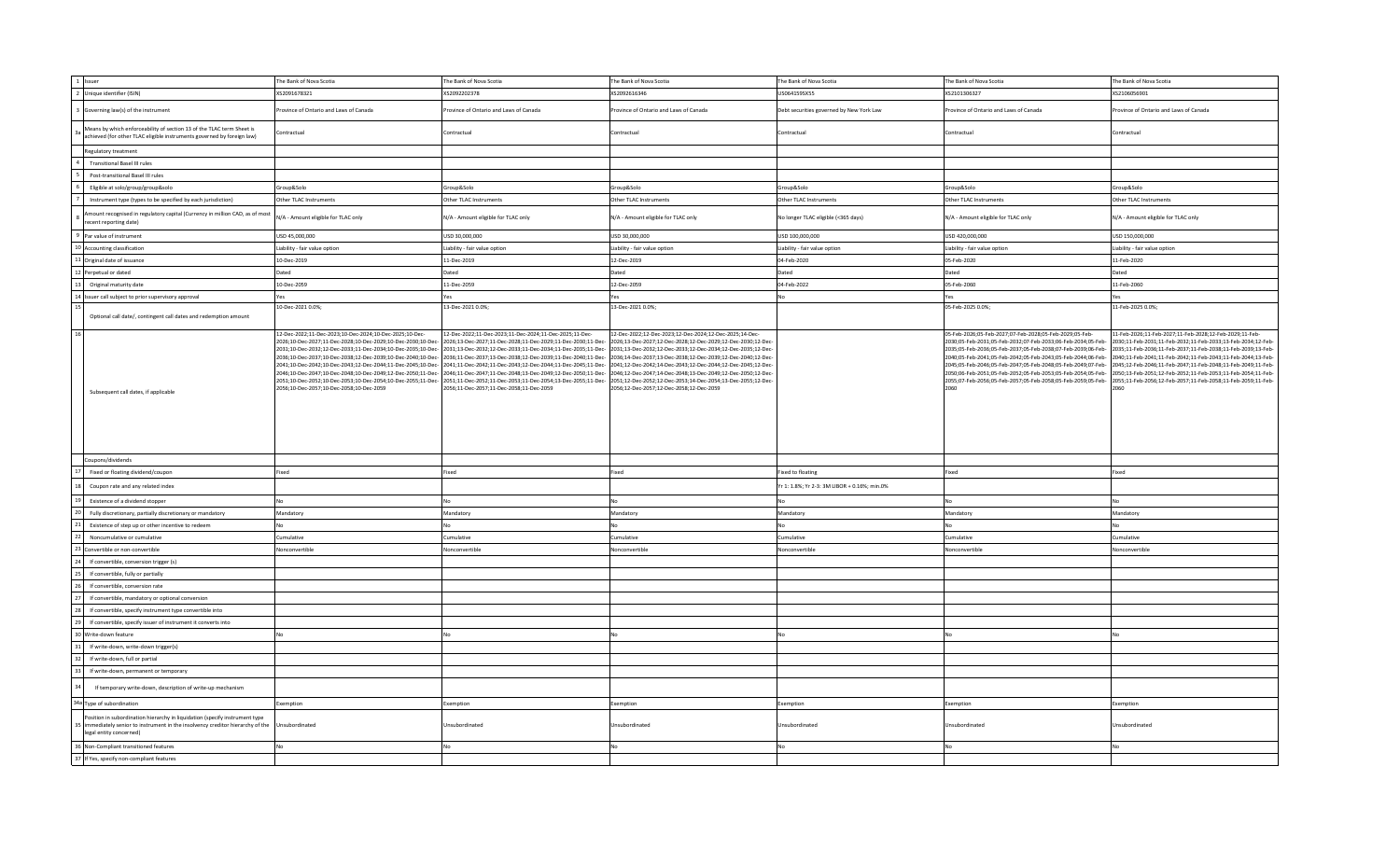| 1 Issuer                                                                                                                                                                               | The Bank of Nova Scotia                                                                                                                                             | The Bank of Nova Scotia                                                                                                                                                                                                                                                                                                                                                                                                                                                                                                                                                                                                                                                                                                                                                                                                                                                                                                                                                                                                                                                            | The Bank of Nova Scotia                                                                                                                                                                                                                                                                             | The Bank of Nova Scotia                      | The Bank of Nova Scotia                                                                                                                                                                                                                                                                                                                                                                                                                                 | The Bank of Nova Scotia                                                                                                                                                                                                                                                                                                                                                                                                                                       |
|----------------------------------------------------------------------------------------------------------------------------------------------------------------------------------------|---------------------------------------------------------------------------------------------------------------------------------------------------------------------|------------------------------------------------------------------------------------------------------------------------------------------------------------------------------------------------------------------------------------------------------------------------------------------------------------------------------------------------------------------------------------------------------------------------------------------------------------------------------------------------------------------------------------------------------------------------------------------------------------------------------------------------------------------------------------------------------------------------------------------------------------------------------------------------------------------------------------------------------------------------------------------------------------------------------------------------------------------------------------------------------------------------------------------------------------------------------------|-----------------------------------------------------------------------------------------------------------------------------------------------------------------------------------------------------------------------------------------------------------------------------------------------------|----------------------------------------------|---------------------------------------------------------------------------------------------------------------------------------------------------------------------------------------------------------------------------------------------------------------------------------------------------------------------------------------------------------------------------------------------------------------------------------------------------------|---------------------------------------------------------------------------------------------------------------------------------------------------------------------------------------------------------------------------------------------------------------------------------------------------------------------------------------------------------------------------------------------------------------------------------------------------------------|
| 2 Unique identifier (ISIN)                                                                                                                                                             | XS2091678321                                                                                                                                                        | XS2092202378                                                                                                                                                                                                                                                                                                                                                                                                                                                                                                                                                                                                                                                                                                                                                                                                                                                                                                                                                                                                                                                                       | XS2092616346                                                                                                                                                                                                                                                                                        | US064159SX55                                 | XS2101306327                                                                                                                                                                                                                                                                                                                                                                                                                                            | XS2106056901                                                                                                                                                                                                                                                                                                                                                                                                                                                  |
| Governing law(s) of the instrument                                                                                                                                                     | rovince of Ontario and Laws of Canada                                                                                                                               | Province of Ontario and Laws of Canada                                                                                                                                                                                                                                                                                                                                                                                                                                                                                                                                                                                                                                                                                                                                                                                                                                                                                                                                                                                                                                             | rovince of Ontario and Laws of Canada                                                                                                                                                                                                                                                               | Debt securities governed by New York Law     | rovince of Ontario and Laws of Canada                                                                                                                                                                                                                                                                                                                                                                                                                   | rovince of Ontario and Laws of Canada                                                                                                                                                                                                                                                                                                                                                                                                                         |
| Means by which enforceability of section 13 of the TLAC term Sheet is<br>achieved (for other TLAC eligible instruments governed by foreign law)                                        | Contractual                                                                                                                                                         | Contractual                                                                                                                                                                                                                                                                                                                                                                                                                                                                                                                                                                                                                                                                                                                                                                                                                                                                                                                                                                                                                                                                        | Contractual                                                                                                                                                                                                                                                                                         | Contractual                                  | Contractual                                                                                                                                                                                                                                                                                                                                                                                                                                             | Contractual                                                                                                                                                                                                                                                                                                                                                                                                                                                   |
| Regulatory treatment                                                                                                                                                                   |                                                                                                                                                                     |                                                                                                                                                                                                                                                                                                                                                                                                                                                                                                                                                                                                                                                                                                                                                                                                                                                                                                                                                                                                                                                                                    |                                                                                                                                                                                                                                                                                                     |                                              |                                                                                                                                                                                                                                                                                                                                                                                                                                                         |                                                                                                                                                                                                                                                                                                                                                                                                                                                               |
| <b>Transitional Basel III rules</b>                                                                                                                                                    |                                                                                                                                                                     |                                                                                                                                                                                                                                                                                                                                                                                                                                                                                                                                                                                                                                                                                                                                                                                                                                                                                                                                                                                                                                                                                    |                                                                                                                                                                                                                                                                                                     |                                              |                                                                                                                                                                                                                                                                                                                                                                                                                                                         |                                                                                                                                                                                                                                                                                                                                                                                                                                                               |
| Post-transitional Basel III rules                                                                                                                                                      |                                                                                                                                                                     |                                                                                                                                                                                                                                                                                                                                                                                                                                                                                                                                                                                                                                                                                                                                                                                                                                                                                                                                                                                                                                                                                    |                                                                                                                                                                                                                                                                                                     |                                              |                                                                                                                                                                                                                                                                                                                                                                                                                                                         |                                                                                                                                                                                                                                                                                                                                                                                                                                                               |
| Eligible at solo/group/group&solo                                                                                                                                                      | Group&Solo                                                                                                                                                          | Group&Solo                                                                                                                                                                                                                                                                                                                                                                                                                                                                                                                                                                                                                                                                                                                                                                                                                                                                                                                                                                                                                                                                         | Group&Solo                                                                                                                                                                                                                                                                                          | Group&Solo                                   | Group&Solo                                                                                                                                                                                                                                                                                                                                                                                                                                              | Group&Solo                                                                                                                                                                                                                                                                                                                                                                                                                                                    |
| Instrument type (types to be specified by each jurisdiction)                                                                                                                           | Other TLAC Instruments                                                                                                                                              | Other TLAC Instruments                                                                                                                                                                                                                                                                                                                                                                                                                                                                                                                                                                                                                                                                                                                                                                                                                                                                                                                                                                                                                                                             | Other TLAC Instruments                                                                                                                                                                                                                                                                              | Other TLAC Instruments                       | Other TLAC Instruments                                                                                                                                                                                                                                                                                                                                                                                                                                  | Other TLAC Instruments                                                                                                                                                                                                                                                                                                                                                                                                                                        |
| nount recognised in regulatory capital (Currency in million CAD, as of most<br>ecent reporting date)                                                                                   | N/A - Amount eligible for TLAC only                                                                                                                                 | N/A - Amount eligible for TLAC only                                                                                                                                                                                                                                                                                                                                                                                                                                                                                                                                                                                                                                                                                                                                                                                                                                                                                                                                                                                                                                                | N/A - Amount eligible for TLAC only                                                                                                                                                                                                                                                                 | No longer TLAC eligible (<365 days)          | N/A - Amount eligible for TLAC only                                                                                                                                                                                                                                                                                                                                                                                                                     | N/A - Amount eligible for TLAC only                                                                                                                                                                                                                                                                                                                                                                                                                           |
| Par value of instrument                                                                                                                                                                | USD 45,000,000                                                                                                                                                      | USD 30,000,000                                                                                                                                                                                                                                                                                                                                                                                                                                                                                                                                                                                                                                                                                                                                                                                                                                                                                                                                                                                                                                                                     | USD 30,000,000                                                                                                                                                                                                                                                                                      | USD 100,000,000                              | USD 420,000,000                                                                                                                                                                                                                                                                                                                                                                                                                                         | USD 150,000,000                                                                                                                                                                                                                                                                                                                                                                                                                                               |
| 10 Accounting classification                                                                                                                                                           | Liability - fair value option                                                                                                                                       | Liability - fair value option                                                                                                                                                                                                                                                                                                                                                                                                                                                                                                                                                                                                                                                                                                                                                                                                                                                                                                                                                                                                                                                      | Liability - fair value option                                                                                                                                                                                                                                                                       | Liability - fair value option                | Liability - fair value option                                                                                                                                                                                                                                                                                                                                                                                                                           | Liability - fair value option                                                                                                                                                                                                                                                                                                                                                                                                                                 |
| 1 Original date of issuance                                                                                                                                                            | 10-Dec-2019                                                                                                                                                         | 11-Dec-2019                                                                                                                                                                                                                                                                                                                                                                                                                                                                                                                                                                                                                                                                                                                                                                                                                                                                                                                                                                                                                                                                        | 12-Dec-2019                                                                                                                                                                                                                                                                                         | 04-Feb-2020                                  | 05-Feb-2020                                                                                                                                                                                                                                                                                                                                                                                                                                             | 11-Feb-2020                                                                                                                                                                                                                                                                                                                                                                                                                                                   |
| Perpetual or dated                                                                                                                                                                     | Dated                                                                                                                                                               | Dated                                                                                                                                                                                                                                                                                                                                                                                                                                                                                                                                                                                                                                                                                                                                                                                                                                                                                                                                                                                                                                                                              | Dated                                                                                                                                                                                                                                                                                               | Dated                                        | Dated                                                                                                                                                                                                                                                                                                                                                                                                                                                   | Dated                                                                                                                                                                                                                                                                                                                                                                                                                                                         |
| Original maturity date                                                                                                                                                                 | 10-Dec-2059                                                                                                                                                         | 11-Dec-2059                                                                                                                                                                                                                                                                                                                                                                                                                                                                                                                                                                                                                                                                                                                                                                                                                                                                                                                                                                                                                                                                        | 12-Dec-2059                                                                                                                                                                                                                                                                                         | 04-Feb-2022                                  | 05-Feb-2060                                                                                                                                                                                                                                                                                                                                                                                                                                             | 11-Feb-2060                                                                                                                                                                                                                                                                                                                                                                                                                                                   |
| Issuer call subject to prior supervisory approval                                                                                                                                      | Yes                                                                                                                                                                 | Yes                                                                                                                                                                                                                                                                                                                                                                                                                                                                                                                                                                                                                                                                                                                                                                                                                                                                                                                                                                                                                                                                                | Yes                                                                                                                                                                                                                                                                                                 | No                                           | Yes                                                                                                                                                                                                                                                                                                                                                                                                                                                     | Yes                                                                                                                                                                                                                                                                                                                                                                                                                                                           |
|                                                                                                                                                                                        | 10-Dec-2021 0.0%;                                                                                                                                                   | 13-Dec-2021 0.0%;                                                                                                                                                                                                                                                                                                                                                                                                                                                                                                                                                                                                                                                                                                                                                                                                                                                                                                                                                                                                                                                                  | 13-Dec-2021 0.0%;                                                                                                                                                                                                                                                                                   |                                              | 05-Feb-2025 0.0%;                                                                                                                                                                                                                                                                                                                                                                                                                                       | 11-Feb-2025 0.0%                                                                                                                                                                                                                                                                                                                                                                                                                                              |
| Optional call date/, contingent call dates and redemption amount                                                                                                                       |                                                                                                                                                                     |                                                                                                                                                                                                                                                                                                                                                                                                                                                                                                                                                                                                                                                                                                                                                                                                                                                                                                                                                                                                                                                                                    |                                                                                                                                                                                                                                                                                                     |                                              |                                                                                                                                                                                                                                                                                                                                                                                                                                                         |                                                                                                                                                                                                                                                                                                                                                                                                                                                               |
| Subsequent call dates, if applicable                                                                                                                                                   | 12-Dec-2022;11-Dec-2023;10-Dec-2024;10-Dec-2025;10-Dec-<br>2026:10-Dec-2027:11-Dec-2028:10-Dec-2029:10-Dec-2030:10-Dec-<br>2056;10-Dec-2057;10-Dec-2058;10-Dec-2059 | 12-Dec-2022;11-Dec-2023;11-Dec-2024;11-Dec-2025;11-Dec-<br>2026:13-Dec-2027:11-Dec-2028:11-Dec-2029:11-Dec-2030:11-Dec-<br>2031;10-Dec-2032;12-Dec-2033;11-Dec-2034;10-Dec-2035;10-Dec-2031;13-Dec-2032;12-Dec-2033;11-Dec-2034;11-Dec-2035;11-Dec-2031;13-Dec-2032;12-Dec-2033;12-Dec-2034;12-Dec-2034;12-Dec-2032;12-Dec-2034;12-Dec-2035;12-Dec-<br>2036;10-Dec-2037;10-Dec-2038;12-Dec-2039;10-Dec-2040;10-Dec-2036;11-Dec-2037;13-Dec-2038;12-Dec-2039;11-Dec-2040;11-Dec-2036;14-Dec-2037;13-Dec-2038;12-Dec-2039;12-Dec-2040;12-Dec-<br>2041;10-Dec-2042;10-Dec-2043;12-Dec-2044;11-Dec-2045;10-Dec- 2041;11-Dec-2042;11-Dec-2043;12-Dec-2044;11-Dec-2045;11-Dec-2041;11-Dec-2042;14-Dec-2043;12-Dec-2043;12-Dec-2043;12-Dec-2044;12-Dec-2044;12-Dec-2045;12-Dec-2045;<br>-2046;10-Dec-2047;10-Dec-2048;10-Dec-2049;12-Dec-2050;11-Dec-2046;11-Dec-2047;11-Dec-2048;13-Dec-2049;12-Dec-2050;11-Dec-<br>2051;10-Dec-2052;10-Dec-2053;10-Dec-2054;10-Dec-2055;11-Dec-2051;11-Dec-2052;11-Dec-2053;11-Dec-2054;13-Dec-2055;11-Dec-<br>2056;11-Dec-2057;11-Dec-2058;11-Dec-2059 | 12-Dec-2022;12-Dec-2023;12-Dec-2024;12-Dec-2025;14-Dec-<br>2026;13-Dec-2027;12-Dec-2028;12-Dec-2029;12-Dec-2030;12-Dec-<br>2046;12-Dec-2047;14-Dec-2048;13-Dec-2049;12-Dec-2050;12-Dec-<br>2051;12-Dec-2052;12-Dec-2053;14-Dec-2054;13-Dec-2055;12-Dec-<br>2056;12-Dec-2057;12-Dec-2058;12-Dec-2059 |                                              | 05-Feb-2026;05-Feb-2027;07-Feb-2028;05-Feb-2029;05-Feb-<br>2030;05-Feb-2031;05-Feb-2032;07-Feb-2033;06-Feb-2034;05-Feb-<br>2035;05-Feb-2036;05-Feb-2037;05-Feb-2038;07-Feb-2039;06-Feb-<br>2040;05-Feb-2041;05-Feb-2042;05-Feb-2043;05-Feb-2044;06-Feb-<br>2045;05-Feb-2046;05-Feb-2047;05-Feb-2048;05-Feb-2049;07-Feb-<br>2050;06-Feb-2051;05-Feb-2052;05-Feb-2053;05-Feb-2054;05-Feb-<br>2055;07-Feb-2056;05-Feb-2057;05-Feb-2058;05-Feb-2059;05-Feb- | 11-Feb-2026;11-Feb-2027;11-Feb-2028;12-Feb-2029;11-Feb-<br>2030;11-Feb-2031;11-Feb-2032;11-Feb-2033;13-Feb-2034;12-Feb<br>2035;11-Feb-2036;11-Feb-2037;11-Feb-2038;11-Feb-2039;13-Feb-<br>2040;11-Feb-2041;11-Feb-2042;11-Feb-2043;11-Feb-2044;13-Feb-<br>2045;12-Feb-2046;11-Feb-2047;11-Feb-2048;11-Feb-2049;11-Feb<br>2050;13-Feb-2051;12-Feb-2052;11-Feb-2053;11-Feb-2054;11-Feb-<br>2055;11-Feb-2056;12-Feb-2057;11-Feb-2058;11-Feb-2059;11-Feb-<br>2060 |
| Coupons/dividends                                                                                                                                                                      |                                                                                                                                                                     |                                                                                                                                                                                                                                                                                                                                                                                                                                                                                                                                                                                                                                                                                                                                                                                                                                                                                                                                                                                                                                                                                    |                                                                                                                                                                                                                                                                                                     |                                              |                                                                                                                                                                                                                                                                                                                                                                                                                                                         |                                                                                                                                                                                                                                                                                                                                                                                                                                                               |
| Fixed or floating dividend/coupon                                                                                                                                                      | Fixed                                                                                                                                                               | Fixed                                                                                                                                                                                                                                                                                                                                                                                                                                                                                                                                                                                                                                                                                                                                                                                                                                                                                                                                                                                                                                                                              | Fixed                                                                                                                                                                                                                                                                                               | <b>Fixed to floating</b>                     | Fixed                                                                                                                                                                                                                                                                                                                                                                                                                                                   | Fixed                                                                                                                                                                                                                                                                                                                                                                                                                                                         |
| Coupon rate and any related index                                                                                                                                                      |                                                                                                                                                                     |                                                                                                                                                                                                                                                                                                                                                                                                                                                                                                                                                                                                                                                                                                                                                                                                                                                                                                                                                                                                                                                                                    |                                                                                                                                                                                                                                                                                                     | Yr 1: 1.8%; Yr 2-3: 3M LIBOR + 0.16%; min.0% |                                                                                                                                                                                                                                                                                                                                                                                                                                                         |                                                                                                                                                                                                                                                                                                                                                                                                                                                               |
| Existence of a dividend stopper                                                                                                                                                        | No                                                                                                                                                                  | No                                                                                                                                                                                                                                                                                                                                                                                                                                                                                                                                                                                                                                                                                                                                                                                                                                                                                                                                                                                                                                                                                 | No                                                                                                                                                                                                                                                                                                  | <b>No</b>                                    | Nη                                                                                                                                                                                                                                                                                                                                                                                                                                                      | No                                                                                                                                                                                                                                                                                                                                                                                                                                                            |
| Fully discretionary, partially discretionary or mandatory                                                                                                                              | Mandatory                                                                                                                                                           | Mandatory                                                                                                                                                                                                                                                                                                                                                                                                                                                                                                                                                                                                                                                                                                                                                                                                                                                                                                                                                                                                                                                                          | Mandatory                                                                                                                                                                                                                                                                                           | Mandatory                                    | Mandatory                                                                                                                                                                                                                                                                                                                                                                                                                                               | Mandatory                                                                                                                                                                                                                                                                                                                                                                                                                                                     |
| Existence of step up or other incentive to redeem                                                                                                                                      | No                                                                                                                                                                  | No                                                                                                                                                                                                                                                                                                                                                                                                                                                                                                                                                                                                                                                                                                                                                                                                                                                                                                                                                                                                                                                                                 | No                                                                                                                                                                                                                                                                                                  | No                                           | NΩ                                                                                                                                                                                                                                                                                                                                                                                                                                                      | N <sub>0</sub>                                                                                                                                                                                                                                                                                                                                                                                                                                                |
| Noncumulative or cumulative                                                                                                                                                            | Cumulative                                                                                                                                                          | Cumulative                                                                                                                                                                                                                                                                                                                                                                                                                                                                                                                                                                                                                                                                                                                                                                                                                                                                                                                                                                                                                                                                         | Cumulative                                                                                                                                                                                                                                                                                          | Cumulative                                   | Cumulative                                                                                                                                                                                                                                                                                                                                                                                                                                              | Cumulative                                                                                                                                                                                                                                                                                                                                                                                                                                                    |
| Convertible or non-convertible                                                                                                                                                         | Nonconvertible                                                                                                                                                      | Nonconvertible                                                                                                                                                                                                                                                                                                                                                                                                                                                                                                                                                                                                                                                                                                                                                                                                                                                                                                                                                                                                                                                                     | Nonconvertible                                                                                                                                                                                                                                                                                      | Nonconvertible                               | Nonconvertible                                                                                                                                                                                                                                                                                                                                                                                                                                          | Nonconvertible                                                                                                                                                                                                                                                                                                                                                                                                                                                |
| If convertible, conversion trigger (s)                                                                                                                                                 |                                                                                                                                                                     |                                                                                                                                                                                                                                                                                                                                                                                                                                                                                                                                                                                                                                                                                                                                                                                                                                                                                                                                                                                                                                                                                    |                                                                                                                                                                                                                                                                                                     |                                              |                                                                                                                                                                                                                                                                                                                                                                                                                                                         |                                                                                                                                                                                                                                                                                                                                                                                                                                                               |
| If convertible, fully or partially                                                                                                                                                     |                                                                                                                                                                     |                                                                                                                                                                                                                                                                                                                                                                                                                                                                                                                                                                                                                                                                                                                                                                                                                                                                                                                                                                                                                                                                                    |                                                                                                                                                                                                                                                                                                     |                                              |                                                                                                                                                                                                                                                                                                                                                                                                                                                         |                                                                                                                                                                                                                                                                                                                                                                                                                                                               |
| If convertible, conversion rate                                                                                                                                                        |                                                                                                                                                                     |                                                                                                                                                                                                                                                                                                                                                                                                                                                                                                                                                                                                                                                                                                                                                                                                                                                                                                                                                                                                                                                                                    |                                                                                                                                                                                                                                                                                                     |                                              |                                                                                                                                                                                                                                                                                                                                                                                                                                                         |                                                                                                                                                                                                                                                                                                                                                                                                                                                               |
| If convertible, mandatory or optional conversion                                                                                                                                       |                                                                                                                                                                     |                                                                                                                                                                                                                                                                                                                                                                                                                                                                                                                                                                                                                                                                                                                                                                                                                                                                                                                                                                                                                                                                                    |                                                                                                                                                                                                                                                                                                     |                                              |                                                                                                                                                                                                                                                                                                                                                                                                                                                         |                                                                                                                                                                                                                                                                                                                                                                                                                                                               |
|                                                                                                                                                                                        |                                                                                                                                                                     |                                                                                                                                                                                                                                                                                                                                                                                                                                                                                                                                                                                                                                                                                                                                                                                                                                                                                                                                                                                                                                                                                    |                                                                                                                                                                                                                                                                                                     |                                              |                                                                                                                                                                                                                                                                                                                                                                                                                                                         |                                                                                                                                                                                                                                                                                                                                                                                                                                                               |
| If convertible, specify instrument type convertible into                                                                                                                               |                                                                                                                                                                     |                                                                                                                                                                                                                                                                                                                                                                                                                                                                                                                                                                                                                                                                                                                                                                                                                                                                                                                                                                                                                                                                                    |                                                                                                                                                                                                                                                                                                     |                                              |                                                                                                                                                                                                                                                                                                                                                                                                                                                         |                                                                                                                                                                                                                                                                                                                                                                                                                                                               |
| If convertible, specify issuer of instrument it converts into                                                                                                                          |                                                                                                                                                                     |                                                                                                                                                                                                                                                                                                                                                                                                                                                                                                                                                                                                                                                                                                                                                                                                                                                                                                                                                                                                                                                                                    |                                                                                                                                                                                                                                                                                                     |                                              |                                                                                                                                                                                                                                                                                                                                                                                                                                                         |                                                                                                                                                                                                                                                                                                                                                                                                                                                               |
| Write-down feature                                                                                                                                                                     | No                                                                                                                                                                  | No                                                                                                                                                                                                                                                                                                                                                                                                                                                                                                                                                                                                                                                                                                                                                                                                                                                                                                                                                                                                                                                                                 |                                                                                                                                                                                                                                                                                                     | No                                           |                                                                                                                                                                                                                                                                                                                                                                                                                                                         |                                                                                                                                                                                                                                                                                                                                                                                                                                                               |
| If write-down, write-down trigger(s)                                                                                                                                                   |                                                                                                                                                                     |                                                                                                                                                                                                                                                                                                                                                                                                                                                                                                                                                                                                                                                                                                                                                                                                                                                                                                                                                                                                                                                                                    |                                                                                                                                                                                                                                                                                                     |                                              |                                                                                                                                                                                                                                                                                                                                                                                                                                                         |                                                                                                                                                                                                                                                                                                                                                                                                                                                               |
| If write-down, full or partial                                                                                                                                                         |                                                                                                                                                                     |                                                                                                                                                                                                                                                                                                                                                                                                                                                                                                                                                                                                                                                                                                                                                                                                                                                                                                                                                                                                                                                                                    |                                                                                                                                                                                                                                                                                                     |                                              |                                                                                                                                                                                                                                                                                                                                                                                                                                                         |                                                                                                                                                                                                                                                                                                                                                                                                                                                               |
| If write-down, permanent or temporary                                                                                                                                                  |                                                                                                                                                                     |                                                                                                                                                                                                                                                                                                                                                                                                                                                                                                                                                                                                                                                                                                                                                                                                                                                                                                                                                                                                                                                                                    |                                                                                                                                                                                                                                                                                                     |                                              |                                                                                                                                                                                                                                                                                                                                                                                                                                                         |                                                                                                                                                                                                                                                                                                                                                                                                                                                               |
| If temporary write-down, description of write-up mechanism                                                                                                                             |                                                                                                                                                                     |                                                                                                                                                                                                                                                                                                                                                                                                                                                                                                                                                                                                                                                                                                                                                                                                                                                                                                                                                                                                                                                                                    |                                                                                                                                                                                                                                                                                                     |                                              |                                                                                                                                                                                                                                                                                                                                                                                                                                                         |                                                                                                                                                                                                                                                                                                                                                                                                                                                               |
| 34a Type of subordination                                                                                                                                                              | Exemption                                                                                                                                                           | Exemption                                                                                                                                                                                                                                                                                                                                                                                                                                                                                                                                                                                                                                                                                                                                                                                                                                                                                                                                                                                                                                                                          | Exemption                                                                                                                                                                                                                                                                                           | Exemption                                    | Exemption                                                                                                                                                                                                                                                                                                                                                                                                                                               | Exemption                                                                                                                                                                                                                                                                                                                                                                                                                                                     |
| Position in subordination hierarchy in liquidation (specify instrument type<br>immediately senior to instrument in the insolvency creditor hierarchy of the<br>legal entity concerned) | Unsubordinated                                                                                                                                                      | Unsubordinated                                                                                                                                                                                                                                                                                                                                                                                                                                                                                                                                                                                                                                                                                                                                                                                                                                                                                                                                                                                                                                                                     | Jnsubordinated                                                                                                                                                                                                                                                                                      | Unsubordinated                               | Unsubordinated                                                                                                                                                                                                                                                                                                                                                                                                                                          | Insubordinated                                                                                                                                                                                                                                                                                                                                                                                                                                                |
| 36 Non-Compliant transitioned features                                                                                                                                                 | No                                                                                                                                                                  | No                                                                                                                                                                                                                                                                                                                                                                                                                                                                                                                                                                                                                                                                                                                                                                                                                                                                                                                                                                                                                                                                                 | No                                                                                                                                                                                                                                                                                                  | N <sub>0</sub>                               | Nη                                                                                                                                                                                                                                                                                                                                                                                                                                                      | No                                                                                                                                                                                                                                                                                                                                                                                                                                                            |
| 37 If Yes, specify non-compliant features                                                                                                                                              |                                                                                                                                                                     |                                                                                                                                                                                                                                                                                                                                                                                                                                                                                                                                                                                                                                                                                                                                                                                                                                                                                                                                                                                                                                                                                    |                                                                                                                                                                                                                                                                                                     |                                              |                                                                                                                                                                                                                                                                                                                                                                                                                                                         |                                                                                                                                                                                                                                                                                                                                                                                                                                                               |
|                                                                                                                                                                                        |                                                                                                                                                                     |                                                                                                                                                                                                                                                                                                                                                                                                                                                                                                                                                                                                                                                                                                                                                                                                                                                                                                                                                                                                                                                                                    |                                                                                                                                                                                                                                                                                                     |                                              |                                                                                                                                                                                                                                                                                                                                                                                                                                                         |                                                                                                                                                                                                                                                                                                                                                                                                                                                               |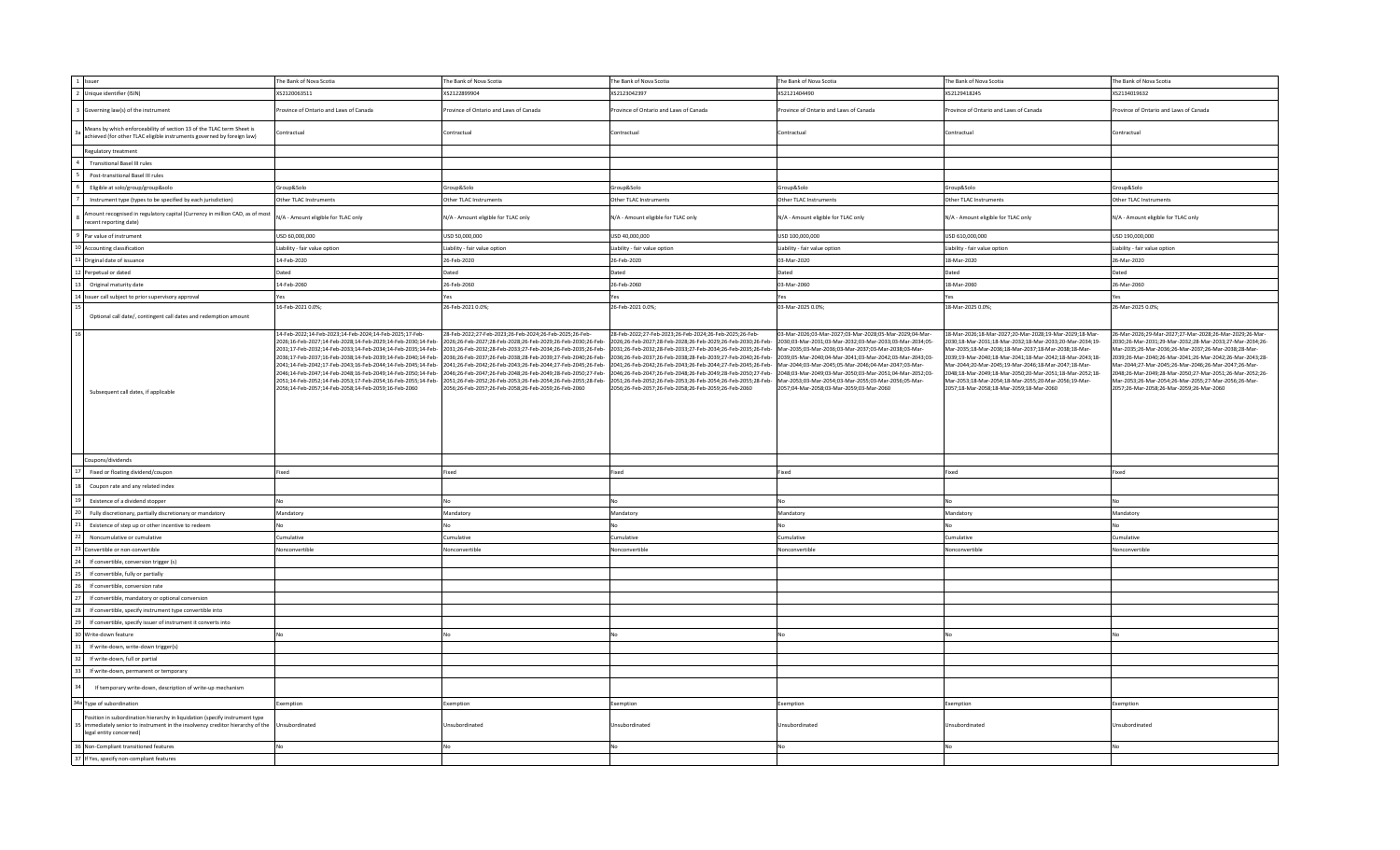| 1 Issuer                                                                                                                                                                               | The Bank of Nova Scotia                                                                                                                                                                                                                                                                                                                                                                                                                                                                                                                                                                                                                                                                                                                                                                                                                   | The Bank of Nova Scotia                                                                                                                                                        | The Bank of Nova Scotia                                                                                                                                                                                                                                                                                                                                                                                                                                                                   | The Bank of Nova Scotia                                                                                                                                                                                                                                                                                                                                                                                                                                                  | The Bank of Nova Scotia                                                                                                                                                                                                                                                                                                                                                                                                                                         | The Bank of Nova Scotia                                                                                                                                                                                                                                                                                                                                                                                                                                         |
|----------------------------------------------------------------------------------------------------------------------------------------------------------------------------------------|-------------------------------------------------------------------------------------------------------------------------------------------------------------------------------------------------------------------------------------------------------------------------------------------------------------------------------------------------------------------------------------------------------------------------------------------------------------------------------------------------------------------------------------------------------------------------------------------------------------------------------------------------------------------------------------------------------------------------------------------------------------------------------------------------------------------------------------------|--------------------------------------------------------------------------------------------------------------------------------------------------------------------------------|-------------------------------------------------------------------------------------------------------------------------------------------------------------------------------------------------------------------------------------------------------------------------------------------------------------------------------------------------------------------------------------------------------------------------------------------------------------------------------------------|--------------------------------------------------------------------------------------------------------------------------------------------------------------------------------------------------------------------------------------------------------------------------------------------------------------------------------------------------------------------------------------------------------------------------------------------------------------------------|-----------------------------------------------------------------------------------------------------------------------------------------------------------------------------------------------------------------------------------------------------------------------------------------------------------------------------------------------------------------------------------------------------------------------------------------------------------------|-----------------------------------------------------------------------------------------------------------------------------------------------------------------------------------------------------------------------------------------------------------------------------------------------------------------------------------------------------------------------------------------------------------------------------------------------------------------|
| 2 Unique identifier (ISIN)                                                                                                                                                             | XS2120063511                                                                                                                                                                                                                                                                                                                                                                                                                                                                                                                                                                                                                                                                                                                                                                                                                              | XS2122899904                                                                                                                                                                   | XS2123042397                                                                                                                                                                                                                                                                                                                                                                                                                                                                              | XS2121404490                                                                                                                                                                                                                                                                                                                                                                                                                                                             | XS2129418245                                                                                                                                                                                                                                                                                                                                                                                                                                                    | XS2134019632                                                                                                                                                                                                                                                                                                                                                                                                                                                    |
| Governing law(s) of the instrument                                                                                                                                                     | rovince of Ontario and Laws of Canada                                                                                                                                                                                                                                                                                                                                                                                                                                                                                                                                                                                                                                                                                                                                                                                                     | Province of Ontario and Laws of Canada                                                                                                                                         | rovince of Ontario and Laws of Canada                                                                                                                                                                                                                                                                                                                                                                                                                                                     | rovince of Ontario and Laws of Canada                                                                                                                                                                                                                                                                                                                                                                                                                                    | rovince of Ontario and Laws of Canada                                                                                                                                                                                                                                                                                                                                                                                                                           | rovince of Ontario and Laws of Canada                                                                                                                                                                                                                                                                                                                                                                                                                           |
| Means by which enforceability of section 13 of the TLAC term Sheet is<br>achieved (for other TLAC eligible instruments governed by foreign law)                                        | Contractual                                                                                                                                                                                                                                                                                                                                                                                                                                                                                                                                                                                                                                                                                                                                                                                                                               | Contractual                                                                                                                                                                    | Contractual                                                                                                                                                                                                                                                                                                                                                                                                                                                                               | Contractual                                                                                                                                                                                                                                                                                                                                                                                                                                                              | Contractual                                                                                                                                                                                                                                                                                                                                                                                                                                                     | Contractual                                                                                                                                                                                                                                                                                                                                                                                                                                                     |
| Regulatory treatment                                                                                                                                                                   |                                                                                                                                                                                                                                                                                                                                                                                                                                                                                                                                                                                                                                                                                                                                                                                                                                           |                                                                                                                                                                                |                                                                                                                                                                                                                                                                                                                                                                                                                                                                                           |                                                                                                                                                                                                                                                                                                                                                                                                                                                                          |                                                                                                                                                                                                                                                                                                                                                                                                                                                                 |                                                                                                                                                                                                                                                                                                                                                                                                                                                                 |
| <b>Transitional Basel III rules</b>                                                                                                                                                    |                                                                                                                                                                                                                                                                                                                                                                                                                                                                                                                                                                                                                                                                                                                                                                                                                                           |                                                                                                                                                                                |                                                                                                                                                                                                                                                                                                                                                                                                                                                                                           |                                                                                                                                                                                                                                                                                                                                                                                                                                                                          |                                                                                                                                                                                                                                                                                                                                                                                                                                                                 |                                                                                                                                                                                                                                                                                                                                                                                                                                                                 |
| Post-transitional Basel III rules                                                                                                                                                      |                                                                                                                                                                                                                                                                                                                                                                                                                                                                                                                                                                                                                                                                                                                                                                                                                                           |                                                                                                                                                                                |                                                                                                                                                                                                                                                                                                                                                                                                                                                                                           |                                                                                                                                                                                                                                                                                                                                                                                                                                                                          |                                                                                                                                                                                                                                                                                                                                                                                                                                                                 |                                                                                                                                                                                                                                                                                                                                                                                                                                                                 |
| Eligible at solo/group/group&solo                                                                                                                                                      | Group&Solo                                                                                                                                                                                                                                                                                                                                                                                                                                                                                                                                                                                                                                                                                                                                                                                                                                | Group&Solo                                                                                                                                                                     | Group&Solo                                                                                                                                                                                                                                                                                                                                                                                                                                                                                | Group&Solo                                                                                                                                                                                                                                                                                                                                                                                                                                                               | Group&Solo                                                                                                                                                                                                                                                                                                                                                                                                                                                      | Group&Solo                                                                                                                                                                                                                                                                                                                                                                                                                                                      |
| Instrument type (types to be specified by each jurisdiction)                                                                                                                           | Other TLAC Instruments                                                                                                                                                                                                                                                                                                                                                                                                                                                                                                                                                                                                                                                                                                                                                                                                                    | Other TLAC Instruments                                                                                                                                                         | Other TLAC Instruments                                                                                                                                                                                                                                                                                                                                                                                                                                                                    | Other TLAC Instruments                                                                                                                                                                                                                                                                                                                                                                                                                                                   | Other TLAC Instruments                                                                                                                                                                                                                                                                                                                                                                                                                                          | Other TLAC Instruments                                                                                                                                                                                                                                                                                                                                                                                                                                          |
| nount recognised in regulatory capital (Currency in million CAD, as of most<br>ecent reporting date)                                                                                   | N/A - Amount eligible for TLAC only                                                                                                                                                                                                                                                                                                                                                                                                                                                                                                                                                                                                                                                                                                                                                                                                       | N/A - Amount eligible for TLAC only                                                                                                                                            | N/A - Amount eligible for TLAC only                                                                                                                                                                                                                                                                                                                                                                                                                                                       | N/A - Amount eligible for TLAC only                                                                                                                                                                                                                                                                                                                                                                                                                                      | N/A - Amount eligible for TLAC only                                                                                                                                                                                                                                                                                                                                                                                                                             | N/A - Amount eligible for TLAC only                                                                                                                                                                                                                                                                                                                                                                                                                             |
| Par value of instrument                                                                                                                                                                | USD 60,000,000                                                                                                                                                                                                                                                                                                                                                                                                                                                                                                                                                                                                                                                                                                                                                                                                                            | USD 50,000,000                                                                                                                                                                 | USD 40,000,000                                                                                                                                                                                                                                                                                                                                                                                                                                                                            | USD 100,000,000                                                                                                                                                                                                                                                                                                                                                                                                                                                          | USD 610,000,000                                                                                                                                                                                                                                                                                                                                                                                                                                                 | USD 190,000,000                                                                                                                                                                                                                                                                                                                                                                                                                                                 |
| 10 Accounting classification                                                                                                                                                           | Liability - fair value option                                                                                                                                                                                                                                                                                                                                                                                                                                                                                                                                                                                                                                                                                                                                                                                                             | Liability - fair value option                                                                                                                                                  | Liability - fair value option                                                                                                                                                                                                                                                                                                                                                                                                                                                             | Liability - fair value option                                                                                                                                                                                                                                                                                                                                                                                                                                            | Liability - fair value option                                                                                                                                                                                                                                                                                                                                                                                                                                   | Liability - fair value option                                                                                                                                                                                                                                                                                                                                                                                                                                   |
| 1 Original date of issuance                                                                                                                                                            | 14-Feb-2020                                                                                                                                                                                                                                                                                                                                                                                                                                                                                                                                                                                                                                                                                                                                                                                                                               | 26-Feb-2020                                                                                                                                                                    | 26-Feb-2020                                                                                                                                                                                                                                                                                                                                                                                                                                                                               | 03-Mar-2020                                                                                                                                                                                                                                                                                                                                                                                                                                                              | 18-Mar-2020                                                                                                                                                                                                                                                                                                                                                                                                                                                     | 26-Mar-2020                                                                                                                                                                                                                                                                                                                                                                                                                                                     |
| Perpetual or dated                                                                                                                                                                     | Dated                                                                                                                                                                                                                                                                                                                                                                                                                                                                                                                                                                                                                                                                                                                                                                                                                                     | Dated                                                                                                                                                                          | Dated                                                                                                                                                                                                                                                                                                                                                                                                                                                                                     | Dated                                                                                                                                                                                                                                                                                                                                                                                                                                                                    | Dated                                                                                                                                                                                                                                                                                                                                                                                                                                                           | Dated                                                                                                                                                                                                                                                                                                                                                                                                                                                           |
| Original maturity date                                                                                                                                                                 | 14-Feb-2060                                                                                                                                                                                                                                                                                                                                                                                                                                                                                                                                                                                                                                                                                                                                                                                                                               | 26-Feb-2060                                                                                                                                                                    | 26-Feb-2060                                                                                                                                                                                                                                                                                                                                                                                                                                                                               | 03-Mar-2060                                                                                                                                                                                                                                                                                                                                                                                                                                                              | 18-Mar-2060                                                                                                                                                                                                                                                                                                                                                                                                                                                     | 26-Mar-2060                                                                                                                                                                                                                                                                                                                                                                                                                                                     |
| Issuer call subject to prior supervisory approval                                                                                                                                      | Yes                                                                                                                                                                                                                                                                                                                                                                                                                                                                                                                                                                                                                                                                                                                                                                                                                                       | Yes                                                                                                                                                                            | Yes                                                                                                                                                                                                                                                                                                                                                                                                                                                                                       | Yes                                                                                                                                                                                                                                                                                                                                                                                                                                                                      | Yes                                                                                                                                                                                                                                                                                                                                                                                                                                                             | Yes                                                                                                                                                                                                                                                                                                                                                                                                                                                             |
|                                                                                                                                                                                        | 16-Feb-2021 0.0%;                                                                                                                                                                                                                                                                                                                                                                                                                                                                                                                                                                                                                                                                                                                                                                                                                         | 26-Feb-2021 0.0%                                                                                                                                                               | 26-Feb-2021 0.0%;                                                                                                                                                                                                                                                                                                                                                                                                                                                                         | 03-Mar-2025 0.0%;                                                                                                                                                                                                                                                                                                                                                                                                                                                        | 18-Mar-2025 0.0%                                                                                                                                                                                                                                                                                                                                                                                                                                                | 26-Mar-2025 0.0%;                                                                                                                                                                                                                                                                                                                                                                                                                                               |
| Optional call date/, contingent call dates and redemption amount                                                                                                                       |                                                                                                                                                                                                                                                                                                                                                                                                                                                                                                                                                                                                                                                                                                                                                                                                                                           |                                                                                                                                                                                |                                                                                                                                                                                                                                                                                                                                                                                                                                                                                           |                                                                                                                                                                                                                                                                                                                                                                                                                                                                          |                                                                                                                                                                                                                                                                                                                                                                                                                                                                 |                                                                                                                                                                                                                                                                                                                                                                                                                                                                 |
| Subsequent call dates, if applicable                                                                                                                                                   | 14-Feb-2022;14-Feb-2023;14-Feb-2024;14-Feb-2025;17-Feb-<br>2026:16-Feb-2027:14-Feb-2028:14-Feb-2029:14-Feb-2030:14-Feb-<br>2031;17-Feb-2032;14-Feb-2033;14-Feb-2034;14-Feb-2035;14-Feb-2035;14-Feb-2032;28-Feb-2032;28-Feb-2033;27-Feb-2034;26-Feb-2035;26-Feb-<br>2036;17-Feb-2037;16-Feb-2038;14-Feb-2039;14-Feb-2040;14-Feb-2036;26-Feb-2037;26-Feb-2038;28-Feb-2039;27-Feb-2040;26-Feb-<br>2041;14-Feb-2042;17-Feb-2043;16-Feb-2044;14-Feb-2045;14-Feb- 2041;26-Feb-2042;26-Feb-2043;26-Feb-2044;27-Feb-2045;26-Feb-<br>2046;14-Feb-2047;14-Feb-2048;16-Feb-2049;14-Feb-2050;14-Feb- 2046;26-Feb-2047;26-Feb-2048;26-Feb-2049;28-Feb-2050;27-Feb-<br>2051;14-Feb-2052;14-Feb-2053;17-Feb-2054;16-Feb-2055;14-Feb-2052;26-Feb-2052;26-Feb-2053;26-Feb-2054;26-Feb-2055;28-Feb-<br>2056;14-Feb-2057;14-Feb-2058;14-Feb-2059;16-Feb-2060 | 28-Feb-2022;27-Feb-2023;26-Feb-2024;26-Feb-2025;26-Feb-<br>2026:26-Feb-2027:28-Feb-2028:26-Feb-2029:26-Feb-2030:26-Feb<br>2056;26-Feb-2057;26-Feb-2058;26-Feb-2059;26-Feb-2060 | 28-Feb-2022;27-Feb-2023;26-Feb-2024;26-Feb-2025;26-Feb-<br>2026;26-Feb-2027;28-Feb-2028;26-Feb-2029;26-Feb-2030;26-Feb-<br>2031;26-Feb-2032;28-Feb-2033;27-Feb-2034;26-Feb-2035;26-Feb- Mar-2035;03-Mar-2036;03-Mar-2037;03-Mar-2038;03-Mar-<br>2041;26-Feb-2042;26-Feb-2043;26-Feb-2044;27-Feb-2045;26-Feb-<br>2051;26-Feb-2052;26-Feb-2053;26-Feb-2054;26-Feb-2055;28-Feb- Mar-2053;03-Mar-2054;03-Mar-2055;03-Mar-2056;05-Mar-<br>2056;26-Feb-2057;26-Feb-2058;26-Feb-2059;26-Feb-2060 | 03-Mar-2026;03-Mar-2027;03-Mar-2028;05-Mar-2029;04-Mar-<br>2030;03-Mar-2031;03-Mar-2032;03-Mar-2033;03-Mar-2034;05-<br>036;26-Feb-2037;26-Feb-2038;28-Feb-2039;27-Feb-2040;26-Feb- 2039;05-Mar-2040;04-Mar-2041;03-Mar-2042;03-Mar-2043;03-<br>Mar-2044;03-Mar-2045;05-Mar-2046;04-Mar-2047;03-Mar-<br>2046;26-Feb-2047;26-Feb-2048;26-Feb-2049;28-Feb-2050;27-Feb- 2048;03-Mar-2049;03-Mar-2050;03-Mar-2051;04-Mar-2052;03-<br>2057;04-Mar-2058;03-Mar-2059;03-Mar-2060 | 18-Mar-2026;18-Mar-2027;20-Mar-2028;19-Mar-2029;18-Mar-<br>2030;18-Mar-2031;18-Mar-2032;18-Mar-2033;20-Mar-2034;19-<br>Mar-2035;18-Mar-2036;18-Mar-2037;18-Mar-2038;18-Mar-<br>2039;19-Mar-2040;18-Mar-2041;18-Mar-2042;18-Mar-2043;18-<br>Mar-2044;20-Mar-2045;19-Mar-2046;18-Mar-2047;18-Mar-<br>2048;18-Mar-2049;18-Mar-2050;20-Mar-2051;18-Mar-2052;18-<br>Mar-2053;18-Mar-2054;18-Mar-2055;20-Mar-2056;19-Mar-<br>2057;18-Mar-2058;18-Mar-2059;18-Mar-2060 | 26-Mar-2026;29-Mar-2027;27-Mar-2028;26-Mar-2029;26-Mar-<br>2030:26-Mar-2031:29-Mar-2032:28-Mar-2033:27-Mar-2034:26-<br>Mar-2035;26-Mar-2036;26-Mar-2037;26-Mar-2038;28-Mar-<br>2039;26-Mar-2040;26-Mar-2041;26-Mar-2042;26-Mar-2043;28-<br>Mar-2044;27-Mar-2045;26-Mar-2046;26-Mar-2047;26-Mar-<br>2048;26-Mar-2049;28-Mar-2050;27-Mar-2051;26-Mar-2052;26-<br>Mar-2053;26-Mar-2054;26-Mar-2055;27-Mar-2056;26-Mar-<br>2057;26-Mar-2058;26-Mar-2059;26-Mar-2060 |
| Coupons/dividends                                                                                                                                                                      |                                                                                                                                                                                                                                                                                                                                                                                                                                                                                                                                                                                                                                                                                                                                                                                                                                           |                                                                                                                                                                                |                                                                                                                                                                                                                                                                                                                                                                                                                                                                                           |                                                                                                                                                                                                                                                                                                                                                                                                                                                                          |                                                                                                                                                                                                                                                                                                                                                                                                                                                                 |                                                                                                                                                                                                                                                                                                                                                                                                                                                                 |
| Fixed or floating dividend/coupon                                                                                                                                                      | Fixed                                                                                                                                                                                                                                                                                                                                                                                                                                                                                                                                                                                                                                                                                                                                                                                                                                     | Fixed                                                                                                                                                                          | Fixed                                                                                                                                                                                                                                                                                                                                                                                                                                                                                     | Fixed                                                                                                                                                                                                                                                                                                                                                                                                                                                                    | Fixed                                                                                                                                                                                                                                                                                                                                                                                                                                                           | Fixed                                                                                                                                                                                                                                                                                                                                                                                                                                                           |
| Coupon rate and any related index                                                                                                                                                      |                                                                                                                                                                                                                                                                                                                                                                                                                                                                                                                                                                                                                                                                                                                                                                                                                                           |                                                                                                                                                                                |                                                                                                                                                                                                                                                                                                                                                                                                                                                                                           |                                                                                                                                                                                                                                                                                                                                                                                                                                                                          |                                                                                                                                                                                                                                                                                                                                                                                                                                                                 |                                                                                                                                                                                                                                                                                                                                                                                                                                                                 |
| Existence of a dividend stopper                                                                                                                                                        | No                                                                                                                                                                                                                                                                                                                                                                                                                                                                                                                                                                                                                                                                                                                                                                                                                                        | No                                                                                                                                                                             | No                                                                                                                                                                                                                                                                                                                                                                                                                                                                                        | No                                                                                                                                                                                                                                                                                                                                                                                                                                                                       | Nη                                                                                                                                                                                                                                                                                                                                                                                                                                                              | No                                                                                                                                                                                                                                                                                                                                                                                                                                                              |
| Fully discretionary, partially discretionary or mandatory                                                                                                                              | Mandatory                                                                                                                                                                                                                                                                                                                                                                                                                                                                                                                                                                                                                                                                                                                                                                                                                                 | Mandatory                                                                                                                                                                      | Mandatory                                                                                                                                                                                                                                                                                                                                                                                                                                                                                 | Mandatory                                                                                                                                                                                                                                                                                                                                                                                                                                                                | Mandatory                                                                                                                                                                                                                                                                                                                                                                                                                                                       | Mandatory                                                                                                                                                                                                                                                                                                                                                                                                                                                       |
| Existence of step up or other incentive to redeem                                                                                                                                      | No                                                                                                                                                                                                                                                                                                                                                                                                                                                                                                                                                                                                                                                                                                                                                                                                                                        | No                                                                                                                                                                             | No                                                                                                                                                                                                                                                                                                                                                                                                                                                                                        | No                                                                                                                                                                                                                                                                                                                                                                                                                                                                       | NΩ                                                                                                                                                                                                                                                                                                                                                                                                                                                              | N <sub>0</sub>                                                                                                                                                                                                                                                                                                                                                                                                                                                  |
| Noncumulative or cumulative                                                                                                                                                            | Cumulative                                                                                                                                                                                                                                                                                                                                                                                                                                                                                                                                                                                                                                                                                                                                                                                                                                | Cumulative                                                                                                                                                                     | Cumulative                                                                                                                                                                                                                                                                                                                                                                                                                                                                                | Cumulative                                                                                                                                                                                                                                                                                                                                                                                                                                                               | Cumulative                                                                                                                                                                                                                                                                                                                                                                                                                                                      | Cumulative                                                                                                                                                                                                                                                                                                                                                                                                                                                      |
| Convertible or non-convertible                                                                                                                                                         | Nonconvertible                                                                                                                                                                                                                                                                                                                                                                                                                                                                                                                                                                                                                                                                                                                                                                                                                            | Nonconvertible                                                                                                                                                                 | Nonconvertible                                                                                                                                                                                                                                                                                                                                                                                                                                                                            | Nonconvertible                                                                                                                                                                                                                                                                                                                                                                                                                                                           | Nonconvertible                                                                                                                                                                                                                                                                                                                                                                                                                                                  | Nonconvertible                                                                                                                                                                                                                                                                                                                                                                                                                                                  |
| If convertible, conversion trigger (s)                                                                                                                                                 |                                                                                                                                                                                                                                                                                                                                                                                                                                                                                                                                                                                                                                                                                                                                                                                                                                           |                                                                                                                                                                                |                                                                                                                                                                                                                                                                                                                                                                                                                                                                                           |                                                                                                                                                                                                                                                                                                                                                                                                                                                                          |                                                                                                                                                                                                                                                                                                                                                                                                                                                                 |                                                                                                                                                                                                                                                                                                                                                                                                                                                                 |
| If convertible, fully or partially                                                                                                                                                     |                                                                                                                                                                                                                                                                                                                                                                                                                                                                                                                                                                                                                                                                                                                                                                                                                                           |                                                                                                                                                                                |                                                                                                                                                                                                                                                                                                                                                                                                                                                                                           |                                                                                                                                                                                                                                                                                                                                                                                                                                                                          |                                                                                                                                                                                                                                                                                                                                                                                                                                                                 |                                                                                                                                                                                                                                                                                                                                                                                                                                                                 |
| If convertible, conversion rate                                                                                                                                                        |                                                                                                                                                                                                                                                                                                                                                                                                                                                                                                                                                                                                                                                                                                                                                                                                                                           |                                                                                                                                                                                |                                                                                                                                                                                                                                                                                                                                                                                                                                                                                           |                                                                                                                                                                                                                                                                                                                                                                                                                                                                          |                                                                                                                                                                                                                                                                                                                                                                                                                                                                 |                                                                                                                                                                                                                                                                                                                                                                                                                                                                 |
| If convertible, mandatory or optional conversion                                                                                                                                       |                                                                                                                                                                                                                                                                                                                                                                                                                                                                                                                                                                                                                                                                                                                                                                                                                                           |                                                                                                                                                                                |                                                                                                                                                                                                                                                                                                                                                                                                                                                                                           |                                                                                                                                                                                                                                                                                                                                                                                                                                                                          |                                                                                                                                                                                                                                                                                                                                                                                                                                                                 |                                                                                                                                                                                                                                                                                                                                                                                                                                                                 |
|                                                                                                                                                                                        |                                                                                                                                                                                                                                                                                                                                                                                                                                                                                                                                                                                                                                                                                                                                                                                                                                           |                                                                                                                                                                                |                                                                                                                                                                                                                                                                                                                                                                                                                                                                                           |                                                                                                                                                                                                                                                                                                                                                                                                                                                                          |                                                                                                                                                                                                                                                                                                                                                                                                                                                                 |                                                                                                                                                                                                                                                                                                                                                                                                                                                                 |
| If convertible, specify instrument type convertible into                                                                                                                               |                                                                                                                                                                                                                                                                                                                                                                                                                                                                                                                                                                                                                                                                                                                                                                                                                                           |                                                                                                                                                                                |                                                                                                                                                                                                                                                                                                                                                                                                                                                                                           |                                                                                                                                                                                                                                                                                                                                                                                                                                                                          |                                                                                                                                                                                                                                                                                                                                                                                                                                                                 |                                                                                                                                                                                                                                                                                                                                                                                                                                                                 |
| If convertible, specify issuer of instrument it converts into                                                                                                                          |                                                                                                                                                                                                                                                                                                                                                                                                                                                                                                                                                                                                                                                                                                                                                                                                                                           |                                                                                                                                                                                |                                                                                                                                                                                                                                                                                                                                                                                                                                                                                           |                                                                                                                                                                                                                                                                                                                                                                                                                                                                          |                                                                                                                                                                                                                                                                                                                                                                                                                                                                 |                                                                                                                                                                                                                                                                                                                                                                                                                                                                 |
| Write-down feature                                                                                                                                                                     | No                                                                                                                                                                                                                                                                                                                                                                                                                                                                                                                                                                                                                                                                                                                                                                                                                                        | No                                                                                                                                                                             |                                                                                                                                                                                                                                                                                                                                                                                                                                                                                           | No                                                                                                                                                                                                                                                                                                                                                                                                                                                                       |                                                                                                                                                                                                                                                                                                                                                                                                                                                                 |                                                                                                                                                                                                                                                                                                                                                                                                                                                                 |
| If write-down, write-down trigger(s)                                                                                                                                                   |                                                                                                                                                                                                                                                                                                                                                                                                                                                                                                                                                                                                                                                                                                                                                                                                                                           |                                                                                                                                                                                |                                                                                                                                                                                                                                                                                                                                                                                                                                                                                           |                                                                                                                                                                                                                                                                                                                                                                                                                                                                          |                                                                                                                                                                                                                                                                                                                                                                                                                                                                 |                                                                                                                                                                                                                                                                                                                                                                                                                                                                 |
| If write-down, full or partial                                                                                                                                                         |                                                                                                                                                                                                                                                                                                                                                                                                                                                                                                                                                                                                                                                                                                                                                                                                                                           |                                                                                                                                                                                |                                                                                                                                                                                                                                                                                                                                                                                                                                                                                           |                                                                                                                                                                                                                                                                                                                                                                                                                                                                          |                                                                                                                                                                                                                                                                                                                                                                                                                                                                 |                                                                                                                                                                                                                                                                                                                                                                                                                                                                 |
| If write-down, permanent or temporary                                                                                                                                                  |                                                                                                                                                                                                                                                                                                                                                                                                                                                                                                                                                                                                                                                                                                                                                                                                                                           |                                                                                                                                                                                |                                                                                                                                                                                                                                                                                                                                                                                                                                                                                           |                                                                                                                                                                                                                                                                                                                                                                                                                                                                          |                                                                                                                                                                                                                                                                                                                                                                                                                                                                 |                                                                                                                                                                                                                                                                                                                                                                                                                                                                 |
| If temporary write-down, description of write-up mechanism                                                                                                                             |                                                                                                                                                                                                                                                                                                                                                                                                                                                                                                                                                                                                                                                                                                                                                                                                                                           |                                                                                                                                                                                |                                                                                                                                                                                                                                                                                                                                                                                                                                                                                           |                                                                                                                                                                                                                                                                                                                                                                                                                                                                          |                                                                                                                                                                                                                                                                                                                                                                                                                                                                 |                                                                                                                                                                                                                                                                                                                                                                                                                                                                 |
| 34a Type of subordination                                                                                                                                                              | Exemption                                                                                                                                                                                                                                                                                                                                                                                                                                                                                                                                                                                                                                                                                                                                                                                                                                 | Exemption                                                                                                                                                                      | Exemption                                                                                                                                                                                                                                                                                                                                                                                                                                                                                 | Exemption                                                                                                                                                                                                                                                                                                                                                                                                                                                                | Exemption                                                                                                                                                                                                                                                                                                                                                                                                                                                       | Exemption                                                                                                                                                                                                                                                                                                                                                                                                                                                       |
| Position in subordination hierarchy in liquidation (specify instrument type<br>immediately senior to instrument in the insolvency creditor hierarchy of the<br>legal entity concerned) | Unsubordinated                                                                                                                                                                                                                                                                                                                                                                                                                                                                                                                                                                                                                                                                                                                                                                                                                            | Unsubordinated                                                                                                                                                                 | Jnsubordinated                                                                                                                                                                                                                                                                                                                                                                                                                                                                            | Unsubordinated                                                                                                                                                                                                                                                                                                                                                                                                                                                           | Unsubordinated                                                                                                                                                                                                                                                                                                                                                                                                                                                  | Insubordinated                                                                                                                                                                                                                                                                                                                                                                                                                                                  |
| 36 Non-Compliant transitioned features                                                                                                                                                 | No                                                                                                                                                                                                                                                                                                                                                                                                                                                                                                                                                                                                                                                                                                                                                                                                                                        | No                                                                                                                                                                             | No                                                                                                                                                                                                                                                                                                                                                                                                                                                                                        | N <sub>0</sub>                                                                                                                                                                                                                                                                                                                                                                                                                                                           | No                                                                                                                                                                                                                                                                                                                                                                                                                                                              | No                                                                                                                                                                                                                                                                                                                                                                                                                                                              |
| 37 If Yes, specify non-compliant features                                                                                                                                              |                                                                                                                                                                                                                                                                                                                                                                                                                                                                                                                                                                                                                                                                                                                                                                                                                                           |                                                                                                                                                                                |                                                                                                                                                                                                                                                                                                                                                                                                                                                                                           |                                                                                                                                                                                                                                                                                                                                                                                                                                                                          |                                                                                                                                                                                                                                                                                                                                                                                                                                                                 |                                                                                                                                                                                                                                                                                                                                                                                                                                                                 |
|                                                                                                                                                                                        |                                                                                                                                                                                                                                                                                                                                                                                                                                                                                                                                                                                                                                                                                                                                                                                                                                           |                                                                                                                                                                                |                                                                                                                                                                                                                                                                                                                                                                                                                                                                                           |                                                                                                                                                                                                                                                                                                                                                                                                                                                                          |                                                                                                                                                                                                                                                                                                                                                                                                                                                                 |                                                                                                                                                                                                                                                                                                                                                                                                                                                                 |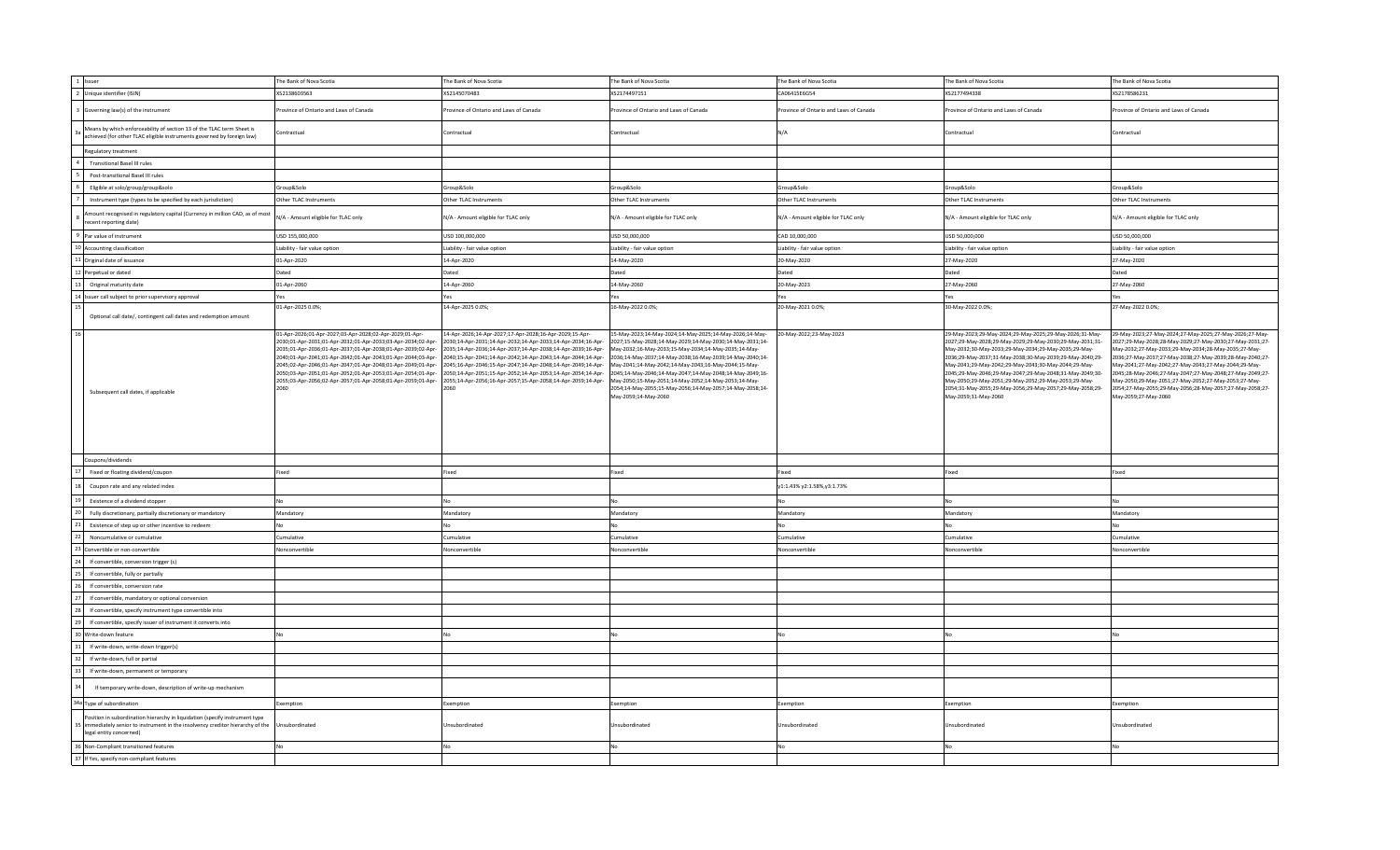| 1 Issuer                                                                                                                                                                               | The Bank of Nova Scotia                                                                                                                                                                                                                                                                                                                                                                                                                                 | The Bank of Nova Scotia                                                                                                                                                                                                                                                                                                                                                                                                                                         | The Bank of Nova Scotia                                                                                                                                                                                                                                                                                                                                                                                                                                                                                 | The Bank of Nova Scotia                | The Bank of Nova Scotia                                                                                                                                                                                                                                                                                                                                                                                                                                                                                 | The Bank of Nova Scotia                                                                                                                                                                                                                                                                                                                                                                                                                                                                                 |
|----------------------------------------------------------------------------------------------------------------------------------------------------------------------------------------|---------------------------------------------------------------------------------------------------------------------------------------------------------------------------------------------------------------------------------------------------------------------------------------------------------------------------------------------------------------------------------------------------------------------------------------------------------|-----------------------------------------------------------------------------------------------------------------------------------------------------------------------------------------------------------------------------------------------------------------------------------------------------------------------------------------------------------------------------------------------------------------------------------------------------------------|---------------------------------------------------------------------------------------------------------------------------------------------------------------------------------------------------------------------------------------------------------------------------------------------------------------------------------------------------------------------------------------------------------------------------------------------------------------------------------------------------------|----------------------------------------|---------------------------------------------------------------------------------------------------------------------------------------------------------------------------------------------------------------------------------------------------------------------------------------------------------------------------------------------------------------------------------------------------------------------------------------------------------------------------------------------------------|---------------------------------------------------------------------------------------------------------------------------------------------------------------------------------------------------------------------------------------------------------------------------------------------------------------------------------------------------------------------------------------------------------------------------------------------------------------------------------------------------------|
| 2 Unique identifier (ISIN)                                                                                                                                                             | XS2138603563                                                                                                                                                                                                                                                                                                                                                                                                                                            | XS2145070483                                                                                                                                                                                                                                                                                                                                                                                                                                                    | XS2174497151                                                                                                                                                                                                                                                                                                                                                                                                                                                                                            | CA06415E6G54                           | XS2177494338                                                                                                                                                                                                                                                                                                                                                                                                                                                                                            | XS2178586231                                                                                                                                                                                                                                                                                                                                                                                                                                                                                            |
| Governing law(s) of the instrument                                                                                                                                                     | rovince of Ontario and Laws of Canada                                                                                                                                                                                                                                                                                                                                                                                                                   | Province of Ontario and Laws of Canada                                                                                                                                                                                                                                                                                                                                                                                                                          | rovince of Ontario and Laws of Canada                                                                                                                                                                                                                                                                                                                                                                                                                                                                   | Province of Ontario and Laws of Canada | rovince of Ontario and Laws of Canada                                                                                                                                                                                                                                                                                                                                                                                                                                                                   | rovince of Ontario and Laws of Canada                                                                                                                                                                                                                                                                                                                                                                                                                                                                   |
| Means by which enforceability of section 13 of the TLAC term Sheet is<br>achieved (for other TLAC eligible instruments governed by foreign law)                                        | Contractual                                                                                                                                                                                                                                                                                                                                                                                                                                             | Contractual                                                                                                                                                                                                                                                                                                                                                                                                                                                     | Contractual                                                                                                                                                                                                                                                                                                                                                                                                                                                                                             | N/A                                    | Contractual                                                                                                                                                                                                                                                                                                                                                                                                                                                                                             | Contractual                                                                                                                                                                                                                                                                                                                                                                                                                                                                                             |
| Regulatory treatment                                                                                                                                                                   |                                                                                                                                                                                                                                                                                                                                                                                                                                                         |                                                                                                                                                                                                                                                                                                                                                                                                                                                                 |                                                                                                                                                                                                                                                                                                                                                                                                                                                                                                         |                                        |                                                                                                                                                                                                                                                                                                                                                                                                                                                                                                         |                                                                                                                                                                                                                                                                                                                                                                                                                                                                                                         |
| <b>Transitional Basel III rules</b>                                                                                                                                                    |                                                                                                                                                                                                                                                                                                                                                                                                                                                         |                                                                                                                                                                                                                                                                                                                                                                                                                                                                 |                                                                                                                                                                                                                                                                                                                                                                                                                                                                                                         |                                        |                                                                                                                                                                                                                                                                                                                                                                                                                                                                                                         |                                                                                                                                                                                                                                                                                                                                                                                                                                                                                                         |
| Post-transitional Basel III rules                                                                                                                                                      |                                                                                                                                                                                                                                                                                                                                                                                                                                                         |                                                                                                                                                                                                                                                                                                                                                                                                                                                                 |                                                                                                                                                                                                                                                                                                                                                                                                                                                                                                         |                                        |                                                                                                                                                                                                                                                                                                                                                                                                                                                                                                         |                                                                                                                                                                                                                                                                                                                                                                                                                                                                                                         |
| Eligible at solo/group/group&solo                                                                                                                                                      | Group&Solo                                                                                                                                                                                                                                                                                                                                                                                                                                              | Group&Solo                                                                                                                                                                                                                                                                                                                                                                                                                                                      | Group&Solo                                                                                                                                                                                                                                                                                                                                                                                                                                                                                              | Group&Solo                             | Group&Solo                                                                                                                                                                                                                                                                                                                                                                                                                                                                                              | Group&Solo                                                                                                                                                                                                                                                                                                                                                                                                                                                                                              |
| Instrument type (types to be specified by each jurisdiction)                                                                                                                           | Other TLAC Instruments                                                                                                                                                                                                                                                                                                                                                                                                                                  | Other TLAC Instruments                                                                                                                                                                                                                                                                                                                                                                                                                                          | Other TLAC Instruments                                                                                                                                                                                                                                                                                                                                                                                                                                                                                  | Other TLAC Instruments                 | Other TLAC Instruments                                                                                                                                                                                                                                                                                                                                                                                                                                                                                  | Other TLAC Instruments                                                                                                                                                                                                                                                                                                                                                                                                                                                                                  |
| nount recognised in regulatory capital (Currency in million CAD, as of most<br>ecent reporting date)                                                                                   | N/A - Amount eligible for TLAC only                                                                                                                                                                                                                                                                                                                                                                                                                     | N/A - Amount eligible for TLAC only                                                                                                                                                                                                                                                                                                                                                                                                                             | N/A - Amount eligible for TLAC only                                                                                                                                                                                                                                                                                                                                                                                                                                                                     | N/A - Amount eligible for TLAC only    | N/A - Amount eligible for TLAC only                                                                                                                                                                                                                                                                                                                                                                                                                                                                     | N/A - Amount eligible for TLAC only                                                                                                                                                                                                                                                                                                                                                                                                                                                                     |
| Par value of instrument                                                                                                                                                                | USD 155,000,000                                                                                                                                                                                                                                                                                                                                                                                                                                         | USD 100,000,000                                                                                                                                                                                                                                                                                                                                                                                                                                                 | USD 50,000,000                                                                                                                                                                                                                                                                                                                                                                                                                                                                                          | CAD 10,000,000                         | USD 50,000,000                                                                                                                                                                                                                                                                                                                                                                                                                                                                                          | USD 50,000,000                                                                                                                                                                                                                                                                                                                                                                                                                                                                                          |
| 10 Accounting classification                                                                                                                                                           | Liability - fair value option                                                                                                                                                                                                                                                                                                                                                                                                                           | Liability - fair value option                                                                                                                                                                                                                                                                                                                                                                                                                                   | Liability - fair value option                                                                                                                                                                                                                                                                                                                                                                                                                                                                           | Liability - fair value option          | Liability - fair value option                                                                                                                                                                                                                                                                                                                                                                                                                                                                           | Liability - fair value option                                                                                                                                                                                                                                                                                                                                                                                                                                                                           |
| 1 Original date of issuance                                                                                                                                                            | 01-Apr-2020                                                                                                                                                                                                                                                                                                                                                                                                                                             | 14-Apr-2020                                                                                                                                                                                                                                                                                                                                                                                                                                                     | 14-May-2020                                                                                                                                                                                                                                                                                                                                                                                                                                                                                             | 20-May-2020                            | 27-May-2020                                                                                                                                                                                                                                                                                                                                                                                                                                                                                             | 27-May-2020                                                                                                                                                                                                                                                                                                                                                                                                                                                                                             |
| Perpetual or dated                                                                                                                                                                     | Dated                                                                                                                                                                                                                                                                                                                                                                                                                                                   | Dated                                                                                                                                                                                                                                                                                                                                                                                                                                                           | Dated                                                                                                                                                                                                                                                                                                                                                                                                                                                                                                   | Dated                                  | Dated                                                                                                                                                                                                                                                                                                                                                                                                                                                                                                   | Dated                                                                                                                                                                                                                                                                                                                                                                                                                                                                                                   |
| Original maturity date                                                                                                                                                                 | 01-Apr-2060                                                                                                                                                                                                                                                                                                                                                                                                                                             | 14-Apr-2060                                                                                                                                                                                                                                                                                                                                                                                                                                                     | 14-May-2060                                                                                                                                                                                                                                                                                                                                                                                                                                                                                             | 20-May-2023                            | 27-May-2060                                                                                                                                                                                                                                                                                                                                                                                                                                                                                             | 27-May-2060                                                                                                                                                                                                                                                                                                                                                                                                                                                                                             |
| Issuer call subject to prior supervisory approval                                                                                                                                      | Yes                                                                                                                                                                                                                                                                                                                                                                                                                                                     | Yes                                                                                                                                                                                                                                                                                                                                                                                                                                                             | Yes                                                                                                                                                                                                                                                                                                                                                                                                                                                                                                     | Yes                                    | Yes                                                                                                                                                                                                                                                                                                                                                                                                                                                                                                     | Yes                                                                                                                                                                                                                                                                                                                                                                                                                                                                                                     |
|                                                                                                                                                                                        | 01-Apr-2025 0.0%;                                                                                                                                                                                                                                                                                                                                                                                                                                       | 14-Apr-2025 0.0%;                                                                                                                                                                                                                                                                                                                                                                                                                                               | 16-May-2022 0.0%;                                                                                                                                                                                                                                                                                                                                                                                                                                                                                       | 20-May-2021 0.0%;                      | 30-May-2022 0.0%;                                                                                                                                                                                                                                                                                                                                                                                                                                                                                       | 27-May-2022 0.0%;                                                                                                                                                                                                                                                                                                                                                                                                                                                                                       |
| Optional call date/, contingent call dates and redemption amount                                                                                                                       |                                                                                                                                                                                                                                                                                                                                                                                                                                                         |                                                                                                                                                                                                                                                                                                                                                                                                                                                                 |                                                                                                                                                                                                                                                                                                                                                                                                                                                                                                         |                                        |                                                                                                                                                                                                                                                                                                                                                                                                                                                                                                         |                                                                                                                                                                                                                                                                                                                                                                                                                                                                                                         |
| Subsequent call dates, if applicable                                                                                                                                                   | 01-Apr-2026;01-Apr-2027;03-Apr-2028;02-Apr-2029;01-Apr-<br>2030:01-Apr-2031:01-Apr-2032:01-Apr-2033:03-Apr-2034:02-Apr-<br>2035;01-Apr-2036;01-Apr-2037;01-Apr-2038;01-Apr-2039;02-Apr-<br>2040;01-Apr-2041;01-Apr-2042;01-Apr-2043;01-Apr-2044;03-Apr-<br>2045;02-Apr-2046;01-Apr-2047;01-Apr-2048;01-Apr-2049;01-Apr-<br>2050;03-Apr-2051;01-Apr-2052;01-Apr-2053;01-Apr-2054;01-Apr-<br>2055;03-Apr-2056;02-Apr-2057;01-Apr-2058;01-Apr-2059;01-Apr- | 14-Apr-2026;14-Apr-2027;17-Apr-2028;16-Apr-2029;15-Apr-<br>2030:14-Apr-2031:14-Apr-2032:14-Apr-2033:14-Apr-2034:16-Apr-<br>2035;14-Apr-2036;14-Apr-2037;14-Apr-2038;14-Apr-2039;16-Apr-<br>2040;15-Apr-2041;14-Apr-2042;14-Apr-2043;14-Apr-2044;14-Apr-<br>2045;16-Apr-2046;15-Apr-2047;14-Apr-2048;14-Apr-2049;14-Apr-<br>2050;14-Apr-2051;15-Apr-2052;14-Apr-2053;14-Apr-2054;14-Apr-<br>2055;14-Apr-2056;16-Apr-2057;15-Apr-2058;14-Apr-2059;14-Apr-<br>2060 | 15-May-2023;14-May-2024;14-May-2025;14-May-2026;14-May-<br>2027;15-May-2028;14-May-2029;14-May-2030;14-May-2031;14-<br>May-2032;16-May-2033;15-May-2034;14-May-2035;14-May-<br>2036;14-May-2037;14-May-2038;16-May-2039;14-May-2040;14-<br>Aay-2041;14-May-2042;14-May-2043;16-May-2044;15-May-<br>2045;14-May-2046;14-May-2047;14-May-2048;14-May-2049;16-<br>May-2050;15-May-2051;14-May-2052;14-May-2053;14-May-<br>2054;14-May-2055;15-May-2056;14-May-2057;14-May-2058;14-<br>Mav-2059:14-Mav-2060 | 20-May-2022;23-May-2023                | 29-May-2023;29-May-2024;29-May-2025;29-May-2026;31-May-<br>2027;29-May-2028;29-May-2029;29-May-2030;29-May-2031;31-<br>May-2032;30-May-2033;29-May-2034;29-May-2035;29-May-<br>2036;29-May-2037;31-May-2038;30-May-2039;29-May-2040;29-<br>May-2041;29-May-2042;29-May-2043;30-May-2044;29-May-<br>2045;29-May-2046;29-May-2047;29-May-2048;31-May-2049;30-<br>May-2050;29-May-2051;29-May-2052;29-May-2053;29-May-<br>2054;31-May-2055;29-May-2056;29-May-2057;29-May-2058;29-<br>Mav-2059:31-Mav-2060 | 29-May-2023;27-May-2024;27-May-2025;27-May-2026;27-May-<br>2027;29-May-2028;28-May-2029;27-May-2030;27-May-2031;27-<br>May-2032;27-May-2033;29-May-2034;28-May-2035;27-May-<br>2036;27-May-2037;27-May-2038;27-May-2039;28-May-2040;27-<br>May-2041;27-May-2042;27-May-2043;27-May-2044;29-May-<br>2045;28-May-2046;27-May-2047;27-May-2048;27-May-2049;27-<br>May-2050;29-May-2051;27-May-2052;27-May-2053;27-May-<br>2054;27-May-2055;29-May-2056;28-May-2057;27-May-2058;27-<br>Mav-2059:27-Mav-2060 |
| Coupons/dividends                                                                                                                                                                      |                                                                                                                                                                                                                                                                                                                                                                                                                                                         |                                                                                                                                                                                                                                                                                                                                                                                                                                                                 |                                                                                                                                                                                                                                                                                                                                                                                                                                                                                                         |                                        |                                                                                                                                                                                                                                                                                                                                                                                                                                                                                                         |                                                                                                                                                                                                                                                                                                                                                                                                                                                                                                         |
| Fixed or floating dividend/coupon                                                                                                                                                      | Fixed                                                                                                                                                                                                                                                                                                                                                                                                                                                   | Fixed                                                                                                                                                                                                                                                                                                                                                                                                                                                           | Fixed                                                                                                                                                                                                                                                                                                                                                                                                                                                                                                   | Fixed                                  | Fixed                                                                                                                                                                                                                                                                                                                                                                                                                                                                                                   | Fixed                                                                                                                                                                                                                                                                                                                                                                                                                                                                                                   |
| Coupon rate and any related index                                                                                                                                                      |                                                                                                                                                                                                                                                                                                                                                                                                                                                         |                                                                                                                                                                                                                                                                                                                                                                                                                                                                 |                                                                                                                                                                                                                                                                                                                                                                                                                                                                                                         | y1:1.43% y2:1.58%,y3:1.73%             |                                                                                                                                                                                                                                                                                                                                                                                                                                                                                                         |                                                                                                                                                                                                                                                                                                                                                                                                                                                                                                         |
| Existence of a dividend stopper                                                                                                                                                        | No                                                                                                                                                                                                                                                                                                                                                                                                                                                      | No                                                                                                                                                                                                                                                                                                                                                                                                                                                              | No                                                                                                                                                                                                                                                                                                                                                                                                                                                                                                      | No                                     | Nη                                                                                                                                                                                                                                                                                                                                                                                                                                                                                                      | No                                                                                                                                                                                                                                                                                                                                                                                                                                                                                                      |
| Fully discretionary, partially discretionary or mandatory                                                                                                                              | Mandatory                                                                                                                                                                                                                                                                                                                                                                                                                                               | Mandatory                                                                                                                                                                                                                                                                                                                                                                                                                                                       | Mandatory                                                                                                                                                                                                                                                                                                                                                                                                                                                                                               | Mandatory                              | Mandatory                                                                                                                                                                                                                                                                                                                                                                                                                                                                                               | Mandatory                                                                                                                                                                                                                                                                                                                                                                                                                                                                                               |
| Existence of step up or other incentive to redeem                                                                                                                                      | No                                                                                                                                                                                                                                                                                                                                                                                                                                                      | No                                                                                                                                                                                                                                                                                                                                                                                                                                                              | No                                                                                                                                                                                                                                                                                                                                                                                                                                                                                                      | No                                     | NΩ                                                                                                                                                                                                                                                                                                                                                                                                                                                                                                      | N <sub>0</sub>                                                                                                                                                                                                                                                                                                                                                                                                                                                                                          |
| Noncumulative or cumulative                                                                                                                                                            | Cumulative                                                                                                                                                                                                                                                                                                                                                                                                                                              | Cumulative                                                                                                                                                                                                                                                                                                                                                                                                                                                      | Cumulative                                                                                                                                                                                                                                                                                                                                                                                                                                                                                              | Cumulative                             | Cumulative                                                                                                                                                                                                                                                                                                                                                                                                                                                                                              | Cumulative                                                                                                                                                                                                                                                                                                                                                                                                                                                                                              |
| Convertible or non-convertible                                                                                                                                                         | Nonconvertible                                                                                                                                                                                                                                                                                                                                                                                                                                          | Nonconvertible                                                                                                                                                                                                                                                                                                                                                                                                                                                  | Nonconvertible                                                                                                                                                                                                                                                                                                                                                                                                                                                                                          | Nonconvertible                         | Nonconvertible                                                                                                                                                                                                                                                                                                                                                                                                                                                                                          | Nonconvertible                                                                                                                                                                                                                                                                                                                                                                                                                                                                                          |
| If convertible, conversion trigger (s)                                                                                                                                                 |                                                                                                                                                                                                                                                                                                                                                                                                                                                         |                                                                                                                                                                                                                                                                                                                                                                                                                                                                 |                                                                                                                                                                                                                                                                                                                                                                                                                                                                                                         |                                        |                                                                                                                                                                                                                                                                                                                                                                                                                                                                                                         |                                                                                                                                                                                                                                                                                                                                                                                                                                                                                                         |
| If convertible, fully or partially                                                                                                                                                     |                                                                                                                                                                                                                                                                                                                                                                                                                                                         |                                                                                                                                                                                                                                                                                                                                                                                                                                                                 |                                                                                                                                                                                                                                                                                                                                                                                                                                                                                                         |                                        |                                                                                                                                                                                                                                                                                                                                                                                                                                                                                                         |                                                                                                                                                                                                                                                                                                                                                                                                                                                                                                         |
| If convertible, conversion rate                                                                                                                                                        |                                                                                                                                                                                                                                                                                                                                                                                                                                                         |                                                                                                                                                                                                                                                                                                                                                                                                                                                                 |                                                                                                                                                                                                                                                                                                                                                                                                                                                                                                         |                                        |                                                                                                                                                                                                                                                                                                                                                                                                                                                                                                         |                                                                                                                                                                                                                                                                                                                                                                                                                                                                                                         |
| If convertible, mandatory or optional conversion                                                                                                                                       |                                                                                                                                                                                                                                                                                                                                                                                                                                                         |                                                                                                                                                                                                                                                                                                                                                                                                                                                                 |                                                                                                                                                                                                                                                                                                                                                                                                                                                                                                         |                                        |                                                                                                                                                                                                                                                                                                                                                                                                                                                                                                         |                                                                                                                                                                                                                                                                                                                                                                                                                                                                                                         |
| If convertible, specify instrument type convertible into                                                                                                                               |                                                                                                                                                                                                                                                                                                                                                                                                                                                         |                                                                                                                                                                                                                                                                                                                                                                                                                                                                 |                                                                                                                                                                                                                                                                                                                                                                                                                                                                                                         |                                        |                                                                                                                                                                                                                                                                                                                                                                                                                                                                                                         |                                                                                                                                                                                                                                                                                                                                                                                                                                                                                                         |
| If convertible, specify issuer of instrument it converts into                                                                                                                          |                                                                                                                                                                                                                                                                                                                                                                                                                                                         |                                                                                                                                                                                                                                                                                                                                                                                                                                                                 |                                                                                                                                                                                                                                                                                                                                                                                                                                                                                                         |                                        |                                                                                                                                                                                                                                                                                                                                                                                                                                                                                                         |                                                                                                                                                                                                                                                                                                                                                                                                                                                                                                         |
| Write-down feature                                                                                                                                                                     | No                                                                                                                                                                                                                                                                                                                                                                                                                                                      | No                                                                                                                                                                                                                                                                                                                                                                                                                                                              |                                                                                                                                                                                                                                                                                                                                                                                                                                                                                                         | No                                     |                                                                                                                                                                                                                                                                                                                                                                                                                                                                                                         |                                                                                                                                                                                                                                                                                                                                                                                                                                                                                                         |
|                                                                                                                                                                                        |                                                                                                                                                                                                                                                                                                                                                                                                                                                         |                                                                                                                                                                                                                                                                                                                                                                                                                                                                 |                                                                                                                                                                                                                                                                                                                                                                                                                                                                                                         |                                        |                                                                                                                                                                                                                                                                                                                                                                                                                                                                                                         |                                                                                                                                                                                                                                                                                                                                                                                                                                                                                                         |
| If write-down, write-down trigger(s)                                                                                                                                                   |                                                                                                                                                                                                                                                                                                                                                                                                                                                         |                                                                                                                                                                                                                                                                                                                                                                                                                                                                 |                                                                                                                                                                                                                                                                                                                                                                                                                                                                                                         |                                        |                                                                                                                                                                                                                                                                                                                                                                                                                                                                                                         |                                                                                                                                                                                                                                                                                                                                                                                                                                                                                                         |
| If write-down, full or partial                                                                                                                                                         |                                                                                                                                                                                                                                                                                                                                                                                                                                                         |                                                                                                                                                                                                                                                                                                                                                                                                                                                                 |                                                                                                                                                                                                                                                                                                                                                                                                                                                                                                         |                                        |                                                                                                                                                                                                                                                                                                                                                                                                                                                                                                         |                                                                                                                                                                                                                                                                                                                                                                                                                                                                                                         |
| If write-down, permanent or temporary                                                                                                                                                  |                                                                                                                                                                                                                                                                                                                                                                                                                                                         |                                                                                                                                                                                                                                                                                                                                                                                                                                                                 |                                                                                                                                                                                                                                                                                                                                                                                                                                                                                                         |                                        |                                                                                                                                                                                                                                                                                                                                                                                                                                                                                                         |                                                                                                                                                                                                                                                                                                                                                                                                                                                                                                         |
| If temporary write-down, description of write-up mechanism                                                                                                                             |                                                                                                                                                                                                                                                                                                                                                                                                                                                         |                                                                                                                                                                                                                                                                                                                                                                                                                                                                 |                                                                                                                                                                                                                                                                                                                                                                                                                                                                                                         |                                        |                                                                                                                                                                                                                                                                                                                                                                                                                                                                                                         |                                                                                                                                                                                                                                                                                                                                                                                                                                                                                                         |
| 34a Type of subordination                                                                                                                                                              | Exemption                                                                                                                                                                                                                                                                                                                                                                                                                                               | Exemption                                                                                                                                                                                                                                                                                                                                                                                                                                                       | Exemption                                                                                                                                                                                                                                                                                                                                                                                                                                                                                               | Exemption                              | Exemption                                                                                                                                                                                                                                                                                                                                                                                                                                                                                               | Exemption                                                                                                                                                                                                                                                                                                                                                                                                                                                                                               |
| Position in subordination hierarchy in liquidation (specify instrument type<br>immediately senior to instrument in the insolvency creditor hierarchy of the<br>legal entity concerned) | Unsubordinated                                                                                                                                                                                                                                                                                                                                                                                                                                          | Unsubordinated                                                                                                                                                                                                                                                                                                                                                                                                                                                  | Jnsubordinated                                                                                                                                                                                                                                                                                                                                                                                                                                                                                          | Unsubordinated                         | Unsubordinated                                                                                                                                                                                                                                                                                                                                                                                                                                                                                          | Insubordinated                                                                                                                                                                                                                                                                                                                                                                                                                                                                                          |
| 36 Non-Compliant transitioned features                                                                                                                                                 | No                                                                                                                                                                                                                                                                                                                                                                                                                                                      | No                                                                                                                                                                                                                                                                                                                                                                                                                                                              | No                                                                                                                                                                                                                                                                                                                                                                                                                                                                                                      | N <sub>0</sub>                         | Nη                                                                                                                                                                                                                                                                                                                                                                                                                                                                                                      | No                                                                                                                                                                                                                                                                                                                                                                                                                                                                                                      |
| 37 If Yes, specify non-compliant features                                                                                                                                              |                                                                                                                                                                                                                                                                                                                                                                                                                                                         |                                                                                                                                                                                                                                                                                                                                                                                                                                                                 |                                                                                                                                                                                                                                                                                                                                                                                                                                                                                                         |                                        |                                                                                                                                                                                                                                                                                                                                                                                                                                                                                                         |                                                                                                                                                                                                                                                                                                                                                                                                                                                                                                         |
|                                                                                                                                                                                        |                                                                                                                                                                                                                                                                                                                                                                                                                                                         |                                                                                                                                                                                                                                                                                                                                                                                                                                                                 |                                                                                                                                                                                                                                                                                                                                                                                                                                                                                                         |                                        |                                                                                                                                                                                                                                                                                                                                                                                                                                                                                                         |                                                                                                                                                                                                                                                                                                                                                                                                                                                                                                         |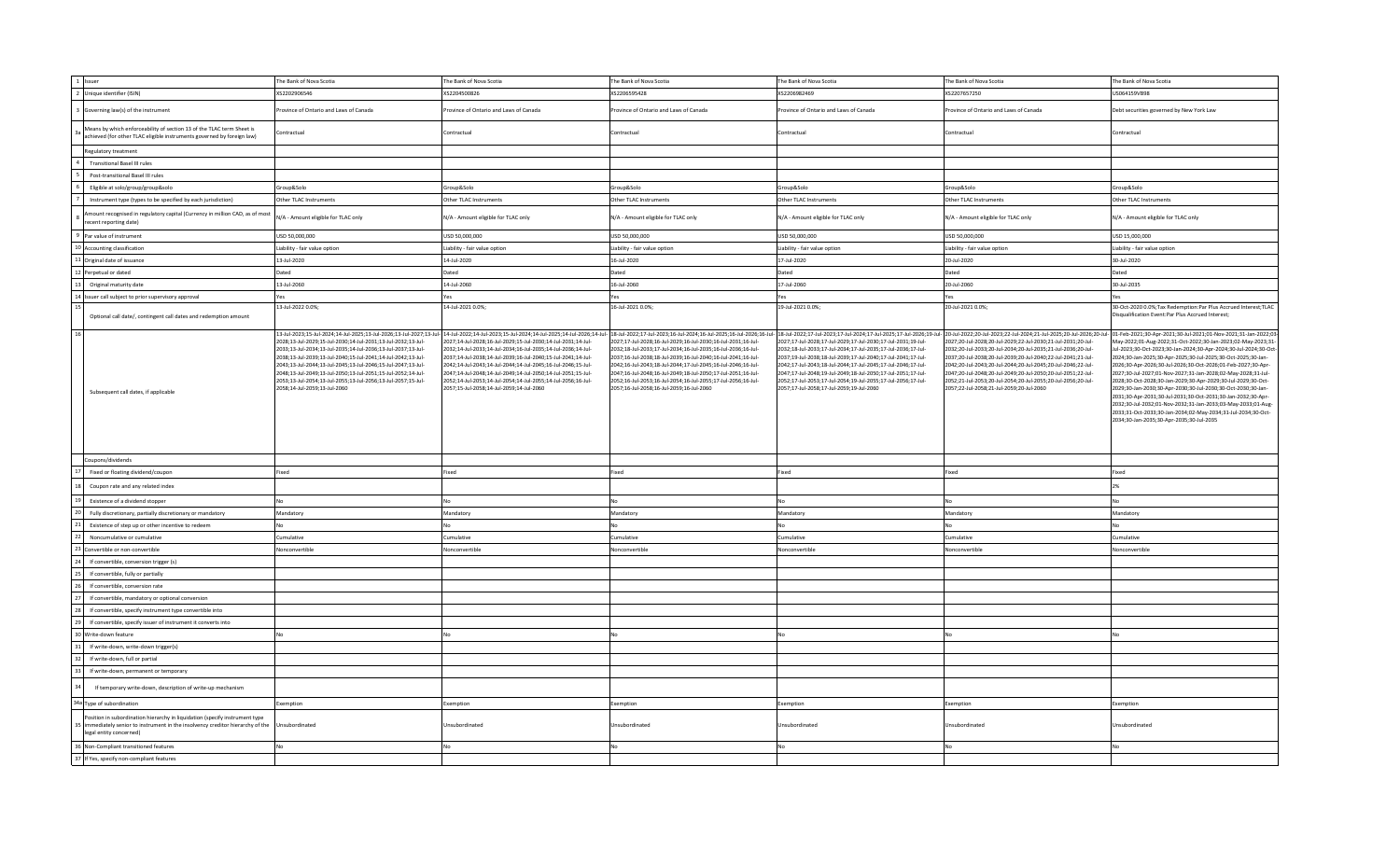| 1 Issuer                                                                                                                                                                               | The Bank of Nova Scotia                                                                                                                                                                                                                                                                                                                                                                                                      | The Bank of Nova Scotia                                                                                                                                                                                                                                                                                                                                                                                                                                                                                                                                                                                                                                                    | The Bank of Nova Scotia                                                                                                                                                                                                                                                                                                                                                                                                                  | The Bank of Nova Scotia                                                                                                                                                                                                                                                                                                                                                                                                                  | The Bank of Nova Scotia                                                                                                                                                                                                                                                                                                                                                                                                                                                                                                                                                                                                                              | The Bank of Nova Scotia                                                                                                                                                                                                                                                                                                                                                                                                                                                                                                                                                                                                                                                                                      |
|----------------------------------------------------------------------------------------------------------------------------------------------------------------------------------------|------------------------------------------------------------------------------------------------------------------------------------------------------------------------------------------------------------------------------------------------------------------------------------------------------------------------------------------------------------------------------------------------------------------------------|----------------------------------------------------------------------------------------------------------------------------------------------------------------------------------------------------------------------------------------------------------------------------------------------------------------------------------------------------------------------------------------------------------------------------------------------------------------------------------------------------------------------------------------------------------------------------------------------------------------------------------------------------------------------------|------------------------------------------------------------------------------------------------------------------------------------------------------------------------------------------------------------------------------------------------------------------------------------------------------------------------------------------------------------------------------------------------------------------------------------------|------------------------------------------------------------------------------------------------------------------------------------------------------------------------------------------------------------------------------------------------------------------------------------------------------------------------------------------------------------------------------------------------------------------------------------------|------------------------------------------------------------------------------------------------------------------------------------------------------------------------------------------------------------------------------------------------------------------------------------------------------------------------------------------------------------------------------------------------------------------------------------------------------------------------------------------------------------------------------------------------------------------------------------------------------------------------------------------------------|--------------------------------------------------------------------------------------------------------------------------------------------------------------------------------------------------------------------------------------------------------------------------------------------------------------------------------------------------------------------------------------------------------------------------------------------------------------------------------------------------------------------------------------------------------------------------------------------------------------------------------------------------------------------------------------------------------------|
| 2 Unique identifier (ISIN)                                                                                                                                                             | XS2202906546                                                                                                                                                                                                                                                                                                                                                                                                                 | XS2204500826                                                                                                                                                                                                                                                                                                                                                                                                                                                                                                                                                                                                                                                               | XS2206595428                                                                                                                                                                                                                                                                                                                                                                                                                             | XS2206982469                                                                                                                                                                                                                                                                                                                                                                                                                             | XS2207657250                                                                                                                                                                                                                                                                                                                                                                                                                                                                                                                                                                                                                                         | JS064159VB98                                                                                                                                                                                                                                                                                                                                                                                                                                                                                                                                                                                                                                                                                                 |
| Governing law(s) of the instrument                                                                                                                                                     | rovince of Ontario and Laws of Canada                                                                                                                                                                                                                                                                                                                                                                                        | rovince of Ontario and Laws of Canada                                                                                                                                                                                                                                                                                                                                                                                                                                                                                                                                                                                                                                      | rovince of Ontario and Laws of Canada                                                                                                                                                                                                                                                                                                                                                                                                    | Province of Ontario and Laws of Canada                                                                                                                                                                                                                                                                                                                                                                                                   | rovince of Ontario and Laws of Canada                                                                                                                                                                                                                                                                                                                                                                                                                                                                                                                                                                                                                | Debt securities governed by New York Law                                                                                                                                                                                                                                                                                                                                                                                                                                                                                                                                                                                                                                                                     |
| Means by which enforceability of section 13 of the TLAC term Sheet is<br>achieved (for other TLAC eligible instruments governed by foreign law)                                        | Contractual                                                                                                                                                                                                                                                                                                                                                                                                                  | contractual                                                                                                                                                                                                                                                                                                                                                                                                                                                                                                                                                                                                                                                                | Contractual                                                                                                                                                                                                                                                                                                                                                                                                                              | Contractual                                                                                                                                                                                                                                                                                                                                                                                                                              | Contractual                                                                                                                                                                                                                                                                                                                                                                                                                                                                                                                                                                                                                                          | contractual                                                                                                                                                                                                                                                                                                                                                                                                                                                                                                                                                                                                                                                                                                  |
| Regulatory treatment                                                                                                                                                                   |                                                                                                                                                                                                                                                                                                                                                                                                                              |                                                                                                                                                                                                                                                                                                                                                                                                                                                                                                                                                                                                                                                                            |                                                                                                                                                                                                                                                                                                                                                                                                                                          |                                                                                                                                                                                                                                                                                                                                                                                                                                          |                                                                                                                                                                                                                                                                                                                                                                                                                                                                                                                                                                                                                                                      |                                                                                                                                                                                                                                                                                                                                                                                                                                                                                                                                                                                                                                                                                                              |
| <b>Transitional Basel III rules</b>                                                                                                                                                    |                                                                                                                                                                                                                                                                                                                                                                                                                              |                                                                                                                                                                                                                                                                                                                                                                                                                                                                                                                                                                                                                                                                            |                                                                                                                                                                                                                                                                                                                                                                                                                                          |                                                                                                                                                                                                                                                                                                                                                                                                                                          |                                                                                                                                                                                                                                                                                                                                                                                                                                                                                                                                                                                                                                                      |                                                                                                                                                                                                                                                                                                                                                                                                                                                                                                                                                                                                                                                                                                              |
| Post-transitional Basel III rules                                                                                                                                                      |                                                                                                                                                                                                                                                                                                                                                                                                                              |                                                                                                                                                                                                                                                                                                                                                                                                                                                                                                                                                                                                                                                                            |                                                                                                                                                                                                                                                                                                                                                                                                                                          |                                                                                                                                                                                                                                                                                                                                                                                                                                          |                                                                                                                                                                                                                                                                                                                                                                                                                                                                                                                                                                                                                                                      |                                                                                                                                                                                                                                                                                                                                                                                                                                                                                                                                                                                                                                                                                                              |
| Eligible at solo/group/group&solo                                                                                                                                                      | Group&Solo                                                                                                                                                                                                                                                                                                                                                                                                                   | Group&Solo                                                                                                                                                                                                                                                                                                                                                                                                                                                                                                                                                                                                                                                                 | Group&Solo                                                                                                                                                                                                                                                                                                                                                                                                                               | Group&Solo                                                                                                                                                                                                                                                                                                                                                                                                                               | Group&Solo                                                                                                                                                                                                                                                                                                                                                                                                                                                                                                                                                                                                                                           | Group&Solo                                                                                                                                                                                                                                                                                                                                                                                                                                                                                                                                                                                                                                                                                                   |
| Instrument type (types to be specified by each jurisdiction)                                                                                                                           | Other TLAC Instruments                                                                                                                                                                                                                                                                                                                                                                                                       | Other TLAC Instruments                                                                                                                                                                                                                                                                                                                                                                                                                                                                                                                                                                                                                                                     | Other TLAC Instruments                                                                                                                                                                                                                                                                                                                                                                                                                   | Other TLAC Instruments                                                                                                                                                                                                                                                                                                                                                                                                                   | Other TLAC Instruments                                                                                                                                                                                                                                                                                                                                                                                                                                                                                                                                                                                                                               | Other TLAC Instruments                                                                                                                                                                                                                                                                                                                                                                                                                                                                                                                                                                                                                                                                                       |
| nount recognised in regulatory capital (Currency in million CAD, as of most<br>ecent reporting date)                                                                                   | N/A - Amount eligible for TLAC only                                                                                                                                                                                                                                                                                                                                                                                          | N/A - Amount eligible for TLAC only                                                                                                                                                                                                                                                                                                                                                                                                                                                                                                                                                                                                                                        | N/A - Amount eligible for TLAC only                                                                                                                                                                                                                                                                                                                                                                                                      | N/A - Amount eligible for TLAC only                                                                                                                                                                                                                                                                                                                                                                                                      | N/A - Amount eligible for TLAC only                                                                                                                                                                                                                                                                                                                                                                                                                                                                                                                                                                                                                  | N/A - Amount eligible for TLAC only                                                                                                                                                                                                                                                                                                                                                                                                                                                                                                                                                                                                                                                                          |
| Par value of instrument                                                                                                                                                                | USD 50,000,000                                                                                                                                                                                                                                                                                                                                                                                                               | USD 50,000,000                                                                                                                                                                                                                                                                                                                                                                                                                                                                                                                                                                                                                                                             | USD 50,000,000                                                                                                                                                                                                                                                                                                                                                                                                                           | USD 50,000,000                                                                                                                                                                                                                                                                                                                                                                                                                           | USD 50,000,000                                                                                                                                                                                                                                                                                                                                                                                                                                                                                                                                                                                                                                       | USD 15,000,000                                                                                                                                                                                                                                                                                                                                                                                                                                                                                                                                                                                                                                                                                               |
| 10 Accounting classification                                                                                                                                                           | Liability - fair value option                                                                                                                                                                                                                                                                                                                                                                                                | Liability - fair value option                                                                                                                                                                                                                                                                                                                                                                                                                                                                                                                                                                                                                                              | Liability - fair value option                                                                                                                                                                                                                                                                                                                                                                                                            | Liability - fair value option                                                                                                                                                                                                                                                                                                                                                                                                            | Liability - fair value option                                                                                                                                                                                                                                                                                                                                                                                                                                                                                                                                                                                                                        | Liability - fair value option                                                                                                                                                                                                                                                                                                                                                                                                                                                                                                                                                                                                                                                                                |
| 1 Original date of issuance                                                                                                                                                            | 13-Jul-2020                                                                                                                                                                                                                                                                                                                                                                                                                  | 14-Jul-2020                                                                                                                                                                                                                                                                                                                                                                                                                                                                                                                                                                                                                                                                | 16-Jul-2020                                                                                                                                                                                                                                                                                                                                                                                                                              | 17-Jul-2020                                                                                                                                                                                                                                                                                                                                                                                                                              | 20-Jul-2020                                                                                                                                                                                                                                                                                                                                                                                                                                                                                                                                                                                                                                          | 30-Jul-2020                                                                                                                                                                                                                                                                                                                                                                                                                                                                                                                                                                                                                                                                                                  |
| Perpetual or dated                                                                                                                                                                     | Dated                                                                                                                                                                                                                                                                                                                                                                                                                        | Dated                                                                                                                                                                                                                                                                                                                                                                                                                                                                                                                                                                                                                                                                      | Dated                                                                                                                                                                                                                                                                                                                                                                                                                                    | Dated                                                                                                                                                                                                                                                                                                                                                                                                                                    | Dated                                                                                                                                                                                                                                                                                                                                                                                                                                                                                                                                                                                                                                                | Dated                                                                                                                                                                                                                                                                                                                                                                                                                                                                                                                                                                                                                                                                                                        |
| Original maturity date                                                                                                                                                                 | 13-Jul-2060                                                                                                                                                                                                                                                                                                                                                                                                                  | 14-Jul-2060                                                                                                                                                                                                                                                                                                                                                                                                                                                                                                                                                                                                                                                                | 16-Jul-2060                                                                                                                                                                                                                                                                                                                                                                                                                              | 17-Jul-2060                                                                                                                                                                                                                                                                                                                                                                                                                              | 20-Jul-2060                                                                                                                                                                                                                                                                                                                                                                                                                                                                                                                                                                                                                                          | 30-Jul-2035                                                                                                                                                                                                                                                                                                                                                                                                                                                                                                                                                                                                                                                                                                  |
| Issuer call subject to prior supervisory approval                                                                                                                                      | Yes                                                                                                                                                                                                                                                                                                                                                                                                                          |                                                                                                                                                                                                                                                                                                                                                                                                                                                                                                                                                                                                                                                                            |                                                                                                                                                                                                                                                                                                                                                                                                                                          | Yes                                                                                                                                                                                                                                                                                                                                                                                                                                      |                                                                                                                                                                                                                                                                                                                                                                                                                                                                                                                                                                                                                                                      |                                                                                                                                                                                                                                                                                                                                                                                                                                                                                                                                                                                                                                                                                                              |
| Optional call date/, contingent call dates and redemption amount                                                                                                                       | 13-Jul-2022 0.0%;                                                                                                                                                                                                                                                                                                                                                                                                            | 14-Jul-2021 0.0%;                                                                                                                                                                                                                                                                                                                                                                                                                                                                                                                                                                                                                                                          | 16-Jul-2021 0.0%;                                                                                                                                                                                                                                                                                                                                                                                                                        | 19-Jul-2021 0.0%;                                                                                                                                                                                                                                                                                                                                                                                                                        | 20-Jul-2021 0.0%;                                                                                                                                                                                                                                                                                                                                                                                                                                                                                                                                                                                                                                    | 30-Oct-2020 0.0%;Tax Redemption:Par Plus Accrued Interest;TLAC<br>Disqualification Event:Par Plus Accrued Interest;                                                                                                                                                                                                                                                                                                                                                                                                                                                                                                                                                                                          |
| Subsequent call dates, if applicable                                                                                                                                                   | 2028;13-Jul-2029;15-Jul-2030;14-Jul-2031;13-Jul-2032;13-Jul-<br>2033;13-Jul-2034;13-Jul-2035;14-Jul-2036;13-Jul-2037;13-Jul-<br>2038;13-Jul-2039;13-Jul-2040;15-Jul-2041;14-Jul-2042;13-Jul-<br>2043;13-Jul-2044;13-Jul-2045;13-Jul-2046;15-Jul-2047;13-Jul-<br>2048;13-Jul-2049;13-Jul-2050;13-Jul-2051;15-Jul-2052;14-Jul-<br>2053;13-Jul-2054;13-Jul-2055;13-Jul-2056;13-Jul-2057;15-Jul-<br>2058;14-Jul-2059;13-Jul-2060 | 13-Jul-2023;15-Jul-2024;14-Jul-2025;13-Jul-2026;13-Jul-2027;13-Jul- 14-Jul-2022;14-Jul-2023;15-Jul-2024;14-Jul-2025;14-Jul-2026;14-Jul-18-Jul-2022;17-Jul-2023;16-Jul-2024;16-Jul-2025;16-Jul-2025;16-Jul-2026;16-Jul-2023;16-<br>2027;14-Jul-2028;16-Jul-2029;15-Jul-2030;14-Jul-2031;14-Jul-<br>2032;14-Jul-2033;14-Jul-2034;16-Jul-2035;14-Jul-2036;14-Jul-<br>2037;14-Jul-2038;14-Jul-2039;16-Jul-2040;15-Jul-2041;14-Jul-<br>2042;14-Jul-2043;14-Jul-2044;14-Jul-2045;16-Jul-2046;15-Jul-<br>2047;14-Jul-2048;14-Jul-2049;14-Jul-2050;14-Jul-2051;15-Jul-<br>2052;14-Jul-2053;14-Jul-2054;14-Jul-2055;14-Jul-2056;16-Jul-<br>2057;15-Jul-2058;14-Jul-2059;14-Jul-2060 | 2027:17-Jul-2028:16-Jul-2029:16-Jul-2030:16-Jul-2031:16-Jul-<br>2032;18-Jul-2033;17-Jul-2034;16-Jul-2035;16-Jul-2036;16-Jul-<br>2037;16-Jul-2038;18-Jul-2039;16-Jul-2040;16-Jul-2041;16-Jul-<br>2042;16-Jul-2043;18-Jul-2044;17-Jul-2045;16-Jul-2046;16-Jul-<br>2047;16-Jul-2048;16-Jul-2049;18-Jul-2050;17-Jul-2051;16-Jul-<br>2052;16-Jul-2053;16-Jul-2054;16-Jul-2055;17-Jul-2056;16-Jul-<br>2057;16-Jul-2058;16-Jul-2059;16-Jul-2060 | 2027;17-Jul-2028;17-Jul-2029;17-Jul-2030;17-Jul-2031;19-Jul-<br>2032;18-Jul-2033;17-Jul-2034;17-Jul-2035;17-Jul-2036;17-Jul-<br>2037;19-Jul-2038;18-Jul-2039;17-Jul-2040;17-Jul-2041;17-Jul-<br>2042;17-Jul-2043;18-Jul-2044;17-Jul-2045;17-Jul-2046;17-Jul-<br>2047;17-Jul-2048;19-Jul-2049;18-Jul-2050;17-Jul-2051;17-Jul-<br>2052;17-Jul-2053;17-Jul-2054;19-Jul-2055;17-Jul-2056;17-Jul-<br>2057;17-Jul-2058;17-Jul-2059;19-Jul-2060 | - 18-Jul-2022;17-Jul-2023;17-Jul-2024;17-Jul-2025;17-Jul-2026;19-Jul-20-Jul-2022;20-Jul-2023;22-Jul-2024;21-Jul-2025;20-Jul-2025;20-Jul-01-Feb-2021;30-Apr-2021;30-Jul-2021;101-Nov-2021;31-Jan-2022;03-<br>2027;20-Jul-2028;20-Jul-2029;22-Jul-2030;21-Jul-2031;20-Jul-<br>2032;20-Jul-2033;20-Jul-2034;20-Jul-2035;21-Jul-2036;20-Jul-<br>2037;20-Jul-2038;20-Jul-2039;20-Jul-2040;22-Jul-2041;21-Jul-<br>2042;20-Jul-2043;20-Jul-2044;20-Jul-2045;20-Jul-2046;22-Jul-<br>2047;20-Jul-2048;20-Jul-2049;20-Jul-2050;20-Jul-2051;22-Jul-<br>2052;21-Jul-2053;20-Jul-2054;20-Jul-2055;20-Jul-2056;20-Jul-<br>2057;22-Jul-2058;21-Jul-2059;20-Jul-2060 | May-2022;01-Aug-2022;31-Oct-2022;30-Jan-2023;02-May-2023;31-<br>Jul-2023;30-Oct-2023;30-Jan-2024;30-Apr-2024;30-Jul-2024;30-Oct-<br>2024;30-Jan-2025;30-Apr-2025;30-Jul-2025;30-Oct-2025;30-Jan-<br>2026;30-Apr-2026;30-Jul-2026;30-Oct-2026;01-Feb-2027;30-Apr-<br>2027;30-Jul-2027;01-Nov-2027;31-Jan-2028;02-May-2028;31-Jul-<br>2028;30-Oct-2028;30-Jan-2029;30-Apr-2029;30-Jul-2029;30-Oct-<br>2029;30-Jan-2030;30-Apr-2030;30-Jul-2030;30-Oct-2030;30-Jan-<br>2031;30-Apr-2031;30-Jul-2031;30-Oct-2031;30-Jan-2032;30-Apr-<br>2032;30-Jul-2032;01-Nov-2032;31-Jan-2033;03-May-2033;01-Aug-<br>2033;31-Oct-2033;30-Jan-2034;02-May-2034;31-Jul-2034;30-Oct-<br>2034;30-Jan-2035;30-Apr-2035;30-Jul-2035 |
| Coupons/dividends                                                                                                                                                                      |                                                                                                                                                                                                                                                                                                                                                                                                                              |                                                                                                                                                                                                                                                                                                                                                                                                                                                                                                                                                                                                                                                                            |                                                                                                                                                                                                                                                                                                                                                                                                                                          |                                                                                                                                                                                                                                                                                                                                                                                                                                          |                                                                                                                                                                                                                                                                                                                                                                                                                                                                                                                                                                                                                                                      |                                                                                                                                                                                                                                                                                                                                                                                                                                                                                                                                                                                                                                                                                                              |
| Fixed or floating dividend/coupon                                                                                                                                                      | Fixed                                                                                                                                                                                                                                                                                                                                                                                                                        | Fixed                                                                                                                                                                                                                                                                                                                                                                                                                                                                                                                                                                                                                                                                      | Fixed                                                                                                                                                                                                                                                                                                                                                                                                                                    | Fixed                                                                                                                                                                                                                                                                                                                                                                                                                                    | Fixed                                                                                                                                                                                                                                                                                                                                                                                                                                                                                                                                                                                                                                                | ixed                                                                                                                                                                                                                                                                                                                                                                                                                                                                                                                                                                                                                                                                                                         |
| Coupon rate and any related index                                                                                                                                                      |                                                                                                                                                                                                                                                                                                                                                                                                                              |                                                                                                                                                                                                                                                                                                                                                                                                                                                                                                                                                                                                                                                                            |                                                                                                                                                                                                                                                                                                                                                                                                                                          |                                                                                                                                                                                                                                                                                                                                                                                                                                          |                                                                                                                                                                                                                                                                                                                                                                                                                                                                                                                                                                                                                                                      |                                                                                                                                                                                                                                                                                                                                                                                                                                                                                                                                                                                                                                                                                                              |
| Existence of a dividend stopper                                                                                                                                                        | No                                                                                                                                                                                                                                                                                                                                                                                                                           |                                                                                                                                                                                                                                                                                                                                                                                                                                                                                                                                                                                                                                                                            | No                                                                                                                                                                                                                                                                                                                                                                                                                                       | No                                                                                                                                                                                                                                                                                                                                                                                                                                       |                                                                                                                                                                                                                                                                                                                                                                                                                                                                                                                                                                                                                                                      |                                                                                                                                                                                                                                                                                                                                                                                                                                                                                                                                                                                                                                                                                                              |
| Fully discretionary, partially discretionary or mandatory                                                                                                                              | Mandatory                                                                                                                                                                                                                                                                                                                                                                                                                    | Mandatory                                                                                                                                                                                                                                                                                                                                                                                                                                                                                                                                                                                                                                                                  | Mandatory                                                                                                                                                                                                                                                                                                                                                                                                                                | Mandatory                                                                                                                                                                                                                                                                                                                                                                                                                                | Mandatory                                                                                                                                                                                                                                                                                                                                                                                                                                                                                                                                                                                                                                            | Mandatory                                                                                                                                                                                                                                                                                                                                                                                                                                                                                                                                                                                                                                                                                                    |
| Existence of step up or other incentive to redeem                                                                                                                                      | No.                                                                                                                                                                                                                                                                                                                                                                                                                          |                                                                                                                                                                                                                                                                                                                                                                                                                                                                                                                                                                                                                                                                            |                                                                                                                                                                                                                                                                                                                                                                                                                                          | No.                                                                                                                                                                                                                                                                                                                                                                                                                                      |                                                                                                                                                                                                                                                                                                                                                                                                                                                                                                                                                                                                                                                      |                                                                                                                                                                                                                                                                                                                                                                                                                                                                                                                                                                                                                                                                                                              |
| Noncumulative or cumulative                                                                                                                                                            | Cumulative                                                                                                                                                                                                                                                                                                                                                                                                                   | Cumulative                                                                                                                                                                                                                                                                                                                                                                                                                                                                                                                                                                                                                                                                 | Cumulative                                                                                                                                                                                                                                                                                                                                                                                                                               | Cumulative                                                                                                                                                                                                                                                                                                                                                                                                                               | Cumulative                                                                                                                                                                                                                                                                                                                                                                                                                                                                                                                                                                                                                                           | Cumulative                                                                                                                                                                                                                                                                                                                                                                                                                                                                                                                                                                                                                                                                                                   |
| Convertible or non-convertible                                                                                                                                                         | Nonconvertible                                                                                                                                                                                                                                                                                                                                                                                                               | Nonconvertible                                                                                                                                                                                                                                                                                                                                                                                                                                                                                                                                                                                                                                                             | Nonconvertible                                                                                                                                                                                                                                                                                                                                                                                                                           | Nonconvertible                                                                                                                                                                                                                                                                                                                                                                                                                           | Nonconvertible                                                                                                                                                                                                                                                                                                                                                                                                                                                                                                                                                                                                                                       | <b>Jonconvertible</b>                                                                                                                                                                                                                                                                                                                                                                                                                                                                                                                                                                                                                                                                                        |
| If convertible, conversion trigger (s)                                                                                                                                                 |                                                                                                                                                                                                                                                                                                                                                                                                                              |                                                                                                                                                                                                                                                                                                                                                                                                                                                                                                                                                                                                                                                                            |                                                                                                                                                                                                                                                                                                                                                                                                                                          |                                                                                                                                                                                                                                                                                                                                                                                                                                          |                                                                                                                                                                                                                                                                                                                                                                                                                                                                                                                                                                                                                                                      |                                                                                                                                                                                                                                                                                                                                                                                                                                                                                                                                                                                                                                                                                                              |
| If convertible, fully or partially                                                                                                                                                     |                                                                                                                                                                                                                                                                                                                                                                                                                              |                                                                                                                                                                                                                                                                                                                                                                                                                                                                                                                                                                                                                                                                            |                                                                                                                                                                                                                                                                                                                                                                                                                                          |                                                                                                                                                                                                                                                                                                                                                                                                                                          |                                                                                                                                                                                                                                                                                                                                                                                                                                                                                                                                                                                                                                                      |                                                                                                                                                                                                                                                                                                                                                                                                                                                                                                                                                                                                                                                                                                              |
| If convertible, conversion rate                                                                                                                                                        |                                                                                                                                                                                                                                                                                                                                                                                                                              |                                                                                                                                                                                                                                                                                                                                                                                                                                                                                                                                                                                                                                                                            |                                                                                                                                                                                                                                                                                                                                                                                                                                          |                                                                                                                                                                                                                                                                                                                                                                                                                                          |                                                                                                                                                                                                                                                                                                                                                                                                                                                                                                                                                                                                                                                      |                                                                                                                                                                                                                                                                                                                                                                                                                                                                                                                                                                                                                                                                                                              |
| If convertible, mandatory or optional conversion                                                                                                                                       |                                                                                                                                                                                                                                                                                                                                                                                                                              |                                                                                                                                                                                                                                                                                                                                                                                                                                                                                                                                                                                                                                                                            |                                                                                                                                                                                                                                                                                                                                                                                                                                          |                                                                                                                                                                                                                                                                                                                                                                                                                                          |                                                                                                                                                                                                                                                                                                                                                                                                                                                                                                                                                                                                                                                      |                                                                                                                                                                                                                                                                                                                                                                                                                                                                                                                                                                                                                                                                                                              |
| If convertible, specify instrument type convertible into                                                                                                                               |                                                                                                                                                                                                                                                                                                                                                                                                                              |                                                                                                                                                                                                                                                                                                                                                                                                                                                                                                                                                                                                                                                                            |                                                                                                                                                                                                                                                                                                                                                                                                                                          |                                                                                                                                                                                                                                                                                                                                                                                                                                          |                                                                                                                                                                                                                                                                                                                                                                                                                                                                                                                                                                                                                                                      |                                                                                                                                                                                                                                                                                                                                                                                                                                                                                                                                                                                                                                                                                                              |
| If convertible, specify issuer of instrument it converts into                                                                                                                          |                                                                                                                                                                                                                                                                                                                                                                                                                              |                                                                                                                                                                                                                                                                                                                                                                                                                                                                                                                                                                                                                                                                            |                                                                                                                                                                                                                                                                                                                                                                                                                                          |                                                                                                                                                                                                                                                                                                                                                                                                                                          |                                                                                                                                                                                                                                                                                                                                                                                                                                                                                                                                                                                                                                                      |                                                                                                                                                                                                                                                                                                                                                                                                                                                                                                                                                                                                                                                                                                              |
|                                                                                                                                                                                        |                                                                                                                                                                                                                                                                                                                                                                                                                              |                                                                                                                                                                                                                                                                                                                                                                                                                                                                                                                                                                                                                                                                            |                                                                                                                                                                                                                                                                                                                                                                                                                                          |                                                                                                                                                                                                                                                                                                                                                                                                                                          |                                                                                                                                                                                                                                                                                                                                                                                                                                                                                                                                                                                                                                                      |                                                                                                                                                                                                                                                                                                                                                                                                                                                                                                                                                                                                                                                                                                              |
| Write-down feature                                                                                                                                                                     |                                                                                                                                                                                                                                                                                                                                                                                                                              |                                                                                                                                                                                                                                                                                                                                                                                                                                                                                                                                                                                                                                                                            |                                                                                                                                                                                                                                                                                                                                                                                                                                          | No                                                                                                                                                                                                                                                                                                                                                                                                                                       |                                                                                                                                                                                                                                                                                                                                                                                                                                                                                                                                                                                                                                                      |                                                                                                                                                                                                                                                                                                                                                                                                                                                                                                                                                                                                                                                                                                              |
| If write-down, write-down trigger(s)                                                                                                                                                   |                                                                                                                                                                                                                                                                                                                                                                                                                              |                                                                                                                                                                                                                                                                                                                                                                                                                                                                                                                                                                                                                                                                            |                                                                                                                                                                                                                                                                                                                                                                                                                                          |                                                                                                                                                                                                                                                                                                                                                                                                                                          |                                                                                                                                                                                                                                                                                                                                                                                                                                                                                                                                                                                                                                                      |                                                                                                                                                                                                                                                                                                                                                                                                                                                                                                                                                                                                                                                                                                              |
| If write-down, full or partial                                                                                                                                                         |                                                                                                                                                                                                                                                                                                                                                                                                                              |                                                                                                                                                                                                                                                                                                                                                                                                                                                                                                                                                                                                                                                                            |                                                                                                                                                                                                                                                                                                                                                                                                                                          |                                                                                                                                                                                                                                                                                                                                                                                                                                          |                                                                                                                                                                                                                                                                                                                                                                                                                                                                                                                                                                                                                                                      |                                                                                                                                                                                                                                                                                                                                                                                                                                                                                                                                                                                                                                                                                                              |
| If write-down, permanent or temporary                                                                                                                                                  |                                                                                                                                                                                                                                                                                                                                                                                                                              |                                                                                                                                                                                                                                                                                                                                                                                                                                                                                                                                                                                                                                                                            |                                                                                                                                                                                                                                                                                                                                                                                                                                          |                                                                                                                                                                                                                                                                                                                                                                                                                                          |                                                                                                                                                                                                                                                                                                                                                                                                                                                                                                                                                                                                                                                      |                                                                                                                                                                                                                                                                                                                                                                                                                                                                                                                                                                                                                                                                                                              |
| If temporary write-down, description of write-up mechanism                                                                                                                             |                                                                                                                                                                                                                                                                                                                                                                                                                              |                                                                                                                                                                                                                                                                                                                                                                                                                                                                                                                                                                                                                                                                            |                                                                                                                                                                                                                                                                                                                                                                                                                                          |                                                                                                                                                                                                                                                                                                                                                                                                                                          |                                                                                                                                                                                                                                                                                                                                                                                                                                                                                                                                                                                                                                                      |                                                                                                                                                                                                                                                                                                                                                                                                                                                                                                                                                                                                                                                                                                              |
| 34a Type of subordination                                                                                                                                                              | Exemption                                                                                                                                                                                                                                                                                                                                                                                                                    | Exemption                                                                                                                                                                                                                                                                                                                                                                                                                                                                                                                                                                                                                                                                  | Exemption                                                                                                                                                                                                                                                                                                                                                                                                                                | Exemption                                                                                                                                                                                                                                                                                                                                                                                                                                | Exemption                                                                                                                                                                                                                                                                                                                                                                                                                                                                                                                                                                                                                                            | ixemption                                                                                                                                                                                                                                                                                                                                                                                                                                                                                                                                                                                                                                                                                                    |
| Position in subordination hierarchy in liquidation (specify instrument type<br>immediately senior to instrument in the insolvency creditor hierarchy of the<br>legal entity concerned) | Unsubordinated                                                                                                                                                                                                                                                                                                                                                                                                               | Insubordinated                                                                                                                                                                                                                                                                                                                                                                                                                                                                                                                                                                                                                                                             | Jnsubordinated                                                                                                                                                                                                                                                                                                                                                                                                                           | Unsubordinated                                                                                                                                                                                                                                                                                                                                                                                                                           | Jnsubordinated                                                                                                                                                                                                                                                                                                                                                                                                                                                                                                                                                                                                                                       | Insubordinated                                                                                                                                                                                                                                                                                                                                                                                                                                                                                                                                                                                                                                                                                               |
| 36 Non-Compliant transitioned features<br>37 If Yes, specify non-compliant features                                                                                                    |                                                                                                                                                                                                                                                                                                                                                                                                                              |                                                                                                                                                                                                                                                                                                                                                                                                                                                                                                                                                                                                                                                                            | Nc                                                                                                                                                                                                                                                                                                                                                                                                                                       | No                                                                                                                                                                                                                                                                                                                                                                                                                                       |                                                                                                                                                                                                                                                                                                                                                                                                                                                                                                                                                                                                                                                      |                                                                                                                                                                                                                                                                                                                                                                                                                                                                                                                                                                                                                                                                                                              |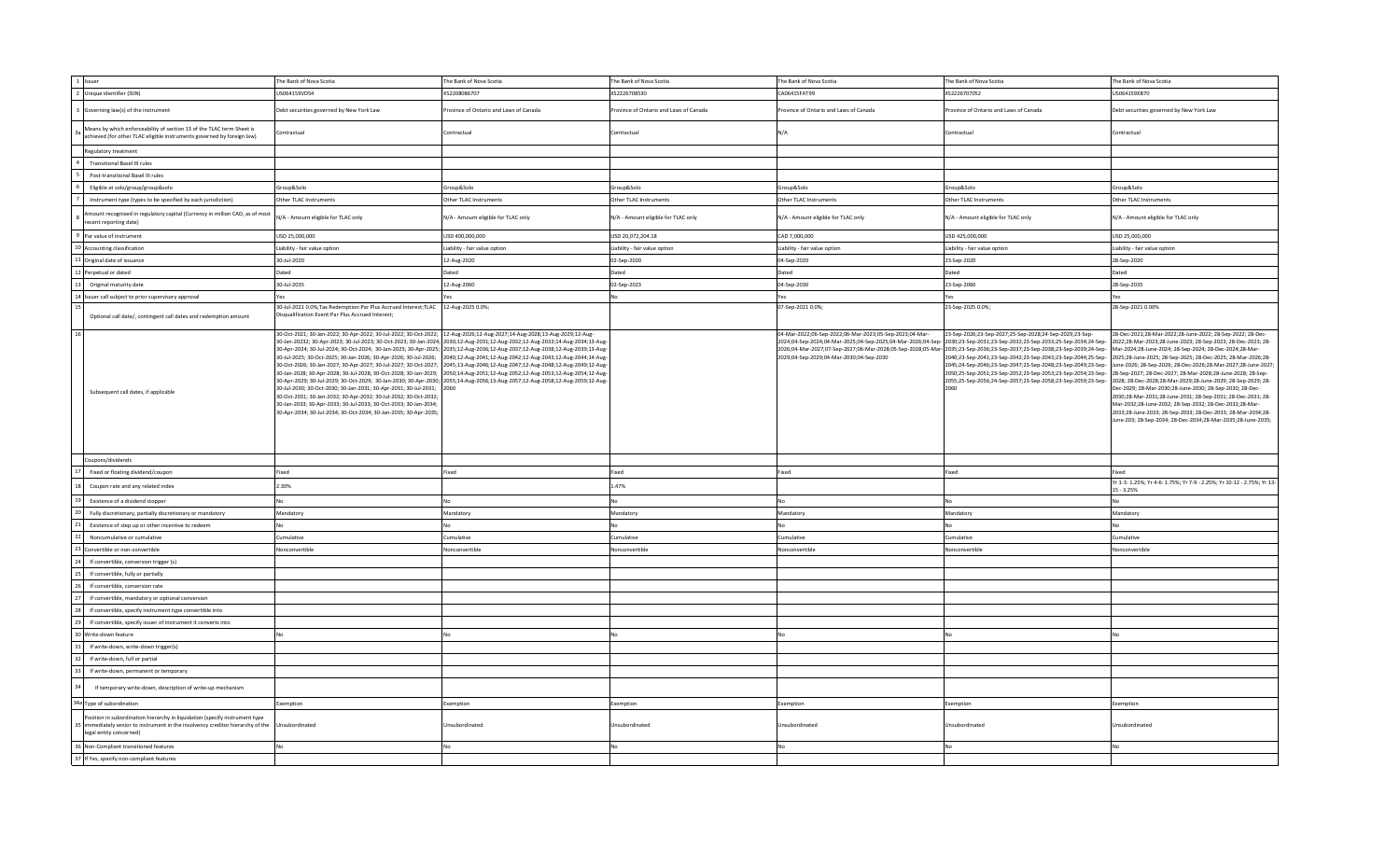| 1 Issuer                                                                                                                                                                               | The Bank of Nova Scotia                                                                                                                                                                                                                                                                                                                                                                                                                                                                                                                                                                                                                                                                                                                                                                                     | The Bank of Nova Scotia                                                                                                                                                                                                                                                                                                                                                                                     | The Bank of Nova Scotia               | The Bank of Nova Scotia                                                                             | The Bank of Nova Scotia                                                                                                                                                                                                                                                                                                                                                                                                                                                                                                                                                                                                                                                                              | The Bank of Nova Scotia                                                                                                                                                                                                                                                                                                                                                                                                                                                                                                                                                                                                                            |
|----------------------------------------------------------------------------------------------------------------------------------------------------------------------------------------|-------------------------------------------------------------------------------------------------------------------------------------------------------------------------------------------------------------------------------------------------------------------------------------------------------------------------------------------------------------------------------------------------------------------------------------------------------------------------------------------------------------------------------------------------------------------------------------------------------------------------------------------------------------------------------------------------------------------------------------------------------------------------------------------------------------|-------------------------------------------------------------------------------------------------------------------------------------------------------------------------------------------------------------------------------------------------------------------------------------------------------------------------------------------------------------------------------------------------------------|---------------------------------------|-----------------------------------------------------------------------------------------------------|------------------------------------------------------------------------------------------------------------------------------------------------------------------------------------------------------------------------------------------------------------------------------------------------------------------------------------------------------------------------------------------------------------------------------------------------------------------------------------------------------------------------------------------------------------------------------------------------------------------------------------------------------------------------------------------------------|----------------------------------------------------------------------------------------------------------------------------------------------------------------------------------------------------------------------------------------------------------------------------------------------------------------------------------------------------------------------------------------------------------------------------------------------------------------------------------------------------------------------------------------------------------------------------------------------------------------------------------------------------|
| 2 Unique identifier (ISIN)                                                                                                                                                             | US064159VD54                                                                                                                                                                                                                                                                                                                                                                                                                                                                                                                                                                                                                                                                                                                                                                                                | XS2208086707                                                                                                                                                                                                                                                                                                                                                                                                | XS2226708530                          | CA06415FAT99                                                                                        | XS2226707052                                                                                                                                                                                                                                                                                                                                                                                                                                                                                                                                                                                                                                                                                         | US064159XB70                                                                                                                                                                                                                                                                                                                                                                                                                                                                                                                                                                                                                                       |
| Governing law(s) of the instrument                                                                                                                                                     | Debt securities governed by New York Law                                                                                                                                                                                                                                                                                                                                                                                                                                                                                                                                                                                                                                                                                                                                                                    | Province of Ontario and Laws of Canada                                                                                                                                                                                                                                                                                                                                                                      | rovince of Ontario and Laws of Canada | Province of Ontario and Laws of Canada                                                              | rovince of Ontario and Laws of Canada                                                                                                                                                                                                                                                                                                                                                                                                                                                                                                                                                                                                                                                                | Debt securities governed by New York Law                                                                                                                                                                                                                                                                                                                                                                                                                                                                                                                                                                                                           |
| Means by which enforceability of section 13 of the TLAC term Sheet is<br>achieved (for other TLAC eligible instruments governed by foreign law)                                        | Contractual                                                                                                                                                                                                                                                                                                                                                                                                                                                                                                                                                                                                                                                                                                                                                                                                 | Contractual                                                                                                                                                                                                                                                                                                                                                                                                 | Contractual                           | N/A                                                                                                 | Contractual                                                                                                                                                                                                                                                                                                                                                                                                                                                                                                                                                                                                                                                                                          | Contractual                                                                                                                                                                                                                                                                                                                                                                                                                                                                                                                                                                                                                                        |
| Regulatory treatment                                                                                                                                                                   |                                                                                                                                                                                                                                                                                                                                                                                                                                                                                                                                                                                                                                                                                                                                                                                                             |                                                                                                                                                                                                                                                                                                                                                                                                             |                                       |                                                                                                     |                                                                                                                                                                                                                                                                                                                                                                                                                                                                                                                                                                                                                                                                                                      |                                                                                                                                                                                                                                                                                                                                                                                                                                                                                                                                                                                                                                                    |
| <b>Transitional Basel III rules</b>                                                                                                                                                    |                                                                                                                                                                                                                                                                                                                                                                                                                                                                                                                                                                                                                                                                                                                                                                                                             |                                                                                                                                                                                                                                                                                                                                                                                                             |                                       |                                                                                                     |                                                                                                                                                                                                                                                                                                                                                                                                                                                                                                                                                                                                                                                                                                      |                                                                                                                                                                                                                                                                                                                                                                                                                                                                                                                                                                                                                                                    |
| Post-transitional Basel III rules                                                                                                                                                      |                                                                                                                                                                                                                                                                                                                                                                                                                                                                                                                                                                                                                                                                                                                                                                                                             |                                                                                                                                                                                                                                                                                                                                                                                                             |                                       |                                                                                                     |                                                                                                                                                                                                                                                                                                                                                                                                                                                                                                                                                                                                                                                                                                      |                                                                                                                                                                                                                                                                                                                                                                                                                                                                                                                                                                                                                                                    |
| Eligible at solo/group/group&solo                                                                                                                                                      | Group&Solo                                                                                                                                                                                                                                                                                                                                                                                                                                                                                                                                                                                                                                                                                                                                                                                                  | Group&Solo                                                                                                                                                                                                                                                                                                                                                                                                  | Group&Solo                            | Group&Solo                                                                                          | Group&Solo                                                                                                                                                                                                                                                                                                                                                                                                                                                                                                                                                                                                                                                                                           | Group&Solo                                                                                                                                                                                                                                                                                                                                                                                                                                                                                                                                                                                                                                         |
| Instrument type (types to be specified by each jurisdiction)                                                                                                                           | Other TLAC Instruments                                                                                                                                                                                                                                                                                                                                                                                                                                                                                                                                                                                                                                                                                                                                                                                      | Other TLAC Instruments                                                                                                                                                                                                                                                                                                                                                                                      | Other TLAC Instruments                | Other TLAC Instruments                                                                              | Other TLAC Instruments                                                                                                                                                                                                                                                                                                                                                                                                                                                                                                                                                                                                                                                                               | Other TLAC Instruments                                                                                                                                                                                                                                                                                                                                                                                                                                                                                                                                                                                                                             |
| nount recognised in regulatory capital (Currency in million CAD, as of most<br>ecent reporting date)                                                                                   | N/A - Amount eligible for TLAC only                                                                                                                                                                                                                                                                                                                                                                                                                                                                                                                                                                                                                                                                                                                                                                         | N/A - Amount eligible for TLAC only                                                                                                                                                                                                                                                                                                                                                                         | N/A - Amount eligible for TLAC only   | N/A - Amount eligible for TLAC only                                                                 | N/A - Amount eligible for TLAC only                                                                                                                                                                                                                                                                                                                                                                                                                                                                                                                                                                                                                                                                  | N/A - Amount eligible for TLAC only                                                                                                                                                                                                                                                                                                                                                                                                                                                                                                                                                                                                                |
| Par value of instrument                                                                                                                                                                | USD 25,000,000                                                                                                                                                                                                                                                                                                                                                                                                                                                                                                                                                                                                                                                                                                                                                                                              | USD 400,000,000                                                                                                                                                                                                                                                                                                                                                                                             | USD 20,072,204.18                     | CAD 7,000,000                                                                                       | USD 425,000,000                                                                                                                                                                                                                                                                                                                                                                                                                                                                                                                                                                                                                                                                                      | USD 25,000,000                                                                                                                                                                                                                                                                                                                                                                                                                                                                                                                                                                                                                                     |
| 10 Accounting classification                                                                                                                                                           | Liability - fair value option                                                                                                                                                                                                                                                                                                                                                                                                                                                                                                                                                                                                                                                                                                                                                                               | Liability - fair value option                                                                                                                                                                                                                                                                                                                                                                               | Liability - fair value option         | Liability - fair value option                                                                       | Liability - fair value option                                                                                                                                                                                                                                                                                                                                                                                                                                                                                                                                                                                                                                                                        | Liability - fair value option                                                                                                                                                                                                                                                                                                                                                                                                                                                                                                                                                                                                                      |
| 1 Original date of issuance                                                                                                                                                            | 30-Jul-2020                                                                                                                                                                                                                                                                                                                                                                                                                                                                                                                                                                                                                                                                                                                                                                                                 | 12-Aug-2020                                                                                                                                                                                                                                                                                                                                                                                                 | 02-Sep-2020                           | 04-Sep-2020                                                                                         | 23-Sep-2020                                                                                                                                                                                                                                                                                                                                                                                                                                                                                                                                                                                                                                                                                          | 28-Sep-2020                                                                                                                                                                                                                                                                                                                                                                                                                                                                                                                                                                                                                                        |
| Perpetual or dated                                                                                                                                                                     | Dated                                                                                                                                                                                                                                                                                                                                                                                                                                                                                                                                                                                                                                                                                                                                                                                                       | Dated                                                                                                                                                                                                                                                                                                                                                                                                       | Dated                                 | Dated                                                                                               | Dated                                                                                                                                                                                                                                                                                                                                                                                                                                                                                                                                                                                                                                                                                                | Dated                                                                                                                                                                                                                                                                                                                                                                                                                                                                                                                                                                                                                                              |
| Original maturity date                                                                                                                                                                 | 30-Jul-2035                                                                                                                                                                                                                                                                                                                                                                                                                                                                                                                                                                                                                                                                                                                                                                                                 | 12-Aug-2060                                                                                                                                                                                                                                                                                                                                                                                                 | 02-Sep-2023                           | 04-Sep-2030                                                                                         | 23-Sep-2060                                                                                                                                                                                                                                                                                                                                                                                                                                                                                                                                                                                                                                                                                          | 28-Sep-2035                                                                                                                                                                                                                                                                                                                                                                                                                                                                                                                                                                                                                                        |
| Issuer call subject to prior supervisory approval                                                                                                                                      | Yes                                                                                                                                                                                                                                                                                                                                                                                                                                                                                                                                                                                                                                                                                                                                                                                                         | Yes                                                                                                                                                                                                                                                                                                                                                                                                         | No                                    | Yes                                                                                                 | Yes                                                                                                                                                                                                                                                                                                                                                                                                                                                                                                                                                                                                                                                                                                  | Yes                                                                                                                                                                                                                                                                                                                                                                                                                                                                                                                                                                                                                                                |
|                                                                                                                                                                                        | 30-Jul-2021 0.0%;Tax Redemption:Par Plus Accrued Interest;TLAC 12-Aug-2025 0.0%;                                                                                                                                                                                                                                                                                                                                                                                                                                                                                                                                                                                                                                                                                                                            |                                                                                                                                                                                                                                                                                                                                                                                                             |                                       | 07-Sep-2021 0.0%;                                                                                   | 23-Sep-2025 0.0%;                                                                                                                                                                                                                                                                                                                                                                                                                                                                                                                                                                                                                                                                                    | 28-Sep-2021 0.00%                                                                                                                                                                                                                                                                                                                                                                                                                                                                                                                                                                                                                                  |
| Optional call date/, contingent call dates and redemption amount                                                                                                                       | Disqualification Event:Par Plus Accrued Interest;                                                                                                                                                                                                                                                                                                                                                                                                                                                                                                                                                                                                                                                                                                                                                           |                                                                                                                                                                                                                                                                                                                                                                                                             |                                       |                                                                                                     |                                                                                                                                                                                                                                                                                                                                                                                                                                                                                                                                                                                                                                                                                                      |                                                                                                                                                                                                                                                                                                                                                                                                                                                                                                                                                                                                                                                    |
| Subsequent call dates, if applicable                                                                                                                                                   | 30-Oct-2021; 30-Jan-2022; 30-Apr-2022; 30-Jul-2022; 30-Oct-2022; 12-Aug-2026;12-Aug-2027;14-Aug-2028;13-Aug-2029;12-Aug-<br>30-Jan-20232; 30-Apr-2023; 30-Jul-2023; 30-Oct-2023; 30-Jan-2024; 2030;12-Aug-2031;12-Aug-2032;12-Aug-2033;14-Aug-2034;13-Aug<br>30-Oct-2026; 30-Jan-2027; 30-Apr-2027; 30-Jul-2027; 30-Oct-2027; 2045;13-Aug-2046;12-Aug-2047;12-Aug-2048;12-Aug-2049;12-Aug-<br>30-Jan-2028; 30-Apr-2028; 30-Jul-2028; 30-Oct-2028; 30-Jan-2029; 2050;14-Aug-2051;12-Aug-2052;12-Aug-2053;12-Aug-2054;12-Aug-<br>30-Jul-2030; 30-Oct-2030; 30-Jan-2031; 30-Apr-2031; 30-Jul-2031;<br>30-Oct-2031; 30-Jan-2032; 30-Apr-2032; 30-Jul-2032; 30-Oct-2032;<br>30-Jan-2033; 30-Apr-2033; 30-Jul-2033; 30-Oct-2033; 30-Jan-2034;<br>30-Apr-2034; 30-Jul-2034; 30-Oct-2034; 30-Jan-2035; 30-Apr-2035; | 30-Apr-2024; 30-Jul-2024; 30-Oct-2024; 30-Jan-2025; 30-Apr-2025; 2035;12-Aug-2036;12-Aug-2037;12-Aug-2038;12-Aug-2039;13-Aug-<br>30-Jul-2025; 30-Oct-2025; 30-Jan-2026; 30-Apr-2026; 30-Jul-2026; 2040;12-Aug-2041;12-Aug-2042;12-Aug-2043;12-Aug-2044;14-Aug-<br>30-Apr-2029; 30-Jul-2029; 30-Oct-2029; 30-Jan-2030; 30-Apr-2030; 2055;14-Aug-2056;13-Aug-2057;12-Aug-2058;12-Aug-2059;12-Aug-2059;12-Aug- |                                       | 04-Mar-2022;06-Sep-2022;06-Mar-2023;05-Sep-2023;04-Mar-<br>2029;04-Sep-2029;04-Mar-2030;04-Sep-2030 | 23-Sep-2026;23-Sep-2027;25-Sep-2028;24-Sep-2029;23-Sep-<br>2024;04-Sep-2024;04-Mar-2025;04-Sep-2025;04-Mar-2026;04-Sep- 2030;23-Sep-2031;23-Sep-2032;23-Sep-2033;25-Sep-2034;24-Sep-<br>2026;04-Mar-2027;07-Sep-2027;06-Mar-2028;05-Sep-2028;05-Mar-2035;23-Sep-2036;23-Sep-2037;23-Sep-2038;23-Sep-2039;24-Sep- Mar-2024;28-June-2024; 28-Sep-2024; 28-Dec-2024;28-Mar-<br>2040;23-Sep-2041;23-Sep-2042;23-Sep-2043;23-Sep-2044;25-Sep-2025;28-June-2025; 28-Sep-2025; 28-Dec-2025; 28-Mar-2026;28-<br>2045;24-Sep-2046;23-Sep-2047;23-Sep-2048;23-Sep-2049;23-Sep-<br>2050;25-Sep-2051;23-Sep-2052;23-Sep-2053;23-Sep-2054;23-Sep-<br>2055;25-Sep-2056;24-Sep-2057;23-Sep-2058;23-Sep-2059;23-Sep- | 28-Dec-2021;28-Mar-2022;28-June-2022; 28-Sep-2022; 28-Dec-<br>2022;28-Mar-2023;28-June-2023; 28-Sep-2023; 28-Dec-2023; 28-<br>June-2026; 28-Sep-2026; 28-Dec-2026;28-Mar-2027;28-June-2027<br>28-Sep-2027; 28-Dec-2027; 28-Mar-2028; 28-June-2028; 28-Sep-<br>2028; 28-Dec-2028; 28-Mar-2029; 28-June-2029; 28-Sep-2029; 28-<br>Dec-2029; 28-Mar-2030;28-June-2030; 28-Sep-2030; 28-Dec-<br>2030;28-Mar-2031;28-June-2031; 28-Sep-2031; 28-Dec-2031; 28-<br>Mar-2032;28-June-2032; 28-Sep-2032; 28-Dec-2032;28-Mar-<br>2033;28-June-2033; 28-Sep-2033; 28-Dec-2033; 28-Mar-2034;28-<br>June-203; 28-Sep-2034; 28-Dec-2034;28-Mar-2035;28-June-2035 |
| Coupons/dividends                                                                                                                                                                      |                                                                                                                                                                                                                                                                                                                                                                                                                                                                                                                                                                                                                                                                                                                                                                                                             |                                                                                                                                                                                                                                                                                                                                                                                                             |                                       |                                                                                                     |                                                                                                                                                                                                                                                                                                                                                                                                                                                                                                                                                                                                                                                                                                      |                                                                                                                                                                                                                                                                                                                                                                                                                                                                                                                                                                                                                                                    |
| Fixed or floating dividend/coupon                                                                                                                                                      | Fixed                                                                                                                                                                                                                                                                                                                                                                                                                                                                                                                                                                                                                                                                                                                                                                                                       | Fixed                                                                                                                                                                                                                                                                                                                                                                                                       | Fixed                                 | Fixed                                                                                               | Fixed                                                                                                                                                                                                                                                                                                                                                                                                                                                                                                                                                                                                                                                                                                | Eixed                                                                                                                                                                                                                                                                                                                                                                                                                                                                                                                                                                                                                                              |
| Coupon rate and any related index                                                                                                                                                      | 2.30%                                                                                                                                                                                                                                                                                                                                                                                                                                                                                                                                                                                                                                                                                                                                                                                                       |                                                                                                                                                                                                                                                                                                                                                                                                             | 1.47%                                 |                                                                                                     |                                                                                                                                                                                                                                                                                                                                                                                                                                                                                                                                                                                                                                                                                                      | Yr 1-3: 1.25%; Yr 4-6: 1.75%; Yr 7-9 - 2.25%; Yr 10-12 - 2.75%; Yr 13-<br>$15 - 3.25%$                                                                                                                                                                                                                                                                                                                                                                                                                                                                                                                                                             |
| Existence of a dividend stopper                                                                                                                                                        | No                                                                                                                                                                                                                                                                                                                                                                                                                                                                                                                                                                                                                                                                                                                                                                                                          | No                                                                                                                                                                                                                                                                                                                                                                                                          | Nη                                    | No                                                                                                  | Nη                                                                                                                                                                                                                                                                                                                                                                                                                                                                                                                                                                                                                                                                                                   | No                                                                                                                                                                                                                                                                                                                                                                                                                                                                                                                                                                                                                                                 |
| Fully discretionary, partially discretionary or mandatory                                                                                                                              | Mandatory                                                                                                                                                                                                                                                                                                                                                                                                                                                                                                                                                                                                                                                                                                                                                                                                   | Mandatory                                                                                                                                                                                                                                                                                                                                                                                                   | Mandatory                             | Mandatory                                                                                           | Mandatory                                                                                                                                                                                                                                                                                                                                                                                                                                                                                                                                                                                                                                                                                            | Mandatory                                                                                                                                                                                                                                                                                                                                                                                                                                                                                                                                                                                                                                          |
| Existence of step up or other incentive to redeem                                                                                                                                      | No.                                                                                                                                                                                                                                                                                                                                                                                                                                                                                                                                                                                                                                                                                                                                                                                                         | No                                                                                                                                                                                                                                                                                                                                                                                                          | No                                    | No                                                                                                  | NΩ                                                                                                                                                                                                                                                                                                                                                                                                                                                                                                                                                                                                                                                                                                   | No                                                                                                                                                                                                                                                                                                                                                                                                                                                                                                                                                                                                                                                 |
| Noncumulative or cumulative                                                                                                                                                            | Cumulative                                                                                                                                                                                                                                                                                                                                                                                                                                                                                                                                                                                                                                                                                                                                                                                                  | Cumulative                                                                                                                                                                                                                                                                                                                                                                                                  | Cumulative                            | Cumulative                                                                                          | Cumulative                                                                                                                                                                                                                                                                                                                                                                                                                                                                                                                                                                                                                                                                                           | Cumulative                                                                                                                                                                                                                                                                                                                                                                                                                                                                                                                                                                                                                                         |
| Convertible or non-convertible                                                                                                                                                         | Nonconvertible                                                                                                                                                                                                                                                                                                                                                                                                                                                                                                                                                                                                                                                                                                                                                                                              | Nonconvertible                                                                                                                                                                                                                                                                                                                                                                                              | Nonconvertible                        | Nonconvertible                                                                                      | Nonconvertible                                                                                                                                                                                                                                                                                                                                                                                                                                                                                                                                                                                                                                                                                       | Nonconvertible                                                                                                                                                                                                                                                                                                                                                                                                                                                                                                                                                                                                                                     |
| If convertible, conversion trigger (s)                                                                                                                                                 |                                                                                                                                                                                                                                                                                                                                                                                                                                                                                                                                                                                                                                                                                                                                                                                                             |                                                                                                                                                                                                                                                                                                                                                                                                             |                                       |                                                                                                     |                                                                                                                                                                                                                                                                                                                                                                                                                                                                                                                                                                                                                                                                                                      |                                                                                                                                                                                                                                                                                                                                                                                                                                                                                                                                                                                                                                                    |
| If convertible, fully or partially                                                                                                                                                     |                                                                                                                                                                                                                                                                                                                                                                                                                                                                                                                                                                                                                                                                                                                                                                                                             |                                                                                                                                                                                                                                                                                                                                                                                                             |                                       |                                                                                                     |                                                                                                                                                                                                                                                                                                                                                                                                                                                                                                                                                                                                                                                                                                      |                                                                                                                                                                                                                                                                                                                                                                                                                                                                                                                                                                                                                                                    |
| If convertible, conversion rate                                                                                                                                                        |                                                                                                                                                                                                                                                                                                                                                                                                                                                                                                                                                                                                                                                                                                                                                                                                             |                                                                                                                                                                                                                                                                                                                                                                                                             |                                       |                                                                                                     |                                                                                                                                                                                                                                                                                                                                                                                                                                                                                                                                                                                                                                                                                                      |                                                                                                                                                                                                                                                                                                                                                                                                                                                                                                                                                                                                                                                    |
| If convertible, mandatory or optional conversion                                                                                                                                       |                                                                                                                                                                                                                                                                                                                                                                                                                                                                                                                                                                                                                                                                                                                                                                                                             |                                                                                                                                                                                                                                                                                                                                                                                                             |                                       |                                                                                                     |                                                                                                                                                                                                                                                                                                                                                                                                                                                                                                                                                                                                                                                                                                      |                                                                                                                                                                                                                                                                                                                                                                                                                                                                                                                                                                                                                                                    |
|                                                                                                                                                                                        |                                                                                                                                                                                                                                                                                                                                                                                                                                                                                                                                                                                                                                                                                                                                                                                                             |                                                                                                                                                                                                                                                                                                                                                                                                             |                                       |                                                                                                     |                                                                                                                                                                                                                                                                                                                                                                                                                                                                                                                                                                                                                                                                                                      |                                                                                                                                                                                                                                                                                                                                                                                                                                                                                                                                                                                                                                                    |
| If convertible, specify instrument type convertible into                                                                                                                               |                                                                                                                                                                                                                                                                                                                                                                                                                                                                                                                                                                                                                                                                                                                                                                                                             |                                                                                                                                                                                                                                                                                                                                                                                                             |                                       |                                                                                                     |                                                                                                                                                                                                                                                                                                                                                                                                                                                                                                                                                                                                                                                                                                      |                                                                                                                                                                                                                                                                                                                                                                                                                                                                                                                                                                                                                                                    |
| If convertible, specify issuer of instrument it converts into                                                                                                                          |                                                                                                                                                                                                                                                                                                                                                                                                                                                                                                                                                                                                                                                                                                                                                                                                             |                                                                                                                                                                                                                                                                                                                                                                                                             |                                       |                                                                                                     |                                                                                                                                                                                                                                                                                                                                                                                                                                                                                                                                                                                                                                                                                                      |                                                                                                                                                                                                                                                                                                                                                                                                                                                                                                                                                                                                                                                    |
| Write-down feature                                                                                                                                                                     |                                                                                                                                                                                                                                                                                                                                                                                                                                                                                                                                                                                                                                                                                                                                                                                                             | No                                                                                                                                                                                                                                                                                                                                                                                                          |                                       | No                                                                                                  |                                                                                                                                                                                                                                                                                                                                                                                                                                                                                                                                                                                                                                                                                                      |                                                                                                                                                                                                                                                                                                                                                                                                                                                                                                                                                                                                                                                    |
| If write-down, write-down trigger(s)                                                                                                                                                   |                                                                                                                                                                                                                                                                                                                                                                                                                                                                                                                                                                                                                                                                                                                                                                                                             |                                                                                                                                                                                                                                                                                                                                                                                                             |                                       |                                                                                                     |                                                                                                                                                                                                                                                                                                                                                                                                                                                                                                                                                                                                                                                                                                      |                                                                                                                                                                                                                                                                                                                                                                                                                                                                                                                                                                                                                                                    |
| If write-down, full or partial                                                                                                                                                         |                                                                                                                                                                                                                                                                                                                                                                                                                                                                                                                                                                                                                                                                                                                                                                                                             |                                                                                                                                                                                                                                                                                                                                                                                                             |                                       |                                                                                                     |                                                                                                                                                                                                                                                                                                                                                                                                                                                                                                                                                                                                                                                                                                      |                                                                                                                                                                                                                                                                                                                                                                                                                                                                                                                                                                                                                                                    |
| If write-down, permanent or temporary                                                                                                                                                  |                                                                                                                                                                                                                                                                                                                                                                                                                                                                                                                                                                                                                                                                                                                                                                                                             |                                                                                                                                                                                                                                                                                                                                                                                                             |                                       |                                                                                                     |                                                                                                                                                                                                                                                                                                                                                                                                                                                                                                                                                                                                                                                                                                      |                                                                                                                                                                                                                                                                                                                                                                                                                                                                                                                                                                                                                                                    |
| If temporary write-down, description of write-up mechanism                                                                                                                             |                                                                                                                                                                                                                                                                                                                                                                                                                                                                                                                                                                                                                                                                                                                                                                                                             |                                                                                                                                                                                                                                                                                                                                                                                                             |                                       |                                                                                                     |                                                                                                                                                                                                                                                                                                                                                                                                                                                                                                                                                                                                                                                                                                      |                                                                                                                                                                                                                                                                                                                                                                                                                                                                                                                                                                                                                                                    |
| 34a Type of subordination                                                                                                                                                              | Exemption                                                                                                                                                                                                                                                                                                                                                                                                                                                                                                                                                                                                                                                                                                                                                                                                   | Exemption                                                                                                                                                                                                                                                                                                                                                                                                   | Exemption                             | Exemption                                                                                           | Exemption                                                                                                                                                                                                                                                                                                                                                                                                                                                                                                                                                                                                                                                                                            | Exemption                                                                                                                                                                                                                                                                                                                                                                                                                                                                                                                                                                                                                                          |
| Position in subordination hierarchy in liquidation (specify instrument type<br>immediately senior to instrument in the insolvency creditor hierarchy of the<br>legal entity concerned) | Unsubordinated                                                                                                                                                                                                                                                                                                                                                                                                                                                                                                                                                                                                                                                                                                                                                                                              | Unsubordinated                                                                                                                                                                                                                                                                                                                                                                                              | Jnsubordinated                        | Unsubordinated                                                                                      | Unsubordinated                                                                                                                                                                                                                                                                                                                                                                                                                                                                                                                                                                                                                                                                                       | Jnsubordinated                                                                                                                                                                                                                                                                                                                                                                                                                                                                                                                                                                                                                                     |
| 36 Non-Compliant transitioned features                                                                                                                                                 | No                                                                                                                                                                                                                                                                                                                                                                                                                                                                                                                                                                                                                                                                                                                                                                                                          | No                                                                                                                                                                                                                                                                                                                                                                                                          | No                                    | N <sub>0</sub>                                                                                      | No                                                                                                                                                                                                                                                                                                                                                                                                                                                                                                                                                                                                                                                                                                   | No                                                                                                                                                                                                                                                                                                                                                                                                                                                                                                                                                                                                                                                 |
| 37 If Yes, specify non-compliant features                                                                                                                                              |                                                                                                                                                                                                                                                                                                                                                                                                                                                                                                                                                                                                                                                                                                                                                                                                             |                                                                                                                                                                                                                                                                                                                                                                                                             |                                       |                                                                                                     |                                                                                                                                                                                                                                                                                                                                                                                                                                                                                                                                                                                                                                                                                                      |                                                                                                                                                                                                                                                                                                                                                                                                                                                                                                                                                                                                                                                    |
|                                                                                                                                                                                        |                                                                                                                                                                                                                                                                                                                                                                                                                                                                                                                                                                                                                                                                                                                                                                                                             |                                                                                                                                                                                                                                                                                                                                                                                                             |                                       |                                                                                                     |                                                                                                                                                                                                                                                                                                                                                                                                                                                                                                                                                                                                                                                                                                      |                                                                                                                                                                                                                                                                                                                                                                                                                                                                                                                                                                                                                                                    |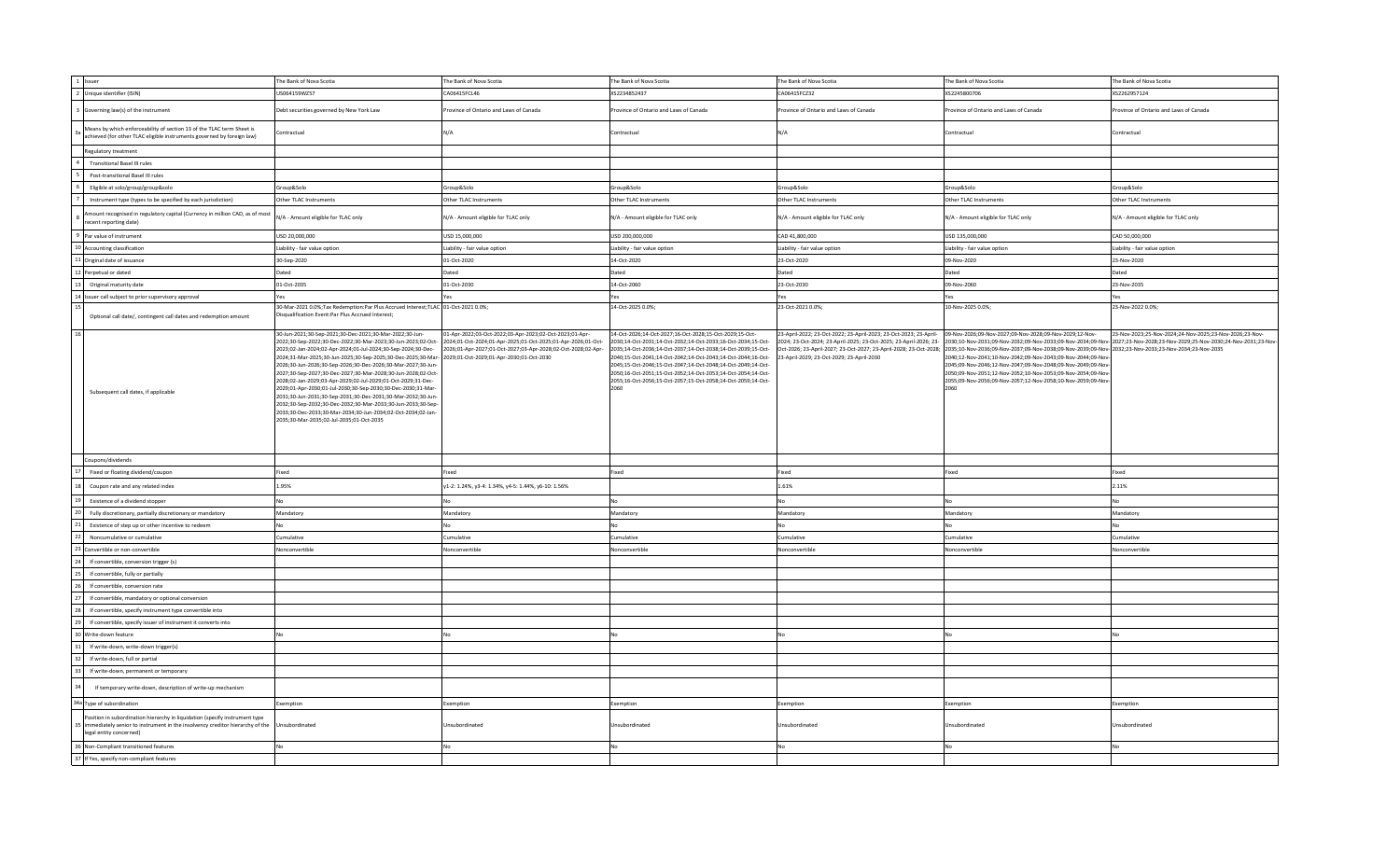| 1 Issuer                                                                                                                                                                               | The Bank of Nova Scotia                                                                                                                                                                                                                                                                                                                                                                                                                                                                                                                                                                                                                                                                                                                                                                                      | The Bank of Nova Scotia                                                                                                                                                                 | The Bank of Nova Scotia                                                                                                                                                                                                                                                                                                                                                                                                                                         | The Bank of Nova Scotia                                                                                                                                                             | The Bank of Nova Scotia                                                                                                                                                                                                                                                                                                                                                                                                                                                                                                                                                                                                   | The Bank of Nova Scotia                                 |
|----------------------------------------------------------------------------------------------------------------------------------------------------------------------------------------|--------------------------------------------------------------------------------------------------------------------------------------------------------------------------------------------------------------------------------------------------------------------------------------------------------------------------------------------------------------------------------------------------------------------------------------------------------------------------------------------------------------------------------------------------------------------------------------------------------------------------------------------------------------------------------------------------------------------------------------------------------------------------------------------------------------|-----------------------------------------------------------------------------------------------------------------------------------------------------------------------------------------|-----------------------------------------------------------------------------------------------------------------------------------------------------------------------------------------------------------------------------------------------------------------------------------------------------------------------------------------------------------------------------------------------------------------------------------------------------------------|-------------------------------------------------------------------------------------------------------------------------------------------------------------------------------------|---------------------------------------------------------------------------------------------------------------------------------------------------------------------------------------------------------------------------------------------------------------------------------------------------------------------------------------------------------------------------------------------------------------------------------------------------------------------------------------------------------------------------------------------------------------------------------------------------------------------------|---------------------------------------------------------|
| 2 Unique identifier (ISIN)                                                                                                                                                             | US064159WZ57                                                                                                                                                                                                                                                                                                                                                                                                                                                                                                                                                                                                                                                                                                                                                                                                 | CA06415FCL46                                                                                                                                                                            | XS2234852437                                                                                                                                                                                                                                                                                                                                                                                                                                                    | CA06415FCZ32                                                                                                                                                                        | XS2245800706                                                                                                                                                                                                                                                                                                                                                                                                                                                                                                                                                                                                              | XS2262957124                                            |
| Governing law(s) of the instrument                                                                                                                                                     | Debt securities governed by New York Law                                                                                                                                                                                                                                                                                                                                                                                                                                                                                                                                                                                                                                                                                                                                                                     | Province of Ontario and Laws of Canada                                                                                                                                                  | rovince of Ontario and Laws of Canada                                                                                                                                                                                                                                                                                                                                                                                                                           | Province of Ontario and Laws of Canada                                                                                                                                              | rovince of Ontario and Laws of Canada                                                                                                                                                                                                                                                                                                                                                                                                                                                                                                                                                                                     | rovince of Ontario and Laws of Canada                   |
| Means by which enforceability of section 13 of the TLAC term Sheet is<br>achieved (for other TLAC eligible instruments governed by foreign law)                                        | Contractual                                                                                                                                                                                                                                                                                                                                                                                                                                                                                                                                                                                                                                                                                                                                                                                                  | N/A                                                                                                                                                                                     | Contractual                                                                                                                                                                                                                                                                                                                                                                                                                                                     | N/A                                                                                                                                                                                 | Contractual                                                                                                                                                                                                                                                                                                                                                                                                                                                                                                                                                                                                               | Contractual                                             |
| Regulatory treatment                                                                                                                                                                   |                                                                                                                                                                                                                                                                                                                                                                                                                                                                                                                                                                                                                                                                                                                                                                                                              |                                                                                                                                                                                         |                                                                                                                                                                                                                                                                                                                                                                                                                                                                 |                                                                                                                                                                                     |                                                                                                                                                                                                                                                                                                                                                                                                                                                                                                                                                                                                                           |                                                         |
| <b>Transitional Basel III rules</b>                                                                                                                                                    |                                                                                                                                                                                                                                                                                                                                                                                                                                                                                                                                                                                                                                                                                                                                                                                                              |                                                                                                                                                                                         |                                                                                                                                                                                                                                                                                                                                                                                                                                                                 |                                                                                                                                                                                     |                                                                                                                                                                                                                                                                                                                                                                                                                                                                                                                                                                                                                           |                                                         |
| Post-transitional Basel III rules                                                                                                                                                      |                                                                                                                                                                                                                                                                                                                                                                                                                                                                                                                                                                                                                                                                                                                                                                                                              |                                                                                                                                                                                         |                                                                                                                                                                                                                                                                                                                                                                                                                                                                 |                                                                                                                                                                                     |                                                                                                                                                                                                                                                                                                                                                                                                                                                                                                                                                                                                                           |                                                         |
| Eligible at solo/group/group&solo                                                                                                                                                      | Group&Solo                                                                                                                                                                                                                                                                                                                                                                                                                                                                                                                                                                                                                                                                                                                                                                                                   | Group&Solo                                                                                                                                                                              | Group&Solo                                                                                                                                                                                                                                                                                                                                                                                                                                                      | Group&Solo                                                                                                                                                                          | Group&Solo                                                                                                                                                                                                                                                                                                                                                                                                                                                                                                                                                                                                                | Group&Solo                                              |
| Instrument type (types to be specified by each jurisdiction)                                                                                                                           | Other TLAC Instruments                                                                                                                                                                                                                                                                                                                                                                                                                                                                                                                                                                                                                                                                                                                                                                                       | Other TLAC Instruments                                                                                                                                                                  | Other TLAC Instruments                                                                                                                                                                                                                                                                                                                                                                                                                                          | Other TLAC Instruments                                                                                                                                                              | Other TLAC Instruments                                                                                                                                                                                                                                                                                                                                                                                                                                                                                                                                                                                                    | Other TLAC Instruments                                  |
| nount recognised in regulatory capital (Currency in million CAD, as of most<br>ecent reporting date)                                                                                   | N/A - Amount eligible for TLAC only                                                                                                                                                                                                                                                                                                                                                                                                                                                                                                                                                                                                                                                                                                                                                                          | N/A - Amount eligible for TLAC only                                                                                                                                                     | N/A - Amount eligible for TLAC only                                                                                                                                                                                                                                                                                                                                                                                                                             | N/A - Amount eligible for TLAC only                                                                                                                                                 | N/A - Amount eligible for TLAC only                                                                                                                                                                                                                                                                                                                                                                                                                                                                                                                                                                                       | N/A - Amount eligible for TLAC only                     |
| Par value of instrument                                                                                                                                                                | USD 20,000,000                                                                                                                                                                                                                                                                                                                                                                                                                                                                                                                                                                                                                                                                                                                                                                                               | USD 15,000,000                                                                                                                                                                          | USD 200,000,000                                                                                                                                                                                                                                                                                                                                                                                                                                                 | CAD 41,800,000                                                                                                                                                                      | USD 135,000,000                                                                                                                                                                                                                                                                                                                                                                                                                                                                                                                                                                                                           | CAD 50,000,000                                          |
| 10 Accounting classification                                                                                                                                                           | Liability - fair value option                                                                                                                                                                                                                                                                                                                                                                                                                                                                                                                                                                                                                                                                                                                                                                                | Liability - fair value option                                                                                                                                                           | Liability - fair value option                                                                                                                                                                                                                                                                                                                                                                                                                                   | Liability - fair value option                                                                                                                                                       | Liability - fair value option                                                                                                                                                                                                                                                                                                                                                                                                                                                                                                                                                                                             | Liability - fair value option                           |
| 1 Original date of issuance                                                                                                                                                            | 30-Sep-2020                                                                                                                                                                                                                                                                                                                                                                                                                                                                                                                                                                                                                                                                                                                                                                                                  | 01-Oct-2020                                                                                                                                                                             | 14-Oct-2020                                                                                                                                                                                                                                                                                                                                                                                                                                                     | 23-Oct-2020                                                                                                                                                                         | 09-Nov-2020                                                                                                                                                                                                                                                                                                                                                                                                                                                                                                                                                                                                               | 23-Nov-2020                                             |
| Perpetual or dated                                                                                                                                                                     | Dated                                                                                                                                                                                                                                                                                                                                                                                                                                                                                                                                                                                                                                                                                                                                                                                                        | Dated                                                                                                                                                                                   | Dated                                                                                                                                                                                                                                                                                                                                                                                                                                                           | Dated                                                                                                                                                                               | Dated                                                                                                                                                                                                                                                                                                                                                                                                                                                                                                                                                                                                                     | Dated                                                   |
| Original maturity date                                                                                                                                                                 | 01-Oct-2035                                                                                                                                                                                                                                                                                                                                                                                                                                                                                                                                                                                                                                                                                                                                                                                                  | 01-Oct-2030                                                                                                                                                                             | 14-Oct-2060                                                                                                                                                                                                                                                                                                                                                                                                                                                     | 23-Oct-2030                                                                                                                                                                         | 09-Nov-2060                                                                                                                                                                                                                                                                                                                                                                                                                                                                                                                                                                                                               | 23-Nov-2035                                             |
| 4 Issuer call subject to prior supervisory approval                                                                                                                                    | Yes                                                                                                                                                                                                                                                                                                                                                                                                                                                                                                                                                                                                                                                                                                                                                                                                          | Yes                                                                                                                                                                                     | Yes                                                                                                                                                                                                                                                                                                                                                                                                                                                             | Yes                                                                                                                                                                                 | Yes                                                                                                                                                                                                                                                                                                                                                                                                                                                                                                                                                                                                                       | Yes                                                     |
|                                                                                                                                                                                        | 30-Mar-2021 0.0%; Tax Redemption: Par Plus Accrued Interest; TLAC 01-Oct-2021 0.0%;                                                                                                                                                                                                                                                                                                                                                                                                                                                                                                                                                                                                                                                                                                                          |                                                                                                                                                                                         | 14-Oct-2025 0.0%;                                                                                                                                                                                                                                                                                                                                                                                                                                               | 23-Oct-2021 0.0%;                                                                                                                                                                   | 10-Nov-2025 0.0%;                                                                                                                                                                                                                                                                                                                                                                                                                                                                                                                                                                                                         | 23-Nov-2022 0.0%                                        |
| Optional call date/, contingent call dates and redemption amount                                                                                                                       | Disqualification Event:Par Plus Accrued Interest;                                                                                                                                                                                                                                                                                                                                                                                                                                                                                                                                                                                                                                                                                                                                                            |                                                                                                                                                                                         |                                                                                                                                                                                                                                                                                                                                                                                                                                                                 |                                                                                                                                                                                     |                                                                                                                                                                                                                                                                                                                                                                                                                                                                                                                                                                                                                           |                                                         |
| Subsequent call dates, if applicable                                                                                                                                                   | 30-Jun-2021;30-Sep-2021;30-Dec-2021;30-Mar-2022;30-Jun-<br>2022;30-Sep-2022;30-Dec-2022;30-Mar-2023;30-Jun-2023;02-Oct-<br>2023;02-Jan-2024;02-Apr-2024;01-Jul-2024;30-Sep-2024;30-Dec-<br>2024;31-Mar-2025;30-Jun-2025;30-Sep-2025;30-Dec-2025;30-Mar- 2029;01-Oct-2029;01-Apr-2030;01-Oct-2030<br>2026;30-Jun-2026;30-Sep-2026;30-Dec-2026;30-Mar-2027;30-Jun-<br>2027;30-Sep-2027;30-Dec-2027;30-Mar-2028;30-Jun-2028;02-Oct-<br>2028;02-Jan-2029;03-Apr-2029;02-Jul-2029;01-Oct-2029;31-Dec-<br>2029;01-Apr-2030;01-Jul-2030;30-Sep-2030;30-Dec-2030;31-Mar-<br>2031;30-Jun-2031;30-Sep-2031;30-Dec-2031;30-Mar-2032;30-Jun-<br>2032;30-Sep-2032;30-Dec-2032;30-Mar-2033;30-Jun-2033;30-Sep-<br>2033;30-Dec-2033;30-Mar-2034;30-Jun-2034;02-Oct-2034;02-Jan-<br>2035;30-Mar-2035;02-Jul-2035;01-Oct-2035 | 01-Apr-2022;03-Oct-2022;03-Apr-2023;02-Oct-2023;01-Apr-<br>2024;01-Oct-2024;01-Apr-2025;01-Oct-2025;01-Apr-2026;01-Oct-<br>2026;01-Apr-2027;01-Oct-2027;03-Apr-2028;02-Oct-2028;02-Apr- | 14-Oct-2026;14-Oct-2027;16-Oct-2028;15-Oct-2029;15-Oct-<br>2030:14-Oct-2031:14-Oct-2032:14-Oct-2033:16-Oct-2034:15-Oct-<br>2035;14-Oct-2036;14-Oct-2037;14-Oct-2038;14-Oct-2039;15-Oct-<br>2040;15-Oct-2041;14-Oct-2042;14-Oct-2043;14-Oct-2044;16-Oct-<br>2045;15-Oct-2046;15-Oct-2047;14-Oct-2048;14-Oct-2049;14-Oct-<br>2050;16-Oct-2051;15-Oct-2052;14-Oct-2053;14-Oct-2054;14-Oct-<br>2055;16-Oct-2056;15-Oct-2057;15-Oct-2058;14-Oct-2059;14-Oct-<br>2060 | 23-April-2022; 23-Oct-2022; 23-April-2023; 23-Oct-2023; 23-April-<br>2024; 23-Oct-2024; 23-April-2025; 23-Oct-2025; 23-April-2026; 23-<br>23-April-2029; 23-Oct-2029; 23-April-2030 | 09-Nov-2026;09-Nov-2027;09-Nov-2028;09-Nov-2029;12-Nov-<br>2030;10-Nov-2031;09-Nov-2032;09-Nov-2033;09-Nov-2034;09-Nov-2027;23-Nov-2028;23-Nov-2029;25-Nov-2030;24-Nov-2031;23-Nov<br>Oct-2026; 23-April-2027; 23-Oct-2027; 23-April-2028; 23-Oct-2028; 2035;10-Nov-2036;09-Nov-2037;09-Nov-2038;09-Nov-2039;09-Nov-2032;23-Nov-2033;23-Nov-2034;23-Nov-2035;<br>2040;12-Nov-2041;10-Nov-2042;09-Nov-2043;09-Nov-2044;09-Nov<br>2045;09-Nov-2046;12-Nov-2047;09-Nov-2048;09-Nov-2049;09-Nov<br>2050;09-Nov-2051;12-Nov-2052;10-Nov-2053;09-Nov-2054;09-Nov<br>2055;09-Nov-2056;09-Nov-2057;12-Nov-2058;10-Nov-2059;09-Nov | 23-Nov-2023;25-Nov-2024;24-Nov-2025;23-Nov-2026;23-Nov- |
| Coupons/dividends                                                                                                                                                                      |                                                                                                                                                                                                                                                                                                                                                                                                                                                                                                                                                                                                                                                                                                                                                                                                              |                                                                                                                                                                                         |                                                                                                                                                                                                                                                                                                                                                                                                                                                                 |                                                                                                                                                                                     |                                                                                                                                                                                                                                                                                                                                                                                                                                                                                                                                                                                                                           |                                                         |
| Fixed or floating dividend/coupon                                                                                                                                                      | Fixed                                                                                                                                                                                                                                                                                                                                                                                                                                                                                                                                                                                                                                                                                                                                                                                                        | Fixed                                                                                                                                                                                   | Fixed                                                                                                                                                                                                                                                                                                                                                                                                                                                           | Fixed                                                                                                                                                                               | Fixed                                                                                                                                                                                                                                                                                                                                                                                                                                                                                                                                                                                                                     | Fixed                                                   |
| Coupon rate and any related index                                                                                                                                                      | 1.95%                                                                                                                                                                                                                                                                                                                                                                                                                                                                                                                                                                                                                                                                                                                                                                                                        | y1-2: 1.24%, y3-4: 1.34%, y4-5: 1.44%, y6-10: 1.56%                                                                                                                                     |                                                                                                                                                                                                                                                                                                                                                                                                                                                                 | 1.61%                                                                                                                                                                               |                                                                                                                                                                                                                                                                                                                                                                                                                                                                                                                                                                                                                           | 2.11%                                                   |
| Existence of a dividend stopper                                                                                                                                                        | No                                                                                                                                                                                                                                                                                                                                                                                                                                                                                                                                                                                                                                                                                                                                                                                                           | No                                                                                                                                                                                      | No                                                                                                                                                                                                                                                                                                                                                                                                                                                              | No                                                                                                                                                                                  | Nη                                                                                                                                                                                                                                                                                                                                                                                                                                                                                                                                                                                                                        | No                                                      |
| Fully discretionary, partially discretionary or mandatory                                                                                                                              | Mandatory                                                                                                                                                                                                                                                                                                                                                                                                                                                                                                                                                                                                                                                                                                                                                                                                    | Mandatory                                                                                                                                                                               | Mandatory                                                                                                                                                                                                                                                                                                                                                                                                                                                       | Mandatory                                                                                                                                                                           | Mandatory                                                                                                                                                                                                                                                                                                                                                                                                                                                                                                                                                                                                                 | Mandatory                                               |
| Existence of step up or other incentive to redeem                                                                                                                                      | No                                                                                                                                                                                                                                                                                                                                                                                                                                                                                                                                                                                                                                                                                                                                                                                                           | No                                                                                                                                                                                      | No                                                                                                                                                                                                                                                                                                                                                                                                                                                              | No                                                                                                                                                                                  | NΩ                                                                                                                                                                                                                                                                                                                                                                                                                                                                                                                                                                                                                        | <b>No</b>                                               |
| Noncumulative or cumulative                                                                                                                                                            | Cumulative                                                                                                                                                                                                                                                                                                                                                                                                                                                                                                                                                                                                                                                                                                                                                                                                   | Cumulative                                                                                                                                                                              | Cumulative                                                                                                                                                                                                                                                                                                                                                                                                                                                      | Cumulative                                                                                                                                                                          | Cumulative                                                                                                                                                                                                                                                                                                                                                                                                                                                                                                                                                                                                                | Cumulative                                              |
| Convertible or non-convertible                                                                                                                                                         | Nonconvertible                                                                                                                                                                                                                                                                                                                                                                                                                                                                                                                                                                                                                                                                                                                                                                                               | Nonconvertible                                                                                                                                                                          | Nonconvertible                                                                                                                                                                                                                                                                                                                                                                                                                                                  | Nonconvertible                                                                                                                                                                      | Nonconvertible                                                                                                                                                                                                                                                                                                                                                                                                                                                                                                                                                                                                            | Nonconvertible                                          |
| If convertible, conversion trigger (s)                                                                                                                                                 |                                                                                                                                                                                                                                                                                                                                                                                                                                                                                                                                                                                                                                                                                                                                                                                                              |                                                                                                                                                                                         |                                                                                                                                                                                                                                                                                                                                                                                                                                                                 |                                                                                                                                                                                     |                                                                                                                                                                                                                                                                                                                                                                                                                                                                                                                                                                                                                           |                                                         |
| If convertible, fully or partially                                                                                                                                                     |                                                                                                                                                                                                                                                                                                                                                                                                                                                                                                                                                                                                                                                                                                                                                                                                              |                                                                                                                                                                                         |                                                                                                                                                                                                                                                                                                                                                                                                                                                                 |                                                                                                                                                                                     |                                                                                                                                                                                                                                                                                                                                                                                                                                                                                                                                                                                                                           |                                                         |
| If convertible, conversion rate                                                                                                                                                        |                                                                                                                                                                                                                                                                                                                                                                                                                                                                                                                                                                                                                                                                                                                                                                                                              |                                                                                                                                                                                         |                                                                                                                                                                                                                                                                                                                                                                                                                                                                 |                                                                                                                                                                                     |                                                                                                                                                                                                                                                                                                                                                                                                                                                                                                                                                                                                                           |                                                         |
| If convertible, mandatory or optional conversion                                                                                                                                       |                                                                                                                                                                                                                                                                                                                                                                                                                                                                                                                                                                                                                                                                                                                                                                                                              |                                                                                                                                                                                         |                                                                                                                                                                                                                                                                                                                                                                                                                                                                 |                                                                                                                                                                                     |                                                                                                                                                                                                                                                                                                                                                                                                                                                                                                                                                                                                                           |                                                         |
| If convertible, specify instrument type convertible into                                                                                                                               |                                                                                                                                                                                                                                                                                                                                                                                                                                                                                                                                                                                                                                                                                                                                                                                                              |                                                                                                                                                                                         |                                                                                                                                                                                                                                                                                                                                                                                                                                                                 |                                                                                                                                                                                     |                                                                                                                                                                                                                                                                                                                                                                                                                                                                                                                                                                                                                           |                                                         |
|                                                                                                                                                                                        |                                                                                                                                                                                                                                                                                                                                                                                                                                                                                                                                                                                                                                                                                                                                                                                                              |                                                                                                                                                                                         |                                                                                                                                                                                                                                                                                                                                                                                                                                                                 |                                                                                                                                                                                     |                                                                                                                                                                                                                                                                                                                                                                                                                                                                                                                                                                                                                           |                                                         |
| If convertible, specify issuer of instrument it converts into                                                                                                                          |                                                                                                                                                                                                                                                                                                                                                                                                                                                                                                                                                                                                                                                                                                                                                                                                              |                                                                                                                                                                                         |                                                                                                                                                                                                                                                                                                                                                                                                                                                                 |                                                                                                                                                                                     |                                                                                                                                                                                                                                                                                                                                                                                                                                                                                                                                                                                                                           |                                                         |
| Write-down feature                                                                                                                                                                     | No                                                                                                                                                                                                                                                                                                                                                                                                                                                                                                                                                                                                                                                                                                                                                                                                           | No                                                                                                                                                                                      |                                                                                                                                                                                                                                                                                                                                                                                                                                                                 | No                                                                                                                                                                                  |                                                                                                                                                                                                                                                                                                                                                                                                                                                                                                                                                                                                                           |                                                         |
| If write-down, write-down trigger(s)                                                                                                                                                   |                                                                                                                                                                                                                                                                                                                                                                                                                                                                                                                                                                                                                                                                                                                                                                                                              |                                                                                                                                                                                         |                                                                                                                                                                                                                                                                                                                                                                                                                                                                 |                                                                                                                                                                                     |                                                                                                                                                                                                                                                                                                                                                                                                                                                                                                                                                                                                                           |                                                         |
| If write-down, full or partial                                                                                                                                                         |                                                                                                                                                                                                                                                                                                                                                                                                                                                                                                                                                                                                                                                                                                                                                                                                              |                                                                                                                                                                                         |                                                                                                                                                                                                                                                                                                                                                                                                                                                                 |                                                                                                                                                                                     |                                                                                                                                                                                                                                                                                                                                                                                                                                                                                                                                                                                                                           |                                                         |
| If write-down, permanent or temporary                                                                                                                                                  |                                                                                                                                                                                                                                                                                                                                                                                                                                                                                                                                                                                                                                                                                                                                                                                                              |                                                                                                                                                                                         |                                                                                                                                                                                                                                                                                                                                                                                                                                                                 |                                                                                                                                                                                     |                                                                                                                                                                                                                                                                                                                                                                                                                                                                                                                                                                                                                           |                                                         |
| If temporary write-down, description of write-up mechanism                                                                                                                             |                                                                                                                                                                                                                                                                                                                                                                                                                                                                                                                                                                                                                                                                                                                                                                                                              |                                                                                                                                                                                         |                                                                                                                                                                                                                                                                                                                                                                                                                                                                 |                                                                                                                                                                                     |                                                                                                                                                                                                                                                                                                                                                                                                                                                                                                                                                                                                                           |                                                         |
| 34a Type of subordination                                                                                                                                                              | Exemption                                                                                                                                                                                                                                                                                                                                                                                                                                                                                                                                                                                                                                                                                                                                                                                                    | Exemption                                                                                                                                                                               | Exemption                                                                                                                                                                                                                                                                                                                                                                                                                                                       | Exemption                                                                                                                                                                           | Exemption                                                                                                                                                                                                                                                                                                                                                                                                                                                                                                                                                                                                                 | Exemption                                               |
| Position in subordination hierarchy in liquidation (specify instrument type<br>immediately senior to instrument in the insolvency creditor hierarchy of the<br>legal entity concerned) | Unsubordinated                                                                                                                                                                                                                                                                                                                                                                                                                                                                                                                                                                                                                                                                                                                                                                                               | Unsubordinated                                                                                                                                                                          | Jnsubordinated                                                                                                                                                                                                                                                                                                                                                                                                                                                  | Unsubordinated                                                                                                                                                                      | Unsubordinated                                                                                                                                                                                                                                                                                                                                                                                                                                                                                                                                                                                                            | Jnsubordinated                                          |
| 36 Non-Compliant transitioned features                                                                                                                                                 | No                                                                                                                                                                                                                                                                                                                                                                                                                                                                                                                                                                                                                                                                                                                                                                                                           | No                                                                                                                                                                                      | No                                                                                                                                                                                                                                                                                                                                                                                                                                                              | N <sub>0</sub>                                                                                                                                                                      | Nη                                                                                                                                                                                                                                                                                                                                                                                                                                                                                                                                                                                                                        | No                                                      |
| 37 If Yes, specify non-compliant features                                                                                                                                              |                                                                                                                                                                                                                                                                                                                                                                                                                                                                                                                                                                                                                                                                                                                                                                                                              |                                                                                                                                                                                         |                                                                                                                                                                                                                                                                                                                                                                                                                                                                 |                                                                                                                                                                                     |                                                                                                                                                                                                                                                                                                                                                                                                                                                                                                                                                                                                                           |                                                         |
|                                                                                                                                                                                        |                                                                                                                                                                                                                                                                                                                                                                                                                                                                                                                                                                                                                                                                                                                                                                                                              |                                                                                                                                                                                         |                                                                                                                                                                                                                                                                                                                                                                                                                                                                 |                                                                                                                                                                                     |                                                                                                                                                                                                                                                                                                                                                                                                                                                                                                                                                                                                                           |                                                         |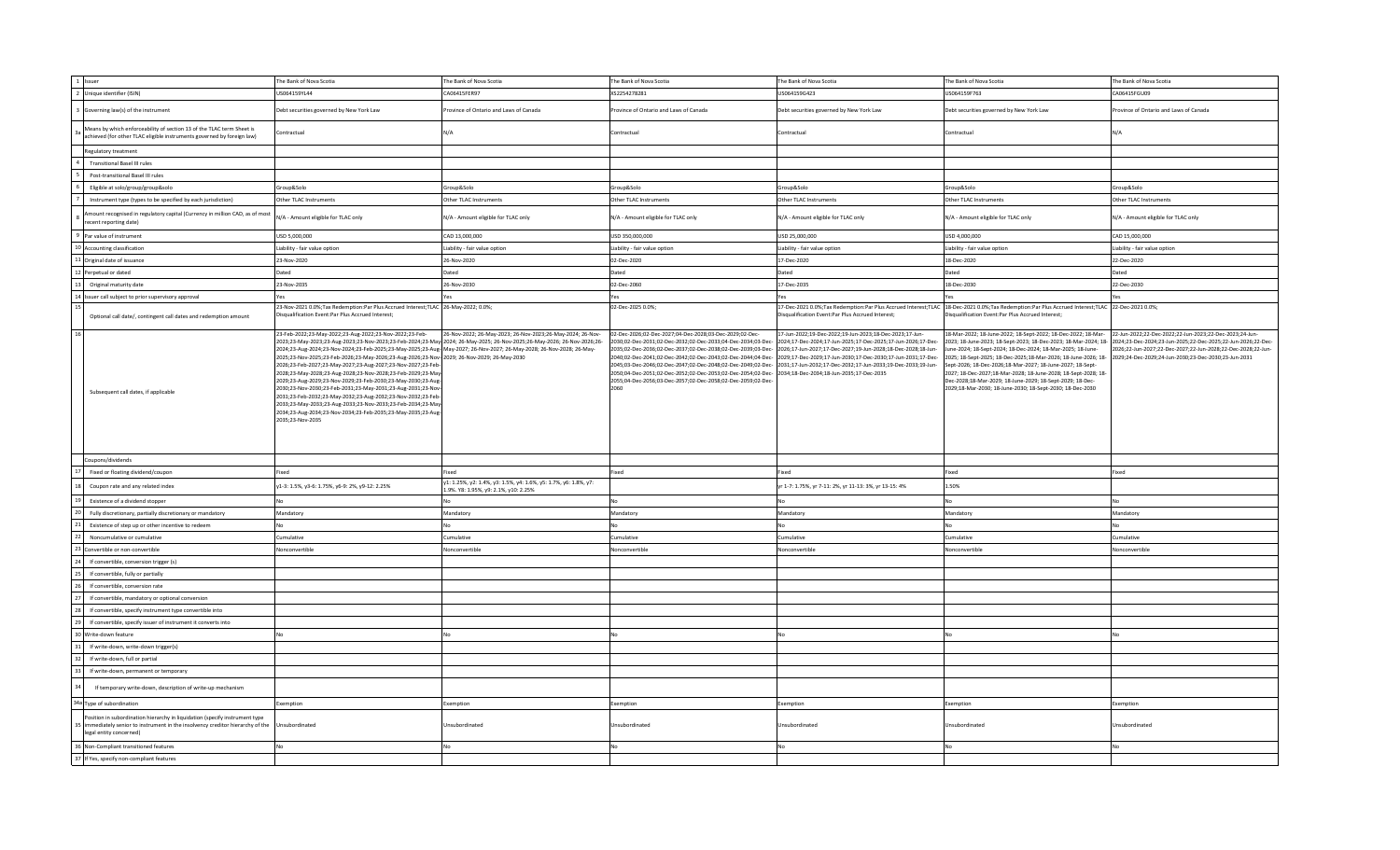| 1 Issuer                                                                                                                                                                               | The Bank of Nova Scotia                                                                                                                                                                                                                                                                                                                                                                                                                                                                                                                                                                                                                                                                                                                                                                                                                                                                       | The Bank of Nova Scotia                                                                                  | The Bank of Nova Scotia                                                                                                                                                                                                                 | The Bank of Nova Scotia                                                                                                                                                                                                                                                                                                                                                                                                                                                                                                                                                  | The Bank of Nova Scotia                                                                                                                                                                                                                                                                                                                                                                                                                                                                                                                                                                                                                                                                             | The Bank of Nova Scotia                                      |
|----------------------------------------------------------------------------------------------------------------------------------------------------------------------------------------|-----------------------------------------------------------------------------------------------------------------------------------------------------------------------------------------------------------------------------------------------------------------------------------------------------------------------------------------------------------------------------------------------------------------------------------------------------------------------------------------------------------------------------------------------------------------------------------------------------------------------------------------------------------------------------------------------------------------------------------------------------------------------------------------------------------------------------------------------------------------------------------------------|----------------------------------------------------------------------------------------------------------|-----------------------------------------------------------------------------------------------------------------------------------------------------------------------------------------------------------------------------------------|--------------------------------------------------------------------------------------------------------------------------------------------------------------------------------------------------------------------------------------------------------------------------------------------------------------------------------------------------------------------------------------------------------------------------------------------------------------------------------------------------------------------------------------------------------------------------|-----------------------------------------------------------------------------------------------------------------------------------------------------------------------------------------------------------------------------------------------------------------------------------------------------------------------------------------------------------------------------------------------------------------------------------------------------------------------------------------------------------------------------------------------------------------------------------------------------------------------------------------------------------------------------------------------------|--------------------------------------------------------------|
| 2 Unique identifier (ISIN)                                                                                                                                                             | US064159YL44                                                                                                                                                                                                                                                                                                                                                                                                                                                                                                                                                                                                                                                                                                                                                                                                                                                                                  | CA06415FER97                                                                                             | XS2254278281                                                                                                                                                                                                                            | US064159G423                                                                                                                                                                                                                                                                                                                                                                                                                                                                                                                                                             | US064159F763                                                                                                                                                                                                                                                                                                                                                                                                                                                                                                                                                                                                                                                                                        | CA06415FGU09                                                 |
| Governing law(s) of the instrument                                                                                                                                                     | Debt securities governed by New York Law                                                                                                                                                                                                                                                                                                                                                                                                                                                                                                                                                                                                                                                                                                                                                                                                                                                      | Province of Ontario and Laws of Canada                                                                   | rovince of Ontario and Laws of Canada                                                                                                                                                                                                   | Debt securities governed by New York Law                                                                                                                                                                                                                                                                                                                                                                                                                                                                                                                                 | Debt securities governed by New York Law                                                                                                                                                                                                                                                                                                                                                                                                                                                                                                                                                                                                                                                            | rovince of Ontario and Laws of Canada                        |
| Means by which enforceability of section 13 of the TLAC term Sheet is<br>achieved (for other TLAC eligible instruments governed by foreign law)                                        | Contractual                                                                                                                                                                                                                                                                                                                                                                                                                                                                                                                                                                                                                                                                                                                                                                                                                                                                                   | N/A                                                                                                      | Contractual                                                                                                                                                                                                                             | Contractual                                                                                                                                                                                                                                                                                                                                                                                                                                                                                                                                                              | Contractual                                                                                                                                                                                                                                                                                                                                                                                                                                                                                                                                                                                                                                                                                         | N/A                                                          |
| Regulatory treatment                                                                                                                                                                   |                                                                                                                                                                                                                                                                                                                                                                                                                                                                                                                                                                                                                                                                                                                                                                                                                                                                                               |                                                                                                          |                                                                                                                                                                                                                                         |                                                                                                                                                                                                                                                                                                                                                                                                                                                                                                                                                                          |                                                                                                                                                                                                                                                                                                                                                                                                                                                                                                                                                                                                                                                                                                     |                                                              |
| <b>Transitional Basel III rules</b>                                                                                                                                                    |                                                                                                                                                                                                                                                                                                                                                                                                                                                                                                                                                                                                                                                                                                                                                                                                                                                                                               |                                                                                                          |                                                                                                                                                                                                                                         |                                                                                                                                                                                                                                                                                                                                                                                                                                                                                                                                                                          |                                                                                                                                                                                                                                                                                                                                                                                                                                                                                                                                                                                                                                                                                                     |                                                              |
| Post-transitional Basel III rules                                                                                                                                                      |                                                                                                                                                                                                                                                                                                                                                                                                                                                                                                                                                                                                                                                                                                                                                                                                                                                                                               |                                                                                                          |                                                                                                                                                                                                                                         |                                                                                                                                                                                                                                                                                                                                                                                                                                                                                                                                                                          |                                                                                                                                                                                                                                                                                                                                                                                                                                                                                                                                                                                                                                                                                                     |                                                              |
| Eligible at solo/group/group&solo                                                                                                                                                      | Group&Solo                                                                                                                                                                                                                                                                                                                                                                                                                                                                                                                                                                                                                                                                                                                                                                                                                                                                                    | Group&Solo                                                                                               | Group&Solo                                                                                                                                                                                                                              | Group&Solo                                                                                                                                                                                                                                                                                                                                                                                                                                                                                                                                                               | Group&Solo                                                                                                                                                                                                                                                                                                                                                                                                                                                                                                                                                                                                                                                                                          | Group&Solo                                                   |
| Instrument type (types to be specified by each jurisdiction)                                                                                                                           | Other TLAC Instruments                                                                                                                                                                                                                                                                                                                                                                                                                                                                                                                                                                                                                                                                                                                                                                                                                                                                        | Other TLAC Instruments                                                                                   | Other TLAC Instruments                                                                                                                                                                                                                  | Other TLAC Instruments                                                                                                                                                                                                                                                                                                                                                                                                                                                                                                                                                   | Other TLAC Instruments                                                                                                                                                                                                                                                                                                                                                                                                                                                                                                                                                                                                                                                                              | Other TLAC Instruments                                       |
| nount recognised in regulatory capital (Currency in million CAD, as of most<br>ecent reporting date)                                                                                   | N/A - Amount eligible for TLAC only                                                                                                                                                                                                                                                                                                                                                                                                                                                                                                                                                                                                                                                                                                                                                                                                                                                           | N/A - Amount eligible for TLAC only                                                                      | N/A - Amount eligible for TLAC only                                                                                                                                                                                                     | N/A - Amount eligible for TLAC only                                                                                                                                                                                                                                                                                                                                                                                                                                                                                                                                      | N/A - Amount eligible for TLAC only                                                                                                                                                                                                                                                                                                                                                                                                                                                                                                                                                                                                                                                                 | N/A - Amount eligible for TLAC only                          |
| Par value of instrument                                                                                                                                                                | USD 5,000,000                                                                                                                                                                                                                                                                                                                                                                                                                                                                                                                                                                                                                                                                                                                                                                                                                                                                                 | CAD 13,000,000                                                                                           | USD 350,000,000                                                                                                                                                                                                                         | USD 25,000,000                                                                                                                                                                                                                                                                                                                                                                                                                                                                                                                                                           | USD 4,000,000                                                                                                                                                                                                                                                                                                                                                                                                                                                                                                                                                                                                                                                                                       | CAD 15,000,000                                               |
| 10 Accounting classification                                                                                                                                                           | Liability - fair value option                                                                                                                                                                                                                                                                                                                                                                                                                                                                                                                                                                                                                                                                                                                                                                                                                                                                 | Liability - fair value option                                                                            | Liability - fair value option                                                                                                                                                                                                           | Liability - fair value option                                                                                                                                                                                                                                                                                                                                                                                                                                                                                                                                            | Liability - fair value option                                                                                                                                                                                                                                                                                                                                                                                                                                                                                                                                                                                                                                                                       | Liability - fair value option                                |
| 1 Original date of issuance                                                                                                                                                            | 23-Nov-2020                                                                                                                                                                                                                                                                                                                                                                                                                                                                                                                                                                                                                                                                                                                                                                                                                                                                                   | 26-Nov-2020                                                                                              | 02-Dec-2020                                                                                                                                                                                                                             | 17-Dec-2020                                                                                                                                                                                                                                                                                                                                                                                                                                                                                                                                                              | 18-Dec-2020                                                                                                                                                                                                                                                                                                                                                                                                                                                                                                                                                                                                                                                                                         | 22-Dec-2020                                                  |
| Perpetual or dated                                                                                                                                                                     | Dated                                                                                                                                                                                                                                                                                                                                                                                                                                                                                                                                                                                                                                                                                                                                                                                                                                                                                         | Dated                                                                                                    | Dated                                                                                                                                                                                                                                   | Dated                                                                                                                                                                                                                                                                                                                                                                                                                                                                                                                                                                    | Dated                                                                                                                                                                                                                                                                                                                                                                                                                                                                                                                                                                                                                                                                                               | Dated                                                        |
| Original maturity date                                                                                                                                                                 | 23-Nov-2035                                                                                                                                                                                                                                                                                                                                                                                                                                                                                                                                                                                                                                                                                                                                                                                                                                                                                   | 26-Nov-2030                                                                                              | 02-Dec-2060                                                                                                                                                                                                                             | 17-Dec-2035                                                                                                                                                                                                                                                                                                                                                                                                                                                                                                                                                              | 18-Dec-2030                                                                                                                                                                                                                                                                                                                                                                                                                                                                                                                                                                                                                                                                                         | 22-Dec-2030                                                  |
|                                                                                                                                                                                        | Yes                                                                                                                                                                                                                                                                                                                                                                                                                                                                                                                                                                                                                                                                                                                                                                                                                                                                                           |                                                                                                          |                                                                                                                                                                                                                                         | Yes                                                                                                                                                                                                                                                                                                                                                                                                                                                                                                                                                                      | Yes                                                                                                                                                                                                                                                                                                                                                                                                                                                                                                                                                                                                                                                                                                 | Yes                                                          |
| Issuer call subject to prior supervisory approval                                                                                                                                      | 23-Nov-2021 0.0%;Tax Redemption:Par Plus Accrued Interest;TLAC 26-May-2022; 0.0%;                                                                                                                                                                                                                                                                                                                                                                                                                                                                                                                                                                                                                                                                                                                                                                                                             |                                                                                                          | Yes<br>02-Dec-2025 0.0%;                                                                                                                                                                                                                |                                                                                                                                                                                                                                                                                                                                                                                                                                                                                                                                                                          | 17-Dec-2021 0.0%;Tax Redemption:Par Plus Accrued Interest;TLAC 18-Dec-2021 0.0%;Tax Redemption:Par Plus Accrued Interest;TLAC 22-Dec-2021 0.0%                                                                                                                                                                                                                                                                                                                                                                                                                                                                                                                                                      |                                                              |
| Optional call date/, contingent call dates and redemption amount                                                                                                                       | Disqualification Event:Par Plus Accrued Interest;                                                                                                                                                                                                                                                                                                                                                                                                                                                                                                                                                                                                                                                                                                                                                                                                                                             |                                                                                                          |                                                                                                                                                                                                                                         | Disqualification Event:Par Plus Accrued Interest;                                                                                                                                                                                                                                                                                                                                                                                                                                                                                                                        | Disqualification Event:Par Plus Accrued Interest;                                                                                                                                                                                                                                                                                                                                                                                                                                                                                                                                                                                                                                                   |                                                              |
| Subsequent call dates, if applicable                                                                                                                                                   | 23-Feb-2022;23-May-2022;23-Aug-2022;23-Nov-2022;23-Feb-<br>2023;23-May-2023;23-Aug-2023;23-Nov-2023;23-Feb-2024;23-May-2024; 26-May-2025; 26-Nov-2025;26-May-2026; 26-Nov-2026;26-<br>2024;23-Aug-2024;23-Nov-2024;23-Feb-2025;23-May-2025;23-Aug- May-2027; 26-Nov-2027; 26-May-2028; 26-Nov-2028; 26-May-<br>2025;23-Nov-2025;23-Feb-2026;23-May-2026;23-Aug-2026;23-Nov-2029; 26-Nov-2029; 26-May-2030<br>2026;23-Feb-2027;23-May-2027;23-Aug-2027;23-Nov-2027;23-Feb-<br>2028;23-May-2028;23-Aug-2028;23-Nov-2028;23-Feb-2029;23-May-<br>2029;23-Aug-2029;23-Nov-2029;23-Feb-2030;23-May-2030;23-Aug-<br>2030;23-Nov-2030;23-Feb-2031;23-May-2031;23-Aug-2031;23-Nov-<br>2031;23-Feb-2032;23-May-2032;23-Aug-2032;23-Nov-2032;23-Feb-<br>2033;23-May-2033;23-Aug-2033;23-Nov-2033;23-Feb-2034;23-May-<br>2034;23-Aug-2034;23-Nov-2034;23-Feb-2035;23-May-2035;23-Aug-<br>2035;23-Nov-2035 | 26-Nov-2022; 26-May-2023; 26-Nov-2023; 26-May-2024; 26-Nov-                                              | 02-Dec-2026;02-Dec-2027;04-Dec-2028;03-Dec-2029;02-Dec-<br>2050;04-Dec-2051;02-Dec-2052;02-Dec-2053;02-Dec-2054;02-Dec-2034;18-Dec-2034;18-Jun-2035;17-Dec-2035<br>2055;04-Dec-2056;03-Dec-2057;02-Dec-2058;02-Dec-2059;02-Dec-<br>2060 | 17-Jun-2022;19-Dec-2022;19-Jun-2023;18-Dec-2023;17-Jun-<br>2030:02-Dec-2031:02-Dec-2032:02-Dec-2033:04-Dec-2034:03-Dec-2024:17-Dec-2024:17-Jun-2025:17-Dec-2025:17-Jun-2026:17-Dec-<br>2035;02-Dec-2036;02-Dec-2037;02-Dec-2038;02-Dec-2039;03-Dec-2026;17-Jun-2027;17-Dec-2027;19-Jun-2028;18-Dec-2028;18-Jun-<br>2040;02-Dec-2041;02-Dec-2042;02-Dec-2043;02-Dec-2044;04-Dec-2029;17-Dec-2029;17-Jun-2030;17-Dec-2030;17-Jun-2031;17-Dec-<br>-2045;03-Dec-2046;02-Dec-2047;02-Dec-2048;02-Dec-2049;02-Dec-2031;17-Jun-2032;17-Dec-2032;17-Jun-2033;19-Dec-2033;19-Jun- | 18-Mar-2022; 18-June-2022; 18-Sept-2022; 18-Dec-2022; 18-Mar-22-Jun-2022;22-Dec-2022;22-Jun-2023;22-Dec-2023;24-Jun-<br>2023; 18-June-2023; 18-Sept-2023; 18-Dec-2023; 18-Mar-2024; 18- 2024;23-Dec-2024;23-Jun-2025;22-Dec-2025;22-Jun-2026;22-Dec-<br>June-2024; 18-Sept-2024; 18-Dec-2024; 18-Mar-2025; 18-June-<br>2025; 18-Sept-2025; 18-Dec-2025;18-Mar-2026; 18-June-2026; 18-2029;24-Dec-2029;24-Jun-2030;23-Dec-2030;23-Jun-2031<br>Sept-2026; 18-Dec-2026;18-Mar-2027; 18-June-2027; 18-Sept-<br>2027; 18-Dec-2027;18-Mar-2028; 18-June-2028; 18-Sept-2028; 18-<br>Dec-2028:18-Mar-2029: 18-June-2029: 18-Sept-2029: 18-Dec-<br>2029;18-Mar-2030; 18-June-2030; 18-Sept-2030; 18-Dec-2030 | 2026;22-Jun-2027;22-Dec-2027;22-Jun-2028;22-Dec-2028;22-Jun- |
| Coupons/dividends                                                                                                                                                                      |                                                                                                                                                                                                                                                                                                                                                                                                                                                                                                                                                                                                                                                                                                                                                                                                                                                                                               |                                                                                                          |                                                                                                                                                                                                                                         |                                                                                                                                                                                                                                                                                                                                                                                                                                                                                                                                                                          |                                                                                                                                                                                                                                                                                                                                                                                                                                                                                                                                                                                                                                                                                                     |                                                              |
| Fixed or floating dividend/coupon                                                                                                                                                      | Fixed                                                                                                                                                                                                                                                                                                                                                                                                                                                                                                                                                                                                                                                                                                                                                                                                                                                                                         | Fixed                                                                                                    | Fixed                                                                                                                                                                                                                                   | Fixed                                                                                                                                                                                                                                                                                                                                                                                                                                                                                                                                                                    | Fixed                                                                                                                                                                                                                                                                                                                                                                                                                                                                                                                                                                                                                                                                                               | Fixed                                                        |
| Coupon rate and any related index                                                                                                                                                      | y1-3: 1.5%, y3-6: 1.75%, y6-9: 2%, y9-12: 2.25%                                                                                                                                                                                                                                                                                                                                                                                                                                                                                                                                                                                                                                                                                                                                                                                                                                               | y1: 1.25%, y2: 1.4%, y3: 1.5%, y4: 1.6%, y5: 1.7%, y6: 1.8%, y7:<br>.9%. Y8: 1.95%, y9: 2.1%, y10: 2.25% |                                                                                                                                                                                                                                         | yr 1-7: 1.75%, yr 7-11: 2%, yr 11-13: 3%, yr 13-15: 4%                                                                                                                                                                                                                                                                                                                                                                                                                                                                                                                   | 1.50%                                                                                                                                                                                                                                                                                                                                                                                                                                                                                                                                                                                                                                                                                               |                                                              |
| Existence of a dividend stopper                                                                                                                                                        | No                                                                                                                                                                                                                                                                                                                                                                                                                                                                                                                                                                                                                                                                                                                                                                                                                                                                                            | No                                                                                                       | No                                                                                                                                                                                                                                      | No                                                                                                                                                                                                                                                                                                                                                                                                                                                                                                                                                                       | No                                                                                                                                                                                                                                                                                                                                                                                                                                                                                                                                                                                                                                                                                                  | No                                                           |
| Fully discretionary, partially discretionary or mandatory                                                                                                                              | Mandatory                                                                                                                                                                                                                                                                                                                                                                                                                                                                                                                                                                                                                                                                                                                                                                                                                                                                                     | Mandatory                                                                                                | Mandatory                                                                                                                                                                                                                               | Mandatory                                                                                                                                                                                                                                                                                                                                                                                                                                                                                                                                                                | Mandatory                                                                                                                                                                                                                                                                                                                                                                                                                                                                                                                                                                                                                                                                                           | Mandatory                                                    |
| Existence of step up or other incentive to redeem                                                                                                                                      | No.                                                                                                                                                                                                                                                                                                                                                                                                                                                                                                                                                                                                                                                                                                                                                                                                                                                                                           | No                                                                                                       | No                                                                                                                                                                                                                                      | <b>No</b>                                                                                                                                                                                                                                                                                                                                                                                                                                                                                                                                                                | NΩ                                                                                                                                                                                                                                                                                                                                                                                                                                                                                                                                                                                                                                                                                                  | No                                                           |
| Noncumulative or cumulative                                                                                                                                                            | Cumulative                                                                                                                                                                                                                                                                                                                                                                                                                                                                                                                                                                                                                                                                                                                                                                                                                                                                                    | Cumulative                                                                                               | Cumulative                                                                                                                                                                                                                              | Cumulative                                                                                                                                                                                                                                                                                                                                                                                                                                                                                                                                                               | Cumulative                                                                                                                                                                                                                                                                                                                                                                                                                                                                                                                                                                                                                                                                                          | Cumulative                                                   |
| Convertible or non-convertible                                                                                                                                                         | Nonconvertible                                                                                                                                                                                                                                                                                                                                                                                                                                                                                                                                                                                                                                                                                                                                                                                                                                                                                | Nonconvertible                                                                                           | Nonconvertible                                                                                                                                                                                                                          | Nonconvertible                                                                                                                                                                                                                                                                                                                                                                                                                                                                                                                                                           | Nonconvertible                                                                                                                                                                                                                                                                                                                                                                                                                                                                                                                                                                                                                                                                                      | Nonconvertible                                               |
| If convertible, conversion trigger (s)                                                                                                                                                 |                                                                                                                                                                                                                                                                                                                                                                                                                                                                                                                                                                                                                                                                                                                                                                                                                                                                                               |                                                                                                          |                                                                                                                                                                                                                                         |                                                                                                                                                                                                                                                                                                                                                                                                                                                                                                                                                                          |                                                                                                                                                                                                                                                                                                                                                                                                                                                                                                                                                                                                                                                                                                     |                                                              |
| If convertible, fully or partially                                                                                                                                                     |                                                                                                                                                                                                                                                                                                                                                                                                                                                                                                                                                                                                                                                                                                                                                                                                                                                                                               |                                                                                                          |                                                                                                                                                                                                                                         |                                                                                                                                                                                                                                                                                                                                                                                                                                                                                                                                                                          |                                                                                                                                                                                                                                                                                                                                                                                                                                                                                                                                                                                                                                                                                                     |                                                              |
| If convertible, conversion rate                                                                                                                                                        |                                                                                                                                                                                                                                                                                                                                                                                                                                                                                                                                                                                                                                                                                                                                                                                                                                                                                               |                                                                                                          |                                                                                                                                                                                                                                         |                                                                                                                                                                                                                                                                                                                                                                                                                                                                                                                                                                          |                                                                                                                                                                                                                                                                                                                                                                                                                                                                                                                                                                                                                                                                                                     |                                                              |
| If convertible, mandatory or optional conversion                                                                                                                                       |                                                                                                                                                                                                                                                                                                                                                                                                                                                                                                                                                                                                                                                                                                                                                                                                                                                                                               |                                                                                                          |                                                                                                                                                                                                                                         |                                                                                                                                                                                                                                                                                                                                                                                                                                                                                                                                                                          |                                                                                                                                                                                                                                                                                                                                                                                                                                                                                                                                                                                                                                                                                                     |                                                              |
| If convertible, specify instrument type convertible into                                                                                                                               |                                                                                                                                                                                                                                                                                                                                                                                                                                                                                                                                                                                                                                                                                                                                                                                                                                                                                               |                                                                                                          |                                                                                                                                                                                                                                         |                                                                                                                                                                                                                                                                                                                                                                                                                                                                                                                                                                          |                                                                                                                                                                                                                                                                                                                                                                                                                                                                                                                                                                                                                                                                                                     |                                                              |
| If convertible, specify issuer of instrument it converts into                                                                                                                          |                                                                                                                                                                                                                                                                                                                                                                                                                                                                                                                                                                                                                                                                                                                                                                                                                                                                                               |                                                                                                          |                                                                                                                                                                                                                                         |                                                                                                                                                                                                                                                                                                                                                                                                                                                                                                                                                                          |                                                                                                                                                                                                                                                                                                                                                                                                                                                                                                                                                                                                                                                                                                     |                                                              |
|                                                                                                                                                                                        |                                                                                                                                                                                                                                                                                                                                                                                                                                                                                                                                                                                                                                                                                                                                                                                                                                                                                               |                                                                                                          |                                                                                                                                                                                                                                         |                                                                                                                                                                                                                                                                                                                                                                                                                                                                                                                                                                          |                                                                                                                                                                                                                                                                                                                                                                                                                                                                                                                                                                                                                                                                                                     |                                                              |
| Write-down feature                                                                                                                                                                     | No                                                                                                                                                                                                                                                                                                                                                                                                                                                                                                                                                                                                                                                                                                                                                                                                                                                                                            |                                                                                                          |                                                                                                                                                                                                                                         | No                                                                                                                                                                                                                                                                                                                                                                                                                                                                                                                                                                       |                                                                                                                                                                                                                                                                                                                                                                                                                                                                                                                                                                                                                                                                                                     |                                                              |
| If write-down, write-down trigger(s)                                                                                                                                                   |                                                                                                                                                                                                                                                                                                                                                                                                                                                                                                                                                                                                                                                                                                                                                                                                                                                                                               |                                                                                                          |                                                                                                                                                                                                                                         |                                                                                                                                                                                                                                                                                                                                                                                                                                                                                                                                                                          |                                                                                                                                                                                                                                                                                                                                                                                                                                                                                                                                                                                                                                                                                                     |                                                              |
| If write-down, full or partial                                                                                                                                                         |                                                                                                                                                                                                                                                                                                                                                                                                                                                                                                                                                                                                                                                                                                                                                                                                                                                                                               |                                                                                                          |                                                                                                                                                                                                                                         |                                                                                                                                                                                                                                                                                                                                                                                                                                                                                                                                                                          |                                                                                                                                                                                                                                                                                                                                                                                                                                                                                                                                                                                                                                                                                                     |                                                              |
| If write-down, permanent or temporary                                                                                                                                                  |                                                                                                                                                                                                                                                                                                                                                                                                                                                                                                                                                                                                                                                                                                                                                                                                                                                                                               |                                                                                                          |                                                                                                                                                                                                                                         |                                                                                                                                                                                                                                                                                                                                                                                                                                                                                                                                                                          |                                                                                                                                                                                                                                                                                                                                                                                                                                                                                                                                                                                                                                                                                                     |                                                              |
| If temporary write-down, description of write-up mechanism                                                                                                                             |                                                                                                                                                                                                                                                                                                                                                                                                                                                                                                                                                                                                                                                                                                                                                                                                                                                                                               |                                                                                                          |                                                                                                                                                                                                                                         |                                                                                                                                                                                                                                                                                                                                                                                                                                                                                                                                                                          |                                                                                                                                                                                                                                                                                                                                                                                                                                                                                                                                                                                                                                                                                                     |                                                              |
| 34a Type of subordination                                                                                                                                                              | Exemption                                                                                                                                                                                                                                                                                                                                                                                                                                                                                                                                                                                                                                                                                                                                                                                                                                                                                     | Exemption                                                                                                | Exemption                                                                                                                                                                                                                               | Exemption                                                                                                                                                                                                                                                                                                                                                                                                                                                                                                                                                                | Exemption                                                                                                                                                                                                                                                                                                                                                                                                                                                                                                                                                                                                                                                                                           | Exemption                                                    |
| Position in subordination hierarchy in liquidation (specify instrument type<br>immediately senior to instrument in the insolvency creditor hierarchy of the<br>legal entity concerned) | Unsubordinated                                                                                                                                                                                                                                                                                                                                                                                                                                                                                                                                                                                                                                                                                                                                                                                                                                                                                | Unsubordinated                                                                                           | Jnsubordinated                                                                                                                                                                                                                          | Unsubordinated                                                                                                                                                                                                                                                                                                                                                                                                                                                                                                                                                           | Unsubordinated                                                                                                                                                                                                                                                                                                                                                                                                                                                                                                                                                                                                                                                                                      | Jnsubordinated                                               |
| 36 Non-Compliant transitioned features                                                                                                                                                 | No                                                                                                                                                                                                                                                                                                                                                                                                                                                                                                                                                                                                                                                                                                                                                                                                                                                                                            | No                                                                                                       | No                                                                                                                                                                                                                                      | N <sub>0</sub>                                                                                                                                                                                                                                                                                                                                                                                                                                                                                                                                                           | No                                                                                                                                                                                                                                                                                                                                                                                                                                                                                                                                                                                                                                                                                                  | No                                                           |
| 37 If Yes, specify non-compliant features                                                                                                                                              |                                                                                                                                                                                                                                                                                                                                                                                                                                                                                                                                                                                                                                                                                                                                                                                                                                                                                               |                                                                                                          |                                                                                                                                                                                                                                         |                                                                                                                                                                                                                                                                                                                                                                                                                                                                                                                                                                          |                                                                                                                                                                                                                                                                                                                                                                                                                                                                                                                                                                                                                                                                                                     |                                                              |
|                                                                                                                                                                                        |                                                                                                                                                                                                                                                                                                                                                                                                                                                                                                                                                                                                                                                                                                                                                                                                                                                                                               |                                                                                                          |                                                                                                                                                                                                                                         |                                                                                                                                                                                                                                                                                                                                                                                                                                                                                                                                                                          |                                                                                                                                                                                                                                                                                                                                                                                                                                                                                                                                                                                                                                                                                                     |                                                              |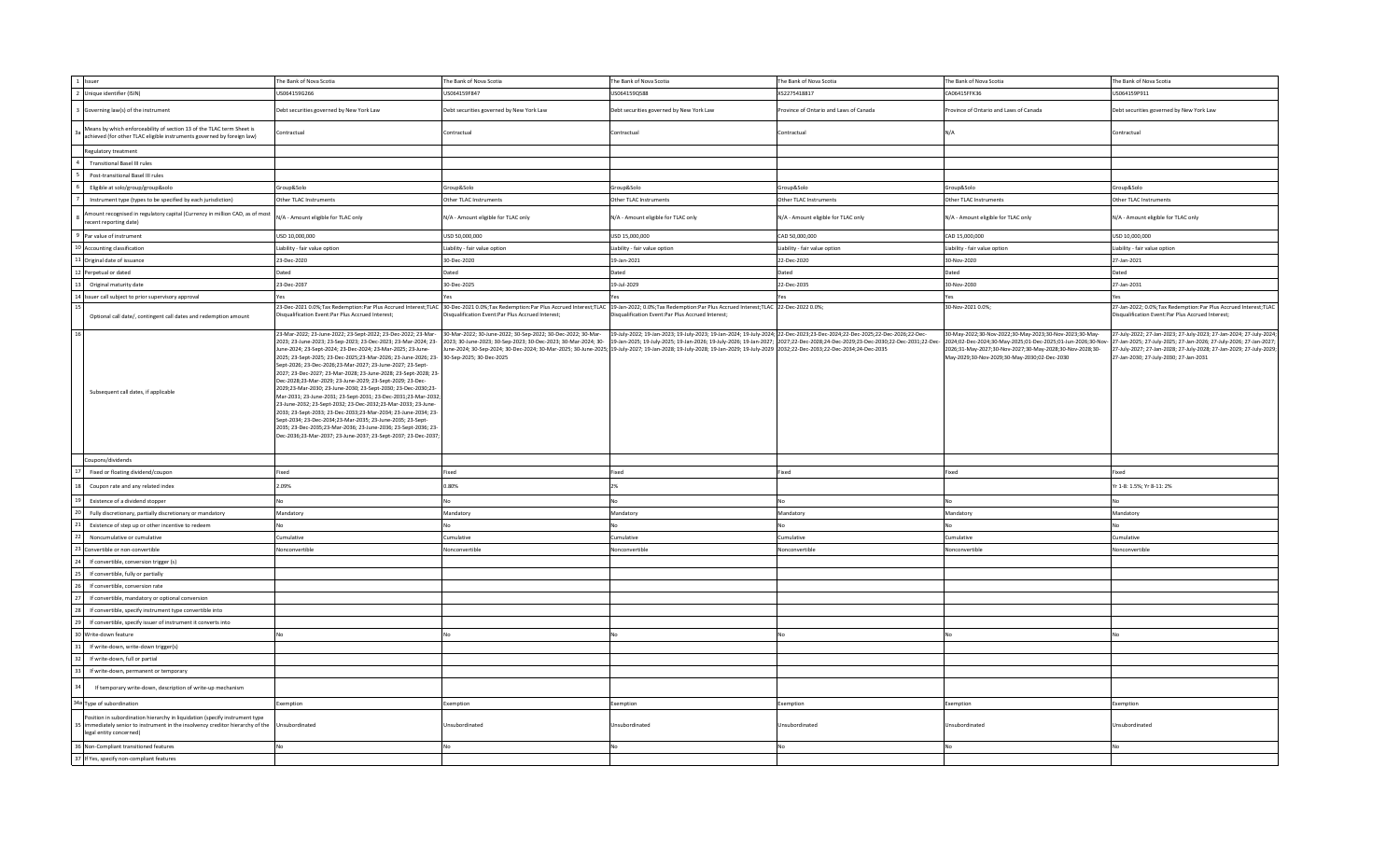| 1 Issuer                                                                                                                                                                               | The Bank of Nova Scotia                                                                                                                                                                                                                                                                                                                                                                                                                                                                                                                                                                                                                                                                                                                                                                                                                                                                                                                                                                                                         | The Bank of Nova Scotia                                                                                                                                                                                         | The Bank of Nova Scotia                                                                                                                                                                                                                                                                                                                                                                                                                           | The Bank of Nova Scotia               | The Bank of Nova Scotia                                                                                                                                                                                                            | The Bank of Nova Scotia                                                                                                                                                                                                                                    |
|----------------------------------------------------------------------------------------------------------------------------------------------------------------------------------------|---------------------------------------------------------------------------------------------------------------------------------------------------------------------------------------------------------------------------------------------------------------------------------------------------------------------------------------------------------------------------------------------------------------------------------------------------------------------------------------------------------------------------------------------------------------------------------------------------------------------------------------------------------------------------------------------------------------------------------------------------------------------------------------------------------------------------------------------------------------------------------------------------------------------------------------------------------------------------------------------------------------------------------|-----------------------------------------------------------------------------------------------------------------------------------------------------------------------------------------------------------------|---------------------------------------------------------------------------------------------------------------------------------------------------------------------------------------------------------------------------------------------------------------------------------------------------------------------------------------------------------------------------------------------------------------------------------------------------|---------------------------------------|------------------------------------------------------------------------------------------------------------------------------------------------------------------------------------------------------------------------------------|------------------------------------------------------------------------------------------------------------------------------------------------------------------------------------------------------------------------------------------------------------|
| 2 Unique identifier (ISIN)                                                                                                                                                             | US064159G266                                                                                                                                                                                                                                                                                                                                                                                                                                                                                                                                                                                                                                                                                                                                                                                                                                                                                                                                                                                                                    | US064159F847                                                                                                                                                                                                    | US064159Q588                                                                                                                                                                                                                                                                                                                                                                                                                                      | XS2275418817                          | CA06415FFK36                                                                                                                                                                                                                       | US064159P911                                                                                                                                                                                                                                               |
| Governing law(s) of the instrument                                                                                                                                                     | Debt securities governed by New York Law                                                                                                                                                                                                                                                                                                                                                                                                                                                                                                                                                                                                                                                                                                                                                                                                                                                                                                                                                                                        | Debt securities governed by New York Law                                                                                                                                                                        | Debt securities governed by New York Law                                                                                                                                                                                                                                                                                                                                                                                                          | rovince of Ontario and Laws of Canada | Province of Ontario and Laws of Canada                                                                                                                                                                                             | Debt securities governed by New York Law                                                                                                                                                                                                                   |
| Means by which enforceability of section 13 of the TLAC term Sheet is<br>achieved (for other TLAC eligible instruments governed by foreign law)                                        | Contractual                                                                                                                                                                                                                                                                                                                                                                                                                                                                                                                                                                                                                                                                                                                                                                                                                                                                                                                                                                                                                     | Contractual                                                                                                                                                                                                     | Contractual                                                                                                                                                                                                                                                                                                                                                                                                                                       | Contractual                           | N/A                                                                                                                                                                                                                                | Contractual                                                                                                                                                                                                                                                |
| Regulatory treatment                                                                                                                                                                   |                                                                                                                                                                                                                                                                                                                                                                                                                                                                                                                                                                                                                                                                                                                                                                                                                                                                                                                                                                                                                                 |                                                                                                                                                                                                                 |                                                                                                                                                                                                                                                                                                                                                                                                                                                   |                                       |                                                                                                                                                                                                                                    |                                                                                                                                                                                                                                                            |
| <b>Transitional Basel III rules</b>                                                                                                                                                    |                                                                                                                                                                                                                                                                                                                                                                                                                                                                                                                                                                                                                                                                                                                                                                                                                                                                                                                                                                                                                                 |                                                                                                                                                                                                                 |                                                                                                                                                                                                                                                                                                                                                                                                                                                   |                                       |                                                                                                                                                                                                                                    |                                                                                                                                                                                                                                                            |
| Post-transitional Basel III rules                                                                                                                                                      |                                                                                                                                                                                                                                                                                                                                                                                                                                                                                                                                                                                                                                                                                                                                                                                                                                                                                                                                                                                                                                 |                                                                                                                                                                                                                 |                                                                                                                                                                                                                                                                                                                                                                                                                                                   |                                       |                                                                                                                                                                                                                                    |                                                                                                                                                                                                                                                            |
| Eligible at solo/group/group&solo                                                                                                                                                      | Group&Solo                                                                                                                                                                                                                                                                                                                                                                                                                                                                                                                                                                                                                                                                                                                                                                                                                                                                                                                                                                                                                      | Group&Solo                                                                                                                                                                                                      | Group&Solo                                                                                                                                                                                                                                                                                                                                                                                                                                        | Group&Solo                            | Group&Solo                                                                                                                                                                                                                         | Group&Solo                                                                                                                                                                                                                                                 |
| Instrument type (types to be specified by each jurisdiction)                                                                                                                           | Other TLAC Instruments                                                                                                                                                                                                                                                                                                                                                                                                                                                                                                                                                                                                                                                                                                                                                                                                                                                                                                                                                                                                          | Other TLAC Instruments                                                                                                                                                                                          | Other TLAC Instruments                                                                                                                                                                                                                                                                                                                                                                                                                            | Other TLAC Instruments                | Other TLAC Instruments                                                                                                                                                                                                             | Other TLAC Instruments                                                                                                                                                                                                                                     |
| nount recognised in regulatory capital (Currency in million CAD, as of most<br>ecent reporting date)                                                                                   | N/A - Amount eligible for TLAC only                                                                                                                                                                                                                                                                                                                                                                                                                                                                                                                                                                                                                                                                                                                                                                                                                                                                                                                                                                                             | N/A - Amount eligible for TLAC only                                                                                                                                                                             | N/A - Amount eligible for TLAC only                                                                                                                                                                                                                                                                                                                                                                                                               | N/A - Amount eligible for TLAC only   | N/A - Amount eligible for TLAC only                                                                                                                                                                                                | N/A - Amount eligible for TLAC only                                                                                                                                                                                                                        |
| Par value of instrument                                                                                                                                                                | USD 10,000,000                                                                                                                                                                                                                                                                                                                                                                                                                                                                                                                                                                                                                                                                                                                                                                                                                                                                                                                                                                                                                  | USD 50,000,000                                                                                                                                                                                                  | USD 15,000,000                                                                                                                                                                                                                                                                                                                                                                                                                                    | CAD 50,000,000                        | CAD 15,000,000                                                                                                                                                                                                                     | USD 10,000,000                                                                                                                                                                                                                                             |
| 10 Accounting classification                                                                                                                                                           | Liability - fair value option                                                                                                                                                                                                                                                                                                                                                                                                                                                                                                                                                                                                                                                                                                                                                                                                                                                                                                                                                                                                   | Liability - fair value option                                                                                                                                                                                   | Liability - fair value option                                                                                                                                                                                                                                                                                                                                                                                                                     | Liability - fair value option         | Liability - fair value option                                                                                                                                                                                                      | Liability - fair value option                                                                                                                                                                                                                              |
| 1 Original date of issuance                                                                                                                                                            | 23-Dec-2020                                                                                                                                                                                                                                                                                                                                                                                                                                                                                                                                                                                                                                                                                                                                                                                                                                                                                                                                                                                                                     | 30-Dec-2020                                                                                                                                                                                                     | 19-Jan-2021                                                                                                                                                                                                                                                                                                                                                                                                                                       | 22-Dec-2020                           | 30-Nov-2020                                                                                                                                                                                                                        | 27-Jan-2021                                                                                                                                                                                                                                                |
| Perpetual or dated                                                                                                                                                                     | Dated                                                                                                                                                                                                                                                                                                                                                                                                                                                                                                                                                                                                                                                                                                                                                                                                                                                                                                                                                                                                                           | Dated                                                                                                                                                                                                           | Dated                                                                                                                                                                                                                                                                                                                                                                                                                                             | Dated                                 | Dated                                                                                                                                                                                                                              | Dated                                                                                                                                                                                                                                                      |
| Original maturity date                                                                                                                                                                 | 23-Dec-2037                                                                                                                                                                                                                                                                                                                                                                                                                                                                                                                                                                                                                                                                                                                                                                                                                                                                                                                                                                                                                     | 30-Dec-2025                                                                                                                                                                                                     | 19-Jul-2029                                                                                                                                                                                                                                                                                                                                                                                                                                       | 22-Dec-2035                           | 30-Nov-2030                                                                                                                                                                                                                        | 27-Jan-2031                                                                                                                                                                                                                                                |
| Issuer call subject to prior supervisory approval                                                                                                                                      | Yes                                                                                                                                                                                                                                                                                                                                                                                                                                                                                                                                                                                                                                                                                                                                                                                                                                                                                                                                                                                                                             |                                                                                                                                                                                                                 |                                                                                                                                                                                                                                                                                                                                                                                                                                                   |                                       | Yρς                                                                                                                                                                                                                                |                                                                                                                                                                                                                                                            |
|                                                                                                                                                                                        |                                                                                                                                                                                                                                                                                                                                                                                                                                                                                                                                                                                                                                                                                                                                                                                                                                                                                                                                                                                                                                 | 23-Dec-2021 0.0%;Tax Redemption:Par Plus Accrued Interest;TLAC 30-Dec-2021 0.0%;Tax Redemption:Par Plus Accrued Interest;TLAC 13-Jan-2022; 0.0%;Tax Redemption:Par Plus Accrued Interest;TLAC 22-Dec-2022 0.0%; |                                                                                                                                                                                                                                                                                                                                                                                                                                                   |                                       | 30-Nov-2021 0.0%;                                                                                                                                                                                                                  | 27-Jan-2022; 0.0%; Tax Redemption: Par Plus Accrued Interest; TLAC                                                                                                                                                                                         |
| Optional call date/, contingent call dates and redemption amount                                                                                                                       | Disqualification Event:Par Plus Accrued Interest;                                                                                                                                                                                                                                                                                                                                                                                                                                                                                                                                                                                                                                                                                                                                                                                                                                                                                                                                                                               | isqualification Event:Par Plus Accrued Interest;                                                                                                                                                                | isqualification Event:Par Plus Accrued Interest;                                                                                                                                                                                                                                                                                                                                                                                                  |                                       |                                                                                                                                                                                                                                    | Disqualification Event:Par Plus Accrued Interest;                                                                                                                                                                                                          |
| Subsequent call dates, if applicable                                                                                                                                                   | 23-Mar-2022; 23-June-2022; 23-Sept-2022; 23-Dec-2022; 23-Mar-<br>2023; 23-June-2023; 23-Sep-2023; 23-Dec-2023; 23-Mar-2024; 23- 2023; 30-June-2023; 30-Sep-2023; 30-Dec-2023; 30-Mar-2024; 30-<br>June-2024; 23-Sept-2024; 23-Dec-2024; 23-Mar-2025; 23-June-<br>2025; 23-Sept-2025; 23-Dec-2025;23-Mar-2026; 23-June-2026; 23- 30-Sep-2025; 30-Dec-2025<br>Sept-2026; 23-Dec-2026;23-Mar-2027; 23-June-2027; 23-Sept-<br>2027; 23-Dec-2027; 23-Mar-2028; 23-June-2028; 23-Sept-2028; 23-<br>Dec-2028;23-Mar-2029; 23-June-2029; 23-Sept-2029; 23-Dec-<br>2029;23-Mar-2030; 23-June-2030; 23-Sept-2030; 23-Dec-2030;23-<br>Mar-2031; 23-June-2031; 23-Sept-2031; 23-Dec-2031; 23-Mar-2032;<br>23-June-2032; 23-Sept-2032; 23-Dec-2032;23-Mar-2033; 23-June-<br>2033; 23-Sept-2033; 23-Dec-2033;23-Mar-2034; 23-June-2034; 23-<br>Sept-2034; 23-Dec-2034;23-Mar-2035; 23-June-2035; 23-Sept-<br>2035; 23-Dec-2035;23-Mar-2036; 23-June-2036; 23-Sept-2036; 23-<br>Dec-2036;23-Mar-2037; 23-June-2037; 23-Sept-2037; 23-Dec-2037; | 30-Mar-2022; 30-June-2022; 30-Sep-2022; 30-Dec-2022; 30-Mar-                                                                                                                                                    | 19-July-2022; 19-Jan-2023; 19-July-2023; 19-Jan-2024; 19-July-2024; 22-Dec-2023; 23-Dec-2024; 22-Dec-2025; 22-Dec-2026; 22-Dec-<br>19-Jan-2025; 19-July-2025; 19-Jan-2026; 19-July-2026; 19-Jan-2027; 2027;22-Dec-2028;24-Dec-2029;23-Dec-2030;22-Dec-2031;22-Dec-<br>June-2024; 30-Sep-2024; 30-Dec-2024; 30-Mar-2025; 30-June-2025; 19-July-2027; 19-Jan-2028; 19-July-2028; 19-Jan-2029; 19-July-2029 2032;22-Dec-2033;22-Dec-2034;24-Dec-2035 |                                       | 30-May-2022;30-Nov-2022;30-May-2023;30-Nov-2023;30-May-<br>2024:02-Dec-2024:30-May-2025:01-Dec-2025:01-Jun-2026:30-Nov<br>2026;31-May-2027;30-Nov-2027;30-May-2028;30-Nov-2028;30-<br>May-2029;30-Nov-2029;30-May-2030;02-Dec-2030 | 27-July-2022; 27-Jan-2023; 27-July-2023; 27-Jan-2024; 27-July-2024;<br>27-Jan-2025: 27-July-2025: 27-Jan-2026: 27-July-2026: 27-Jan-2027:<br>27-July-2027; 27-Jan-2028; 27-July-2028; 27-Jan-2029; 27-July-2029;<br>27-Jan-2030; 27-July-2030; 27-Jan-2031 |
| Coupons/dividends                                                                                                                                                                      |                                                                                                                                                                                                                                                                                                                                                                                                                                                                                                                                                                                                                                                                                                                                                                                                                                                                                                                                                                                                                                 |                                                                                                                                                                                                                 |                                                                                                                                                                                                                                                                                                                                                                                                                                                   |                                       |                                                                                                                                                                                                                                    |                                                                                                                                                                                                                                                            |
| Fixed or floating dividend/coupon                                                                                                                                                      | Fixed                                                                                                                                                                                                                                                                                                                                                                                                                                                                                                                                                                                                                                                                                                                                                                                                                                                                                                                                                                                                                           | Fixed                                                                                                                                                                                                           | Fixed                                                                                                                                                                                                                                                                                                                                                                                                                                             | Fixed                                 | Fixed                                                                                                                                                                                                                              | Fixed                                                                                                                                                                                                                                                      |
| Coupon rate and any related index                                                                                                                                                      | 2.09%                                                                                                                                                                                                                                                                                                                                                                                                                                                                                                                                                                                                                                                                                                                                                                                                                                                                                                                                                                                                                           | 80%                                                                                                                                                                                                             |                                                                                                                                                                                                                                                                                                                                                                                                                                                   |                                       |                                                                                                                                                                                                                                    | Yr 1-8: 1.5%; Yr 8-11: 2%                                                                                                                                                                                                                                  |
| Existence of a dividend stopper                                                                                                                                                        | No                                                                                                                                                                                                                                                                                                                                                                                                                                                                                                                                                                                                                                                                                                                                                                                                                                                                                                                                                                                                                              |                                                                                                                                                                                                                 |                                                                                                                                                                                                                                                                                                                                                                                                                                                   | No                                    | No                                                                                                                                                                                                                                 | No                                                                                                                                                                                                                                                         |
| Fully discretionary, partially discretionary or mandatory                                                                                                                              | Mandatory                                                                                                                                                                                                                                                                                                                                                                                                                                                                                                                                                                                                                                                                                                                                                                                                                                                                                                                                                                                                                       | Mandatory                                                                                                                                                                                                       | Mandatory                                                                                                                                                                                                                                                                                                                                                                                                                                         | Mandatory                             | Mandatory                                                                                                                                                                                                                          | Mandatory                                                                                                                                                                                                                                                  |
| Existence of step up or other incentive to redeem                                                                                                                                      | No.                                                                                                                                                                                                                                                                                                                                                                                                                                                                                                                                                                                                                                                                                                                                                                                                                                                                                                                                                                                                                             |                                                                                                                                                                                                                 |                                                                                                                                                                                                                                                                                                                                                                                                                                                   | No                                    | No                                                                                                                                                                                                                                 | No                                                                                                                                                                                                                                                         |
| Noncumulative or cumulative                                                                                                                                                            | Cumulative                                                                                                                                                                                                                                                                                                                                                                                                                                                                                                                                                                                                                                                                                                                                                                                                                                                                                                                                                                                                                      | Cumulative                                                                                                                                                                                                      | Cumulative                                                                                                                                                                                                                                                                                                                                                                                                                                        | Cumulative                            | Cumulative                                                                                                                                                                                                                         | Cumulative                                                                                                                                                                                                                                                 |
| Convertible or non-convertible                                                                                                                                                         | Nonconvertible                                                                                                                                                                                                                                                                                                                                                                                                                                                                                                                                                                                                                                                                                                                                                                                                                                                                                                                                                                                                                  | Nonconvertible                                                                                                                                                                                                  | <b>Jonconvertible</b>                                                                                                                                                                                                                                                                                                                                                                                                                             | Nonconvertible                        | Nonconvertible                                                                                                                                                                                                                     | Nonconvertible                                                                                                                                                                                                                                             |
| If convertible, conversion trigger (s)                                                                                                                                                 |                                                                                                                                                                                                                                                                                                                                                                                                                                                                                                                                                                                                                                                                                                                                                                                                                                                                                                                                                                                                                                 |                                                                                                                                                                                                                 |                                                                                                                                                                                                                                                                                                                                                                                                                                                   |                                       |                                                                                                                                                                                                                                    |                                                                                                                                                                                                                                                            |
| If convertible, fully or partially                                                                                                                                                     |                                                                                                                                                                                                                                                                                                                                                                                                                                                                                                                                                                                                                                                                                                                                                                                                                                                                                                                                                                                                                                 |                                                                                                                                                                                                                 |                                                                                                                                                                                                                                                                                                                                                                                                                                                   |                                       |                                                                                                                                                                                                                                    |                                                                                                                                                                                                                                                            |
| If convertible, conversion rate                                                                                                                                                        |                                                                                                                                                                                                                                                                                                                                                                                                                                                                                                                                                                                                                                                                                                                                                                                                                                                                                                                                                                                                                                 |                                                                                                                                                                                                                 |                                                                                                                                                                                                                                                                                                                                                                                                                                                   |                                       |                                                                                                                                                                                                                                    |                                                                                                                                                                                                                                                            |
| If convertible, mandatory or optional conversion                                                                                                                                       |                                                                                                                                                                                                                                                                                                                                                                                                                                                                                                                                                                                                                                                                                                                                                                                                                                                                                                                                                                                                                                 |                                                                                                                                                                                                                 |                                                                                                                                                                                                                                                                                                                                                                                                                                                   |                                       |                                                                                                                                                                                                                                    |                                                                                                                                                                                                                                                            |
|                                                                                                                                                                                        |                                                                                                                                                                                                                                                                                                                                                                                                                                                                                                                                                                                                                                                                                                                                                                                                                                                                                                                                                                                                                                 |                                                                                                                                                                                                                 |                                                                                                                                                                                                                                                                                                                                                                                                                                                   |                                       |                                                                                                                                                                                                                                    |                                                                                                                                                                                                                                                            |
| If convertible, specify instrument type convertible into                                                                                                                               |                                                                                                                                                                                                                                                                                                                                                                                                                                                                                                                                                                                                                                                                                                                                                                                                                                                                                                                                                                                                                                 |                                                                                                                                                                                                                 |                                                                                                                                                                                                                                                                                                                                                                                                                                                   |                                       |                                                                                                                                                                                                                                    |                                                                                                                                                                                                                                                            |
| If convertible, specify issuer of instrument it converts into                                                                                                                          |                                                                                                                                                                                                                                                                                                                                                                                                                                                                                                                                                                                                                                                                                                                                                                                                                                                                                                                                                                                                                                 |                                                                                                                                                                                                                 |                                                                                                                                                                                                                                                                                                                                                                                                                                                   |                                       |                                                                                                                                                                                                                                    |                                                                                                                                                                                                                                                            |
| Write-down feature                                                                                                                                                                     |                                                                                                                                                                                                                                                                                                                                                                                                                                                                                                                                                                                                                                                                                                                                                                                                                                                                                                                                                                                                                                 |                                                                                                                                                                                                                 |                                                                                                                                                                                                                                                                                                                                                                                                                                                   |                                       | No                                                                                                                                                                                                                                 | No                                                                                                                                                                                                                                                         |
| If write-down, write-down trigger(s)                                                                                                                                                   |                                                                                                                                                                                                                                                                                                                                                                                                                                                                                                                                                                                                                                                                                                                                                                                                                                                                                                                                                                                                                                 |                                                                                                                                                                                                                 |                                                                                                                                                                                                                                                                                                                                                                                                                                                   |                                       |                                                                                                                                                                                                                                    |                                                                                                                                                                                                                                                            |
| If write-down, full or partial                                                                                                                                                         |                                                                                                                                                                                                                                                                                                                                                                                                                                                                                                                                                                                                                                                                                                                                                                                                                                                                                                                                                                                                                                 |                                                                                                                                                                                                                 |                                                                                                                                                                                                                                                                                                                                                                                                                                                   |                                       |                                                                                                                                                                                                                                    |                                                                                                                                                                                                                                                            |
| If write-down, permanent or temporary                                                                                                                                                  |                                                                                                                                                                                                                                                                                                                                                                                                                                                                                                                                                                                                                                                                                                                                                                                                                                                                                                                                                                                                                                 |                                                                                                                                                                                                                 |                                                                                                                                                                                                                                                                                                                                                                                                                                                   |                                       |                                                                                                                                                                                                                                    |                                                                                                                                                                                                                                                            |
| If temporary write-down, description of write-up mechanism                                                                                                                             |                                                                                                                                                                                                                                                                                                                                                                                                                                                                                                                                                                                                                                                                                                                                                                                                                                                                                                                                                                                                                                 |                                                                                                                                                                                                                 |                                                                                                                                                                                                                                                                                                                                                                                                                                                   |                                       |                                                                                                                                                                                                                                    |                                                                                                                                                                                                                                                            |
| 34a Type of subordination                                                                                                                                                              | Exemption                                                                                                                                                                                                                                                                                                                                                                                                                                                                                                                                                                                                                                                                                                                                                                                                                                                                                                                                                                                                                       | Exemption                                                                                                                                                                                                       | Exemption                                                                                                                                                                                                                                                                                                                                                                                                                                         | Exemption                             | Exemption                                                                                                                                                                                                                          | Exemption                                                                                                                                                                                                                                                  |
| Position in subordination hierarchy in liquidation (specify instrument type<br>immediately senior to instrument in the insolvency creditor hierarchy of the<br>legal entity concerned) | Unsubordinated                                                                                                                                                                                                                                                                                                                                                                                                                                                                                                                                                                                                                                                                                                                                                                                                                                                                                                                                                                                                                  | <b>Jnsubordinated</b>                                                                                                                                                                                           | Jnsubordinated                                                                                                                                                                                                                                                                                                                                                                                                                                    | Unsubordinated                        | Unsubordinated                                                                                                                                                                                                                     | Unsubordinated                                                                                                                                                                                                                                             |
| 36 Non-Compliant transitioned features                                                                                                                                                 | No                                                                                                                                                                                                                                                                                                                                                                                                                                                                                                                                                                                                                                                                                                                                                                                                                                                                                                                                                                                                                              |                                                                                                                                                                                                                 |                                                                                                                                                                                                                                                                                                                                                                                                                                                   | No                                    | No                                                                                                                                                                                                                                 | No                                                                                                                                                                                                                                                         |
| 37 If Yes, specify non-compliant features                                                                                                                                              |                                                                                                                                                                                                                                                                                                                                                                                                                                                                                                                                                                                                                                                                                                                                                                                                                                                                                                                                                                                                                                 |                                                                                                                                                                                                                 |                                                                                                                                                                                                                                                                                                                                                                                                                                                   |                                       |                                                                                                                                                                                                                                    |                                                                                                                                                                                                                                                            |
|                                                                                                                                                                                        |                                                                                                                                                                                                                                                                                                                                                                                                                                                                                                                                                                                                                                                                                                                                                                                                                                                                                                                                                                                                                                 |                                                                                                                                                                                                                 |                                                                                                                                                                                                                                                                                                                                                                                                                                                   |                                       |                                                                                                                                                                                                                                    |                                                                                                                                                                                                                                                            |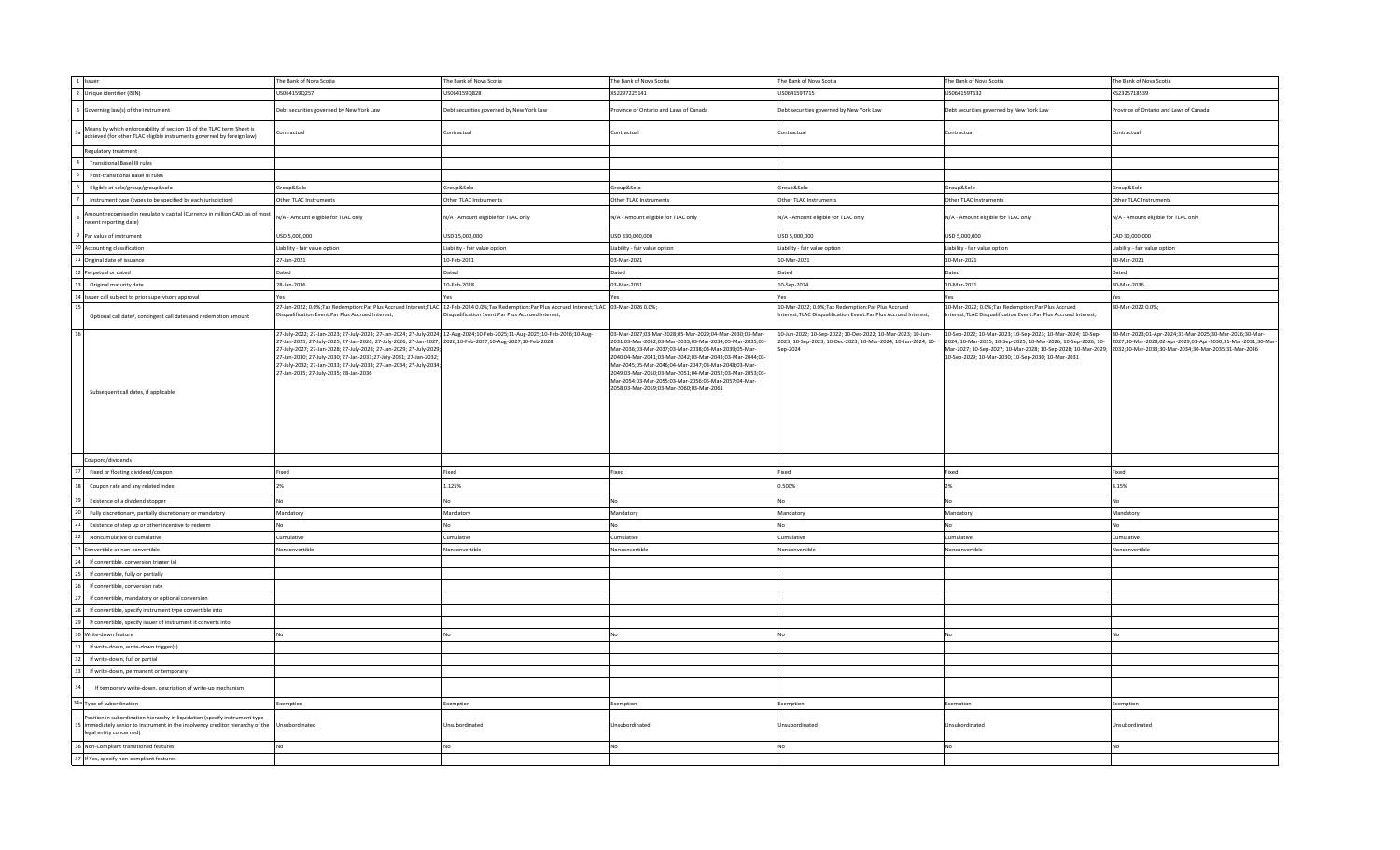| 1 Issuer                                                                                                                                                                               | The Bank of Nova Scotia                                                                                                                                                                                                                                                                                                                                                                                                                                                                                  | The Bank of Nova Scotia                          | The Bank of Nova Scotia                                                                                                                                                                                                                                                                                                                                                                                                                                         | The Bank of Nova Scotia                                                                                                                  | The Bank of Nova Scotia                                                                                                                                                                                                                                                                                  | The Bank of Nova Scotia                                                                                                 |
|----------------------------------------------------------------------------------------------------------------------------------------------------------------------------------------|----------------------------------------------------------------------------------------------------------------------------------------------------------------------------------------------------------------------------------------------------------------------------------------------------------------------------------------------------------------------------------------------------------------------------------------------------------------------------------------------------------|--------------------------------------------------|-----------------------------------------------------------------------------------------------------------------------------------------------------------------------------------------------------------------------------------------------------------------------------------------------------------------------------------------------------------------------------------------------------------------------------------------------------------------|------------------------------------------------------------------------------------------------------------------------------------------|----------------------------------------------------------------------------------------------------------------------------------------------------------------------------------------------------------------------------------------------------------------------------------------------------------|-------------------------------------------------------------------------------------------------------------------------|
| 2 Unique identifier (ISIN)                                                                                                                                                             | US064159Q257                                                                                                                                                                                                                                                                                                                                                                                                                                                                                             | US064159Q828                                     | XS2297225141                                                                                                                                                                                                                                                                                                                                                                                                                                                    | US064159T715                                                                                                                             | US064159T632                                                                                                                                                                                                                                                                                             | XS2325718539                                                                                                            |
| Governing law(s) of the instrument                                                                                                                                                     | Debt securities governed by New York Law                                                                                                                                                                                                                                                                                                                                                                                                                                                                 | Debt securities governed by New York Law         | rovince of Ontario and Laws of Canada                                                                                                                                                                                                                                                                                                                                                                                                                           | Debt securities governed by New York Law                                                                                                 | Debt securities governed by New York Law                                                                                                                                                                                                                                                                 | rovince of Ontario and Laws of Canada                                                                                   |
| Means by which enforceability of section 13 of the TLAC term Sheet is<br>achieved (for other TLAC eligible instruments governed by foreign law)                                        | Contractual                                                                                                                                                                                                                                                                                                                                                                                                                                                                                              | Contractual                                      | Contractual                                                                                                                                                                                                                                                                                                                                                                                                                                                     | Contractual                                                                                                                              | Contractual                                                                                                                                                                                                                                                                                              | Contractual                                                                                                             |
| Regulatory treatment                                                                                                                                                                   |                                                                                                                                                                                                                                                                                                                                                                                                                                                                                                          |                                                  |                                                                                                                                                                                                                                                                                                                                                                                                                                                                 |                                                                                                                                          |                                                                                                                                                                                                                                                                                                          |                                                                                                                         |
| <b>Transitional Basel III rules</b>                                                                                                                                                    |                                                                                                                                                                                                                                                                                                                                                                                                                                                                                                          |                                                  |                                                                                                                                                                                                                                                                                                                                                                                                                                                                 |                                                                                                                                          |                                                                                                                                                                                                                                                                                                          |                                                                                                                         |
| Post-transitional Basel III rules                                                                                                                                                      |                                                                                                                                                                                                                                                                                                                                                                                                                                                                                                          |                                                  |                                                                                                                                                                                                                                                                                                                                                                                                                                                                 |                                                                                                                                          |                                                                                                                                                                                                                                                                                                          |                                                                                                                         |
| Eligible at solo/group/group&solo                                                                                                                                                      | Group&Solo                                                                                                                                                                                                                                                                                                                                                                                                                                                                                               | Group&Solo                                       | Group&Solo                                                                                                                                                                                                                                                                                                                                                                                                                                                      | Group&Solo                                                                                                                               | Group&Solo                                                                                                                                                                                                                                                                                               | Group&Solo                                                                                                              |
| Instrument type (types to be specified by each jurisdiction)                                                                                                                           | Other TLAC Instruments                                                                                                                                                                                                                                                                                                                                                                                                                                                                                   | Other TLAC Instruments                           | Other TLAC Instruments                                                                                                                                                                                                                                                                                                                                                                                                                                          | Other TLAC Instruments                                                                                                                   | Other TLAC Instruments                                                                                                                                                                                                                                                                                   | Other TLAC Instruments                                                                                                  |
| nount recognised in regulatory capital (Currency in million CAD, as of most<br>ecent reporting date)                                                                                   | N/A - Amount eligible for TLAC only                                                                                                                                                                                                                                                                                                                                                                                                                                                                      | N/A - Amount eligible for TLAC only              | N/A - Amount eligible for TLAC only                                                                                                                                                                                                                                                                                                                                                                                                                             | N/A - Amount eligible for TLAC only                                                                                                      | N/A - Amount eligible for TLAC only                                                                                                                                                                                                                                                                      | N/A - Amount eligible for TLAC only                                                                                     |
| Par value of instrument                                                                                                                                                                | USD 5,000,000                                                                                                                                                                                                                                                                                                                                                                                                                                                                                            | USD 15,000,000                                   | USD 330,000,000                                                                                                                                                                                                                                                                                                                                                                                                                                                 | USD 5,000,000                                                                                                                            | USD 5,000,000                                                                                                                                                                                                                                                                                            | CAD 30,000,000                                                                                                          |
| 10 Accounting classification                                                                                                                                                           | Liability - fair value option                                                                                                                                                                                                                                                                                                                                                                                                                                                                            | Liability - fair value option                    | Liability - fair value option                                                                                                                                                                                                                                                                                                                                                                                                                                   | Liability - fair value option                                                                                                            | Liability - fair value option                                                                                                                                                                                                                                                                            | Liability - fair value option                                                                                           |
| 1 Original date of issuance                                                                                                                                                            | 27-Jan-2021                                                                                                                                                                                                                                                                                                                                                                                                                                                                                              | 10-Feb-2021                                      | 03-Mar-2021                                                                                                                                                                                                                                                                                                                                                                                                                                                     | 10-Mar-2021                                                                                                                              | 10-Mar-2021                                                                                                                                                                                                                                                                                              | 30-Mar-2021                                                                                                             |
| Perpetual or dated                                                                                                                                                                     | Dated                                                                                                                                                                                                                                                                                                                                                                                                                                                                                                    | Dated                                            | Dated                                                                                                                                                                                                                                                                                                                                                                                                                                                           | Dated                                                                                                                                    | Dated                                                                                                                                                                                                                                                                                                    | Dated                                                                                                                   |
| Original maturity date                                                                                                                                                                 | 28-Jan-2036                                                                                                                                                                                                                                                                                                                                                                                                                                                                                              | 10-Feb-2028                                      | 03-Mar-2061                                                                                                                                                                                                                                                                                                                                                                                                                                                     | 10-Sep-2024                                                                                                                              | 10-Mar-2031                                                                                                                                                                                                                                                                                              | 30-Mar-2036                                                                                                             |
| 4 Issuer call subject to prior supervisory approval                                                                                                                                    | Yes                                                                                                                                                                                                                                                                                                                                                                                                                                                                                                      | Yes                                              |                                                                                                                                                                                                                                                                                                                                                                                                                                                                 | Yes                                                                                                                                      | Yes                                                                                                                                                                                                                                                                                                      | Yes                                                                                                                     |
|                                                                                                                                                                                        | 27-Jan-2022; 0.0%;Tax Redemption:Par Plus Accrued Interest;TLAC 12-Feb-2024 0.0%;Tax Redemption:Par Plus Accrued Interest;TLAC 03-Mar-2026 0.0%;                                                                                                                                                                                                                                                                                                                                                         |                                                  |                                                                                                                                                                                                                                                                                                                                                                                                                                                                 | 10-Mar-2022; 0.0%; Tax Redemption: Par Plus Accrued                                                                                      | 10-Mar-2022; 0.0%; Tax Redemption: Par Plus Accrued                                                                                                                                                                                                                                                      | 30-Mar-2022 0.0%;                                                                                                       |
| Optional call date/, contingent call dates and redemption amount                                                                                                                       | Disqualification Event:Par Plus Accrued Interest;                                                                                                                                                                                                                                                                                                                                                                                                                                                        | isqualification Event:Par Plus Accrued Interest; |                                                                                                                                                                                                                                                                                                                                                                                                                                                                 | nterest; TLAC Disqualification Event: Par Plus Accrued Interest;                                                                         | terest;TLAC Disqualification Event:Par Plus Accrued Interest;                                                                                                                                                                                                                                            |                                                                                                                         |
| Subsequent call dates, if applicable                                                                                                                                                   | 27-July-2022; 27-Jan-2023; 27-July-2023; 27-Jan-2024; 27-July-2024; 12-Aug-2024;10-Feb-2025;11-Aug-2025;10-Feb-2026;10-Aug-<br>27-Jan-2025; 27-July-2025; 27-Jan-2026; 27-July-2026; 27-Jan-2027; 2026;10-Feb-2027;10-Aug-2027;10-Feb-2028<br>27-July-2027; 27-Jan-2028; 27-July-2028; 27-Jan-2029; 27-July-2029;<br>27-Jan-2030; 27-July-2030; 27-Jan-2031; 27-July-2031; 27-Jan-2032;<br>27-July-2032; 27-Jan-2033; 27-July-2033; 27-Jan-2034; 27-July-2034;<br>27-Jan-2035; 27-July-2035; 28-Jan-2036 |                                                  | 03-Mar-2027;03-Mar-2028;05-Mar-2029;04-Mar-2030;03-Mar-<br>2031;03-Mar-2032;03-Mar-2033;03-Mar-2034;05-Mar-2035;03-<br>Mar-2036;03-Mar-2037;03-Mar-2038;03-Mar-2039;05-Mar-<br>2040;04-Mar-2041;03-Mar-2042;03-Mar-2043;03-Mar-2044;03-<br>Mar-2045;05-Mar-2046;04-Mar-2047;03-Mar-2048;03-Mar-<br>2049;03-Mar-2050;03-Mar-2051;04-Mar-2052;03-Mar-2053;03-<br>Mar-2054;03-Mar-2055;03-Mar-2056;05-Mar-2057;04-Mar-<br>2058;03-Mar-2059;03-Mar-2060;03-Mar-2061 | 10-Jun-2022; 10-Sep-2022; 10-Dec-2022; 10-Mar-2023; 10-Jun-<br>2023; 10-Sep-2023; 10-Dec-2023; 10-Mar-2024; 10-Jun-2024; 10-<br>Sep-2024 | 10-Sep-2022; 10-Mar-2023; 10-Sep-2023; 10-Mar-2024; 10-Sep-<br>2024: 10-Mar-2025: 10-Sep-2025: 10-Mar-2026: 10-Sep-2026: 10-<br>Mar-2027; 10-Sep-2027; 10-Mar-2028; 10-Sep-2028; 10-Mar-2029; 2032;30-Mar-2033;30-Mar-2034;30-Mar-2035;31-Mar-2036<br>10-Sep-2029; 10-Mar-2030; 10-Sep-2030; 10-Mar-2031 | 30-Mar-2023;01-Apr-2024;31-Mar-2025;30-Mar-2026;30-Mar-<br>2027;30-Mar-2028;02-Apr-2029;01-Apr-2030;31-Mar-2031;30-Mar- |
| Coupons/dividends                                                                                                                                                                      |                                                                                                                                                                                                                                                                                                                                                                                                                                                                                                          |                                                  |                                                                                                                                                                                                                                                                                                                                                                                                                                                                 |                                                                                                                                          |                                                                                                                                                                                                                                                                                                          |                                                                                                                         |
| Fixed or floating dividend/coupon                                                                                                                                                      | Fixed                                                                                                                                                                                                                                                                                                                                                                                                                                                                                                    | Fixed                                            | Fixed                                                                                                                                                                                                                                                                                                                                                                                                                                                           | Fixed                                                                                                                                    | Fixed                                                                                                                                                                                                                                                                                                    | Fixed                                                                                                                   |
| Coupon rate and any related index                                                                                                                                                      | 2%                                                                                                                                                                                                                                                                                                                                                                                                                                                                                                       | 1.125%                                           |                                                                                                                                                                                                                                                                                                                                                                                                                                                                 | 0.500%                                                                                                                                   | 2%                                                                                                                                                                                                                                                                                                       | 3.15%                                                                                                                   |
| Existence of a dividend stopper                                                                                                                                                        | No                                                                                                                                                                                                                                                                                                                                                                                                                                                                                                       | No                                               | No                                                                                                                                                                                                                                                                                                                                                                                                                                                              | No                                                                                                                                       | No                                                                                                                                                                                                                                                                                                       | No                                                                                                                      |
| Fully discretionary, partially discretionary or mandatory                                                                                                                              | Mandatory                                                                                                                                                                                                                                                                                                                                                                                                                                                                                                | Mandatory                                        | Mandatory                                                                                                                                                                                                                                                                                                                                                                                                                                                       | Mandatory                                                                                                                                | Mandatory                                                                                                                                                                                                                                                                                                | Mandatory                                                                                                               |
| Existence of step up or other incentive to redeem                                                                                                                                      | No                                                                                                                                                                                                                                                                                                                                                                                                                                                                                                       | No                                               | No                                                                                                                                                                                                                                                                                                                                                                                                                                                              | No                                                                                                                                       | NΩ                                                                                                                                                                                                                                                                                                       | <b>No</b>                                                                                                               |
| Noncumulative or cumulative                                                                                                                                                            | Cumulative                                                                                                                                                                                                                                                                                                                                                                                                                                                                                               | Cumulative                                       | Cumulative                                                                                                                                                                                                                                                                                                                                                                                                                                                      | Cumulative                                                                                                                               | Cumulative                                                                                                                                                                                                                                                                                               | Cumulative                                                                                                              |
| Convertible or non-convertible                                                                                                                                                         | Nonconvertible                                                                                                                                                                                                                                                                                                                                                                                                                                                                                           | Nonconvertible                                   | Nonconvertible                                                                                                                                                                                                                                                                                                                                                                                                                                                  | Nonconvertible                                                                                                                           | Nonconvertible                                                                                                                                                                                                                                                                                           | Nonconvertible                                                                                                          |
| If convertible, conversion trigger (s)                                                                                                                                                 |                                                                                                                                                                                                                                                                                                                                                                                                                                                                                                          |                                                  |                                                                                                                                                                                                                                                                                                                                                                                                                                                                 |                                                                                                                                          |                                                                                                                                                                                                                                                                                                          |                                                                                                                         |
| If convertible, fully or partially                                                                                                                                                     |                                                                                                                                                                                                                                                                                                                                                                                                                                                                                                          |                                                  |                                                                                                                                                                                                                                                                                                                                                                                                                                                                 |                                                                                                                                          |                                                                                                                                                                                                                                                                                                          |                                                                                                                         |
| If convertible, conversion rate                                                                                                                                                        |                                                                                                                                                                                                                                                                                                                                                                                                                                                                                                          |                                                  |                                                                                                                                                                                                                                                                                                                                                                                                                                                                 |                                                                                                                                          |                                                                                                                                                                                                                                                                                                          |                                                                                                                         |
| If convertible, mandatory or optional conversion                                                                                                                                       |                                                                                                                                                                                                                                                                                                                                                                                                                                                                                                          |                                                  |                                                                                                                                                                                                                                                                                                                                                                                                                                                                 |                                                                                                                                          |                                                                                                                                                                                                                                                                                                          |                                                                                                                         |
| If convertible, specify instrument type convertible into                                                                                                                               |                                                                                                                                                                                                                                                                                                                                                                                                                                                                                                          |                                                  |                                                                                                                                                                                                                                                                                                                                                                                                                                                                 |                                                                                                                                          |                                                                                                                                                                                                                                                                                                          |                                                                                                                         |
|                                                                                                                                                                                        |                                                                                                                                                                                                                                                                                                                                                                                                                                                                                                          |                                                  |                                                                                                                                                                                                                                                                                                                                                                                                                                                                 |                                                                                                                                          |                                                                                                                                                                                                                                                                                                          |                                                                                                                         |
| If convertible, specify issuer of instrument it converts into                                                                                                                          |                                                                                                                                                                                                                                                                                                                                                                                                                                                                                                          |                                                  |                                                                                                                                                                                                                                                                                                                                                                                                                                                                 |                                                                                                                                          |                                                                                                                                                                                                                                                                                                          |                                                                                                                         |
| Write-down feature                                                                                                                                                                     | No                                                                                                                                                                                                                                                                                                                                                                                                                                                                                                       | No                                               |                                                                                                                                                                                                                                                                                                                                                                                                                                                                 | No                                                                                                                                       |                                                                                                                                                                                                                                                                                                          |                                                                                                                         |
| If write-down, write-down trigger(s)                                                                                                                                                   |                                                                                                                                                                                                                                                                                                                                                                                                                                                                                                          |                                                  |                                                                                                                                                                                                                                                                                                                                                                                                                                                                 |                                                                                                                                          |                                                                                                                                                                                                                                                                                                          |                                                                                                                         |
| If write-down, full or partial                                                                                                                                                         |                                                                                                                                                                                                                                                                                                                                                                                                                                                                                                          |                                                  |                                                                                                                                                                                                                                                                                                                                                                                                                                                                 |                                                                                                                                          |                                                                                                                                                                                                                                                                                                          |                                                                                                                         |
| If write-down, permanent or temporary                                                                                                                                                  |                                                                                                                                                                                                                                                                                                                                                                                                                                                                                                          |                                                  |                                                                                                                                                                                                                                                                                                                                                                                                                                                                 |                                                                                                                                          |                                                                                                                                                                                                                                                                                                          |                                                                                                                         |
| If temporary write-down, description of write-up mechanism                                                                                                                             |                                                                                                                                                                                                                                                                                                                                                                                                                                                                                                          |                                                  |                                                                                                                                                                                                                                                                                                                                                                                                                                                                 |                                                                                                                                          |                                                                                                                                                                                                                                                                                                          |                                                                                                                         |
| 34a Type of subordination                                                                                                                                                              | Exemption                                                                                                                                                                                                                                                                                                                                                                                                                                                                                                | Exemption                                        | Exemption                                                                                                                                                                                                                                                                                                                                                                                                                                                       | Exemption                                                                                                                                | Exemption                                                                                                                                                                                                                                                                                                | Exemption                                                                                                               |
| Position in subordination hierarchy in liquidation (specify instrument type<br>immediately senior to instrument in the insolvency creditor hierarchy of the<br>legal entity concerned) | Unsubordinated                                                                                                                                                                                                                                                                                                                                                                                                                                                                                           | Unsubordinated                                   | Jnsubordinated                                                                                                                                                                                                                                                                                                                                                                                                                                                  | Unsubordinated                                                                                                                           | Unsubordinated                                                                                                                                                                                                                                                                                           | Jnsubordinated                                                                                                          |
| 36 Non-Compliant transitioned features                                                                                                                                                 | No                                                                                                                                                                                                                                                                                                                                                                                                                                                                                                       | No                                               | No                                                                                                                                                                                                                                                                                                                                                                                                                                                              | N <sub>0</sub>                                                                                                                           | No                                                                                                                                                                                                                                                                                                       | No                                                                                                                      |
| 37 If Yes, specify non-compliant features                                                                                                                                              |                                                                                                                                                                                                                                                                                                                                                                                                                                                                                                          |                                                  |                                                                                                                                                                                                                                                                                                                                                                                                                                                                 |                                                                                                                                          |                                                                                                                                                                                                                                                                                                          |                                                                                                                         |
|                                                                                                                                                                                        |                                                                                                                                                                                                                                                                                                                                                                                                                                                                                                          |                                                  |                                                                                                                                                                                                                                                                                                                                                                                                                                                                 |                                                                                                                                          |                                                                                                                                                                                                                                                                                                          |                                                                                                                         |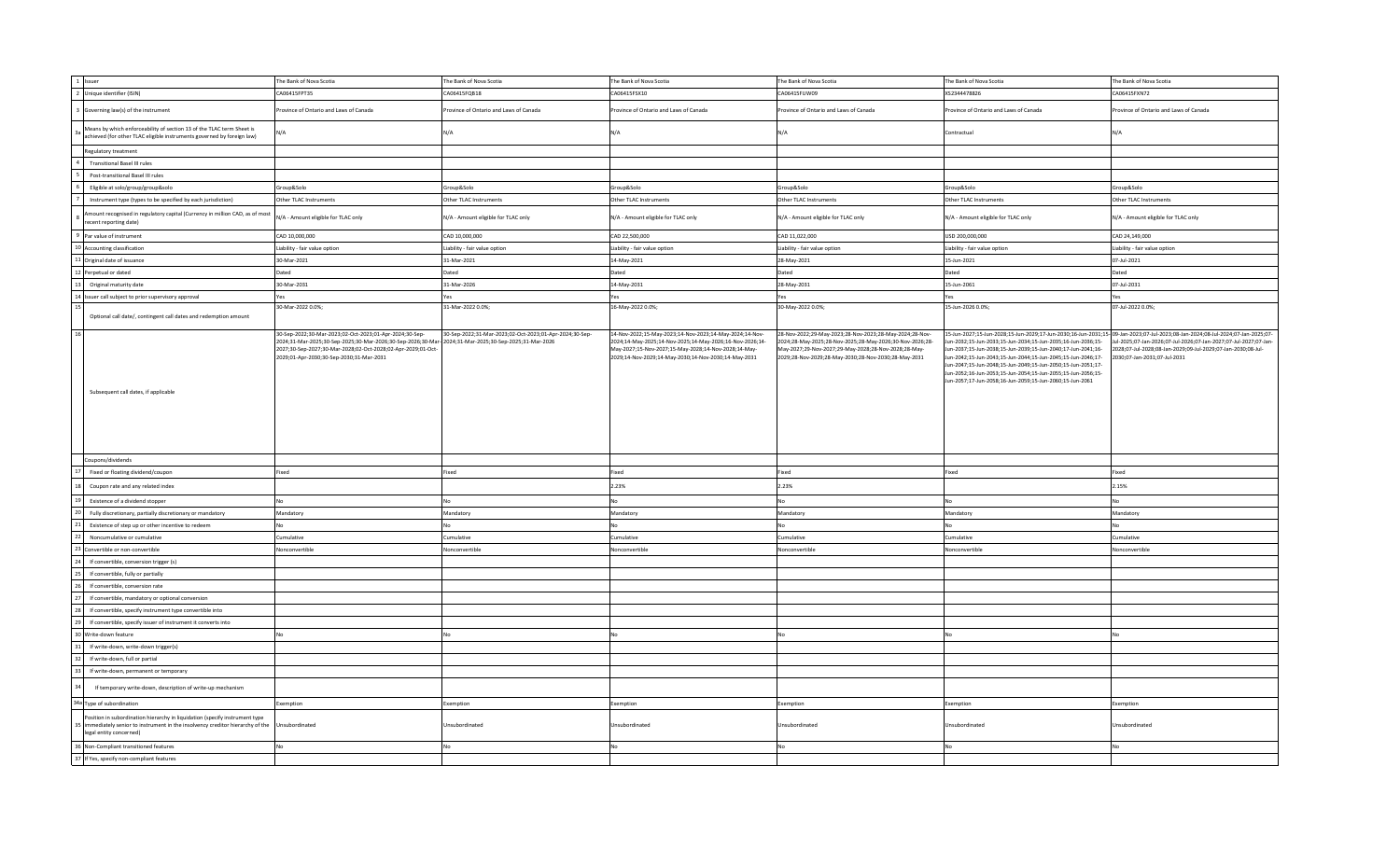| 1 Issuer                                                                                                                                                                               | The Bank of Nova Scotia                                                                                                                                                                                                             | The Bank of Nova Scotia                                                                             | The Bank of Nova Scotia                                                                                                                                                                                                             | The Bank of Nova Scotia                                                                                                                                                                                                             | The Bank of Nova Scotia                                                                                                                                                                                                                                                                                                                                                                  | The Bank of Nova Scotia                                                                                                                                                                                                                                                                            |
|----------------------------------------------------------------------------------------------------------------------------------------------------------------------------------------|-------------------------------------------------------------------------------------------------------------------------------------------------------------------------------------------------------------------------------------|-----------------------------------------------------------------------------------------------------|-------------------------------------------------------------------------------------------------------------------------------------------------------------------------------------------------------------------------------------|-------------------------------------------------------------------------------------------------------------------------------------------------------------------------------------------------------------------------------------|------------------------------------------------------------------------------------------------------------------------------------------------------------------------------------------------------------------------------------------------------------------------------------------------------------------------------------------------------------------------------------------|----------------------------------------------------------------------------------------------------------------------------------------------------------------------------------------------------------------------------------------------------------------------------------------------------|
| 2 Unique identifier (ISIN)                                                                                                                                                             | CA06415FPT35                                                                                                                                                                                                                        | CA06415FQB18                                                                                        | CA06415FSX10                                                                                                                                                                                                                        | CA06415FUW09                                                                                                                                                                                                                        | XS2344478826                                                                                                                                                                                                                                                                                                                                                                             | CA06415FXN72                                                                                                                                                                                                                                                                                       |
| Governing law(s) of the instrument                                                                                                                                                     | rovince of Ontario and Laws of Canada                                                                                                                                                                                               | rovince of Ontario and Laws of Canada                                                               | rovince of Ontario and Laws of Canada                                                                                                                                                                                               | Province of Ontario and Laws of Canada                                                                                                                                                                                              | Province of Ontario and Laws of Canada                                                                                                                                                                                                                                                                                                                                                   | rovince of Ontario and Laws of Canada                                                                                                                                                                                                                                                              |
| Means by which enforceability of section 13 of the TLAC term Sheet is<br>achieved (for other TLAC eligible instruments governed by foreign law)                                        | N/A                                                                                                                                                                                                                                 | J/A                                                                                                 | N/A                                                                                                                                                                                                                                 | N/A                                                                                                                                                                                                                                 | Contractual                                                                                                                                                                                                                                                                                                                                                                              | N/A                                                                                                                                                                                                                                                                                                |
| Regulatory treatment                                                                                                                                                                   |                                                                                                                                                                                                                                     |                                                                                                     |                                                                                                                                                                                                                                     |                                                                                                                                                                                                                                     |                                                                                                                                                                                                                                                                                                                                                                                          |                                                                                                                                                                                                                                                                                                    |
| <b>Transitional Basel III rules</b>                                                                                                                                                    |                                                                                                                                                                                                                                     |                                                                                                     |                                                                                                                                                                                                                                     |                                                                                                                                                                                                                                     |                                                                                                                                                                                                                                                                                                                                                                                          |                                                                                                                                                                                                                                                                                                    |
| Post-transitional Basel III rules                                                                                                                                                      |                                                                                                                                                                                                                                     |                                                                                                     |                                                                                                                                                                                                                                     |                                                                                                                                                                                                                                     |                                                                                                                                                                                                                                                                                                                                                                                          |                                                                                                                                                                                                                                                                                                    |
| Eligible at solo/group/group&solo                                                                                                                                                      | Group&Solo                                                                                                                                                                                                                          | Group&Solo                                                                                          | Group&Solo                                                                                                                                                                                                                          | Group&Solo                                                                                                                                                                                                                          | Group&Solo                                                                                                                                                                                                                                                                                                                                                                               | Group&Solo                                                                                                                                                                                                                                                                                         |
| Instrument type (types to be specified by each jurisdiction)                                                                                                                           | Other TLAC Instruments                                                                                                                                                                                                              | Other TLAC Instruments                                                                              | Other TLAC Instruments                                                                                                                                                                                                              | Other TLAC Instruments                                                                                                                                                                                                              | Other TLAC Instruments                                                                                                                                                                                                                                                                                                                                                                   | Other TLAC Instruments                                                                                                                                                                                                                                                                             |
| mount recognised in regulatory capital (Currency in million CAD, as of most<br>ecent reporting date)                                                                                   | N/A - Amount eligible for TLAC only                                                                                                                                                                                                 | N/A - Amount eligible for TLAC only                                                                 | N/A - Amount eligible for TLAC only                                                                                                                                                                                                 | N/A - Amount eligible for TLAC only                                                                                                                                                                                                 | N/A - Amount eligible for TLAC only                                                                                                                                                                                                                                                                                                                                                      | N/A - Amount eligible for TLAC only                                                                                                                                                                                                                                                                |
| Par value of instrument                                                                                                                                                                | CAD 10,000,000                                                                                                                                                                                                                      | CAD 10,000,000                                                                                      | CAD 22,500,000                                                                                                                                                                                                                      | CAD 11,022,000                                                                                                                                                                                                                      | USD 200,000,000                                                                                                                                                                                                                                                                                                                                                                          | CAD 24,149,000                                                                                                                                                                                                                                                                                     |
| 10 Accounting classification                                                                                                                                                           | Liability - fair value option                                                                                                                                                                                                       | Liability - fair value option                                                                       | Liability - fair value option                                                                                                                                                                                                       | Liability - fair value option                                                                                                                                                                                                       | Liability - fair value option                                                                                                                                                                                                                                                                                                                                                            | Liability - fair value option                                                                                                                                                                                                                                                                      |
| 11 Original date of issuance                                                                                                                                                           | 30-Mar-2021                                                                                                                                                                                                                         | 31-Mar-2021                                                                                         | 14-May-2021                                                                                                                                                                                                                         | 28-May-2021                                                                                                                                                                                                                         | 15-Jun-2021                                                                                                                                                                                                                                                                                                                                                                              | 07-Jul-2021                                                                                                                                                                                                                                                                                        |
| Perpetual or dated                                                                                                                                                                     | Dated                                                                                                                                                                                                                               | Dated                                                                                               | Dated                                                                                                                                                                                                                               | Dated                                                                                                                                                                                                                               | Dated                                                                                                                                                                                                                                                                                                                                                                                    | Dated                                                                                                                                                                                                                                                                                              |
| Original maturity date                                                                                                                                                                 | 30-Mar-2031                                                                                                                                                                                                                         | 31-Mar-2026                                                                                         | 14-May-2031                                                                                                                                                                                                                         | 28-May-2031                                                                                                                                                                                                                         | 15-Jun-2061                                                                                                                                                                                                                                                                                                                                                                              | 07-Jul-2031                                                                                                                                                                                                                                                                                        |
| 14 Issuer call subject to prior supervisory approval                                                                                                                                   |                                                                                                                                                                                                                                     |                                                                                                     |                                                                                                                                                                                                                                     | Yes                                                                                                                                                                                                                                 | Yes                                                                                                                                                                                                                                                                                                                                                                                      | Yes                                                                                                                                                                                                                                                                                                |
|                                                                                                                                                                                        | 30-Mar-2022 0.0%;                                                                                                                                                                                                                   | 31-Mar-2022 0.0%;                                                                                   | 16-May-2022 0.0%;                                                                                                                                                                                                                   | 30-May-2022 0.0%;                                                                                                                                                                                                                   | 15-Jun-2026 0.0%;                                                                                                                                                                                                                                                                                                                                                                        | 07-Jul-2022 0.0%;                                                                                                                                                                                                                                                                                  |
| Optional call date/, contingent call dates and redemption amount                                                                                                                       |                                                                                                                                                                                                                                     |                                                                                                     |                                                                                                                                                                                                                                     |                                                                                                                                                                                                                                     |                                                                                                                                                                                                                                                                                                                                                                                          |                                                                                                                                                                                                                                                                                                    |
| Subsequent call dates, if applicable                                                                                                                                                   | 30-Sep-2022;30-Mar-2023;02-Oct-2023;01-Apr-2024;30-Sep-<br>2024;31-Mar-2025;30-Sep-2025;30-Mar-2026;30-Sep-2026;30-Mar-<br>2027;30-Sep-2027;30-Mar-2028;02-Oct-2028;02-Apr-2029;01-Oct-<br>2029;01-Apr-2030;30-Sep-2030;31-Mar-2031 | 30-Sep-2022;31-Mar-2023;02-Oct-2023;01-Apr-2024;30-Sep-<br>2024;31-Mar-2025;30-Sep-2025;31-Mar-2026 | 14-Nov-2022;15-May-2023;14-Nov-2023;14-May-2024;14-Nov-<br>2024;14-May-2025;14-Nov-2025;14-May-2026;16-Nov-2026;14-<br>May-2027;15-Nov-2027;15-May-2028;14-Nov-2028;14-May-<br>2029;14-Nov-2029;14-May-2030;14-Nov-2030;14-May-2031 | 28-Nov-2022;29-May-2023;28-Nov-2023;28-May-2024;28-Nov-<br>2024;28-May-2025;28-Nov-2025;28-May-2026;30-Nov-2026;28-<br>May-2027;29-Nov-2027;29-May-2028;28-Nov-2028;28-May-<br>2029;28-Nov-2029;28-May-2030;28-Nov-2030;28-May-2031 | Jun-2032;15-Jun-2033;15-Jun-2034;15-Jun-2035;16-Jun-2036;15-<br>Jun-2037;15-Jun-2038;15-Jun-2039;15-Jun-2040;17-Jun-2041;16-<br>Jun-2042;15-Jun-2043;15-Jun-2044;15-Jun-2045;15-Jun-2046;17-<br>Jun-2047;15-Jun-2048;15-Jun-2049;15-Jun-2050;15-Jun-2051;17-<br>Jun-2052;16-Jun-2053;15-Jun-2054;15-Jun-2055;15-Jun-2056;15-<br>Jun-2057;17-Jun-2058;16-Jun-2059;15-Jun-2060;15-Jun-2061 | 15-Jun-2027;15-Jun-2028;15-Jun-2029;17-Jun-2030;16-Jun-2031;15-09-Jan-2023;07-Jul-2023;08-Jan-2024;08-Jul-2024;07-Jan-2025;07-<br>Jul-2025;07-Jan-2026;07-Jul-2026;07-Jan-2027;07-Jul-2027;07-Jan-<br>2028;07-Jul-2028;08-Jan-2029;09-Jul-2029;07-Jan-2030;08-Jul-<br>2030;07-Jan-2031;07-Jul-2031 |
| Coupons/dividends                                                                                                                                                                      |                                                                                                                                                                                                                                     |                                                                                                     |                                                                                                                                                                                                                                     |                                                                                                                                                                                                                                     |                                                                                                                                                                                                                                                                                                                                                                                          |                                                                                                                                                                                                                                                                                                    |
| Fixed or floating dividend/coupon                                                                                                                                                      | Fixed                                                                                                                                                                                                                               | Fixed                                                                                               | Fixed                                                                                                                                                                                                                               | Fixed                                                                                                                                                                                                                               | Fixed                                                                                                                                                                                                                                                                                                                                                                                    | Fixed                                                                                                                                                                                                                                                                                              |
| Coupon rate and any related index                                                                                                                                                      |                                                                                                                                                                                                                                     |                                                                                                     | 2.23%                                                                                                                                                                                                                               | 2.23%                                                                                                                                                                                                                               |                                                                                                                                                                                                                                                                                                                                                                                          | 2.15%                                                                                                                                                                                                                                                                                              |
|                                                                                                                                                                                        |                                                                                                                                                                                                                                     |                                                                                                     |                                                                                                                                                                                                                                     |                                                                                                                                                                                                                                     |                                                                                                                                                                                                                                                                                                                                                                                          |                                                                                                                                                                                                                                                                                                    |
| Existence of a dividend stopper                                                                                                                                                        |                                                                                                                                                                                                                                     |                                                                                                     |                                                                                                                                                                                                                                     | No                                                                                                                                                                                                                                  | No                                                                                                                                                                                                                                                                                                                                                                                       | No                                                                                                                                                                                                                                                                                                 |
| Fully discretionary, partially discretionary or mandatory                                                                                                                              | Mandatory                                                                                                                                                                                                                           | Mandatory                                                                                           | Mandatory                                                                                                                                                                                                                           | Mandatory                                                                                                                                                                                                                           | Mandatory                                                                                                                                                                                                                                                                                                                                                                                | Mandatory                                                                                                                                                                                                                                                                                          |
| Existence of step up or other incentive to redeem                                                                                                                                      |                                                                                                                                                                                                                                     |                                                                                                     |                                                                                                                                                                                                                                     | No                                                                                                                                                                                                                                  | No                                                                                                                                                                                                                                                                                                                                                                                       | No                                                                                                                                                                                                                                                                                                 |
| Noncumulative or cumulative                                                                                                                                                            | Cumulative                                                                                                                                                                                                                          | Cumulative                                                                                          | Cumulative                                                                                                                                                                                                                          | Cumulative                                                                                                                                                                                                                          | Cumulative                                                                                                                                                                                                                                                                                                                                                                               | Cumulative                                                                                                                                                                                                                                                                                         |
| Convertible or non-convertible                                                                                                                                                         | Nonconvertible                                                                                                                                                                                                                      | Nonconvertible                                                                                      | Nonconvertible                                                                                                                                                                                                                      | Nonconvertible                                                                                                                                                                                                                      | Nonconvertible                                                                                                                                                                                                                                                                                                                                                                           | Nonconvertible                                                                                                                                                                                                                                                                                     |
| If convertible, conversion trigger (s)                                                                                                                                                 |                                                                                                                                                                                                                                     |                                                                                                     |                                                                                                                                                                                                                                     |                                                                                                                                                                                                                                     |                                                                                                                                                                                                                                                                                                                                                                                          |                                                                                                                                                                                                                                                                                                    |
| If convertible, fully or partially                                                                                                                                                     |                                                                                                                                                                                                                                     |                                                                                                     |                                                                                                                                                                                                                                     |                                                                                                                                                                                                                                     |                                                                                                                                                                                                                                                                                                                                                                                          |                                                                                                                                                                                                                                                                                                    |
| If convertible, conversion rate                                                                                                                                                        |                                                                                                                                                                                                                                     |                                                                                                     |                                                                                                                                                                                                                                     |                                                                                                                                                                                                                                     |                                                                                                                                                                                                                                                                                                                                                                                          |                                                                                                                                                                                                                                                                                                    |
| If convertible, mandatory or optional conversion                                                                                                                                       |                                                                                                                                                                                                                                     |                                                                                                     |                                                                                                                                                                                                                                     |                                                                                                                                                                                                                                     |                                                                                                                                                                                                                                                                                                                                                                                          |                                                                                                                                                                                                                                                                                                    |
| If convertible, specify instrument type convertible into                                                                                                                               |                                                                                                                                                                                                                                     |                                                                                                     |                                                                                                                                                                                                                                     |                                                                                                                                                                                                                                     |                                                                                                                                                                                                                                                                                                                                                                                          |                                                                                                                                                                                                                                                                                                    |
| If convertible, specify issuer of instrument it converts into                                                                                                                          |                                                                                                                                                                                                                                     |                                                                                                     |                                                                                                                                                                                                                                     |                                                                                                                                                                                                                                     |                                                                                                                                                                                                                                                                                                                                                                                          |                                                                                                                                                                                                                                                                                                    |
| Write-down feature                                                                                                                                                                     |                                                                                                                                                                                                                                     |                                                                                                     |                                                                                                                                                                                                                                     | No                                                                                                                                                                                                                                  | Nc                                                                                                                                                                                                                                                                                                                                                                                       |                                                                                                                                                                                                                                                                                                    |
| If write-down, write-down trigger(s)                                                                                                                                                   |                                                                                                                                                                                                                                     |                                                                                                     |                                                                                                                                                                                                                                     |                                                                                                                                                                                                                                     |                                                                                                                                                                                                                                                                                                                                                                                          |                                                                                                                                                                                                                                                                                                    |
| If write-down, full or partial                                                                                                                                                         |                                                                                                                                                                                                                                     |                                                                                                     |                                                                                                                                                                                                                                     |                                                                                                                                                                                                                                     |                                                                                                                                                                                                                                                                                                                                                                                          |                                                                                                                                                                                                                                                                                                    |
| If write-down, permanent or temporary                                                                                                                                                  |                                                                                                                                                                                                                                     |                                                                                                     |                                                                                                                                                                                                                                     |                                                                                                                                                                                                                                     |                                                                                                                                                                                                                                                                                                                                                                                          |                                                                                                                                                                                                                                                                                                    |
| If temporary write-down, description of write-up mechanism                                                                                                                             |                                                                                                                                                                                                                                     |                                                                                                     |                                                                                                                                                                                                                                     |                                                                                                                                                                                                                                     |                                                                                                                                                                                                                                                                                                                                                                                          |                                                                                                                                                                                                                                                                                                    |
| 34a Type of subordination                                                                                                                                                              | Exemption                                                                                                                                                                                                                           | Exemption                                                                                           | Exemption                                                                                                                                                                                                                           | Exemption                                                                                                                                                                                                                           | Exemption                                                                                                                                                                                                                                                                                                                                                                                | Exemption                                                                                                                                                                                                                                                                                          |
| Position in subordination hierarchy in liquidation (specify instrument type<br>immediately senior to instrument in the insolvency creditor hierarchy of the<br>legal entity concerned) | Unsubordinated                                                                                                                                                                                                                      | <b>Jnsubordinated</b>                                                                               | Jnsubordinated                                                                                                                                                                                                                      | Unsubordinated                                                                                                                                                                                                                      | Unsubordinated                                                                                                                                                                                                                                                                                                                                                                           | Jnsubordinated                                                                                                                                                                                                                                                                                     |
| 36 Non-Compliant transitioned features                                                                                                                                                 |                                                                                                                                                                                                                                     |                                                                                                     |                                                                                                                                                                                                                                     | No                                                                                                                                                                                                                                  | No                                                                                                                                                                                                                                                                                                                                                                                       | No                                                                                                                                                                                                                                                                                                 |
| 37 If Yes, specify non-compliant features                                                                                                                                              |                                                                                                                                                                                                                                     |                                                                                                     |                                                                                                                                                                                                                                     |                                                                                                                                                                                                                                     |                                                                                                                                                                                                                                                                                                                                                                                          |                                                                                                                                                                                                                                                                                                    |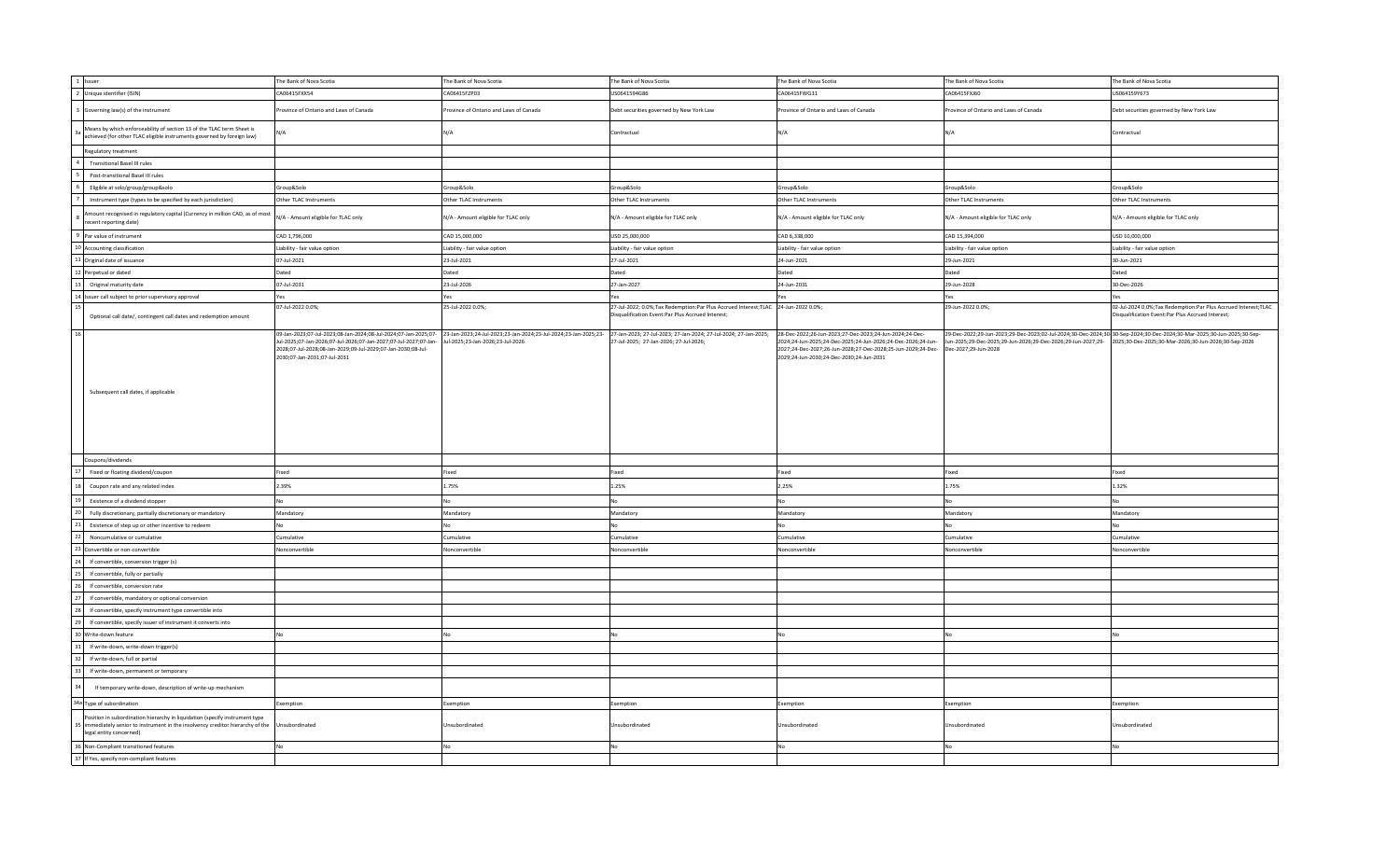| 2 Unique identifier (ISIN)<br>CA06415FXX54<br>CA06415FZP03<br>US0641594G86<br>CA06415FWG31<br>CA06415FXJ60<br>US064159Y673<br>Governing law(s) of the instrument<br>rovince of Ontario and Laws of Canada<br>rovince of Ontario and Laws of Canada<br>Debt securities governed by New York Law<br>Province of Ontario and Laws of Canada<br>Province of Ontario and Laws of Canada<br>Debt securities governed by New York Law<br>Means by which enforceability of section 13 of the TLAC term Sheet is<br>N/A<br>Contractual<br>N/A<br>N/A<br>Contractual<br>J/A<br>achieved (for other TLAC eligible instruments governed by foreign law)<br>Regulatory treatment<br><b>Transitional Basel III rules</b><br>Post-transitional Basel III rules<br>Group&Solo<br>Group&Solo<br>Group&Solo<br>Group&Solo<br>Group&Solo<br>Eligible at solo/group/group&solo<br>Group&Solo<br>Instrument type (types to be specified by each jurisdiction)<br>Other TLAC Instruments<br>Other TLAC Instruments<br>Other TLAC Instruments<br>Other TLAC Instruments<br>Other TLAC Instruments<br>Other TLAC Instruments<br>mount recognised in regulatory capital (Currency in million CAD, as of most<br>N/A - Amount eligible for TLAC only<br>N/A - Amount eligible for TLAC only<br>N/A - Amount eligible for TLAC only<br>N/A - Amount eligible for TLAC only<br>N/A - Amount eligible for TLAC only<br>N/A - Amount eligible for TLAC only<br>ecent reporting date)<br>Par value of instrument<br>CAD 1,796,000<br>CAD 15,000,000<br>USD 25,000,000<br>CAD 6,338,000<br>CAD 15,394,000<br>USD 10,000,000<br>10 Accounting classification<br>Liability - fair value option<br>Liability - fair value option<br>Liability - fair value option<br>Liability - fair value option<br>Liability - fair value option<br>Liability - fair value option<br>11 Original date of issuance<br>07-Jul-2021<br>27-Jul-2021<br>29-Jun-2021<br>23-Jul-2021<br>24-Jun-2021<br>30-Jun-2021<br>Dated<br>Dated<br>Dated<br>2 Perpetual or dated<br>Dated<br>Dated<br>Dated<br>23-Jul-2026<br>Original maturity date<br>07-Jul-2031<br>27-Jan-2027<br>24-Jun-2031<br>29-Jun-2028<br>30-Dec-2026<br>14 Issuer call subject to prior supervisory approval<br>Yes<br>Yes<br>Yes<br>07-Jul-2022 0.0%;<br>25-Jul-2022 0.0%;<br>27-Jul-2022; 0.0%; Tax Redemption: Par Plus Accrued Interest; TLAC 24-Jun-2022 0.0%;<br>29-Jun-2022 0.0%;<br>isqualification Event:Par Plus Accrued Interest;<br>Disqualification Event:Par Plus Accrued Interest;<br>Optional call date/, contingent call dates and redemption amount<br>09-Jan-2023;07-Jul-2023;08-Jan-2024;08-Jul-2024;07-Jan-2025;07-23-Jan-2023;24-Jul-2023;23-Jan-2024;23-Jul-2024;23-Jan-2025;23-<br>27-Jan-2023; 27-Jul-2023; 27-Jan-2024; 27-Jul-2024; 27-Jan-2025;<br>28-Dec-2022;26-Jun-2023;27-Dec-2023;24-Jun-2024;24-Dec-<br>29-Dec-2022;29-Jun-2023;29-Dec-2023;02-Jul-2024;30-Dec-2024;30-Sep-2024;30-Dec-2024;30-Mar-2025;30-Jun-2025;30-Sep-<br>Jul-2025;07-Jan-2026;07-Jul-2026;07-Jan-2027;07-Jul-2027;07-Jan-<br>Jul-2025;23-Jan-2026;23-Jul-2026<br>27-Jul-2025; 27-Jan-2026; 27-Jul-2026;<br>2024;24-Jun-2025;24-Dec-2025;24-Jun-2026;24-Dec-2026;24-Jun-<br>Jun-2025;29-Dec-2025;29-Jun-2026;29-Dec-2026;29-Jun-2027;29- 2025;30-Dec-2025;30-Mar-2026;30-Jun-2026;30-Sep-2026<br>2028;07-Jul-2028;08-Jan-2029;09-Jul-2029;07-Jan-2030;08-Jul-<br>2027;24-Dec-2027;26-Jun-2028;27-Dec-2028;25-Jun-2029;24-Dec-<br>Dec-2027;29-Jun-2028<br>2030;07-Jan-2031;07-Jul-2031<br>2029;24-Jun-2030;24-Dec-2030;24-Jun-2031<br>Subsequent call dates, if applicable<br>Coupons/dividends<br>Fixed or floating dividend/coupon<br>Fixed<br>Fixed<br>Fixed<br>Fixed<br>Fixed<br>Fixed<br>1.75%<br>2.25%<br>1.32%<br>Coupon rate and any related index<br>2.39%<br>1.25%<br>1.75%<br>Existence of a dividend stopper<br>No<br>No<br>No<br>Fully discretionary, partially discretionary or mandatory<br>Mandatory<br>Mandatory<br>Mandatory<br>Mandatory<br>Mandatory<br>Mandatory<br>Existence of step up or other incentive to redeem<br>No<br>No.<br>No<br>Noncumulative or cumulative<br>Cumulative<br>Cumulative<br>Cumulative<br>Cumulative<br>Cumulative<br>Cumulative<br>Convertible or non-convertible<br>Nonconvertible<br>Nonconvertible<br>Nonconvertible<br>Nonconvertible<br>Nonconvertible<br>Nonconvertible<br>If convertible, conversion trigger (s)<br>If convertible, fully or partially<br>If convertible, conversion rate<br>If convertible, mandatory or optional conversion<br>If convertible, specify instrument type convertible into<br>If convertible, specify issuer of instrument it converts into<br>Write-down feature<br>No<br>Nc<br>If write-down, write-down trigger(s)<br>If write-down, full or partial<br>If write-down, permanent or temporary<br>If temporary write-down, description of write-up mechanism<br>34a Type of subordination<br>Exemption<br>Exemption<br>Exemption<br>Exemption<br>Exemption<br>Exemption<br>Position in subordination hierarchy in liquidation (specify instrument type<br>immediately senior to instrument in the insolvency creditor hierarchy of the<br>Jnsubordinated<br>Unsubordinated<br>Unsubordinated<br>Jnsubordinated<br>Unsubordinated<br><b>Jnsubordinated</b><br>legal entity concerned)<br>36 Non-Compliant transitioned features<br>No<br>No<br>No<br>37 If Yes, specify non-compliant features | 1 Issuer | The Bank of Nova Scotia | The Bank of Nova Scotia | The Bank of Nova Scotia | The Bank of Nova Scotia | The Bank of Nova Scotia | The Bank of Nova Scotia                                           |
|-------------------------------------------------------------------------------------------------------------------------------------------------------------------------------------------------------------------------------------------------------------------------------------------------------------------------------------------------------------------------------------------------------------------------------------------------------------------------------------------------------------------------------------------------------------------------------------------------------------------------------------------------------------------------------------------------------------------------------------------------------------------------------------------------------------------------------------------------------------------------------------------------------------------------------------------------------------------------------------------------------------------------------------------------------------------------------------------------------------------------------------------------------------------------------------------------------------------------------------------------------------------------------------------------------------------------------------------------------------------------------------------------------------------------------------------------------------------------------------------------------------------------------------------------------------------------------------------------------------------------------------------------------------------------------------------------------------------------------------------------------------------------------------------------------------------------------------------------------------------------------------------------------------------------------------------------------------------------------------------------------------------------------------------------------------------------------------------------------------------------------------------------------------------------------------------------------------------------------------------------------------------------------------------------------------------------------------------------------------------------------------------------------------------------------------------------------------------------------------------------------------------------------------------------------------------------------------------------------------------------------------------------------------------------------------------------------------------------------------------------------------------------------------------------------------------------------------------------------------------------------------------------------------------------------------------------------------------------------------------------------------------------------------------------------------------------------------------------------------------------------------------------------------------------------------------------------------------------------------------------------------------------------------------------------------------------------------------------------------------------------------------------------------------------------------------------------------------------------------------------------------------------------------------------------------------------------------------------------------------------------------------------------------------------------------------------------------------------------------------------------------------------------------------------------------------------------------------------------------------------------------------------------------------------------------------------------------------------------------------------------------------------------------------------------------------------------------------------------------------------------------------------------------------------------------------------------------------------------------------------------------------------------------------------------------------------------------------------------------------------------------------------------------------------------------------------------------------------------------------------------------------------------------------------------------------------------------------------------------------------------------------------------------------------------------------------------------------------------------------------------------------------------------------------------------------------------------------------------------------------------------------------------------------------------------------------------------------------------------------------------------------------------------------------------------------------------------------------------------------------------------------------------------------------------------------------------------------------------------------------------------------------------------------------------------------------------------------------------------------------------------------------------|----------|-------------------------|-------------------------|-------------------------|-------------------------|-------------------------|-------------------------------------------------------------------|
|                                                                                                                                                                                                                                                                                                                                                                                                                                                                                                                                                                                                                                                                                                                                                                                                                                                                                                                                                                                                                                                                                                                                                                                                                                                                                                                                                                                                                                                                                                                                                                                                                                                                                                                                                                                                                                                                                                                                                                                                                                                                                                                                                                                                                                                                                                                                                                                                                                                                                                                                                                                                                                                                                                                                                                                                                                                                                                                                                                                                                                                                                                                                                                                                                                                                                                                                                                                                                                                                                                                                                                                                                                                                                                                                                                                                                                                                                                                                                                                                                                                                                                                                                                                                                                                                                                                                                                                                                                                                                                                                                                                                                                                                                                                                                                                                                                                                                                                                                                                                                                                                                                                                                                                                                                                                                                                                                                                                       |          |                         |                         |                         |                         |                         |                                                                   |
|                                                                                                                                                                                                                                                                                                                                                                                                                                                                                                                                                                                                                                                                                                                                                                                                                                                                                                                                                                                                                                                                                                                                                                                                                                                                                                                                                                                                                                                                                                                                                                                                                                                                                                                                                                                                                                                                                                                                                                                                                                                                                                                                                                                                                                                                                                                                                                                                                                                                                                                                                                                                                                                                                                                                                                                                                                                                                                                                                                                                                                                                                                                                                                                                                                                                                                                                                                                                                                                                                                                                                                                                                                                                                                                                                                                                                                                                                                                                                                                                                                                                                                                                                                                                                                                                                                                                                                                                                                                                                                                                                                                                                                                                                                                                                                                                                                                                                                                                                                                                                                                                                                                                                                                                                                                                                                                                                                                                       |          |                         |                         |                         |                         |                         |                                                                   |
|                                                                                                                                                                                                                                                                                                                                                                                                                                                                                                                                                                                                                                                                                                                                                                                                                                                                                                                                                                                                                                                                                                                                                                                                                                                                                                                                                                                                                                                                                                                                                                                                                                                                                                                                                                                                                                                                                                                                                                                                                                                                                                                                                                                                                                                                                                                                                                                                                                                                                                                                                                                                                                                                                                                                                                                                                                                                                                                                                                                                                                                                                                                                                                                                                                                                                                                                                                                                                                                                                                                                                                                                                                                                                                                                                                                                                                                                                                                                                                                                                                                                                                                                                                                                                                                                                                                                                                                                                                                                                                                                                                                                                                                                                                                                                                                                                                                                                                                                                                                                                                                                                                                                                                                                                                                                                                                                                                                                       |          |                         |                         |                         |                         |                         |                                                                   |
|                                                                                                                                                                                                                                                                                                                                                                                                                                                                                                                                                                                                                                                                                                                                                                                                                                                                                                                                                                                                                                                                                                                                                                                                                                                                                                                                                                                                                                                                                                                                                                                                                                                                                                                                                                                                                                                                                                                                                                                                                                                                                                                                                                                                                                                                                                                                                                                                                                                                                                                                                                                                                                                                                                                                                                                                                                                                                                                                                                                                                                                                                                                                                                                                                                                                                                                                                                                                                                                                                                                                                                                                                                                                                                                                                                                                                                                                                                                                                                                                                                                                                                                                                                                                                                                                                                                                                                                                                                                                                                                                                                                                                                                                                                                                                                                                                                                                                                                                                                                                                                                                                                                                                                                                                                                                                                                                                                                                       |          |                         |                         |                         |                         |                         |                                                                   |
|                                                                                                                                                                                                                                                                                                                                                                                                                                                                                                                                                                                                                                                                                                                                                                                                                                                                                                                                                                                                                                                                                                                                                                                                                                                                                                                                                                                                                                                                                                                                                                                                                                                                                                                                                                                                                                                                                                                                                                                                                                                                                                                                                                                                                                                                                                                                                                                                                                                                                                                                                                                                                                                                                                                                                                                                                                                                                                                                                                                                                                                                                                                                                                                                                                                                                                                                                                                                                                                                                                                                                                                                                                                                                                                                                                                                                                                                                                                                                                                                                                                                                                                                                                                                                                                                                                                                                                                                                                                                                                                                                                                                                                                                                                                                                                                                                                                                                                                                                                                                                                                                                                                                                                                                                                                                                                                                                                                                       |          |                         |                         |                         |                         |                         |                                                                   |
|                                                                                                                                                                                                                                                                                                                                                                                                                                                                                                                                                                                                                                                                                                                                                                                                                                                                                                                                                                                                                                                                                                                                                                                                                                                                                                                                                                                                                                                                                                                                                                                                                                                                                                                                                                                                                                                                                                                                                                                                                                                                                                                                                                                                                                                                                                                                                                                                                                                                                                                                                                                                                                                                                                                                                                                                                                                                                                                                                                                                                                                                                                                                                                                                                                                                                                                                                                                                                                                                                                                                                                                                                                                                                                                                                                                                                                                                                                                                                                                                                                                                                                                                                                                                                                                                                                                                                                                                                                                                                                                                                                                                                                                                                                                                                                                                                                                                                                                                                                                                                                                                                                                                                                                                                                                                                                                                                                                                       |          |                         |                         |                         |                         |                         |                                                                   |
|                                                                                                                                                                                                                                                                                                                                                                                                                                                                                                                                                                                                                                                                                                                                                                                                                                                                                                                                                                                                                                                                                                                                                                                                                                                                                                                                                                                                                                                                                                                                                                                                                                                                                                                                                                                                                                                                                                                                                                                                                                                                                                                                                                                                                                                                                                                                                                                                                                                                                                                                                                                                                                                                                                                                                                                                                                                                                                                                                                                                                                                                                                                                                                                                                                                                                                                                                                                                                                                                                                                                                                                                                                                                                                                                                                                                                                                                                                                                                                                                                                                                                                                                                                                                                                                                                                                                                                                                                                                                                                                                                                                                                                                                                                                                                                                                                                                                                                                                                                                                                                                                                                                                                                                                                                                                                                                                                                                                       |          |                         |                         |                         |                         |                         |                                                                   |
|                                                                                                                                                                                                                                                                                                                                                                                                                                                                                                                                                                                                                                                                                                                                                                                                                                                                                                                                                                                                                                                                                                                                                                                                                                                                                                                                                                                                                                                                                                                                                                                                                                                                                                                                                                                                                                                                                                                                                                                                                                                                                                                                                                                                                                                                                                                                                                                                                                                                                                                                                                                                                                                                                                                                                                                                                                                                                                                                                                                                                                                                                                                                                                                                                                                                                                                                                                                                                                                                                                                                                                                                                                                                                                                                                                                                                                                                                                                                                                                                                                                                                                                                                                                                                                                                                                                                                                                                                                                                                                                                                                                                                                                                                                                                                                                                                                                                                                                                                                                                                                                                                                                                                                                                                                                                                                                                                                                                       |          |                         |                         |                         |                         |                         |                                                                   |
|                                                                                                                                                                                                                                                                                                                                                                                                                                                                                                                                                                                                                                                                                                                                                                                                                                                                                                                                                                                                                                                                                                                                                                                                                                                                                                                                                                                                                                                                                                                                                                                                                                                                                                                                                                                                                                                                                                                                                                                                                                                                                                                                                                                                                                                                                                                                                                                                                                                                                                                                                                                                                                                                                                                                                                                                                                                                                                                                                                                                                                                                                                                                                                                                                                                                                                                                                                                                                                                                                                                                                                                                                                                                                                                                                                                                                                                                                                                                                                                                                                                                                                                                                                                                                                                                                                                                                                                                                                                                                                                                                                                                                                                                                                                                                                                                                                                                                                                                                                                                                                                                                                                                                                                                                                                                                                                                                                                                       |          |                         |                         |                         |                         |                         |                                                                   |
|                                                                                                                                                                                                                                                                                                                                                                                                                                                                                                                                                                                                                                                                                                                                                                                                                                                                                                                                                                                                                                                                                                                                                                                                                                                                                                                                                                                                                                                                                                                                                                                                                                                                                                                                                                                                                                                                                                                                                                                                                                                                                                                                                                                                                                                                                                                                                                                                                                                                                                                                                                                                                                                                                                                                                                                                                                                                                                                                                                                                                                                                                                                                                                                                                                                                                                                                                                                                                                                                                                                                                                                                                                                                                                                                                                                                                                                                                                                                                                                                                                                                                                                                                                                                                                                                                                                                                                                                                                                                                                                                                                                                                                                                                                                                                                                                                                                                                                                                                                                                                                                                                                                                                                                                                                                                                                                                                                                                       |          |                         |                         |                         |                         |                         |                                                                   |
|                                                                                                                                                                                                                                                                                                                                                                                                                                                                                                                                                                                                                                                                                                                                                                                                                                                                                                                                                                                                                                                                                                                                                                                                                                                                                                                                                                                                                                                                                                                                                                                                                                                                                                                                                                                                                                                                                                                                                                                                                                                                                                                                                                                                                                                                                                                                                                                                                                                                                                                                                                                                                                                                                                                                                                                                                                                                                                                                                                                                                                                                                                                                                                                                                                                                                                                                                                                                                                                                                                                                                                                                                                                                                                                                                                                                                                                                                                                                                                                                                                                                                                                                                                                                                                                                                                                                                                                                                                                                                                                                                                                                                                                                                                                                                                                                                                                                                                                                                                                                                                                                                                                                                                                                                                                                                                                                                                                                       |          |                         |                         |                         |                         |                         |                                                                   |
|                                                                                                                                                                                                                                                                                                                                                                                                                                                                                                                                                                                                                                                                                                                                                                                                                                                                                                                                                                                                                                                                                                                                                                                                                                                                                                                                                                                                                                                                                                                                                                                                                                                                                                                                                                                                                                                                                                                                                                                                                                                                                                                                                                                                                                                                                                                                                                                                                                                                                                                                                                                                                                                                                                                                                                                                                                                                                                                                                                                                                                                                                                                                                                                                                                                                                                                                                                                                                                                                                                                                                                                                                                                                                                                                                                                                                                                                                                                                                                                                                                                                                                                                                                                                                                                                                                                                                                                                                                                                                                                                                                                                                                                                                                                                                                                                                                                                                                                                                                                                                                                                                                                                                                                                                                                                                                                                                                                                       |          |                         |                         |                         |                         |                         |                                                                   |
|                                                                                                                                                                                                                                                                                                                                                                                                                                                                                                                                                                                                                                                                                                                                                                                                                                                                                                                                                                                                                                                                                                                                                                                                                                                                                                                                                                                                                                                                                                                                                                                                                                                                                                                                                                                                                                                                                                                                                                                                                                                                                                                                                                                                                                                                                                                                                                                                                                                                                                                                                                                                                                                                                                                                                                                                                                                                                                                                                                                                                                                                                                                                                                                                                                                                                                                                                                                                                                                                                                                                                                                                                                                                                                                                                                                                                                                                                                                                                                                                                                                                                                                                                                                                                                                                                                                                                                                                                                                                                                                                                                                                                                                                                                                                                                                                                                                                                                                                                                                                                                                                                                                                                                                                                                                                                                                                                                                                       |          |                         |                         |                         |                         |                         |                                                                   |
|                                                                                                                                                                                                                                                                                                                                                                                                                                                                                                                                                                                                                                                                                                                                                                                                                                                                                                                                                                                                                                                                                                                                                                                                                                                                                                                                                                                                                                                                                                                                                                                                                                                                                                                                                                                                                                                                                                                                                                                                                                                                                                                                                                                                                                                                                                                                                                                                                                                                                                                                                                                                                                                                                                                                                                                                                                                                                                                                                                                                                                                                                                                                                                                                                                                                                                                                                                                                                                                                                                                                                                                                                                                                                                                                                                                                                                                                                                                                                                                                                                                                                                                                                                                                                                                                                                                                                                                                                                                                                                                                                                                                                                                                                                                                                                                                                                                                                                                                                                                                                                                                                                                                                                                                                                                                                                                                                                                                       |          |                         |                         |                         |                         |                         |                                                                   |
|                                                                                                                                                                                                                                                                                                                                                                                                                                                                                                                                                                                                                                                                                                                                                                                                                                                                                                                                                                                                                                                                                                                                                                                                                                                                                                                                                                                                                                                                                                                                                                                                                                                                                                                                                                                                                                                                                                                                                                                                                                                                                                                                                                                                                                                                                                                                                                                                                                                                                                                                                                                                                                                                                                                                                                                                                                                                                                                                                                                                                                                                                                                                                                                                                                                                                                                                                                                                                                                                                                                                                                                                                                                                                                                                                                                                                                                                                                                                                                                                                                                                                                                                                                                                                                                                                                                                                                                                                                                                                                                                                                                                                                                                                                                                                                                                                                                                                                                                                                                                                                                                                                                                                                                                                                                                                                                                                                                                       |          |                         |                         |                         |                         |                         |                                                                   |
|                                                                                                                                                                                                                                                                                                                                                                                                                                                                                                                                                                                                                                                                                                                                                                                                                                                                                                                                                                                                                                                                                                                                                                                                                                                                                                                                                                                                                                                                                                                                                                                                                                                                                                                                                                                                                                                                                                                                                                                                                                                                                                                                                                                                                                                                                                                                                                                                                                                                                                                                                                                                                                                                                                                                                                                                                                                                                                                                                                                                                                                                                                                                                                                                                                                                                                                                                                                                                                                                                                                                                                                                                                                                                                                                                                                                                                                                                                                                                                                                                                                                                                                                                                                                                                                                                                                                                                                                                                                                                                                                                                                                                                                                                                                                                                                                                                                                                                                                                                                                                                                                                                                                                                                                                                                                                                                                                                                                       |          |                         |                         |                         |                         |                         | 02-Jul-2024 0.0%; Tax Redemption: Par Plus Accrued Interest; TLAC |
|                                                                                                                                                                                                                                                                                                                                                                                                                                                                                                                                                                                                                                                                                                                                                                                                                                                                                                                                                                                                                                                                                                                                                                                                                                                                                                                                                                                                                                                                                                                                                                                                                                                                                                                                                                                                                                                                                                                                                                                                                                                                                                                                                                                                                                                                                                                                                                                                                                                                                                                                                                                                                                                                                                                                                                                                                                                                                                                                                                                                                                                                                                                                                                                                                                                                                                                                                                                                                                                                                                                                                                                                                                                                                                                                                                                                                                                                                                                                                                                                                                                                                                                                                                                                                                                                                                                                                                                                                                                                                                                                                                                                                                                                                                                                                                                                                                                                                                                                                                                                                                                                                                                                                                                                                                                                                                                                                                                                       |          |                         |                         |                         |                         |                         |                                                                   |
|                                                                                                                                                                                                                                                                                                                                                                                                                                                                                                                                                                                                                                                                                                                                                                                                                                                                                                                                                                                                                                                                                                                                                                                                                                                                                                                                                                                                                                                                                                                                                                                                                                                                                                                                                                                                                                                                                                                                                                                                                                                                                                                                                                                                                                                                                                                                                                                                                                                                                                                                                                                                                                                                                                                                                                                                                                                                                                                                                                                                                                                                                                                                                                                                                                                                                                                                                                                                                                                                                                                                                                                                                                                                                                                                                                                                                                                                                                                                                                                                                                                                                                                                                                                                                                                                                                                                                                                                                                                                                                                                                                                                                                                                                                                                                                                                                                                                                                                                                                                                                                                                                                                                                                                                                                                                                                                                                                                                       |          |                         |                         |                         |                         |                         |                                                                   |
|                                                                                                                                                                                                                                                                                                                                                                                                                                                                                                                                                                                                                                                                                                                                                                                                                                                                                                                                                                                                                                                                                                                                                                                                                                                                                                                                                                                                                                                                                                                                                                                                                                                                                                                                                                                                                                                                                                                                                                                                                                                                                                                                                                                                                                                                                                                                                                                                                                                                                                                                                                                                                                                                                                                                                                                                                                                                                                                                                                                                                                                                                                                                                                                                                                                                                                                                                                                                                                                                                                                                                                                                                                                                                                                                                                                                                                                                                                                                                                                                                                                                                                                                                                                                                                                                                                                                                                                                                                                                                                                                                                                                                                                                                                                                                                                                                                                                                                                                                                                                                                                                                                                                                                                                                                                                                                                                                                                                       |          |                         |                         |                         |                         |                         |                                                                   |
|                                                                                                                                                                                                                                                                                                                                                                                                                                                                                                                                                                                                                                                                                                                                                                                                                                                                                                                                                                                                                                                                                                                                                                                                                                                                                                                                                                                                                                                                                                                                                                                                                                                                                                                                                                                                                                                                                                                                                                                                                                                                                                                                                                                                                                                                                                                                                                                                                                                                                                                                                                                                                                                                                                                                                                                                                                                                                                                                                                                                                                                                                                                                                                                                                                                                                                                                                                                                                                                                                                                                                                                                                                                                                                                                                                                                                                                                                                                                                                                                                                                                                                                                                                                                                                                                                                                                                                                                                                                                                                                                                                                                                                                                                                                                                                                                                                                                                                                                                                                                                                                                                                                                                                                                                                                                                                                                                                                                       |          |                         |                         |                         |                         |                         |                                                                   |
|                                                                                                                                                                                                                                                                                                                                                                                                                                                                                                                                                                                                                                                                                                                                                                                                                                                                                                                                                                                                                                                                                                                                                                                                                                                                                                                                                                                                                                                                                                                                                                                                                                                                                                                                                                                                                                                                                                                                                                                                                                                                                                                                                                                                                                                                                                                                                                                                                                                                                                                                                                                                                                                                                                                                                                                                                                                                                                                                                                                                                                                                                                                                                                                                                                                                                                                                                                                                                                                                                                                                                                                                                                                                                                                                                                                                                                                                                                                                                                                                                                                                                                                                                                                                                                                                                                                                                                                                                                                                                                                                                                                                                                                                                                                                                                                                                                                                                                                                                                                                                                                                                                                                                                                                                                                                                                                                                                                                       |          |                         |                         |                         |                         |                         |                                                                   |
|                                                                                                                                                                                                                                                                                                                                                                                                                                                                                                                                                                                                                                                                                                                                                                                                                                                                                                                                                                                                                                                                                                                                                                                                                                                                                                                                                                                                                                                                                                                                                                                                                                                                                                                                                                                                                                                                                                                                                                                                                                                                                                                                                                                                                                                                                                                                                                                                                                                                                                                                                                                                                                                                                                                                                                                                                                                                                                                                                                                                                                                                                                                                                                                                                                                                                                                                                                                                                                                                                                                                                                                                                                                                                                                                                                                                                                                                                                                                                                                                                                                                                                                                                                                                                                                                                                                                                                                                                                                                                                                                                                                                                                                                                                                                                                                                                                                                                                                                                                                                                                                                                                                                                                                                                                                                                                                                                                                                       |          |                         |                         |                         |                         |                         |                                                                   |
|                                                                                                                                                                                                                                                                                                                                                                                                                                                                                                                                                                                                                                                                                                                                                                                                                                                                                                                                                                                                                                                                                                                                                                                                                                                                                                                                                                                                                                                                                                                                                                                                                                                                                                                                                                                                                                                                                                                                                                                                                                                                                                                                                                                                                                                                                                                                                                                                                                                                                                                                                                                                                                                                                                                                                                                                                                                                                                                                                                                                                                                                                                                                                                                                                                                                                                                                                                                                                                                                                                                                                                                                                                                                                                                                                                                                                                                                                                                                                                                                                                                                                                                                                                                                                                                                                                                                                                                                                                                                                                                                                                                                                                                                                                                                                                                                                                                                                                                                                                                                                                                                                                                                                                                                                                                                                                                                                                                                       |          |                         |                         |                         |                         |                         |                                                                   |
|                                                                                                                                                                                                                                                                                                                                                                                                                                                                                                                                                                                                                                                                                                                                                                                                                                                                                                                                                                                                                                                                                                                                                                                                                                                                                                                                                                                                                                                                                                                                                                                                                                                                                                                                                                                                                                                                                                                                                                                                                                                                                                                                                                                                                                                                                                                                                                                                                                                                                                                                                                                                                                                                                                                                                                                                                                                                                                                                                                                                                                                                                                                                                                                                                                                                                                                                                                                                                                                                                                                                                                                                                                                                                                                                                                                                                                                                                                                                                                                                                                                                                                                                                                                                                                                                                                                                                                                                                                                                                                                                                                                                                                                                                                                                                                                                                                                                                                                                                                                                                                                                                                                                                                                                                                                                                                                                                                                                       |          |                         |                         |                         |                         |                         |                                                                   |
|                                                                                                                                                                                                                                                                                                                                                                                                                                                                                                                                                                                                                                                                                                                                                                                                                                                                                                                                                                                                                                                                                                                                                                                                                                                                                                                                                                                                                                                                                                                                                                                                                                                                                                                                                                                                                                                                                                                                                                                                                                                                                                                                                                                                                                                                                                                                                                                                                                                                                                                                                                                                                                                                                                                                                                                                                                                                                                                                                                                                                                                                                                                                                                                                                                                                                                                                                                                                                                                                                                                                                                                                                                                                                                                                                                                                                                                                                                                                                                                                                                                                                                                                                                                                                                                                                                                                                                                                                                                                                                                                                                                                                                                                                                                                                                                                                                                                                                                                                                                                                                                                                                                                                                                                                                                                                                                                                                                                       |          |                         |                         |                         |                         |                         |                                                                   |
|                                                                                                                                                                                                                                                                                                                                                                                                                                                                                                                                                                                                                                                                                                                                                                                                                                                                                                                                                                                                                                                                                                                                                                                                                                                                                                                                                                                                                                                                                                                                                                                                                                                                                                                                                                                                                                                                                                                                                                                                                                                                                                                                                                                                                                                                                                                                                                                                                                                                                                                                                                                                                                                                                                                                                                                                                                                                                                                                                                                                                                                                                                                                                                                                                                                                                                                                                                                                                                                                                                                                                                                                                                                                                                                                                                                                                                                                                                                                                                                                                                                                                                                                                                                                                                                                                                                                                                                                                                                                                                                                                                                                                                                                                                                                                                                                                                                                                                                                                                                                                                                                                                                                                                                                                                                                                                                                                                                                       |          |                         |                         |                         |                         |                         |                                                                   |
|                                                                                                                                                                                                                                                                                                                                                                                                                                                                                                                                                                                                                                                                                                                                                                                                                                                                                                                                                                                                                                                                                                                                                                                                                                                                                                                                                                                                                                                                                                                                                                                                                                                                                                                                                                                                                                                                                                                                                                                                                                                                                                                                                                                                                                                                                                                                                                                                                                                                                                                                                                                                                                                                                                                                                                                                                                                                                                                                                                                                                                                                                                                                                                                                                                                                                                                                                                                                                                                                                                                                                                                                                                                                                                                                                                                                                                                                                                                                                                                                                                                                                                                                                                                                                                                                                                                                                                                                                                                                                                                                                                                                                                                                                                                                                                                                                                                                                                                                                                                                                                                                                                                                                                                                                                                                                                                                                                                                       |          |                         |                         |                         |                         |                         |                                                                   |
|                                                                                                                                                                                                                                                                                                                                                                                                                                                                                                                                                                                                                                                                                                                                                                                                                                                                                                                                                                                                                                                                                                                                                                                                                                                                                                                                                                                                                                                                                                                                                                                                                                                                                                                                                                                                                                                                                                                                                                                                                                                                                                                                                                                                                                                                                                                                                                                                                                                                                                                                                                                                                                                                                                                                                                                                                                                                                                                                                                                                                                                                                                                                                                                                                                                                                                                                                                                                                                                                                                                                                                                                                                                                                                                                                                                                                                                                                                                                                                                                                                                                                                                                                                                                                                                                                                                                                                                                                                                                                                                                                                                                                                                                                                                                                                                                                                                                                                                                                                                                                                                                                                                                                                                                                                                                                                                                                                                                       |          |                         |                         |                         |                         |                         |                                                                   |
|                                                                                                                                                                                                                                                                                                                                                                                                                                                                                                                                                                                                                                                                                                                                                                                                                                                                                                                                                                                                                                                                                                                                                                                                                                                                                                                                                                                                                                                                                                                                                                                                                                                                                                                                                                                                                                                                                                                                                                                                                                                                                                                                                                                                                                                                                                                                                                                                                                                                                                                                                                                                                                                                                                                                                                                                                                                                                                                                                                                                                                                                                                                                                                                                                                                                                                                                                                                                                                                                                                                                                                                                                                                                                                                                                                                                                                                                                                                                                                                                                                                                                                                                                                                                                                                                                                                                                                                                                                                                                                                                                                                                                                                                                                                                                                                                                                                                                                                                                                                                                                                                                                                                                                                                                                                                                                                                                                                                       |          |                         |                         |                         |                         |                         |                                                                   |
|                                                                                                                                                                                                                                                                                                                                                                                                                                                                                                                                                                                                                                                                                                                                                                                                                                                                                                                                                                                                                                                                                                                                                                                                                                                                                                                                                                                                                                                                                                                                                                                                                                                                                                                                                                                                                                                                                                                                                                                                                                                                                                                                                                                                                                                                                                                                                                                                                                                                                                                                                                                                                                                                                                                                                                                                                                                                                                                                                                                                                                                                                                                                                                                                                                                                                                                                                                                                                                                                                                                                                                                                                                                                                                                                                                                                                                                                                                                                                                                                                                                                                                                                                                                                                                                                                                                                                                                                                                                                                                                                                                                                                                                                                                                                                                                                                                                                                                                                                                                                                                                                                                                                                                                                                                                                                                                                                                                                       |          |                         |                         |                         |                         |                         |                                                                   |
|                                                                                                                                                                                                                                                                                                                                                                                                                                                                                                                                                                                                                                                                                                                                                                                                                                                                                                                                                                                                                                                                                                                                                                                                                                                                                                                                                                                                                                                                                                                                                                                                                                                                                                                                                                                                                                                                                                                                                                                                                                                                                                                                                                                                                                                                                                                                                                                                                                                                                                                                                                                                                                                                                                                                                                                                                                                                                                                                                                                                                                                                                                                                                                                                                                                                                                                                                                                                                                                                                                                                                                                                                                                                                                                                                                                                                                                                                                                                                                                                                                                                                                                                                                                                                                                                                                                                                                                                                                                                                                                                                                                                                                                                                                                                                                                                                                                                                                                                                                                                                                                                                                                                                                                                                                                                                                                                                                                                       |          |                         |                         |                         |                         |                         |                                                                   |
|                                                                                                                                                                                                                                                                                                                                                                                                                                                                                                                                                                                                                                                                                                                                                                                                                                                                                                                                                                                                                                                                                                                                                                                                                                                                                                                                                                                                                                                                                                                                                                                                                                                                                                                                                                                                                                                                                                                                                                                                                                                                                                                                                                                                                                                                                                                                                                                                                                                                                                                                                                                                                                                                                                                                                                                                                                                                                                                                                                                                                                                                                                                                                                                                                                                                                                                                                                                                                                                                                                                                                                                                                                                                                                                                                                                                                                                                                                                                                                                                                                                                                                                                                                                                                                                                                                                                                                                                                                                                                                                                                                                                                                                                                                                                                                                                                                                                                                                                                                                                                                                                                                                                                                                                                                                                                                                                                                                                       |          |                         |                         |                         |                         |                         |                                                                   |
|                                                                                                                                                                                                                                                                                                                                                                                                                                                                                                                                                                                                                                                                                                                                                                                                                                                                                                                                                                                                                                                                                                                                                                                                                                                                                                                                                                                                                                                                                                                                                                                                                                                                                                                                                                                                                                                                                                                                                                                                                                                                                                                                                                                                                                                                                                                                                                                                                                                                                                                                                                                                                                                                                                                                                                                                                                                                                                                                                                                                                                                                                                                                                                                                                                                                                                                                                                                                                                                                                                                                                                                                                                                                                                                                                                                                                                                                                                                                                                                                                                                                                                                                                                                                                                                                                                                                                                                                                                                                                                                                                                                                                                                                                                                                                                                                                                                                                                                                                                                                                                                                                                                                                                                                                                                                                                                                                                                                       |          |                         |                         |                         |                         |                         |                                                                   |
|                                                                                                                                                                                                                                                                                                                                                                                                                                                                                                                                                                                                                                                                                                                                                                                                                                                                                                                                                                                                                                                                                                                                                                                                                                                                                                                                                                                                                                                                                                                                                                                                                                                                                                                                                                                                                                                                                                                                                                                                                                                                                                                                                                                                                                                                                                                                                                                                                                                                                                                                                                                                                                                                                                                                                                                                                                                                                                                                                                                                                                                                                                                                                                                                                                                                                                                                                                                                                                                                                                                                                                                                                                                                                                                                                                                                                                                                                                                                                                                                                                                                                                                                                                                                                                                                                                                                                                                                                                                                                                                                                                                                                                                                                                                                                                                                                                                                                                                                                                                                                                                                                                                                                                                                                                                                                                                                                                                                       |          |                         |                         |                         |                         |                         |                                                                   |
|                                                                                                                                                                                                                                                                                                                                                                                                                                                                                                                                                                                                                                                                                                                                                                                                                                                                                                                                                                                                                                                                                                                                                                                                                                                                                                                                                                                                                                                                                                                                                                                                                                                                                                                                                                                                                                                                                                                                                                                                                                                                                                                                                                                                                                                                                                                                                                                                                                                                                                                                                                                                                                                                                                                                                                                                                                                                                                                                                                                                                                                                                                                                                                                                                                                                                                                                                                                                                                                                                                                                                                                                                                                                                                                                                                                                                                                                                                                                                                                                                                                                                                                                                                                                                                                                                                                                                                                                                                                                                                                                                                                                                                                                                                                                                                                                                                                                                                                                                                                                                                                                                                                                                                                                                                                                                                                                                                                                       |          |                         |                         |                         |                         |                         |                                                                   |
|                                                                                                                                                                                                                                                                                                                                                                                                                                                                                                                                                                                                                                                                                                                                                                                                                                                                                                                                                                                                                                                                                                                                                                                                                                                                                                                                                                                                                                                                                                                                                                                                                                                                                                                                                                                                                                                                                                                                                                                                                                                                                                                                                                                                                                                                                                                                                                                                                                                                                                                                                                                                                                                                                                                                                                                                                                                                                                                                                                                                                                                                                                                                                                                                                                                                                                                                                                                                                                                                                                                                                                                                                                                                                                                                                                                                                                                                                                                                                                                                                                                                                                                                                                                                                                                                                                                                                                                                                                                                                                                                                                                                                                                                                                                                                                                                                                                                                                                                                                                                                                                                                                                                                                                                                                                                                                                                                                                                       |          |                         |                         |                         |                         |                         |                                                                   |
|                                                                                                                                                                                                                                                                                                                                                                                                                                                                                                                                                                                                                                                                                                                                                                                                                                                                                                                                                                                                                                                                                                                                                                                                                                                                                                                                                                                                                                                                                                                                                                                                                                                                                                                                                                                                                                                                                                                                                                                                                                                                                                                                                                                                                                                                                                                                                                                                                                                                                                                                                                                                                                                                                                                                                                                                                                                                                                                                                                                                                                                                                                                                                                                                                                                                                                                                                                                                                                                                                                                                                                                                                                                                                                                                                                                                                                                                                                                                                                                                                                                                                                                                                                                                                                                                                                                                                                                                                                                                                                                                                                                                                                                                                                                                                                                                                                                                                                                                                                                                                                                                                                                                                                                                                                                                                                                                                                                                       |          |                         |                         |                         |                         |                         |                                                                   |
|                                                                                                                                                                                                                                                                                                                                                                                                                                                                                                                                                                                                                                                                                                                                                                                                                                                                                                                                                                                                                                                                                                                                                                                                                                                                                                                                                                                                                                                                                                                                                                                                                                                                                                                                                                                                                                                                                                                                                                                                                                                                                                                                                                                                                                                                                                                                                                                                                                                                                                                                                                                                                                                                                                                                                                                                                                                                                                                                                                                                                                                                                                                                                                                                                                                                                                                                                                                                                                                                                                                                                                                                                                                                                                                                                                                                                                                                                                                                                                                                                                                                                                                                                                                                                                                                                                                                                                                                                                                                                                                                                                                                                                                                                                                                                                                                                                                                                                                                                                                                                                                                                                                                                                                                                                                                                                                                                                                                       |          |                         |                         |                         |                         |                         |                                                                   |
|                                                                                                                                                                                                                                                                                                                                                                                                                                                                                                                                                                                                                                                                                                                                                                                                                                                                                                                                                                                                                                                                                                                                                                                                                                                                                                                                                                                                                                                                                                                                                                                                                                                                                                                                                                                                                                                                                                                                                                                                                                                                                                                                                                                                                                                                                                                                                                                                                                                                                                                                                                                                                                                                                                                                                                                                                                                                                                                                                                                                                                                                                                                                                                                                                                                                                                                                                                                                                                                                                                                                                                                                                                                                                                                                                                                                                                                                                                                                                                                                                                                                                                                                                                                                                                                                                                                                                                                                                                                                                                                                                                                                                                                                                                                                                                                                                                                                                                                                                                                                                                                                                                                                                                                                                                                                                                                                                                                                       |          |                         |                         |                         |                         |                         |                                                                   |
|                                                                                                                                                                                                                                                                                                                                                                                                                                                                                                                                                                                                                                                                                                                                                                                                                                                                                                                                                                                                                                                                                                                                                                                                                                                                                                                                                                                                                                                                                                                                                                                                                                                                                                                                                                                                                                                                                                                                                                                                                                                                                                                                                                                                                                                                                                                                                                                                                                                                                                                                                                                                                                                                                                                                                                                                                                                                                                                                                                                                                                                                                                                                                                                                                                                                                                                                                                                                                                                                                                                                                                                                                                                                                                                                                                                                                                                                                                                                                                                                                                                                                                                                                                                                                                                                                                                                                                                                                                                                                                                                                                                                                                                                                                                                                                                                                                                                                                                                                                                                                                                                                                                                                                                                                                                                                                                                                                                                       |          |                         |                         |                         |                         |                         |                                                                   |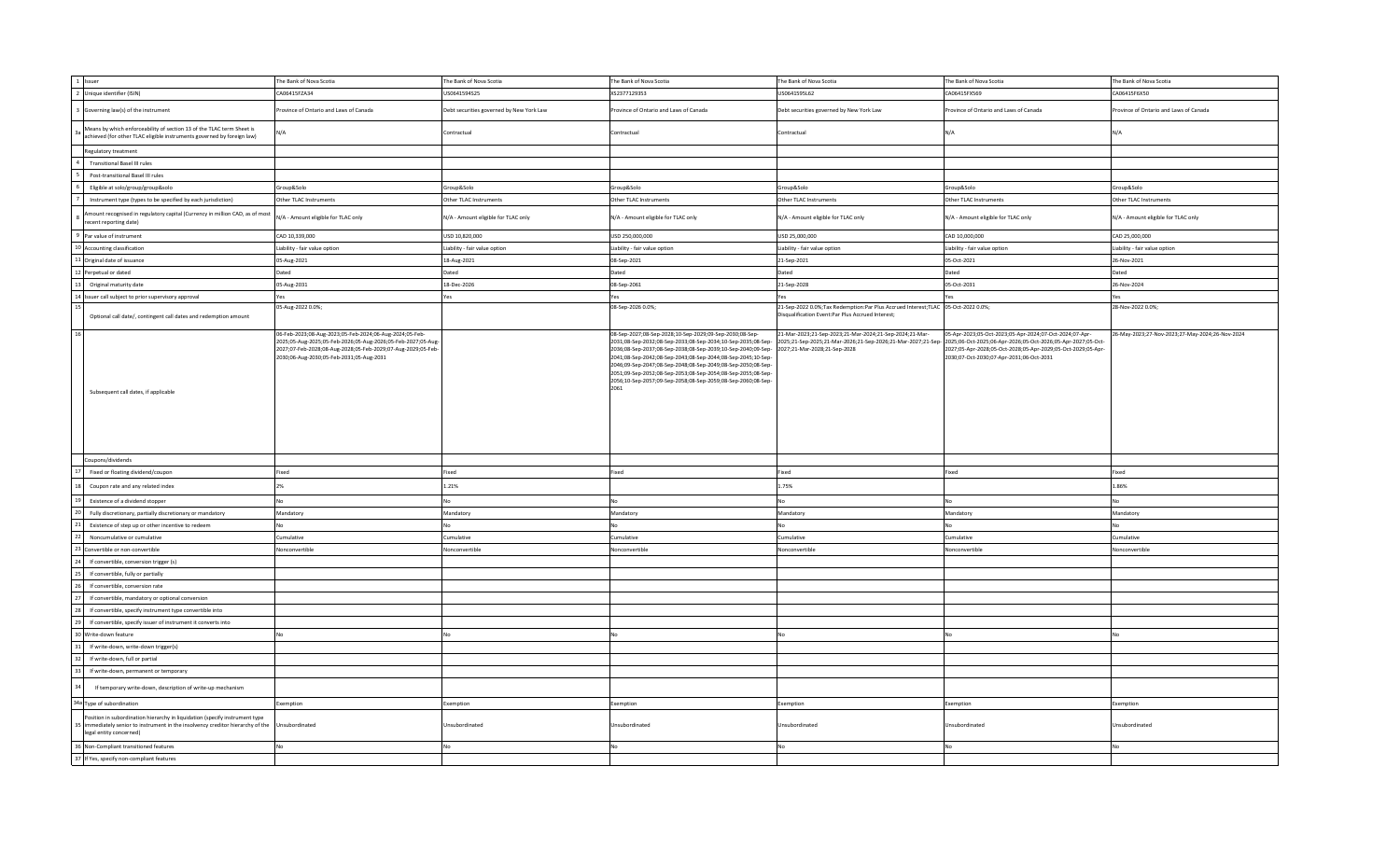| 1 Issuer                                                                                                                                                                               | The Bank of Nova Scotia                                                                                                                                                                                                             | The Bank of Nova Scotia                  | The Bank of Nova Scotia                                                                                                                                                                                                                                                                                                                                                                                                      | The Bank of Nova Scotia                                                                                                                                                              | The Bank of Nova Scotia                                                                                                                                                                                                             | The Bank of Nova Scotia                         |
|----------------------------------------------------------------------------------------------------------------------------------------------------------------------------------------|-------------------------------------------------------------------------------------------------------------------------------------------------------------------------------------------------------------------------------------|------------------------------------------|------------------------------------------------------------------------------------------------------------------------------------------------------------------------------------------------------------------------------------------------------------------------------------------------------------------------------------------------------------------------------------------------------------------------------|--------------------------------------------------------------------------------------------------------------------------------------------------------------------------------------|-------------------------------------------------------------------------------------------------------------------------------------------------------------------------------------------------------------------------------------|-------------------------------------------------|
| 2 Unique identifier (ISIN)                                                                                                                                                             | CA06415FZA34                                                                                                                                                                                                                        | US0641594S25                             | XS2377129353                                                                                                                                                                                                                                                                                                                                                                                                                 | US0641595L62                                                                                                                                                                         | CA06415FX569                                                                                                                                                                                                                        | CA06415F6X50                                    |
| Governing law(s) of the instrument                                                                                                                                                     | Province of Ontario and Laws of Canada                                                                                                                                                                                              | Debt securities governed by New York Law | rovince of Ontario and Laws of Canada                                                                                                                                                                                                                                                                                                                                                                                        | Debt securities governed by New York Law                                                                                                                                             | rovince of Ontario and Laws of Canada                                                                                                                                                                                               | rovince of Ontario and Laws of Canada           |
| Means by which enforceability of section 13 of the TLAC term Sheet is<br>achieved (for other TLAC eligible instruments governed by foreign law)                                        | N/A                                                                                                                                                                                                                                 | Contractual                              | Contractual                                                                                                                                                                                                                                                                                                                                                                                                                  | Contractual                                                                                                                                                                          | N/A                                                                                                                                                                                                                                 | N/A                                             |
| Regulatory treatment                                                                                                                                                                   |                                                                                                                                                                                                                                     |                                          |                                                                                                                                                                                                                                                                                                                                                                                                                              |                                                                                                                                                                                      |                                                                                                                                                                                                                                     |                                                 |
| <b>Transitional Basel III rules</b>                                                                                                                                                    |                                                                                                                                                                                                                                     |                                          |                                                                                                                                                                                                                                                                                                                                                                                                                              |                                                                                                                                                                                      |                                                                                                                                                                                                                                     |                                                 |
| Post-transitional Basel III rules                                                                                                                                                      |                                                                                                                                                                                                                                     |                                          |                                                                                                                                                                                                                                                                                                                                                                                                                              |                                                                                                                                                                                      |                                                                                                                                                                                                                                     |                                                 |
| Eligible at solo/group/group&solo                                                                                                                                                      | Group&Solo                                                                                                                                                                                                                          | Group&Solo                               | Group&Solo                                                                                                                                                                                                                                                                                                                                                                                                                   | Group&Solo                                                                                                                                                                           | Group&Solo                                                                                                                                                                                                                          | Group&Solo                                      |
| Instrument type (types to be specified by each jurisdiction)                                                                                                                           | Other TLAC Instruments                                                                                                                                                                                                              | Other TLAC Instruments                   | Other TLAC Instruments                                                                                                                                                                                                                                                                                                                                                                                                       | Other TLAC Instruments                                                                                                                                                               | Other TLAC Instruments                                                                                                                                                                                                              | Other TLAC Instruments                          |
| nount recognised in regulatory capital (Currency in million CAD, as of most<br>ecent reporting date)                                                                                   | N/A - Amount eligible for TLAC only                                                                                                                                                                                                 | N/A - Amount eligible for TLAC only      | N/A - Amount eligible for TLAC only                                                                                                                                                                                                                                                                                                                                                                                          | N/A - Amount eligible for TLAC only                                                                                                                                                  | N/A - Amount eligible for TLAC only                                                                                                                                                                                                 | N/A - Amount eligible for TLAC only             |
| Par value of instrument                                                                                                                                                                | CAD 10,339,000                                                                                                                                                                                                                      | USD 10,820,000                           | USD 250,000,000                                                                                                                                                                                                                                                                                                                                                                                                              | USD 25,000,000                                                                                                                                                                       | CAD 10,000,000                                                                                                                                                                                                                      | CAD 25,000,000                                  |
| 10 Accounting classification                                                                                                                                                           | Liability - fair value option                                                                                                                                                                                                       | Liability - fair value option            | Liability - fair value option                                                                                                                                                                                                                                                                                                                                                                                                | Liability - fair value option                                                                                                                                                        | Liability - fair value option                                                                                                                                                                                                       | Liability - fair value option                   |
| 1 Original date of issuance                                                                                                                                                            | 05-Aug-2021                                                                                                                                                                                                                         | 18-Aug-2021                              | 08-Sep-2021                                                                                                                                                                                                                                                                                                                                                                                                                  | 21-Sep-2021                                                                                                                                                                          | 05-Oct-2021                                                                                                                                                                                                                         | 26-Nov-2021                                     |
| Perpetual or dated                                                                                                                                                                     | Dated                                                                                                                                                                                                                               | Dated                                    | Dated                                                                                                                                                                                                                                                                                                                                                                                                                        | Dated                                                                                                                                                                                | Dated                                                                                                                                                                                                                               | Dated                                           |
| Original maturity date                                                                                                                                                                 | 05-Aug-2031                                                                                                                                                                                                                         | 18-Dec-2026                              | 08-Sep-2061                                                                                                                                                                                                                                                                                                                                                                                                                  | 21-Sep-2028                                                                                                                                                                          | 05-Oct-2031                                                                                                                                                                                                                         | 26-Nov-2024                                     |
| 4 Issuer call subject to prior supervisory approval                                                                                                                                    | Yes                                                                                                                                                                                                                                 | Yes                                      | Yes                                                                                                                                                                                                                                                                                                                                                                                                                          | Yes                                                                                                                                                                                  | Yes                                                                                                                                                                                                                                 | Yes                                             |
|                                                                                                                                                                                        | 05-Aug-2022 0.0%;                                                                                                                                                                                                                   |                                          | 08-Sep-2026 0.0%;                                                                                                                                                                                                                                                                                                                                                                                                            | 21-Sep-2022 0.0%;Tax Redemption:Par Plus Accrued Interest;TLAC 05-Oct-2022 0.0%;                                                                                                     |                                                                                                                                                                                                                                     | 28-Nov-2022 0.0%;                               |
| Optional call date/, contingent call dates and redemption amount                                                                                                                       |                                                                                                                                                                                                                                     |                                          |                                                                                                                                                                                                                                                                                                                                                                                                                              | Disqualification Event:Par Plus Accrued Interest;                                                                                                                                    |                                                                                                                                                                                                                                     |                                                 |
| Subsequent call dates, if applicable                                                                                                                                                   | 06-Feb-2023;08-Aug-2023;05-Feb-2024;06-Aug-2024;05-Feb-<br>2025;05-Aug-2025;05-Feb-2026;05-Aug-2026;05-Feb-2027;05-Aug-<br>2027;07-Feb-2028;08-Aug-2028;05-Feb-2029;07-Aug-2029;05-Feb-<br>2030;06-Aug-2030;05-Feb-2031;05-Aug-2031 |                                          | 08-Sep-2027;08-Sep-2028;10-Sep-2029;09-Sep-2030;08-Sep-<br>2036;08-Sep-2037;08-Sep-2038;08-Sep-2039;10-Sep-2040;09-Sep- 2027;21-Mar-2028;21-Sep-2028<br>2041;08-Sep-2042;08-Sep-2043;08-Sep-2044;08-Sep-2045;10-Sep-<br>2046;09-Sep-2047;08-Sep-2048;08-Sep-2049;08-Sep-2050;08-Sep-<br>2051;09-Sep-2052;08-Sep-2053;08-Sep-2054;08-Sep-2055;08-Sep-<br>2056;10-Sep-2057;09-Sep-2058;08-Sep-2059;08-Sep-2060;08-Sep-<br>2061 | 21-Mar-2023;21-Sep-2023;21-Mar-2024;21-Sep-2024;21-Mar-<br>2031;08-Sep-2032;08-Sep-2033;08-Sep-2034;10-Sep-2035;08-Sep- 2025;21-Sep-2025;21-Mar-2026;21-Sep-2026;21-Mar-2027;21-Sep- | 05-Apr-2023;05-Oct-2023;05-Apr-2024;07-Oct-2024;07-Apr-<br>2025;06-Oct-2025;06-Apr-2026;05-Oct-2026;05-Apr-2027;05-Oct-<br>2027;05-Apr-2028;05-Oct-2028;05-Apr-2029;05-Oct-2029;05-Apr-<br>2030;07-Oct-2030;07-Apr-2031;06-Oct-2031 | 26-May-2023;27-Nov-2023;27-May-2024;26-Nov-2024 |
| Coupons/dividends                                                                                                                                                                      |                                                                                                                                                                                                                                     |                                          |                                                                                                                                                                                                                                                                                                                                                                                                                              |                                                                                                                                                                                      |                                                                                                                                                                                                                                     |                                                 |
| Fixed or floating dividend/coupon                                                                                                                                                      | Fixed                                                                                                                                                                                                                               | Fixed                                    | Fixed                                                                                                                                                                                                                                                                                                                                                                                                                        | Fixed                                                                                                                                                                                | Fixed                                                                                                                                                                                                                               | Fixed                                           |
| Coupon rate and any related index                                                                                                                                                      | 2%                                                                                                                                                                                                                                  | 1.21%                                    |                                                                                                                                                                                                                                                                                                                                                                                                                              | 1.75%                                                                                                                                                                                |                                                                                                                                                                                                                                     | 1.86%                                           |
| Existence of a dividend stopper                                                                                                                                                        | No                                                                                                                                                                                                                                  | No                                       | No                                                                                                                                                                                                                                                                                                                                                                                                                           | No                                                                                                                                                                                   | No                                                                                                                                                                                                                                  | No                                              |
| Fully discretionary, partially discretionary or mandatory                                                                                                                              | Mandatory                                                                                                                                                                                                                           | Mandatory                                | Mandatory                                                                                                                                                                                                                                                                                                                                                                                                                    | Mandatory                                                                                                                                                                            | Mandatory                                                                                                                                                                                                                           | Mandatory                                       |
| Existence of step up or other incentive to redeem                                                                                                                                      | No                                                                                                                                                                                                                                  | No                                       | No                                                                                                                                                                                                                                                                                                                                                                                                                           | No                                                                                                                                                                                   | NΩ                                                                                                                                                                                                                                  | <b>No</b>                                       |
| Noncumulative or cumulative                                                                                                                                                            | Cumulative                                                                                                                                                                                                                          | Cumulative                               | Cumulative                                                                                                                                                                                                                                                                                                                                                                                                                   | Cumulative                                                                                                                                                                           | Cumulative                                                                                                                                                                                                                          | Cumulative                                      |
| Convertible or non-convertible                                                                                                                                                         | Nonconvertible                                                                                                                                                                                                                      | Nonconvertible                           | Nonconvertible                                                                                                                                                                                                                                                                                                                                                                                                               | Nonconvertible                                                                                                                                                                       | Nonconvertible                                                                                                                                                                                                                      | Nonconvertible                                  |
| If convertible, conversion trigger (s)                                                                                                                                                 |                                                                                                                                                                                                                                     |                                          |                                                                                                                                                                                                                                                                                                                                                                                                                              |                                                                                                                                                                                      |                                                                                                                                                                                                                                     |                                                 |
| If convertible, fully or partially                                                                                                                                                     |                                                                                                                                                                                                                                     |                                          |                                                                                                                                                                                                                                                                                                                                                                                                                              |                                                                                                                                                                                      |                                                                                                                                                                                                                                     |                                                 |
| If convertible, conversion rate                                                                                                                                                        |                                                                                                                                                                                                                                     |                                          |                                                                                                                                                                                                                                                                                                                                                                                                                              |                                                                                                                                                                                      |                                                                                                                                                                                                                                     |                                                 |
| If convertible, mandatory or optional conversion                                                                                                                                       |                                                                                                                                                                                                                                     |                                          |                                                                                                                                                                                                                                                                                                                                                                                                                              |                                                                                                                                                                                      |                                                                                                                                                                                                                                     |                                                 |
| If convertible, specify instrument type convertible into                                                                                                                               |                                                                                                                                                                                                                                     |                                          |                                                                                                                                                                                                                                                                                                                                                                                                                              |                                                                                                                                                                                      |                                                                                                                                                                                                                                     |                                                 |
| If convertible, specify issuer of instrument it converts into                                                                                                                          |                                                                                                                                                                                                                                     |                                          |                                                                                                                                                                                                                                                                                                                                                                                                                              |                                                                                                                                                                                      |                                                                                                                                                                                                                                     |                                                 |
|                                                                                                                                                                                        |                                                                                                                                                                                                                                     |                                          |                                                                                                                                                                                                                                                                                                                                                                                                                              |                                                                                                                                                                                      |                                                                                                                                                                                                                                     |                                                 |
| Write-down feature                                                                                                                                                                     | No                                                                                                                                                                                                                                  | No                                       |                                                                                                                                                                                                                                                                                                                                                                                                                              | No                                                                                                                                                                                   |                                                                                                                                                                                                                                     |                                                 |
| If write-down, write-down trigger(s)                                                                                                                                                   |                                                                                                                                                                                                                                     |                                          |                                                                                                                                                                                                                                                                                                                                                                                                                              |                                                                                                                                                                                      |                                                                                                                                                                                                                                     |                                                 |
| If write-down, full or partial                                                                                                                                                         |                                                                                                                                                                                                                                     |                                          |                                                                                                                                                                                                                                                                                                                                                                                                                              |                                                                                                                                                                                      |                                                                                                                                                                                                                                     |                                                 |
| If write-down, permanent or temporary                                                                                                                                                  |                                                                                                                                                                                                                                     |                                          |                                                                                                                                                                                                                                                                                                                                                                                                                              |                                                                                                                                                                                      |                                                                                                                                                                                                                                     |                                                 |
| If temporary write-down, description of write-up mechanism                                                                                                                             |                                                                                                                                                                                                                                     |                                          |                                                                                                                                                                                                                                                                                                                                                                                                                              |                                                                                                                                                                                      |                                                                                                                                                                                                                                     |                                                 |
| 34a Type of subordination                                                                                                                                                              | Exemption                                                                                                                                                                                                                           | Exemption                                | Exemption                                                                                                                                                                                                                                                                                                                                                                                                                    | Exemption                                                                                                                                                                            | Exemption                                                                                                                                                                                                                           | Exemption                                       |
| Position in subordination hierarchy in liquidation (specify instrument type<br>immediately senior to instrument in the insolvency creditor hierarchy of the<br>legal entity concerned) | Unsubordinated                                                                                                                                                                                                                      | Unsubordinated                           | Jnsubordinated                                                                                                                                                                                                                                                                                                                                                                                                               | Unsubordinated                                                                                                                                                                       | Unsubordinated                                                                                                                                                                                                                      | Jnsubordinated                                  |
| 36 Non-Compliant transitioned features                                                                                                                                                 | No                                                                                                                                                                                                                                  | No                                       | No                                                                                                                                                                                                                                                                                                                                                                                                                           | N <sub>0</sub>                                                                                                                                                                       | No                                                                                                                                                                                                                                  | No                                              |
| 37 If Yes, specify non-compliant features                                                                                                                                              |                                                                                                                                                                                                                                     |                                          |                                                                                                                                                                                                                                                                                                                                                                                                                              |                                                                                                                                                                                      |                                                                                                                                                                                                                                     |                                                 |
|                                                                                                                                                                                        |                                                                                                                                                                                                                                     |                                          |                                                                                                                                                                                                                                                                                                                                                                                                                              |                                                                                                                                                                                      |                                                                                                                                                                                                                                     |                                                 |